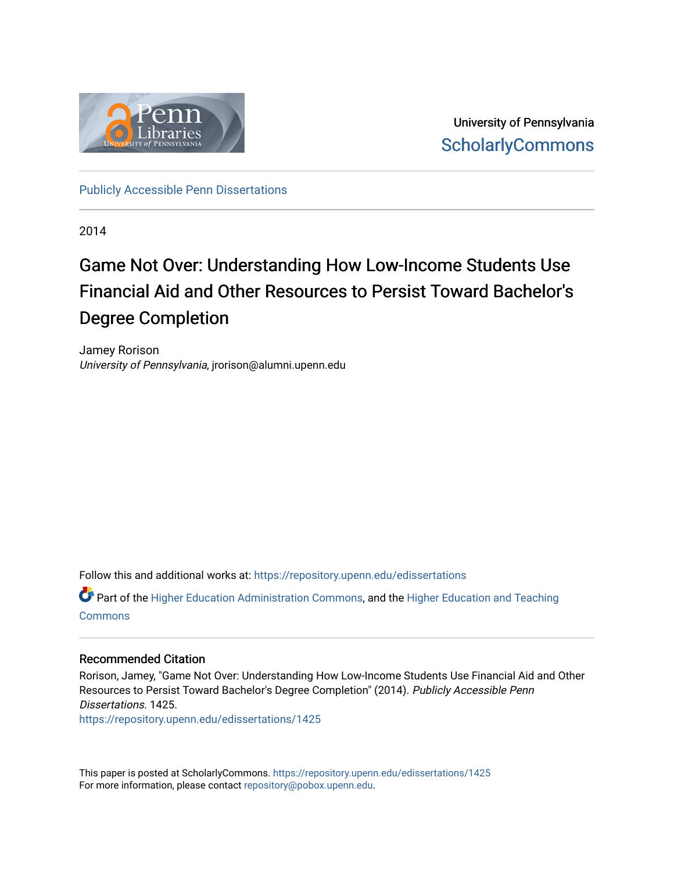

University of Pennsylvania **ScholarlyCommons** 

[Publicly Accessible Penn Dissertations](https://repository.upenn.edu/edissertations)

2014

# Game Not Over: Understanding How Low-Income Students Use Financial Aid and Other Resources to Persist Toward Bachelor's Degree Completion

Jamey Rorison University of Pennsylvania, jrorison@alumni.upenn.edu

Follow this and additional works at: [https://repository.upenn.edu/edissertations](https://repository.upenn.edu/edissertations?utm_source=repository.upenn.edu%2Fedissertations%2F1425&utm_medium=PDF&utm_campaign=PDFCoverPages) 

Part of the [Higher Education Administration Commons,](http://network.bepress.com/hgg/discipline/791?utm_source=repository.upenn.edu%2Fedissertations%2F1425&utm_medium=PDF&utm_campaign=PDFCoverPages) and the [Higher Education and Teaching](http://network.bepress.com/hgg/discipline/806?utm_source=repository.upenn.edu%2Fedissertations%2F1425&utm_medium=PDF&utm_campaign=PDFCoverPages)  **[Commons](http://network.bepress.com/hgg/discipline/806?utm_source=repository.upenn.edu%2Fedissertations%2F1425&utm_medium=PDF&utm_campaign=PDFCoverPages)** 

#### Recommended Citation

Rorison, Jamey, "Game Not Over: Understanding How Low-Income Students Use Financial Aid and Other Resources to Persist Toward Bachelor's Degree Completion" (2014). Publicly Accessible Penn Dissertations. 1425.

[https://repository.upenn.edu/edissertations/1425](https://repository.upenn.edu/edissertations/1425?utm_source=repository.upenn.edu%2Fedissertations%2F1425&utm_medium=PDF&utm_campaign=PDFCoverPages) 

This paper is posted at ScholarlyCommons.<https://repository.upenn.edu/edissertations/1425> For more information, please contact [repository@pobox.upenn.edu.](mailto:repository@pobox.upenn.edu)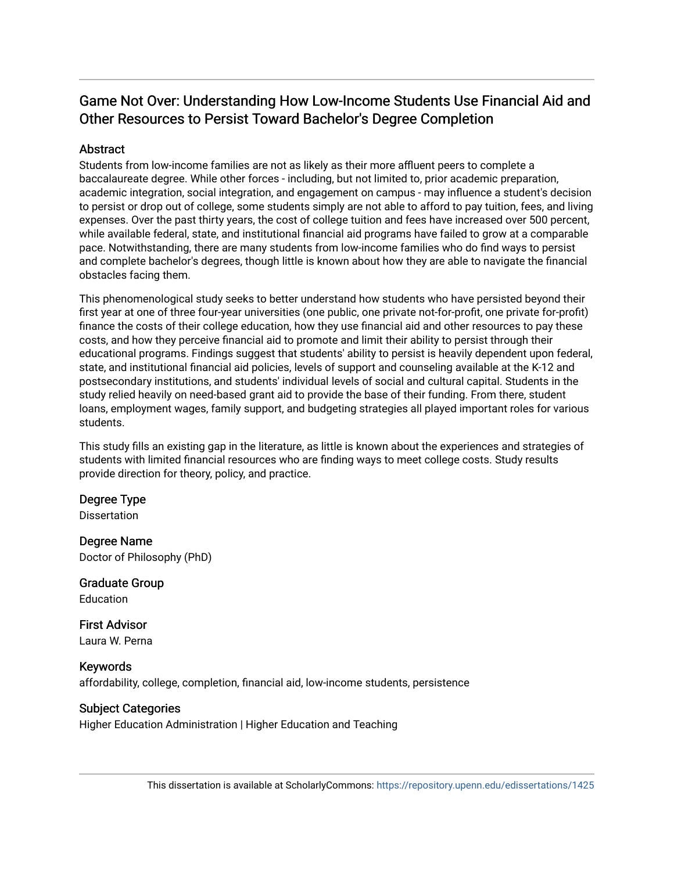# Game Not Over: Understanding How Low-Income Students Use Financial Aid and Other Resources to Persist Toward Bachelor's Degree Completion

### **Abstract**

Students from low-income families are not as likely as their more affluent peers to complete a baccalaureate degree. While other forces - including, but not limited to, prior academic preparation, academic integration, social integration, and engagement on campus - may influence a student's decision to persist or drop out of college, some students simply are not able to afford to pay tuition, fees, and living expenses. Over the past thirty years, the cost of college tuition and fees have increased over 500 percent, while available federal, state, and institutional financial aid programs have failed to grow at a comparable pace. Notwithstanding, there are many students from low-income families who do find ways to persist and complete bachelor's degrees, though little is known about how they are able to navigate the financial obstacles facing them.

This phenomenological study seeks to better understand how students who have persisted beyond their first year at one of three four-year universities (one public, one private not-for-profit, one private for-profit) finance the costs of their college education, how they use financial aid and other resources to pay these costs, and how they perceive financial aid to promote and limit their ability to persist through their educational programs. Findings suggest that students' ability to persist is heavily dependent upon federal, state, and institutional financial aid policies, levels of support and counseling available at the K-12 and postsecondary institutions, and students' individual levels of social and cultural capital. Students in the study relied heavily on need-based grant aid to provide the base of their funding. From there, student loans, employment wages, family support, and budgeting strategies all played important roles for various students.

This study fills an existing gap in the literature, as little is known about the experiences and strategies of students with limited financial resources who are finding ways to meet college costs. Study results provide direction for theory, policy, and practice.

## Degree Type

Dissertation

Degree Name Doctor of Philosophy (PhD)

Graduate Group Education

First Advisor Laura W. Perna

Keywords affordability, college, completion, financial aid, low-income students, persistence

### Subject Categories

Higher Education Administration | Higher Education and Teaching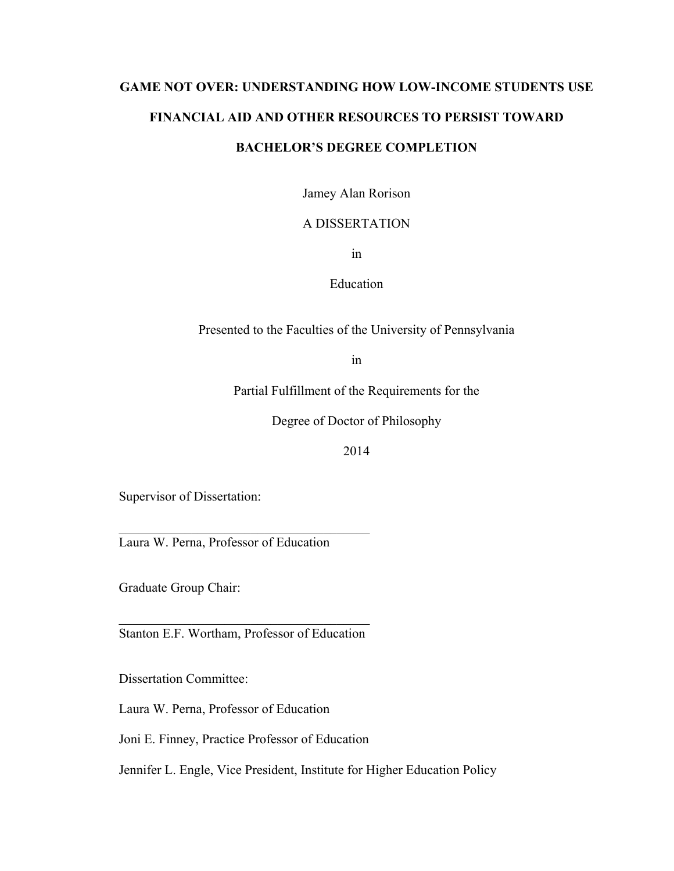# **GAME NOT OVER: UNDERSTANDING HOW LOW-INCOME STUDENTS USE FINANCIAL AID AND OTHER RESOURCES TO PERSIST TOWARD BACHELOR'S DEGREE COMPLETION**

Jamey Alan Rorison

## A DISSERTATION

in

Education

Presented to the Faculties of the University of Pennsylvania

in

Partial Fulfillment of the Requirements for the

Degree of Doctor of Philosophy

2014

Supervisor of Dissertation:

Laura W. Perna, Professor of Education

 $\mathcal{L}_\text{max}$  and  $\mathcal{L}_\text{max}$  and  $\mathcal{L}_\text{max}$  and  $\mathcal{L}_\text{max}$ 

Graduate Group Chair:

 $\mathcal{L}_\text{max}$  and  $\mathcal{L}_\text{max}$  and  $\mathcal{L}_\text{max}$  and  $\mathcal{L}_\text{max}$ Stanton E.F. Wortham, Professor of Education

Dissertation Committee:

Laura W. Perna, Professor of Education

Joni E. Finney, Practice Professor of Education

Jennifer L. Engle, Vice President, Institute for Higher Education Policy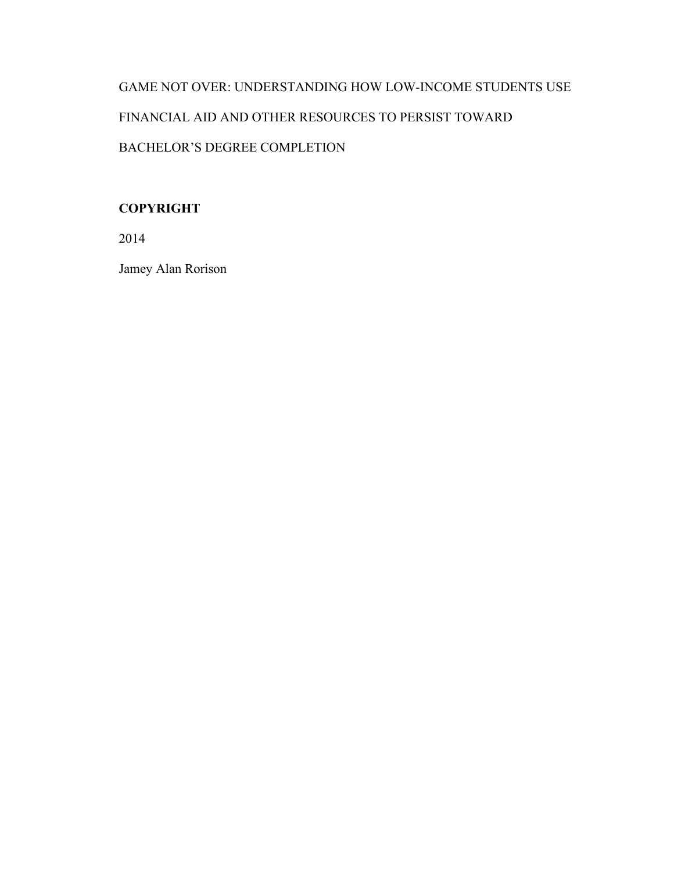# GAME NOT OVER: UNDERSTANDING HOW LOW-INCOME STUDENTS USE FINANCIAL AID AND OTHER RESOURCES TO PERSIST TOWARD BACHELOR'S DEGREE COMPLETION

## **COPYRIGHT**

2014

Jamey Alan Rorison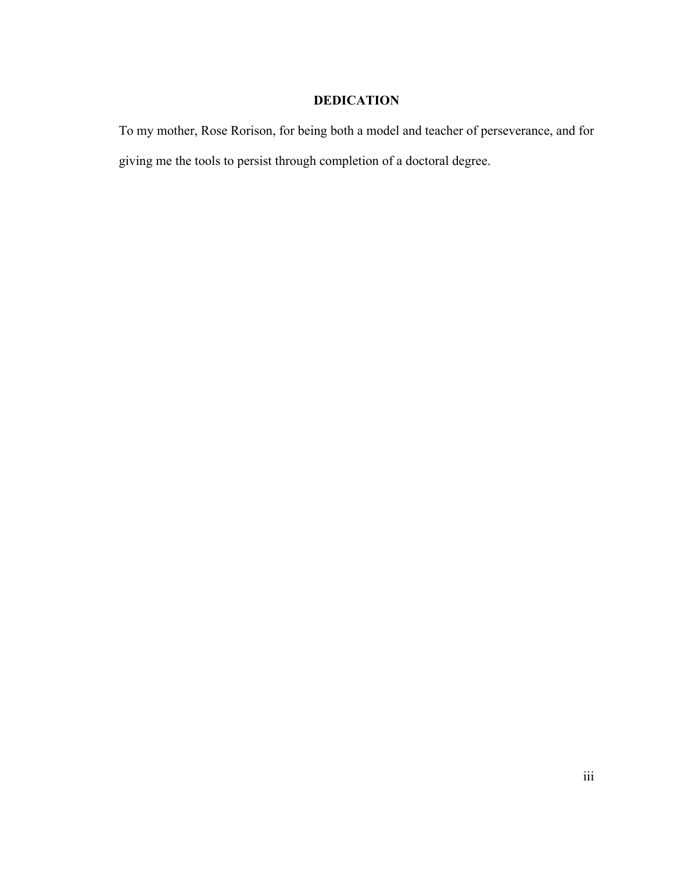## **DEDICATION**

To my mother, Rose Rorison, for being both a model and teacher of perseverance, and for giving me the tools to persist through completion of a doctoral degree.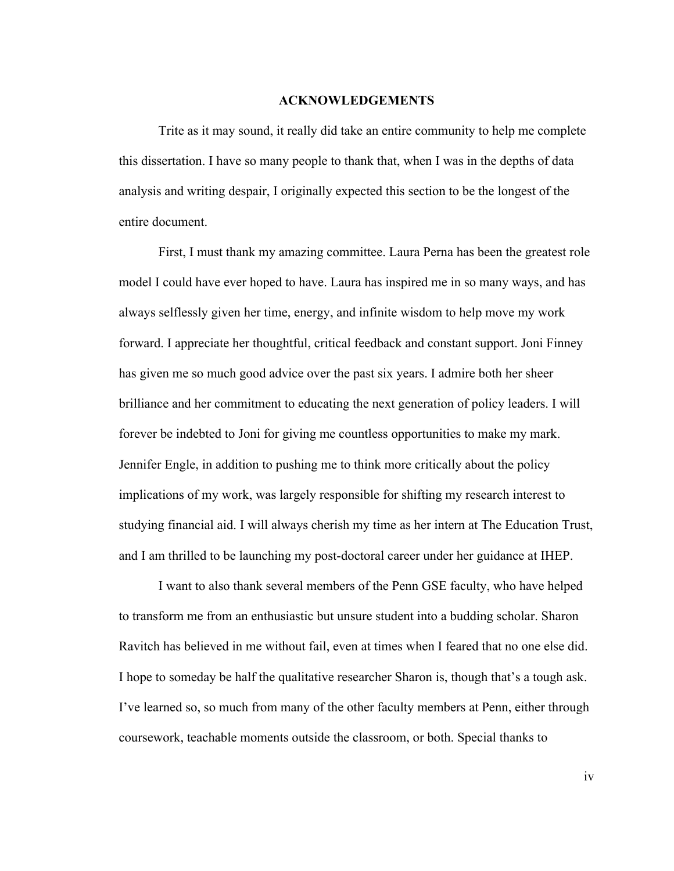#### **ACKNOWLEDGEMENTS**

Trite as it may sound, it really did take an entire community to help me complete this dissertation. I have so many people to thank that, when I was in the depths of data analysis and writing despair, I originally expected this section to be the longest of the entire document.

First, I must thank my amazing committee. Laura Perna has been the greatest role model I could have ever hoped to have. Laura has inspired me in so many ways, and has always selflessly given her time, energy, and infinite wisdom to help move my work forward. I appreciate her thoughtful, critical feedback and constant support. Joni Finney has given me so much good advice over the past six years. I admire both her sheer brilliance and her commitment to educating the next generation of policy leaders. I will forever be indebted to Joni for giving me countless opportunities to make my mark. Jennifer Engle, in addition to pushing me to think more critically about the policy implications of my work, was largely responsible for shifting my research interest to studying financial aid. I will always cherish my time as her intern at The Education Trust, and I am thrilled to be launching my post-doctoral career under her guidance at IHEP.

I want to also thank several members of the Penn GSE faculty, who have helped to transform me from an enthusiastic but unsure student into a budding scholar. Sharon Ravitch has believed in me without fail, even at times when I feared that no one else did. I hope to someday be half the qualitative researcher Sharon is, though that's a tough ask. I've learned so, so much from many of the other faculty members at Penn, either through coursework, teachable moments outside the classroom, or both. Special thanks to

iv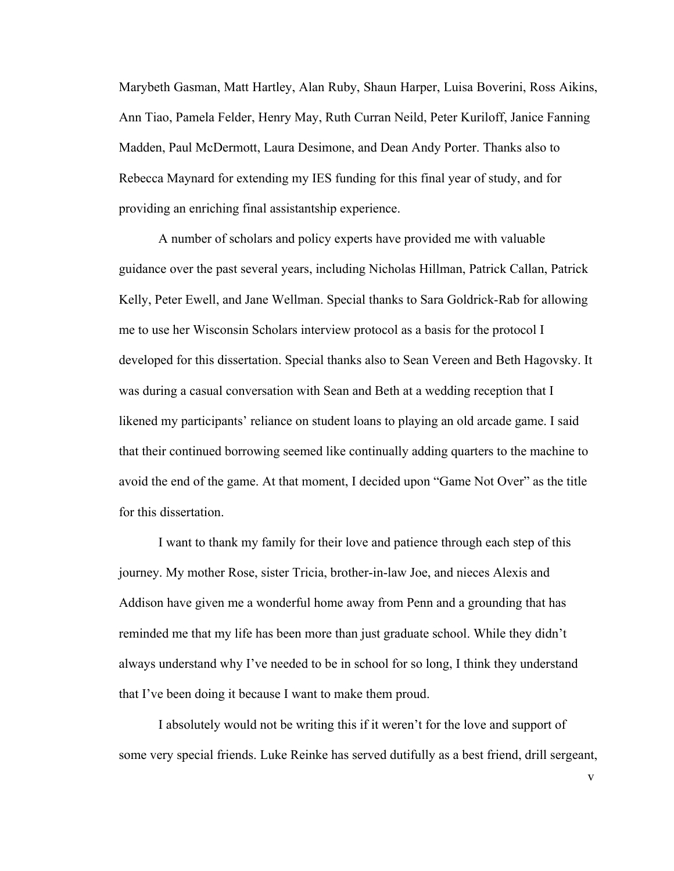Marybeth Gasman, Matt Hartley, Alan Ruby, Shaun Harper, Luisa Boverini, Ross Aikins, Ann Tiao, Pamela Felder, Henry May, Ruth Curran Neild, Peter Kuriloff, Janice Fanning Madden, Paul McDermott, Laura Desimone, and Dean Andy Porter. Thanks also to Rebecca Maynard for extending my IES funding for this final year of study, and for providing an enriching final assistantship experience.

A number of scholars and policy experts have provided me with valuable guidance over the past several years, including Nicholas Hillman, Patrick Callan, Patrick Kelly, Peter Ewell, and Jane Wellman. Special thanks to Sara Goldrick-Rab for allowing me to use her Wisconsin Scholars interview protocol as a basis for the protocol I developed for this dissertation. Special thanks also to Sean Vereen and Beth Hagovsky. It was during a casual conversation with Sean and Beth at a wedding reception that I likened my participants' reliance on student loans to playing an old arcade game. I said that their continued borrowing seemed like continually adding quarters to the machine to avoid the end of the game. At that moment, I decided upon "Game Not Over" as the title for this dissertation.

I want to thank my family for their love and patience through each step of this journey. My mother Rose, sister Tricia, brother-in-law Joe, and nieces Alexis and Addison have given me a wonderful home away from Penn and a grounding that has reminded me that my life has been more than just graduate school. While they didn't always understand why I've needed to be in school for so long, I think they understand that I've been doing it because I want to make them proud.

I absolutely would not be writing this if it weren't for the love and support of some very special friends. Luke Reinke has served dutifully as a best friend, drill sergeant,

v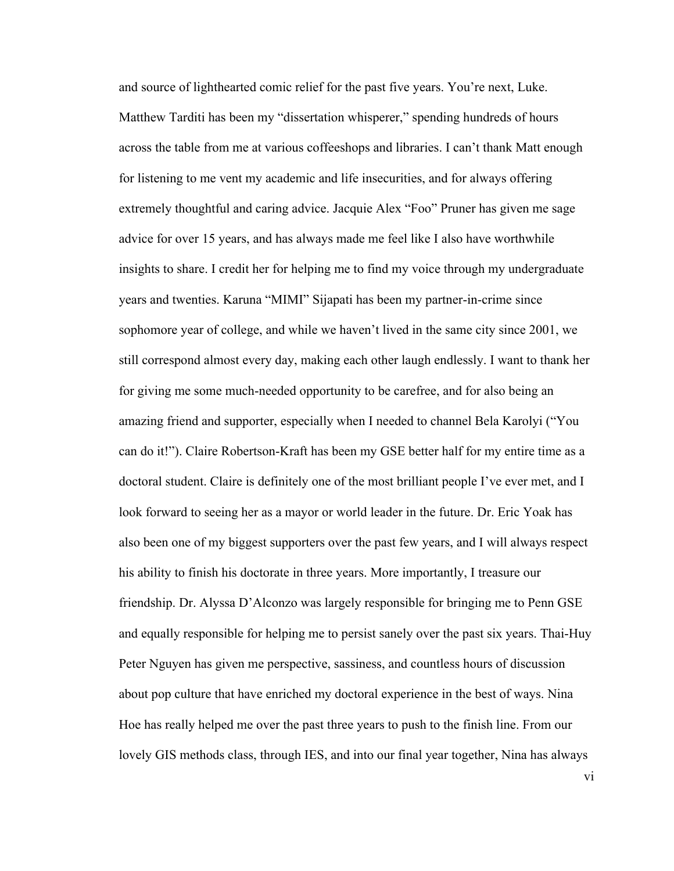and source of lighthearted comic relief for the past five years. You're next, Luke. Matthew Tarditi has been my "dissertation whisperer," spending hundreds of hours across the table from me at various coffeeshops and libraries. I can't thank Matt enough for listening to me vent my academic and life insecurities, and for always offering extremely thoughtful and caring advice. Jacquie Alex "Foo" Pruner has given me sage advice for over 15 years, and has always made me feel like I also have worthwhile insights to share. I credit her for helping me to find my voice through my undergraduate years and twenties. Karuna "MIMI" Sijapati has been my partner-in-crime since sophomore year of college, and while we haven't lived in the same city since 2001, we still correspond almost every day, making each other laugh endlessly. I want to thank her for giving me some much-needed opportunity to be carefree, and for also being an amazing friend and supporter, especially when I needed to channel Bela Karolyi ("You can do it!"). Claire Robertson-Kraft has been my GSE better half for my entire time as a doctoral student. Claire is definitely one of the most brilliant people I've ever met, and I look forward to seeing her as a mayor or world leader in the future. Dr. Eric Yoak has also been one of my biggest supporters over the past few years, and I will always respect his ability to finish his doctorate in three years. More importantly, I treasure our friendship. Dr. Alyssa D'Alconzo was largely responsible for bringing me to Penn GSE and equally responsible for helping me to persist sanely over the past six years. Thai-Huy Peter Nguyen has given me perspective, sassiness, and countless hours of discussion about pop culture that have enriched my doctoral experience in the best of ways. Nina Hoe has really helped me over the past three years to push to the finish line. From our lovely GIS methods class, through IES, and into our final year together, Nina has always

vi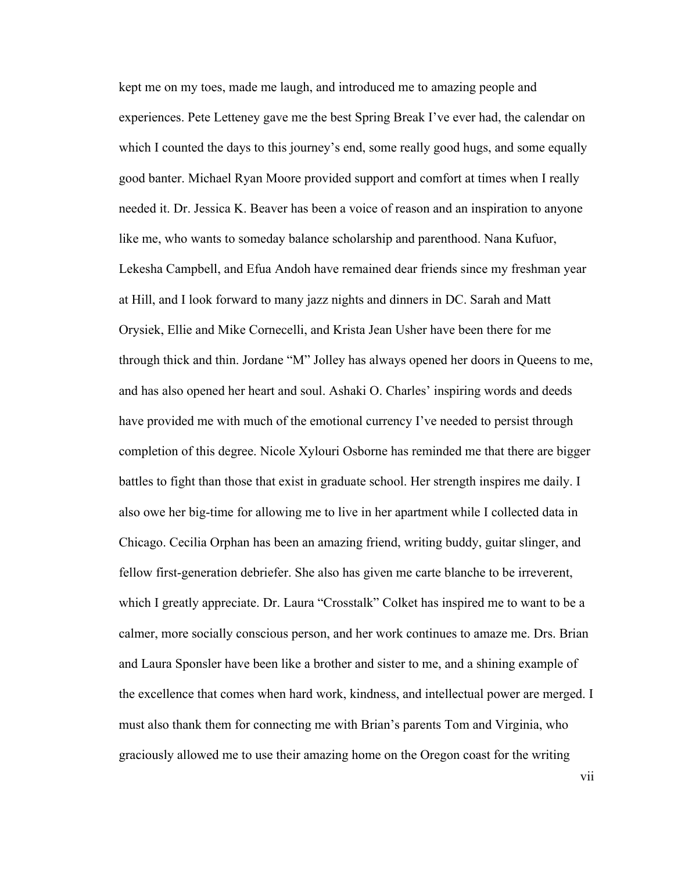kept me on my toes, made me laugh, and introduced me to amazing people and experiences. Pete Letteney gave me the best Spring Break I've ever had, the calendar on which I counted the days to this journey's end, some really good hugs, and some equally good banter. Michael Ryan Moore provided support and comfort at times when I really needed it. Dr. Jessica K. Beaver has been a voice of reason and an inspiration to anyone like me, who wants to someday balance scholarship and parenthood. Nana Kufuor, Lekesha Campbell, and Efua Andoh have remained dear friends since my freshman year at Hill, and I look forward to many jazz nights and dinners in DC. Sarah and Matt Orysiek, Ellie and Mike Cornecelli, and Krista Jean Usher have been there for me through thick and thin. Jordane "M" Jolley has always opened her doors in Queens to me, and has also opened her heart and soul. Ashaki O. Charles' inspiring words and deeds have provided me with much of the emotional currency I've needed to persist through completion of this degree. Nicole Xylouri Osborne has reminded me that there are bigger battles to fight than those that exist in graduate school. Her strength inspires me daily. I also owe her big-time for allowing me to live in her apartment while I collected data in Chicago. Cecilia Orphan has been an amazing friend, writing buddy, guitar slinger, and fellow first-generation debriefer. She also has given me carte blanche to be irreverent, which I greatly appreciate. Dr. Laura "Crosstalk" Colket has inspired me to want to be a calmer, more socially conscious person, and her work continues to amaze me. Drs. Brian and Laura Sponsler have been like a brother and sister to me, and a shining example of the excellence that comes when hard work, kindness, and intellectual power are merged. I must also thank them for connecting me with Brian's parents Tom and Virginia, who graciously allowed me to use their amazing home on the Oregon coast for the writing

vii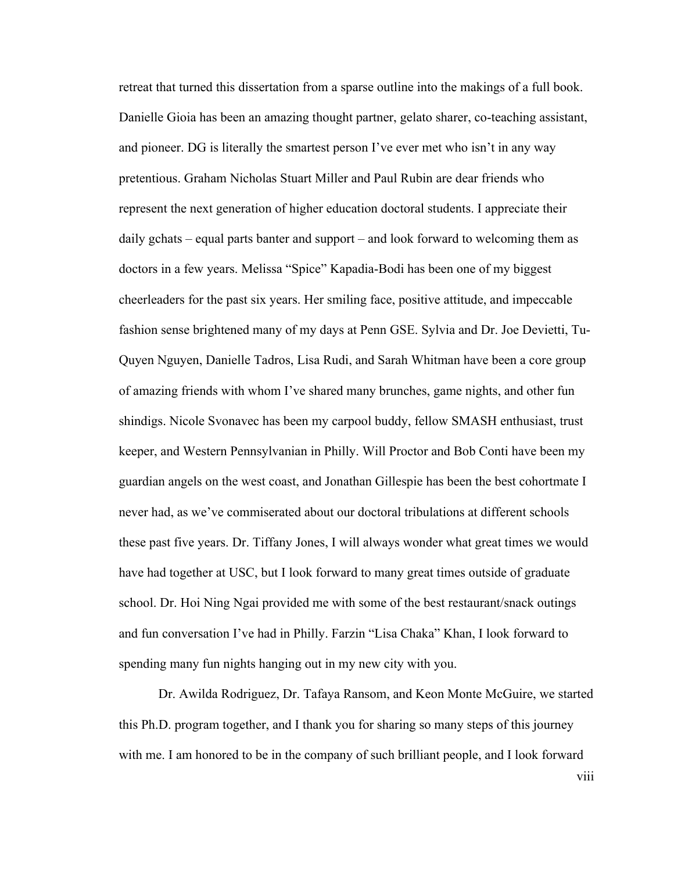retreat that turned this dissertation from a sparse outline into the makings of a full book. Danielle Gioia has been an amazing thought partner, gelato sharer, co-teaching assistant, and pioneer. DG is literally the smartest person I've ever met who isn't in any way pretentious. Graham Nicholas Stuart Miller and Paul Rubin are dear friends who represent the next generation of higher education doctoral students. I appreciate their daily gchats – equal parts banter and support – and look forward to welcoming them as doctors in a few years. Melissa "Spice" Kapadia-Bodi has been one of my biggest cheerleaders for the past six years. Her smiling face, positive attitude, and impeccable fashion sense brightened many of my days at Penn GSE. Sylvia and Dr. Joe Devietti, Tu-Quyen Nguyen, Danielle Tadros, Lisa Rudi, and Sarah Whitman have been a core group of amazing friends with whom I've shared many brunches, game nights, and other fun shindigs. Nicole Svonavec has been my carpool buddy, fellow SMASH enthusiast, trust keeper, and Western Pennsylvanian in Philly. Will Proctor and Bob Conti have been my guardian angels on the west coast, and Jonathan Gillespie has been the best cohortmate I never had, as we've commiserated about our doctoral tribulations at different schools these past five years. Dr. Tiffany Jones, I will always wonder what great times we would have had together at USC, but I look forward to many great times outside of graduate school. Dr. Hoi Ning Ngai provided me with some of the best restaurant/snack outings and fun conversation I've had in Philly. Farzin "Lisa Chaka" Khan, I look forward to spending many fun nights hanging out in my new city with you.

Dr. Awilda Rodriguez, Dr. Tafaya Ransom, and Keon Monte McGuire, we started this Ph.D. program together, and I thank you for sharing so many steps of this journey with me. I am honored to be in the company of such brilliant people, and I look forward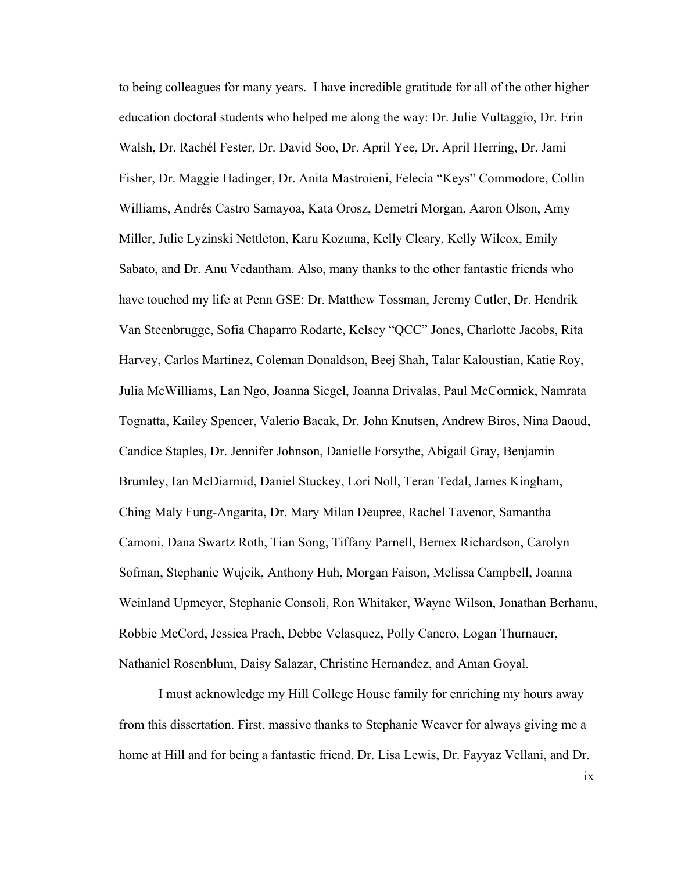to being colleagues for many years. I have incredible gratitude for all of the other higher education doctoral students who helped me along the way: Dr. Julie Vultaggio, Dr. Erin Walsh, Dr. Rachél Fester, Dr. David Soo, Dr. April Yee, Dr. April Herring, Dr. Jami Fisher, Dr. Maggie Hadinger, Dr. Anita Mastroieni, Felecia "Keys" Commodore, Collin Williams, Andrés Castro Samayoa, Kata Orosz, Demetri Morgan, Aaron Olson, Amy Miller, Julie Lyzinski Nettleton, Karu Kozuma, Kelly Cleary, Kelly Wilcox, Emily Sabato, and Dr. Anu Vedantham. Also, many thanks to the other fantastic friends who have touched my life at Penn GSE: Dr. Matthew Tossman, Jeremy Cutler, Dr. Hendrik Van Steenbrugge, Sofia Chaparro Rodarte, Kelsey "QCC" Jones, Charlotte Jacobs, Rita Harvey, Carlos Martinez, Coleman Donaldson, Beej Shah, Talar Kaloustian, Katie Roy, Julia McWilliams, Lan Ngo, Joanna Siegel, Joanna Drivalas, Paul McCormick, Namrata Tognatta, Kailey Spencer, Valerio Bacak, Dr. John Knutsen, Andrew Biros, Nina Daoud, Candice Staples, Dr. Jennifer Johnson, Danielle Forsythe, Abigail Gray, Benjamin Brumley, Ian McDiarmid, Daniel Stuckey, Lori Noll, Teran Tedal, James Kingham, Ching Maly Fung-Angarita, Dr. Mary Milan Deupree, Rachel Tavenor, Samantha Camoni, Dana Swartz Roth, Tian Song, Tiffany Parnell, Bernex Richardson, Carolyn Sofman, Stephanie Wujcik, Anthony Huh, Morgan Faison, Melissa Campbell, Joanna Weinland Upmeyer, Stephanie Consoli, Ron Whitaker, Wayne Wilson, Jonathan Berhanu, Robbie McCord, Jessica Prach, Debbe Velasquez, Polly Cancro, Logan Thurnauer, Nathaniel Rosenblum, Daisy Salazar, Christine Hernandez, and Aman Goyal.

I must acknowledge my Hill College House family for enriching my hours away from this dissertation. First, massive thanks to Stephanie Weaver for always giving me a home at Hill and for being a fantastic friend. Dr. Lisa Lewis, Dr. Fayyaz Vellani, and Dr.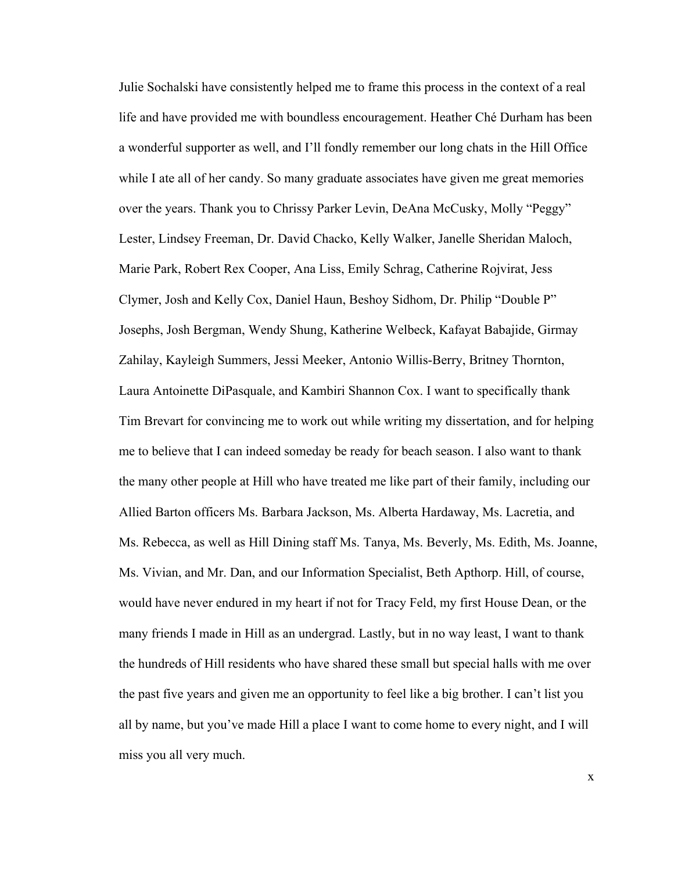Julie Sochalski have consistently helped me to frame this process in the context of a real life and have provided me with boundless encouragement. Heather Ché Durham has been a wonderful supporter as well, and I'll fondly remember our long chats in the Hill Office while I ate all of her candy. So many graduate associates have given me great memories over the years. Thank you to Chrissy Parker Levin, DeAna McCusky, Molly "Peggy" Lester, Lindsey Freeman, Dr. David Chacko, Kelly Walker, Janelle Sheridan Maloch, Marie Park, Robert Rex Cooper, Ana Liss, Emily Schrag, Catherine Rojvirat, Jess Clymer, Josh and Kelly Cox, Daniel Haun, Beshoy Sidhom, Dr. Philip "Double P" Josephs, Josh Bergman, Wendy Shung, Katherine Welbeck, Kafayat Babajide, Girmay Zahilay, Kayleigh Summers, Jessi Meeker, Antonio Willis-Berry, Britney Thornton, Laura Antoinette DiPasquale, and Kambiri Shannon Cox. I want to specifically thank Tim Brevart for convincing me to work out while writing my dissertation, and for helping me to believe that I can indeed someday be ready for beach season. I also want to thank the many other people at Hill who have treated me like part of their family, including our Allied Barton officers Ms. Barbara Jackson, Ms. Alberta Hardaway, Ms. Lacretia, and Ms. Rebecca, as well as Hill Dining staff Ms. Tanya, Ms. Beverly, Ms. Edith, Ms. Joanne, Ms. Vivian, and Mr. Dan, and our Information Specialist, Beth Apthorp. Hill, of course, would have never endured in my heart if not for Tracy Feld, my first House Dean, or the many friends I made in Hill as an undergrad. Lastly, but in no way least, I want to thank the hundreds of Hill residents who have shared these small but special halls with me over the past five years and given me an opportunity to feel like a big brother. I can't list you all by name, but you've made Hill a place I want to come home to every night, and I will miss you all very much.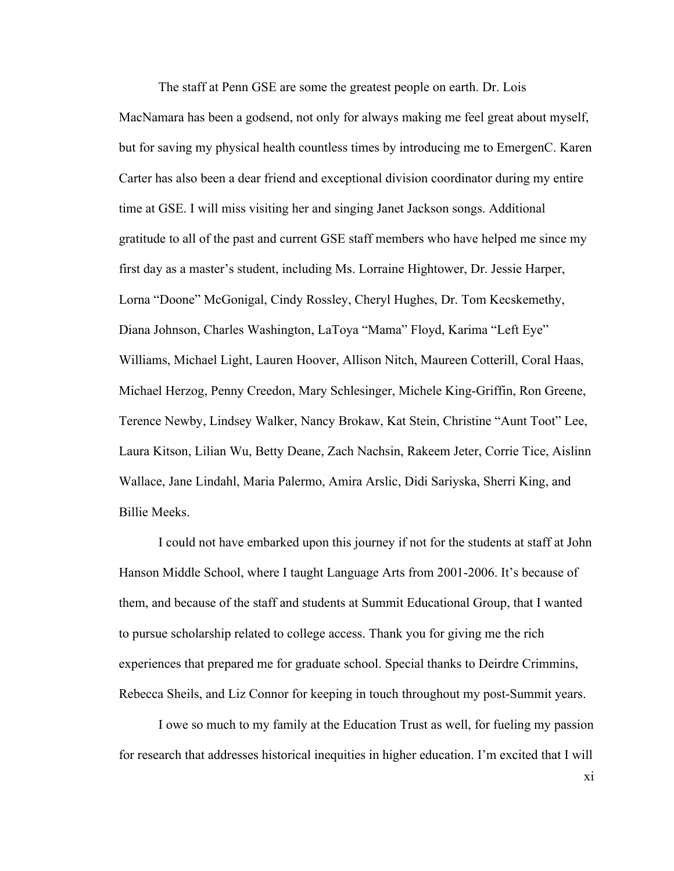The staff at Penn GSE are some the greatest people on earth. Dr. Lois MacNamara has been a godsend, not only for always making me feel great about myself, but for saving my physical health countless times by introducing me to EmergenC. Karen Carter has also been a dear friend and exceptional division coordinator during my entire time at GSE. I will miss visiting her and singing Janet Jackson songs. Additional gratitude to all of the past and current GSE staff members who have helped me since my first day as a master's student, including Ms. Lorraine Hightower, Dr. Jessie Harper, Lorna "Doone" McGonigal, Cindy Rossley, Cheryl Hughes, Dr. Tom Kecskemethy, Diana Johnson, Charles Washington, LaToya "Mama" Floyd, Karima "Left Eye" Williams, Michael Light, Lauren Hoover, Allison Nitch, Maureen Cotterill, Coral Haas, Michael Herzog, Penny Creedon, Mary Schlesinger, Michele King-Griffin, Ron Greene, Terence Newby, Lindsey Walker, Nancy Brokaw, Kat Stein, Christine "Aunt Toot" Lee, Laura Kitson, Lilian Wu, Betty Deane, Zach Nachsin, Rakeem Jeter, Corrie Tice, Aislinn Wallace, Jane Lindahl, Maria Palermo, Amira Arslic, Didi Sariyska, Sherri King, and Billie Meeks.

I could not have embarked upon this journey if not for the students at staff at John Hanson Middle School, where I taught Language Arts from 2001-2006. It's because of them, and because of the staff and students at Summit Educational Group, that I wanted to pursue scholarship related to college access. Thank you for giving me the rich experiences that prepared me for graduate school. Special thanks to Deirdre Crimmins, Rebecca Sheils, and Liz Connor for keeping in touch throughout my post-Summit years.

I owe so much to my family at the Education Trust as well, for fueling my passion for research that addresses historical inequities in higher education. I'm excited that I will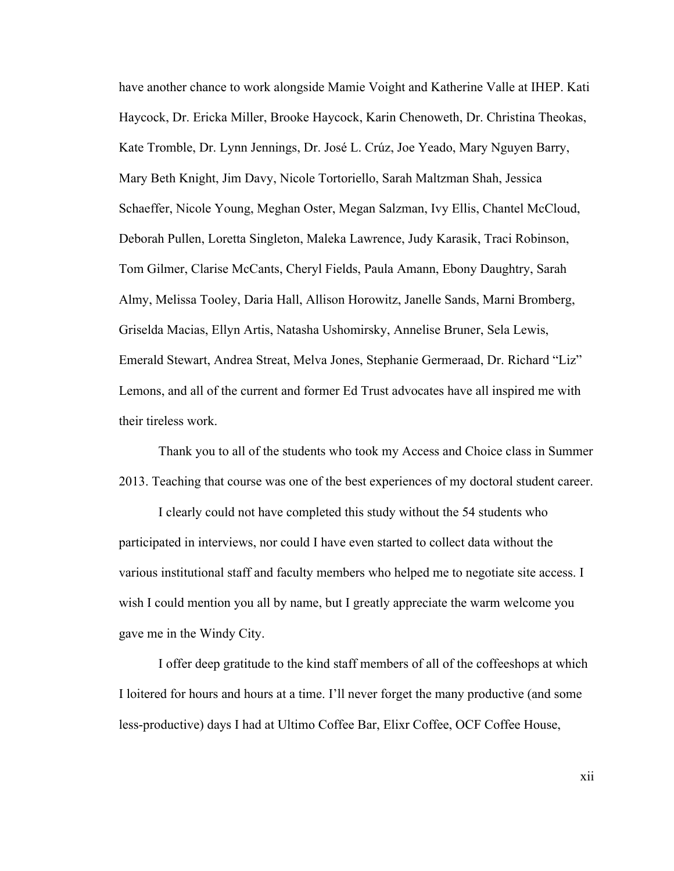have another chance to work alongside Mamie Voight and Katherine Valle at IHEP. Kati Haycock, Dr. Ericka Miller, Brooke Haycock, Karin Chenoweth, Dr. Christina Theokas, Kate Tromble, Dr. Lynn Jennings, Dr. José L. Crúz, Joe Yeado, Mary Nguyen Barry, Mary Beth Knight, Jim Davy, Nicole Tortoriello, Sarah Maltzman Shah, Jessica Schaeffer, Nicole Young, Meghan Oster, Megan Salzman, Ivy Ellis, Chantel McCloud, Deborah Pullen, Loretta Singleton, Maleka Lawrence, Judy Karasik, Traci Robinson, Tom Gilmer, Clarise McCants, Cheryl Fields, Paula Amann, Ebony Daughtry, Sarah Almy, Melissa Tooley, Daria Hall, Allison Horowitz, Janelle Sands, Marni Bromberg, Griselda Macias, Ellyn Artis, Natasha Ushomirsky, Annelise Bruner, Sela Lewis, Emerald Stewart, Andrea Streat, Melva Jones, Stephanie Germeraad, Dr. Richard "Liz" Lemons, and all of the current and former Ed Trust advocates have all inspired me with their tireless work.

Thank you to all of the students who took my Access and Choice class in Summer 2013. Teaching that course was one of the best experiences of my doctoral student career.

I clearly could not have completed this study without the 54 students who participated in interviews, nor could I have even started to collect data without the various institutional staff and faculty members who helped me to negotiate site access. I wish I could mention you all by name, but I greatly appreciate the warm welcome you gave me in the Windy City.

I offer deep gratitude to the kind staff members of all of the coffeeshops at which I loitered for hours and hours at a time. I'll never forget the many productive (and some less-productive) days I had at Ultimo Coffee Bar, Elixr Coffee, OCF Coffee House,

xii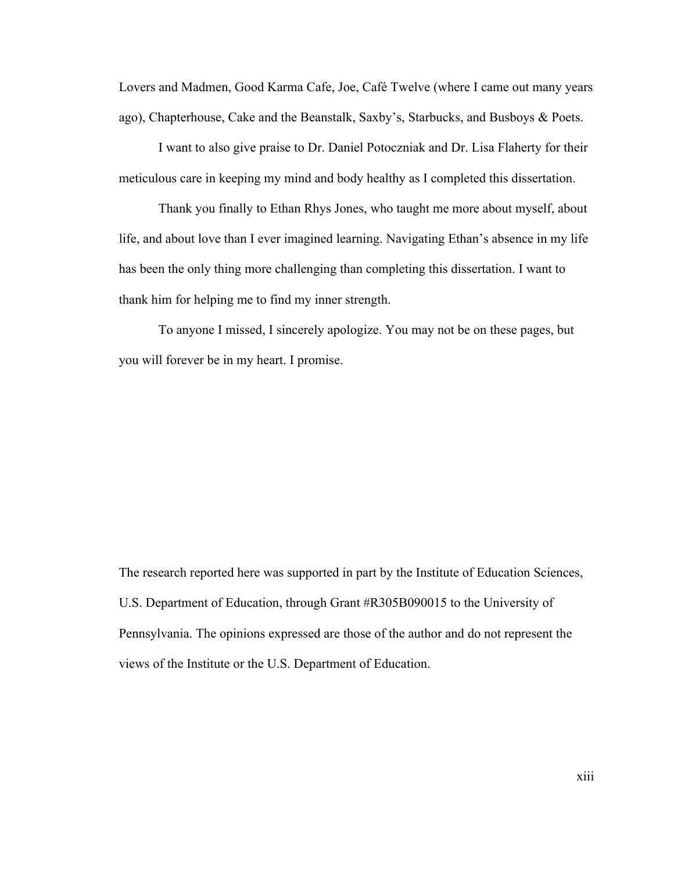Lovers and Madmen, Good Karma Cafe, Joe, Café Twelve (where I came out many years ago), Chapterhouse, Cake and the Beanstalk, Saxby's, Starbucks, and Busboys & Poets.

I want to also give praise to Dr. Daniel Potoczniak and Dr. Lisa Flaherty for their meticulous care in keeping my mind and body healthy as I completed this dissertation.

Thank you finally to Ethan Rhys Jones, who taught me more about myself, about life, and about love than I ever imagined learning. Navigating Ethan's absence in my life has been the only thing more challenging than completing this dissertation. I want to thank him for helping me to find my inner strength.

To anyone I missed, I sincerely apologize. You may not be on these pages, but you will forever be in my heart. I promise.

The research reported here was supported in part by the Institute of Education Sciences, U.S. Department of Education, through Grant #R305B090015 to the University of Pennsylvania. The opinions expressed are those of the author and do not represent the views of the Institute or the U.S. Department of Education.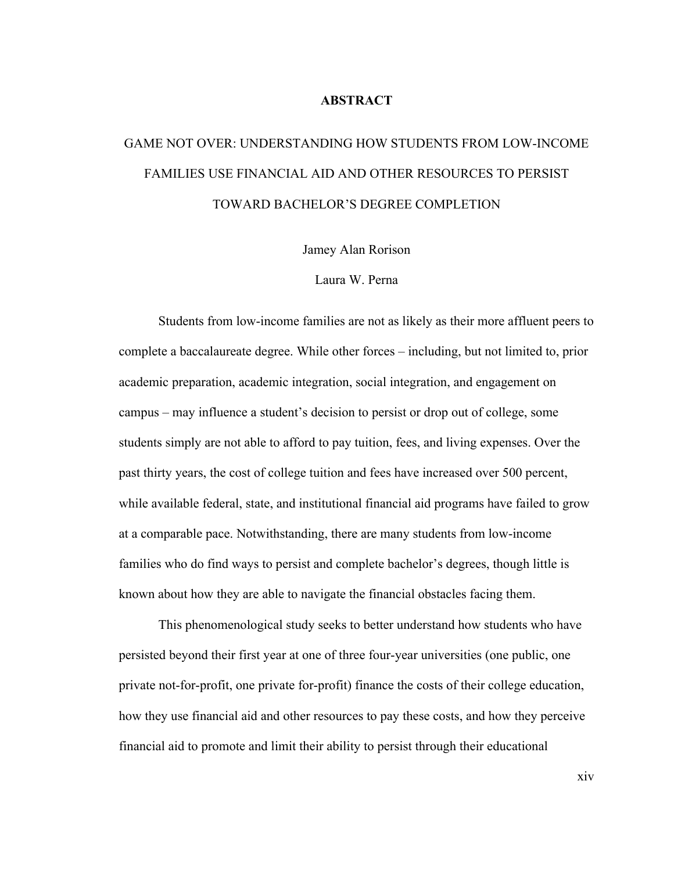#### **ABSTRACT**

# GAME NOT OVER: UNDERSTANDING HOW STUDENTS FROM LOW-INCOME FAMILIES USE FINANCIAL AID AND OTHER RESOURCES TO PERSIST TOWARD BACHELOR'S DEGREE COMPLETION

Jamey Alan Rorison

### Laura W. Perna

Students from low-income families are not as likely as their more affluent peers to complete a baccalaureate degree. While other forces – including, but not limited to, prior academic preparation, academic integration, social integration, and engagement on campus – may influence a student's decision to persist or drop out of college, some students simply are not able to afford to pay tuition, fees, and living expenses. Over the past thirty years, the cost of college tuition and fees have increased over 500 percent, while available federal, state, and institutional financial aid programs have failed to grow at a comparable pace. Notwithstanding, there are many students from low-income families who do find ways to persist and complete bachelor's degrees, though little is known about how they are able to navigate the financial obstacles facing them.

This phenomenological study seeks to better understand how students who have persisted beyond their first year at one of three four-year universities (one public, one private not-for-profit, one private for-profit) finance the costs of their college education, how they use financial aid and other resources to pay these costs, and how they perceive financial aid to promote and limit their ability to persist through their educational

xiv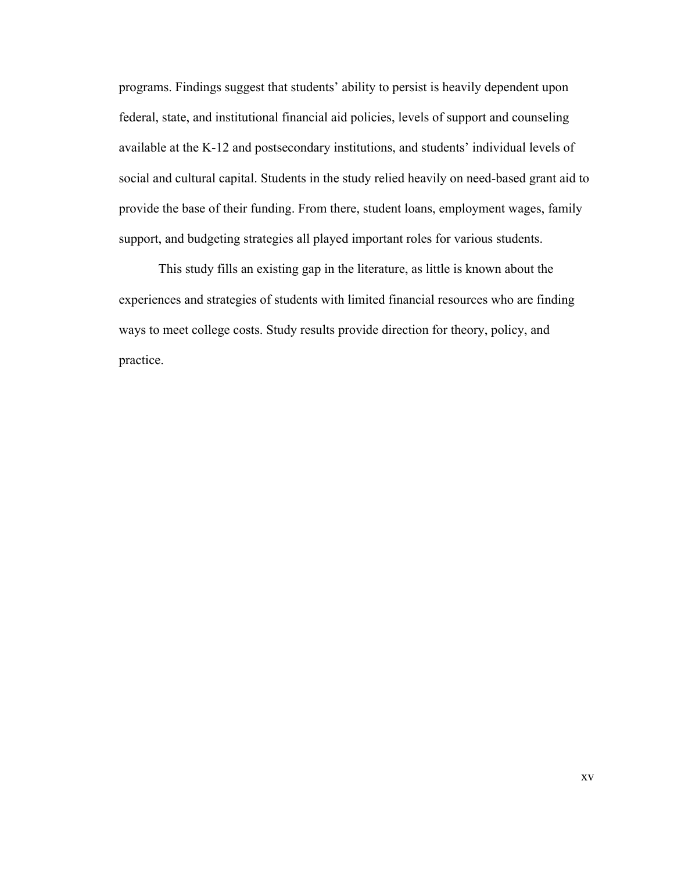programs. Findings suggest that students' ability to persist is heavily dependent upon federal, state, and institutional financial aid policies, levels of support and counseling available at the K-12 and postsecondary institutions, and students' individual levels of social and cultural capital. Students in the study relied heavily on need-based grant aid to provide the base of their funding. From there, student loans, employment wages, family support, and budgeting strategies all played important roles for various students.

This study fills an existing gap in the literature, as little is known about the experiences and strategies of students with limited financial resources who are finding ways to meet college costs. Study results provide direction for theory, policy, and practice.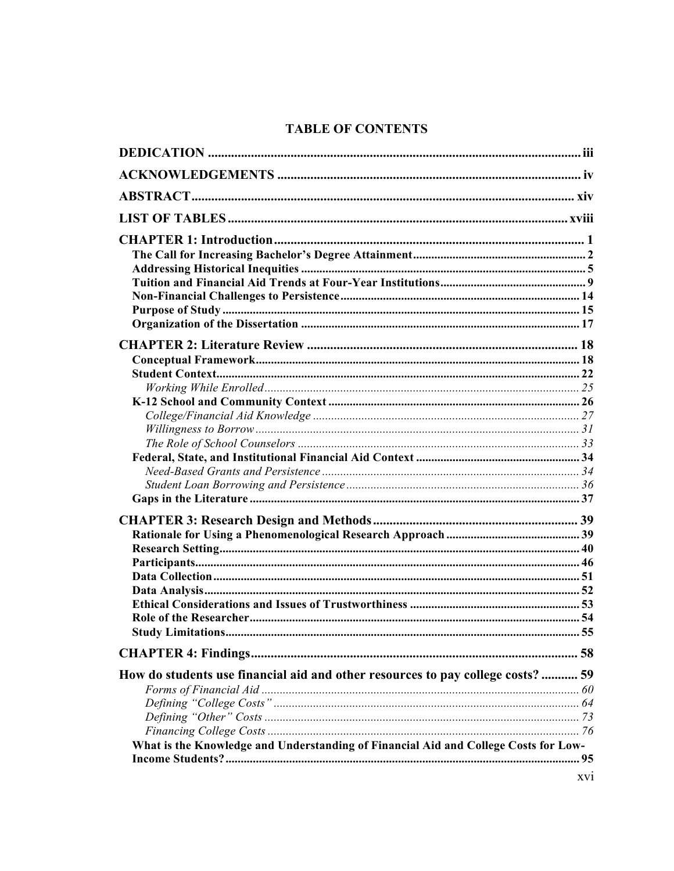## **TABLE OF CONTENTS**

| How do students use financial aid and other resources to pay college costs?  59     |     |
|-------------------------------------------------------------------------------------|-----|
|                                                                                     |     |
|                                                                                     |     |
|                                                                                     |     |
| What is the Knowledge and Understanding of Financial Aid and College Costs for Low- |     |
|                                                                                     |     |
|                                                                                     |     |
|                                                                                     | XV1 |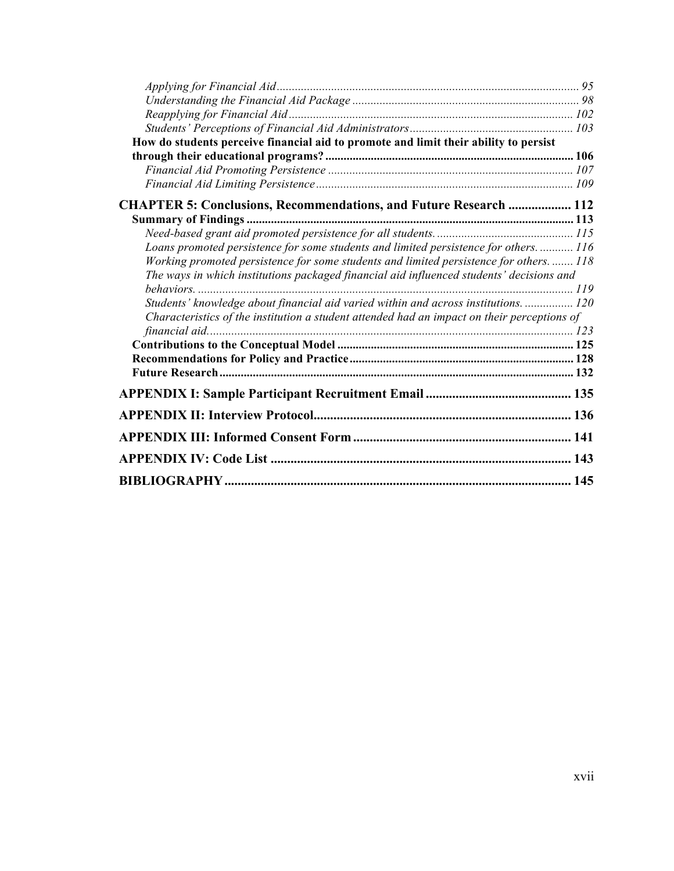| How do students perceive financial aid to promote and limit their ability to persist        |  |
|---------------------------------------------------------------------------------------------|--|
|                                                                                             |  |
|                                                                                             |  |
|                                                                                             |  |
| <b>CHAPTER 5: Conclusions, Recommendations, and Future Research  112</b>                    |  |
|                                                                                             |  |
|                                                                                             |  |
| Loans promoted persistence for some students and limited persistence for others 116         |  |
| Working promoted persistence for some students and limited persistence for others 118       |  |
| The ways in which institutions packaged financial aid influenced students' decisions and    |  |
|                                                                                             |  |
| Students' knowledge about financial aid varied within and across institutions.  120         |  |
| Characteristics of the institution a student attended had an impact on their perceptions of |  |
|                                                                                             |  |
|                                                                                             |  |
|                                                                                             |  |
|                                                                                             |  |
|                                                                                             |  |
|                                                                                             |  |
|                                                                                             |  |
|                                                                                             |  |
|                                                                                             |  |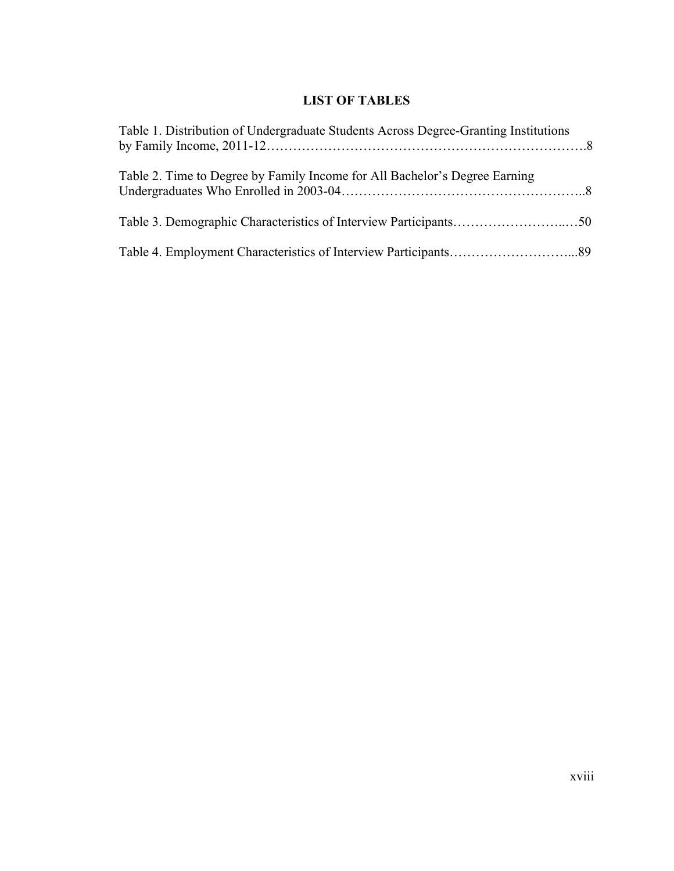## **LIST OF TABLES**

| Table 1. Distribution of Undergraduate Students Across Degree-Granting Institutions |  |
|-------------------------------------------------------------------------------------|--|
| Table 2. Time to Degree by Family Income for All Bachelor's Degree Earning          |  |
|                                                                                     |  |
|                                                                                     |  |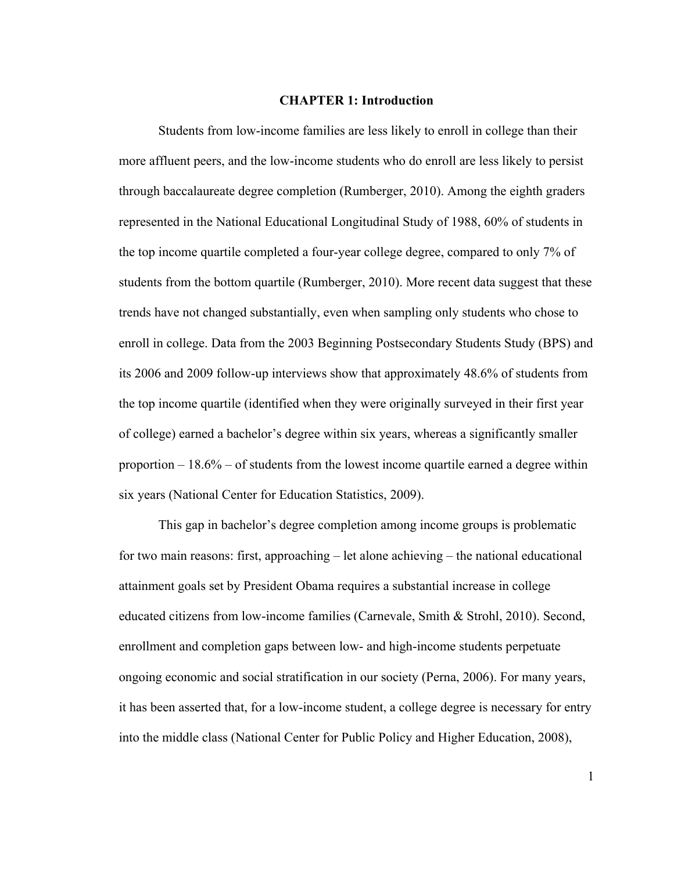#### **CHAPTER 1: Introduction**

Students from low-income families are less likely to enroll in college than their more affluent peers, and the low-income students who do enroll are less likely to persist through baccalaureate degree completion (Rumberger, 2010). Among the eighth graders represented in the National Educational Longitudinal Study of 1988, 60% of students in the top income quartile completed a four-year college degree, compared to only 7% of students from the bottom quartile (Rumberger, 2010). More recent data suggest that these trends have not changed substantially, even when sampling only students who chose to enroll in college. Data from the 2003 Beginning Postsecondary Students Study (BPS) and its 2006 and 2009 follow-up interviews show that approximately 48.6% of students from the top income quartile (identified when they were originally surveyed in their first year of college) earned a bachelor's degree within six years, whereas a significantly smaller proportion  $-18.6\%$  – of students from the lowest income quartile earned a degree within six years (National Center for Education Statistics, 2009).

This gap in bachelor's degree completion among income groups is problematic for two main reasons: first, approaching – let alone achieving – the national educational attainment goals set by President Obama requires a substantial increase in college educated citizens from low-income families (Carnevale, Smith & Strohl, 2010). Second, enrollment and completion gaps between low- and high-income students perpetuate ongoing economic and social stratification in our society (Perna, 2006). For many years, it has been asserted that, for a low-income student, a college degree is necessary for entry into the middle class (National Center for Public Policy and Higher Education, 2008),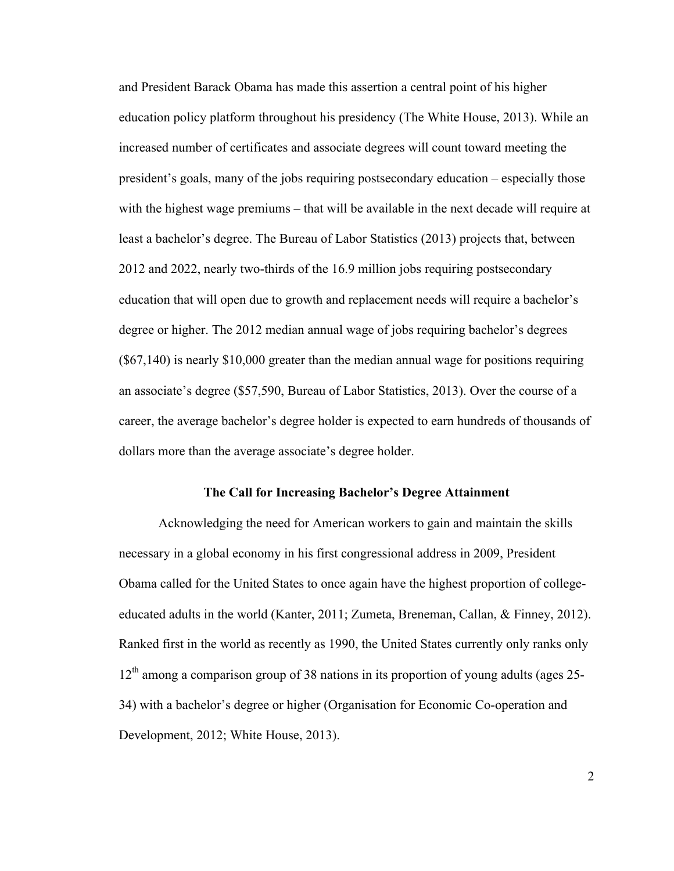and President Barack Obama has made this assertion a central point of his higher education policy platform throughout his presidency (The White House, 2013). While an increased number of certificates and associate degrees will count toward meeting the president's goals, many of the jobs requiring postsecondary education – especially those with the highest wage premiums – that will be available in the next decade will require at least a bachelor's degree. The Bureau of Labor Statistics (2013) projects that, between 2012 and 2022, nearly two-thirds of the 16.9 million jobs requiring postsecondary education that will open due to growth and replacement needs will require a bachelor's degree or higher. The 2012 median annual wage of jobs requiring bachelor's degrees (\$67,140) is nearly \$10,000 greater than the median annual wage for positions requiring an associate's degree (\$57,590, Bureau of Labor Statistics, 2013). Over the course of a career, the average bachelor's degree holder is expected to earn hundreds of thousands of dollars more than the average associate's degree holder.

#### **The Call for Increasing Bachelor's Degree Attainment**

Acknowledging the need for American workers to gain and maintain the skills necessary in a global economy in his first congressional address in 2009, President Obama called for the United States to once again have the highest proportion of collegeeducated adults in the world (Kanter, 2011; Zumeta, Breneman, Callan, & Finney, 2012). Ranked first in the world as recently as 1990, the United States currently only ranks only  $12<sup>th</sup>$  among a comparison group of 38 nations in its proportion of young adults (ages 25-34) with a bachelor's degree or higher (Organisation for Economic Co-operation and Development, 2012; White House, 2013).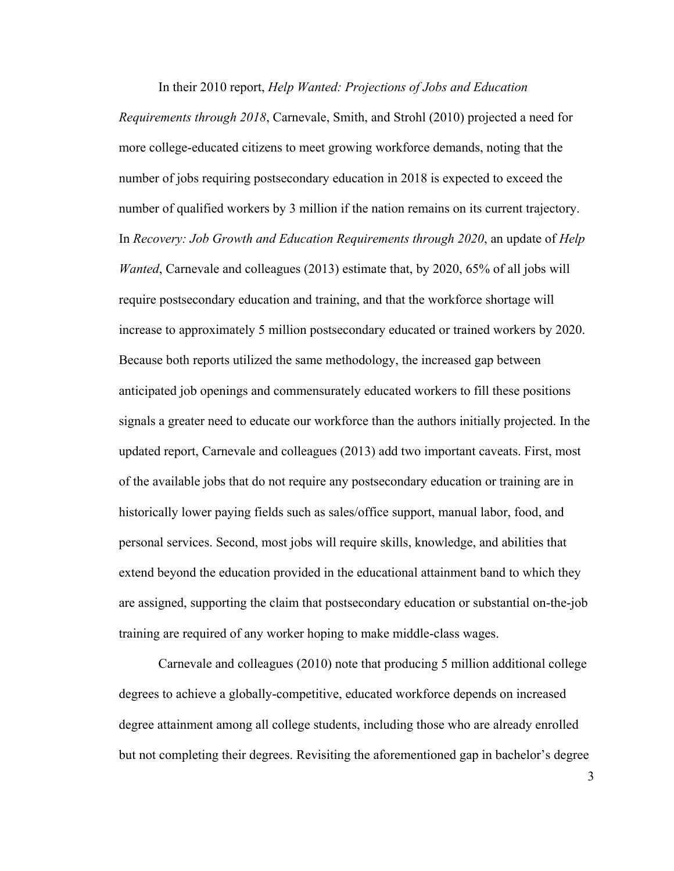In their 2010 report, *Help Wanted: Projections of Jobs and Education Requirements through 2018*, Carnevale, Smith, and Strohl (2010) projected a need for more college-educated citizens to meet growing workforce demands, noting that the number of jobs requiring postsecondary education in 2018 is expected to exceed the number of qualified workers by 3 million if the nation remains on its current trajectory. In *Recovery: Job Growth and Education Requirements through 2020*, an update of *Help Wanted*, Carnevale and colleagues (2013) estimate that, by 2020, 65% of all jobs will require postsecondary education and training, and that the workforce shortage will increase to approximately 5 million postsecondary educated or trained workers by 2020. Because both reports utilized the same methodology, the increased gap between anticipated job openings and commensurately educated workers to fill these positions signals a greater need to educate our workforce than the authors initially projected. In the updated report, Carnevale and colleagues (2013) add two important caveats. First, most of the available jobs that do not require any postsecondary education or training are in historically lower paying fields such as sales/office support, manual labor, food, and personal services. Second, most jobs will require skills, knowledge, and abilities that extend beyond the education provided in the educational attainment band to which they are assigned, supporting the claim that postsecondary education or substantial on-the-job training are required of any worker hoping to make middle-class wages.

Carnevale and colleagues (2010) note that producing 5 million additional college degrees to achieve a globally-competitive, educated workforce depends on increased degree attainment among all college students, including those who are already enrolled but not completing their degrees. Revisiting the aforementioned gap in bachelor's degree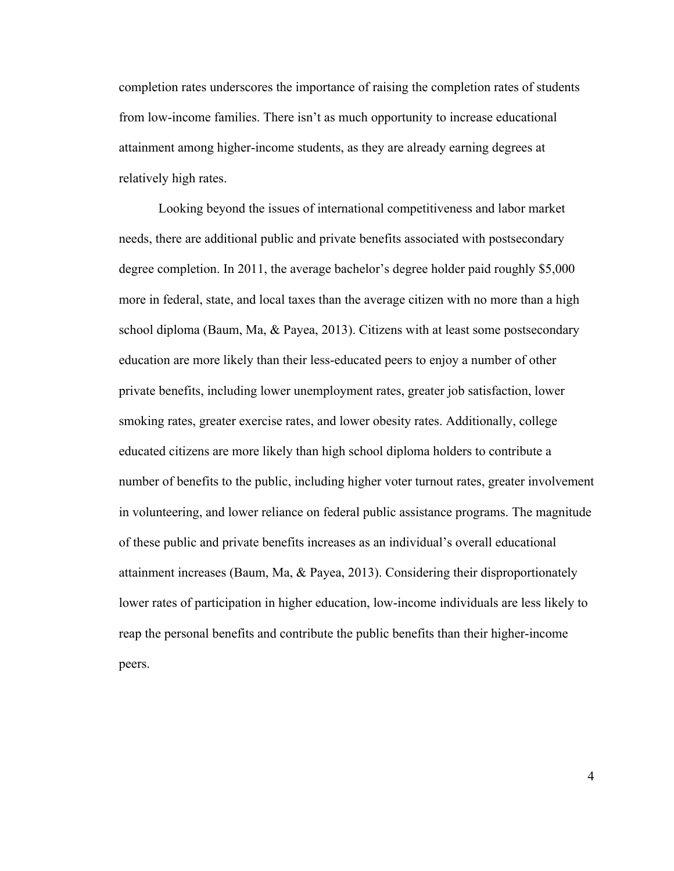completion rates underscores the importance of raising the completion rates of students from low-income families. There isn't as much opportunity to increase educational attainment among higher-income students, as they are already earning degrees at relatively high rates.

Looking beyond the issues of international competitiveness and labor market needs, there are additional public and private benefits associated with postsecondary degree completion. In 2011, the average bachelor's degree holder paid roughly \$5,000 more in federal, state, and local taxes than the average citizen with no more than a high school diploma (Baum, Ma, & Payea, 2013). Citizens with at least some postsecondary education are more likely than their less-educated peers to enjoy a number of other private benefits, including lower unemployment rates, greater job satisfaction, lower smoking rates, greater exercise rates, and lower obesity rates. Additionally, college educated citizens are more likely than high school diploma holders to contribute a number of benefits to the public, including higher voter turnout rates, greater involvement in volunteering, and lower reliance on federal public assistance programs. The magnitude of these public and private benefits increases as an individual's overall educational attainment increases (Baum, Ma, & Payea, 2013). Considering their disproportionately lower rates of participation in higher education, low-income individuals are less likely to reap the personal benefits and contribute the public benefits than their higher-income peers.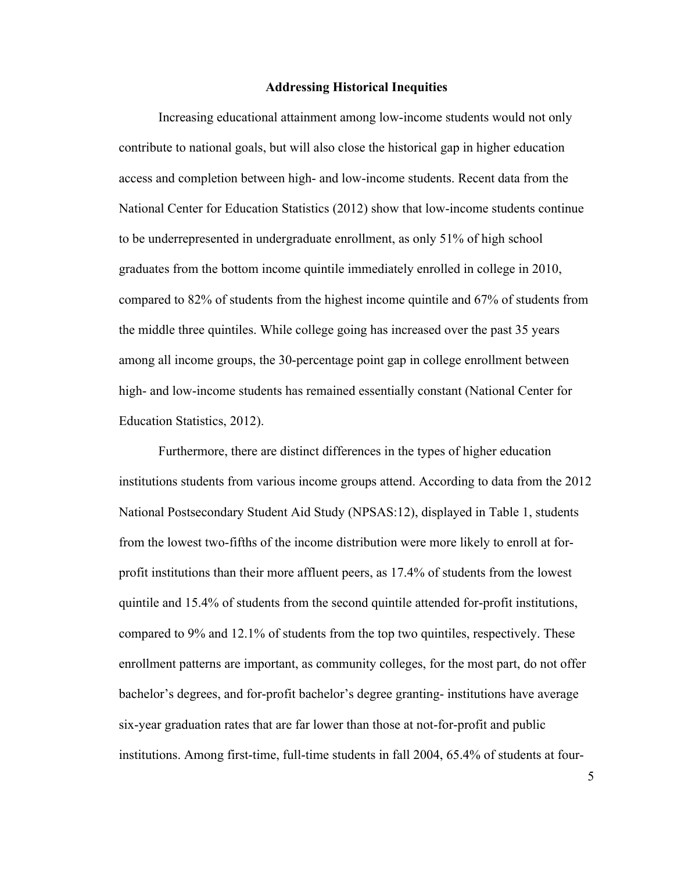#### **Addressing Historical Inequities**

Increasing educational attainment among low-income students would not only contribute to national goals, but will also close the historical gap in higher education access and completion between high- and low-income students. Recent data from the National Center for Education Statistics (2012) show that low-income students continue to be underrepresented in undergraduate enrollment, as only 51% of high school graduates from the bottom income quintile immediately enrolled in college in 2010, compared to 82% of students from the highest income quintile and 67% of students from the middle three quintiles. While college going has increased over the past 35 years among all income groups, the 30-percentage point gap in college enrollment between high- and low-income students has remained essentially constant (National Center for Education Statistics, 2012).

Furthermore, there are distinct differences in the types of higher education institutions students from various income groups attend. According to data from the 2012 National Postsecondary Student Aid Study (NPSAS:12), displayed in Table 1, students from the lowest two-fifths of the income distribution were more likely to enroll at forprofit institutions than their more affluent peers, as 17.4% of students from the lowest quintile and 15.4% of students from the second quintile attended for-profit institutions, compared to 9% and 12.1% of students from the top two quintiles, respectively. These enrollment patterns are important, as community colleges, for the most part, do not offer bachelor's degrees, and for-profit bachelor's degree granting- institutions have average six-year graduation rates that are far lower than those at not-for-profit and public institutions. Among first-time, full-time students in fall 2004, 65.4% of students at four-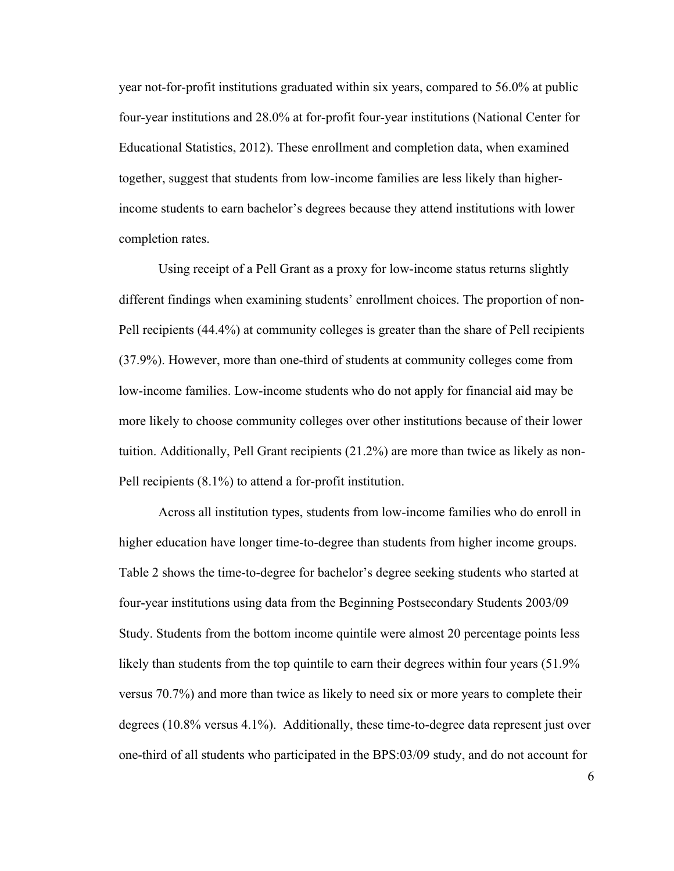year not-for-profit institutions graduated within six years, compared to 56.0% at public four-year institutions and 28.0% at for-profit four-year institutions (National Center for Educational Statistics, 2012). These enrollment and completion data, when examined together, suggest that students from low-income families are less likely than higherincome students to earn bachelor's degrees because they attend institutions with lower completion rates.

Using receipt of a Pell Grant as a proxy for low-income status returns slightly different findings when examining students' enrollment choices. The proportion of non-Pell recipients (44.4%) at community colleges is greater than the share of Pell recipients (37.9%). However, more than one-third of students at community colleges come from low-income families. Low-income students who do not apply for financial aid may be more likely to choose community colleges over other institutions because of their lower tuition. Additionally, Pell Grant recipients (21.2%) are more than twice as likely as non-Pell recipients (8.1%) to attend a for-profit institution.

Across all institution types, students from low-income families who do enroll in higher education have longer time-to-degree than students from higher income groups. Table 2 shows the time-to-degree for bachelor's degree seeking students who started at four-year institutions using data from the Beginning Postsecondary Students 2003/09 Study. Students from the bottom income quintile were almost 20 percentage points less likely than students from the top quintile to earn their degrees within four years (51.9%) versus 70.7%) and more than twice as likely to need six or more years to complete their degrees (10.8% versus 4.1%). Additionally, these time-to-degree data represent just over one-third of all students who participated in the BPS:03/09 study, and do not account for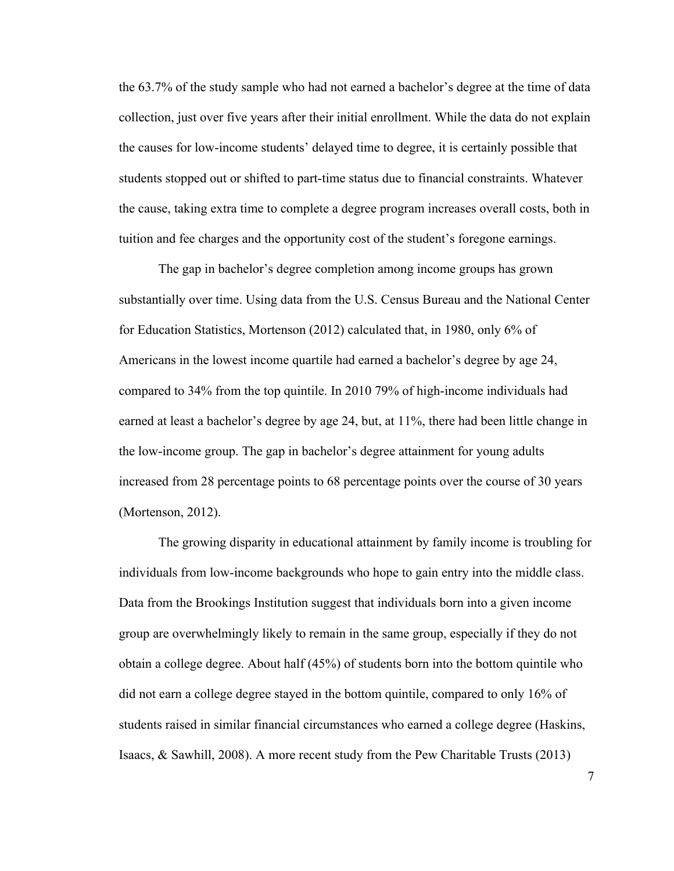the 63.7% of the study sample who had not earned a bachelor's degree at the time of data collection, just over five years after their initial enrollment. While the data do not explain the causes for low-income students' delayed time to degree, it is certainly possible that students stopped out or shifted to part-time status due to financial constraints. Whatever the cause, taking extra time to complete a degree program increases overall costs, both in tuition and fee charges and the opportunity cost of the student's foregone earnings.

The gap in bachelor's degree completion among income groups has grown substantially over time. Using data from the U.S. Census Bureau and the National Center for Education Statistics, Mortenson (2012) calculated that, in 1980, only 6% of Americans in the lowest income quartile had earned a bachelor's degree by age 24, compared to 34% from the top quintile. In 2010 79% of high-income individuals had earned at least a bachelor's degree by age 24, but, at 11%, there had been little change in the low-income group. The gap in bachelor's degree attainment for young adults increased from 28 percentage points to 68 percentage points over the course of 30 years (Mortenson, 2012).

The growing disparity in educational attainment by family income is troubling for individuals from low-income backgrounds who hope to gain entry into the middle class. Data from the Brookings Institution suggest that individuals born into a given income group are overwhelmingly likely to remain in the same group, especially if they do not obtain a college degree. About half (45%) of students born into the bottom quintile who did not earn a college degree stayed in the bottom quintile, compared to only 16% of students raised in similar financial circumstances who earned a college degree (Haskins, Isaacs, & Sawhill, 2008). A more recent study from the Pew Charitable Trusts (2013)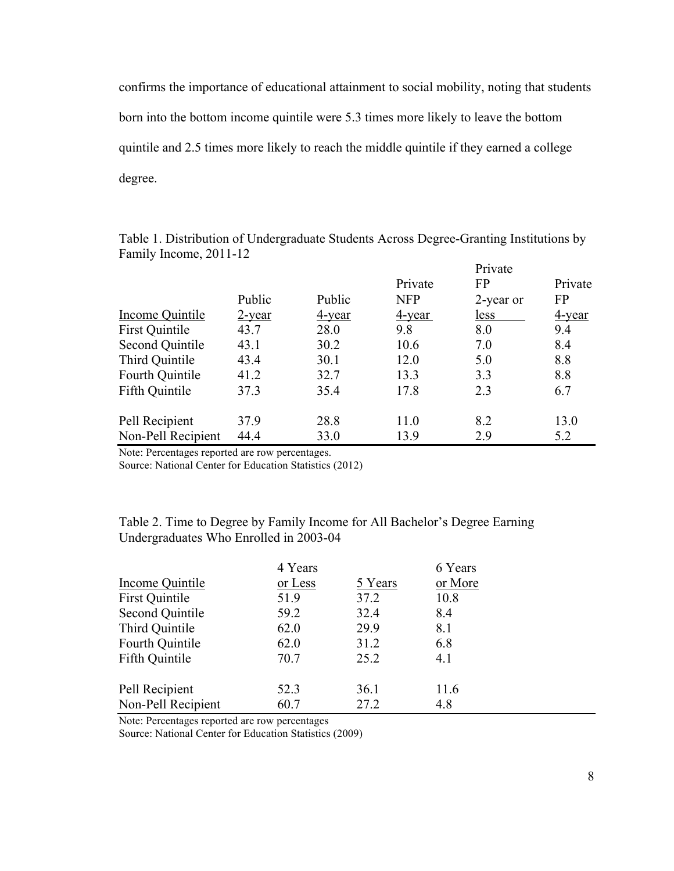confirms the importance of educational attainment to social mobility, noting that students born into the bottom income quintile were 5.3 times more likely to leave the bottom quintile and 2.5 times more likely to reach the middle quintile if they earned a college degree.

|                        |           |               |            | Private   |           |  |
|------------------------|-----------|---------------|------------|-----------|-----------|--|
|                        |           |               | Private    | <b>FP</b> | Private   |  |
|                        | Public    | Public        | <b>NFP</b> | 2-year or | <b>FP</b> |  |
| Income Quintile        | $2$ -year | <u>4-year</u> | 4-year     | less      | 4-year    |  |
| First Quintile         | 43.7      | 28.0          | 9.8        | 8.0       | 9.4       |  |
| <b>Second Quintile</b> | 43.1      | 30.2          | 10.6       | 7.0       | 8.4       |  |
| Third Quintile         | 43.4      | 30.1          | 12.0       | 5.0       | 8.8       |  |
| Fourth Quintile        | 41.2      | 32.7          | 13.3       | 3.3       | 8.8       |  |
| Fifth Quintile         | 37.3      | 35.4          | 17.8       | 2.3       | 6.7       |  |
| Pell Recipient         | 37.9      | 28.8          | 11.0       | 8.2       | 13.0      |  |
| Non-Pell Recipient     | 44.4      | 33.0          | 13.9       | 2.9       | 5.2       |  |

Table 1. Distribution of Undergraduate Students Across Degree-Granting Institutions by Family Income, 2011-12  $D_{\text{grav}}t$ 

Note: Percentages reported are row percentages.

Source: National Center for Education Statistics (2012)

Table 2. Time to Degree by Family Income for All Bachelor's Degree Earning Undergraduates Who Enrolled in 2003-04

|                       | 4 Years |         | 6 Years |  |
|-----------------------|---------|---------|---------|--|
| Income Quintile       | or Less | 5 Years | or More |  |
| <b>First Quintile</b> | 51.9    | 37.2    | 10.8    |  |
| Second Quintile       | 59.2    | 32.4    | 8.4     |  |
| Third Quintile        | 62.0    | 29.9    | 8.1     |  |
| Fourth Quintile       | 62.0    | 31.2    | 6.8     |  |
| Fifth Quintile        | 70.7    | 25.2    | 4.1     |  |
| Pell Recipient        | 52.3    | 36.1    | 11.6    |  |
| Non-Pell Recipient    | 60.7    | 27.2    | 4.8     |  |

Note: Percentages reported are row percentages

Source: National Center for Education Statistics (2009)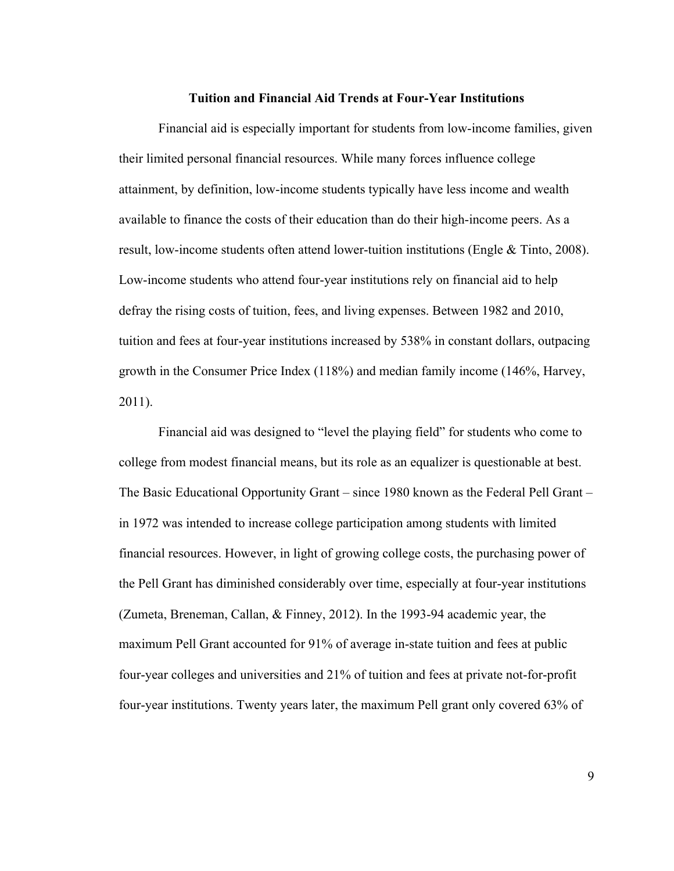#### **Tuition and Financial Aid Trends at Four-Year Institutions**

Financial aid is especially important for students from low-income families, given their limited personal financial resources. While many forces influence college attainment, by definition, low-income students typically have less income and wealth available to finance the costs of their education than do their high-income peers. As a result, low-income students often attend lower-tuition institutions (Engle & Tinto, 2008). Low-income students who attend four-year institutions rely on financial aid to help defray the rising costs of tuition, fees, and living expenses. Between 1982 and 2010, tuition and fees at four-year institutions increased by 538% in constant dollars, outpacing growth in the Consumer Price Index (118%) and median family income (146%, Harvey, 2011).

Financial aid was designed to "level the playing field" for students who come to college from modest financial means, but its role as an equalizer is questionable at best. The Basic Educational Opportunity Grant – since 1980 known as the Federal Pell Grant – in 1972 was intended to increase college participation among students with limited financial resources. However, in light of growing college costs, the purchasing power of the Pell Grant has diminished considerably over time, especially at four-year institutions (Zumeta, Breneman, Callan, & Finney, 2012). In the 1993-94 academic year, the maximum Pell Grant accounted for 91% of average in-state tuition and fees at public four-year colleges and universities and 21% of tuition and fees at private not-for-profit four-year institutions. Twenty years later, the maximum Pell grant only covered 63% of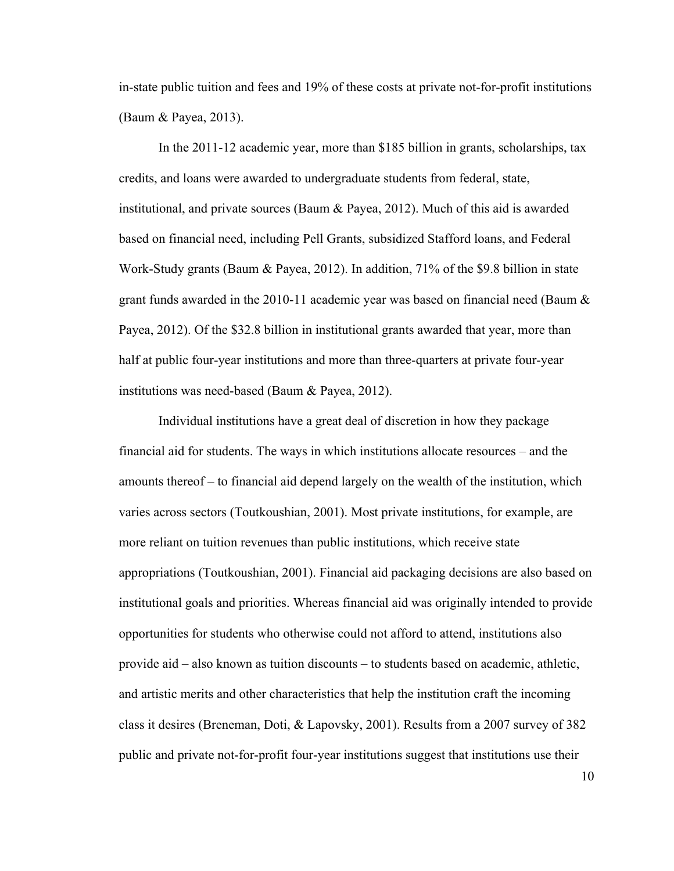in-state public tuition and fees and 19% of these costs at private not-for-profit institutions (Baum & Payea, 2013).

In the 2011-12 academic year, more than \$185 billion in grants, scholarships, tax credits, and loans were awarded to undergraduate students from federal, state, institutional, and private sources (Baum & Payea, 2012). Much of this aid is awarded based on financial need, including Pell Grants, subsidized Stafford loans, and Federal Work-Study grants (Baum & Payea, 2012). In addition, 71% of the \$9.8 billion in state grant funds awarded in the 2010-11 academic year was based on financial need (Baum  $\&$ Payea, 2012). Of the \$32.8 billion in institutional grants awarded that year, more than half at public four-year institutions and more than three-quarters at private four-year institutions was need-based (Baum & Payea, 2012).

Individual institutions have a great deal of discretion in how they package financial aid for students. The ways in which institutions allocate resources – and the amounts thereof – to financial aid depend largely on the wealth of the institution, which varies across sectors (Toutkoushian, 2001). Most private institutions, for example, are more reliant on tuition revenues than public institutions, which receive state appropriations (Toutkoushian, 2001). Financial aid packaging decisions are also based on institutional goals and priorities. Whereas financial aid was originally intended to provide opportunities for students who otherwise could not afford to attend, institutions also provide aid – also known as tuition discounts – to students based on academic, athletic, and artistic merits and other characteristics that help the institution craft the incoming class it desires (Breneman, Doti, & Lapovsky, 2001). Results from a 2007 survey of 382 public and private not-for-profit four-year institutions suggest that institutions use their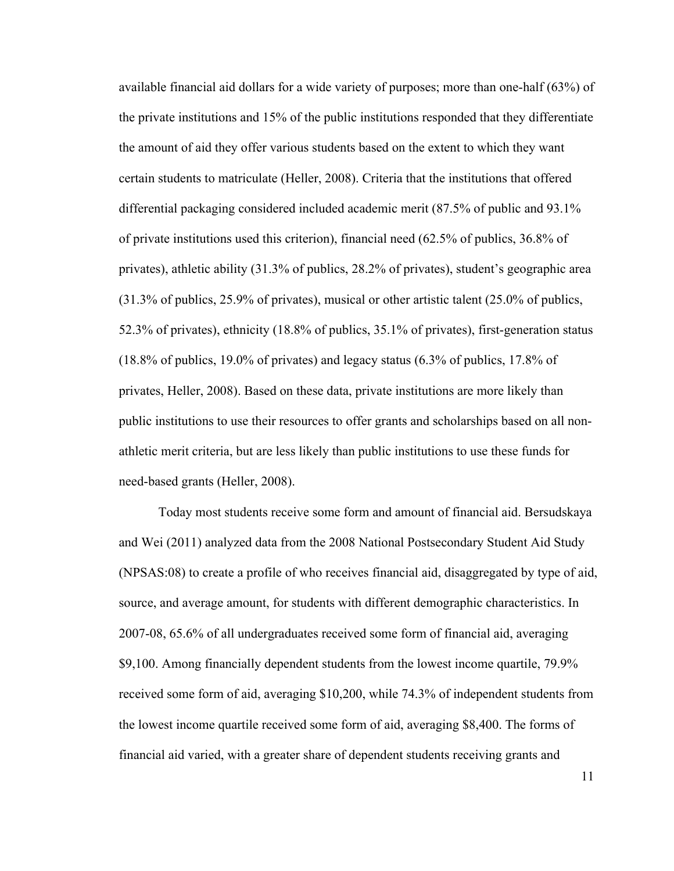available financial aid dollars for a wide variety of purposes; more than one-half (63%) of the private institutions and 15% of the public institutions responded that they differentiate the amount of aid they offer various students based on the extent to which they want certain students to matriculate (Heller, 2008). Criteria that the institutions that offered differential packaging considered included academic merit (87.5% of public and 93.1% of private institutions used this criterion), financial need (62.5% of publics, 36.8% of privates), athletic ability (31.3% of publics, 28.2% of privates), student's geographic area (31.3% of publics, 25.9% of privates), musical or other artistic talent (25.0% of publics, 52.3% of privates), ethnicity (18.8% of publics, 35.1% of privates), first-generation status (18.8% of publics, 19.0% of privates) and legacy status (6.3% of publics, 17.8% of privates, Heller, 2008). Based on these data, private institutions are more likely than public institutions to use their resources to offer grants and scholarships based on all nonathletic merit criteria, but are less likely than public institutions to use these funds for need-based grants (Heller, 2008).

Today most students receive some form and amount of financial aid. Bersudskaya and Wei (2011) analyzed data from the 2008 National Postsecondary Student Aid Study (NPSAS:08) to create a profile of who receives financial aid, disaggregated by type of aid, source, and average amount, for students with different demographic characteristics. In 2007-08, 65.6% of all undergraduates received some form of financial aid, averaging \$9,100. Among financially dependent students from the lowest income quartile, 79.9% received some form of aid, averaging \$10,200, while 74.3% of independent students from the lowest income quartile received some form of aid, averaging \$8,400. The forms of financial aid varied, with a greater share of dependent students receiving grants and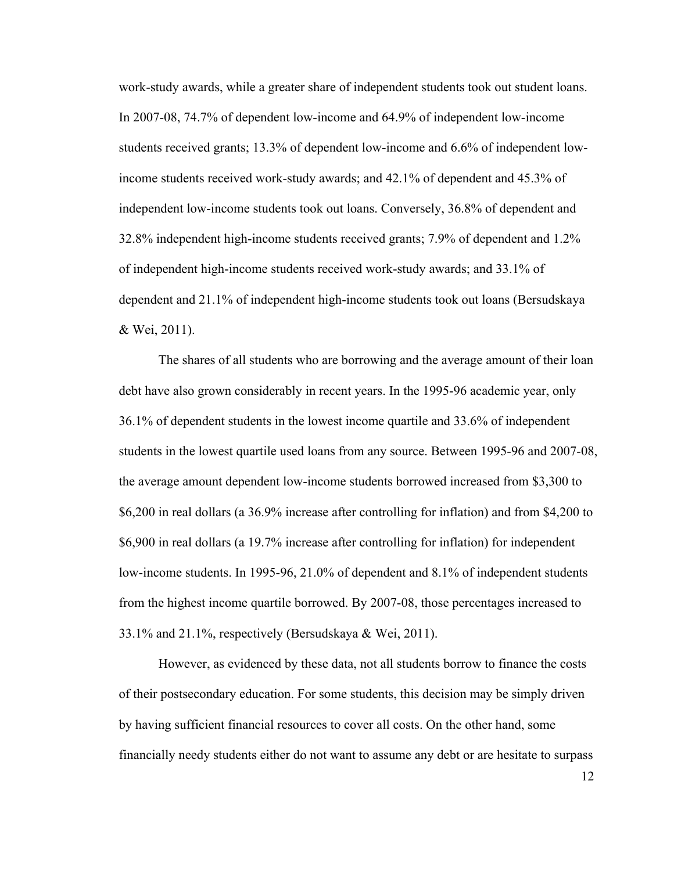work-study awards, while a greater share of independent students took out student loans. In 2007-08, 74.7% of dependent low-income and 64.9% of independent low-income students received grants; 13.3% of dependent low-income and 6.6% of independent lowincome students received work-study awards; and 42.1% of dependent and 45.3% of independent low-income students took out loans. Conversely, 36.8% of dependent and 32.8% independent high-income students received grants; 7.9% of dependent and 1.2% of independent high-income students received work-study awards; and 33.1% of dependent and 21.1% of independent high-income students took out loans (Bersudskaya & Wei, 2011).

The shares of all students who are borrowing and the average amount of their loan debt have also grown considerably in recent years. In the 1995-96 academic year, only 36.1% of dependent students in the lowest income quartile and 33.6% of independent students in the lowest quartile used loans from any source. Between 1995-96 and 2007-08, the average amount dependent low-income students borrowed increased from \$3,300 to \$6,200 in real dollars (a 36.9% increase after controlling for inflation) and from \$4,200 to \$6,900 in real dollars (a 19.7% increase after controlling for inflation) for independent low-income students. In 1995-96, 21.0% of dependent and 8.1% of independent students from the highest income quartile borrowed. By 2007-08, those percentages increased to 33.1% and 21.1%, respectively (Bersudskaya & Wei, 2011).

However, as evidenced by these data, not all students borrow to finance the costs of their postsecondary education. For some students, this decision may be simply driven by having sufficient financial resources to cover all costs. On the other hand, some financially needy students either do not want to assume any debt or are hesitate to surpass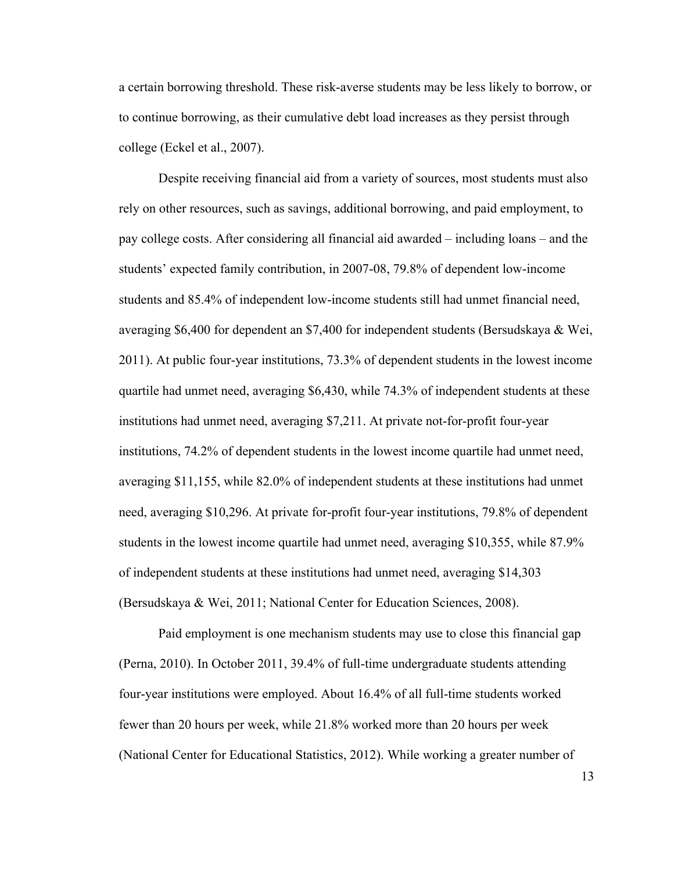a certain borrowing threshold. These risk-averse students may be less likely to borrow, or to continue borrowing, as their cumulative debt load increases as they persist through college (Eckel et al., 2007).

Despite receiving financial aid from a variety of sources, most students must also rely on other resources, such as savings, additional borrowing, and paid employment, to pay college costs. After considering all financial aid awarded – including loans – and the students' expected family contribution, in 2007-08, 79.8% of dependent low-income students and 85.4% of independent low-income students still had unmet financial need, averaging \$6,400 for dependent an \$7,400 for independent students (Bersudskaya & Wei, 2011). At public four-year institutions, 73.3% of dependent students in the lowest income quartile had unmet need, averaging \$6,430, while 74.3% of independent students at these institutions had unmet need, averaging \$7,211. At private not-for-profit four-year institutions, 74.2% of dependent students in the lowest income quartile had unmet need, averaging \$11,155, while 82.0% of independent students at these institutions had unmet need, averaging \$10,296. At private for-profit four-year institutions, 79.8% of dependent students in the lowest income quartile had unmet need, averaging \$10,355, while 87.9% of independent students at these institutions had unmet need, averaging \$14,303 (Bersudskaya & Wei, 2011; National Center for Education Sciences, 2008).

Paid employment is one mechanism students may use to close this financial gap (Perna, 2010). In October 2011, 39.4% of full-time undergraduate students attending four-year institutions were employed. About 16.4% of all full-time students worked fewer than 20 hours per week, while 21.8% worked more than 20 hours per week (National Center for Educational Statistics, 2012). While working a greater number of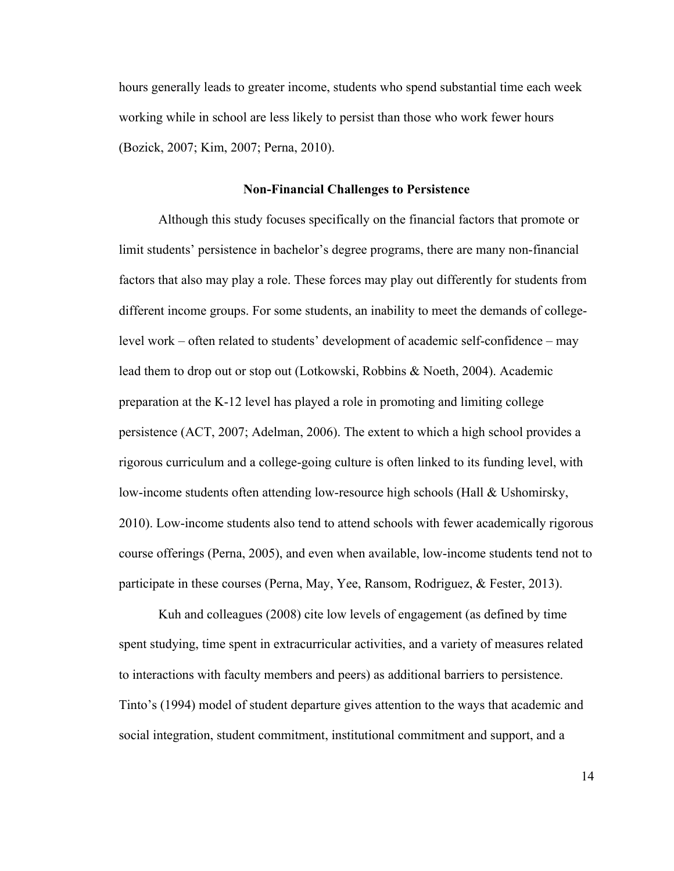hours generally leads to greater income, students who spend substantial time each week working while in school are less likely to persist than those who work fewer hours (Bozick, 2007; Kim, 2007; Perna, 2010).

#### **Non-Financial Challenges to Persistence**

Although this study focuses specifically on the financial factors that promote or limit students' persistence in bachelor's degree programs, there are many non-financial factors that also may play a role. These forces may play out differently for students from different income groups. For some students, an inability to meet the demands of collegelevel work – often related to students' development of academic self-confidence – may lead them to drop out or stop out (Lotkowski, Robbins & Noeth, 2004). Academic preparation at the K-12 level has played a role in promoting and limiting college persistence (ACT, 2007; Adelman, 2006). The extent to which a high school provides a rigorous curriculum and a college-going culture is often linked to its funding level, with low-income students often attending low-resource high schools (Hall & Ushomirsky, 2010). Low-income students also tend to attend schools with fewer academically rigorous course offerings (Perna, 2005), and even when available, low-income students tend not to participate in these courses (Perna, May, Yee, Ransom, Rodriguez, & Fester, 2013).

Kuh and colleagues (2008) cite low levels of engagement (as defined by time spent studying, time spent in extracurricular activities, and a variety of measures related to interactions with faculty members and peers) as additional barriers to persistence. Tinto's (1994) model of student departure gives attention to the ways that academic and social integration, student commitment, institutional commitment and support, and a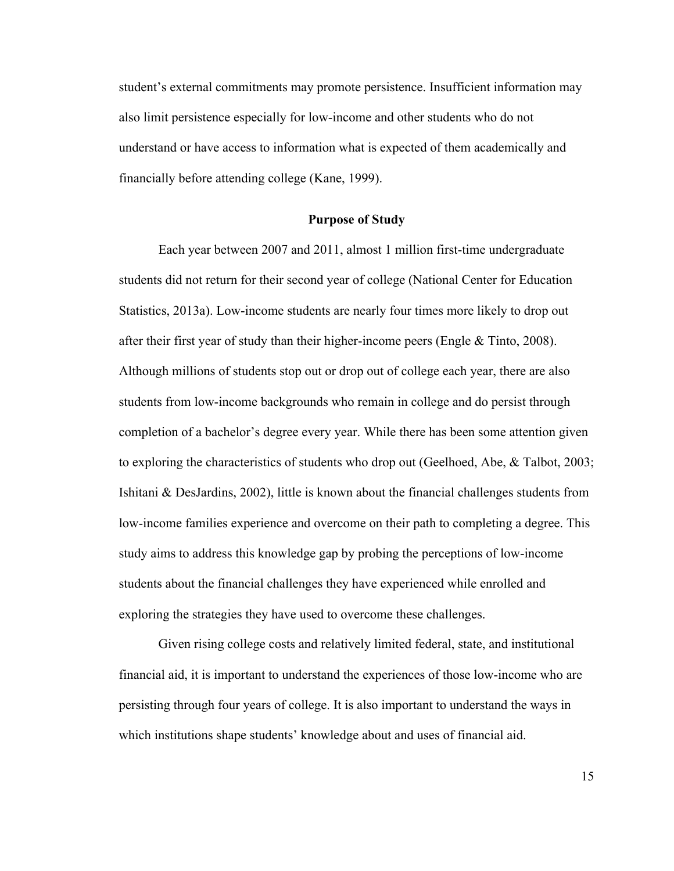student's external commitments may promote persistence. Insufficient information may also limit persistence especially for low-income and other students who do not understand or have access to information what is expected of them academically and financially before attending college (Kane, 1999).

#### **Purpose of Study**

Each year between 2007 and 2011, almost 1 million first-time undergraduate students did not return for their second year of college (National Center for Education Statistics, 2013a). Low-income students are nearly four times more likely to drop out after their first year of study than their higher-income peers (Engle & Tinto, 2008). Although millions of students stop out or drop out of college each year, there are also students from low-income backgrounds who remain in college and do persist through completion of a bachelor's degree every year. While there has been some attention given to exploring the characteristics of students who drop out (Geelhoed, Abe, & Talbot, 2003; Ishitani & DesJardins, 2002), little is known about the financial challenges students from low-income families experience and overcome on their path to completing a degree. This study aims to address this knowledge gap by probing the perceptions of low-income students about the financial challenges they have experienced while enrolled and exploring the strategies they have used to overcome these challenges.

Given rising college costs and relatively limited federal, state, and institutional financial aid, it is important to understand the experiences of those low-income who are persisting through four years of college. It is also important to understand the ways in which institutions shape students' knowledge about and uses of financial aid.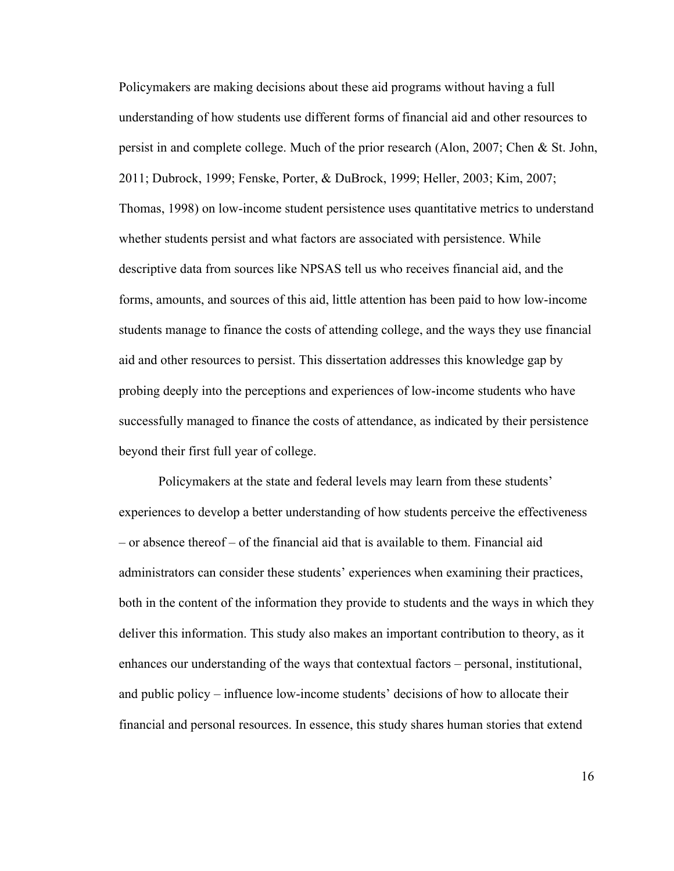Policymakers are making decisions about these aid programs without having a full understanding of how students use different forms of financial aid and other resources to persist in and complete college. Much of the prior research (Alon, 2007; Chen & St. John, 2011; Dubrock, 1999; Fenske, Porter, & DuBrock, 1999; Heller, 2003; Kim, 2007; Thomas, 1998) on low-income student persistence uses quantitative metrics to understand whether students persist and what factors are associated with persistence. While descriptive data from sources like NPSAS tell us who receives financial aid, and the forms, amounts, and sources of this aid, little attention has been paid to how low-income students manage to finance the costs of attending college, and the ways they use financial aid and other resources to persist. This dissertation addresses this knowledge gap by probing deeply into the perceptions and experiences of low-income students who have successfully managed to finance the costs of attendance, as indicated by their persistence beyond their first full year of college.

Policymakers at the state and federal levels may learn from these students' experiences to develop a better understanding of how students perceive the effectiveness – or absence thereof – of the financial aid that is available to them. Financial aid administrators can consider these students' experiences when examining their practices, both in the content of the information they provide to students and the ways in which they deliver this information. This study also makes an important contribution to theory, as it enhances our understanding of the ways that contextual factors – personal, institutional, and public policy – influence low-income students' decisions of how to allocate their financial and personal resources. In essence, this study shares human stories that extend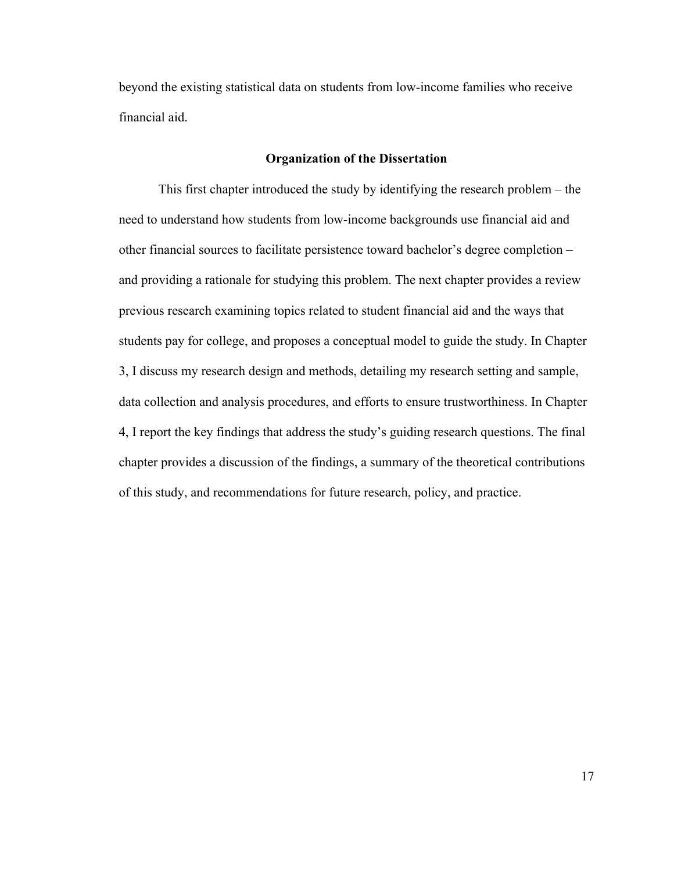beyond the existing statistical data on students from low-income families who receive financial aid.

# **Organization of the Dissertation**

This first chapter introduced the study by identifying the research problem – the need to understand how students from low-income backgrounds use financial aid and other financial sources to facilitate persistence toward bachelor's degree completion – and providing a rationale for studying this problem. The next chapter provides a review previous research examining topics related to student financial aid and the ways that students pay for college, and proposes a conceptual model to guide the study. In Chapter 3, I discuss my research design and methods, detailing my research setting and sample, data collection and analysis procedures, and efforts to ensure trustworthiness. In Chapter 4, I report the key findings that address the study's guiding research questions. The final chapter provides a discussion of the findings, a summary of the theoretical contributions of this study, and recommendations for future research, policy, and practice.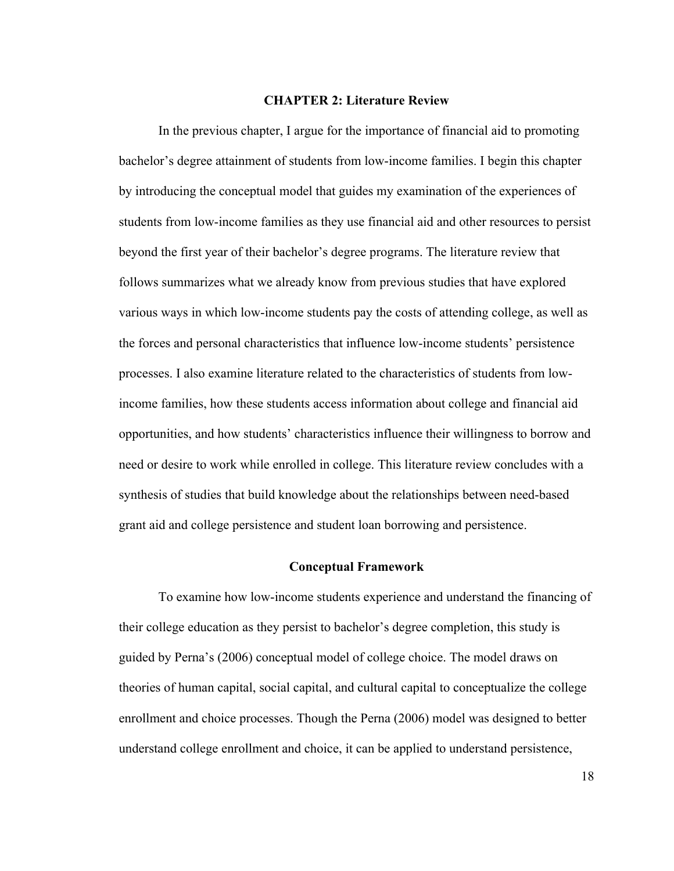#### **CHAPTER 2: Literature Review**

In the previous chapter, I argue for the importance of financial aid to promoting bachelor's degree attainment of students from low-income families. I begin this chapter by introducing the conceptual model that guides my examination of the experiences of students from low-income families as they use financial aid and other resources to persist beyond the first year of their bachelor's degree programs. The literature review that follows summarizes what we already know from previous studies that have explored various ways in which low-income students pay the costs of attending college, as well as the forces and personal characteristics that influence low-income students' persistence processes. I also examine literature related to the characteristics of students from lowincome families, how these students access information about college and financial aid opportunities, and how students' characteristics influence their willingness to borrow and need or desire to work while enrolled in college. This literature review concludes with a synthesis of studies that build knowledge about the relationships between need-based grant aid and college persistence and student loan borrowing and persistence.

#### **Conceptual Framework**

To examine how low-income students experience and understand the financing of their college education as they persist to bachelor's degree completion, this study is guided by Perna's (2006) conceptual model of college choice. The model draws on theories of human capital, social capital, and cultural capital to conceptualize the college enrollment and choice processes. Though the Perna (2006) model was designed to better understand college enrollment and choice, it can be applied to understand persistence,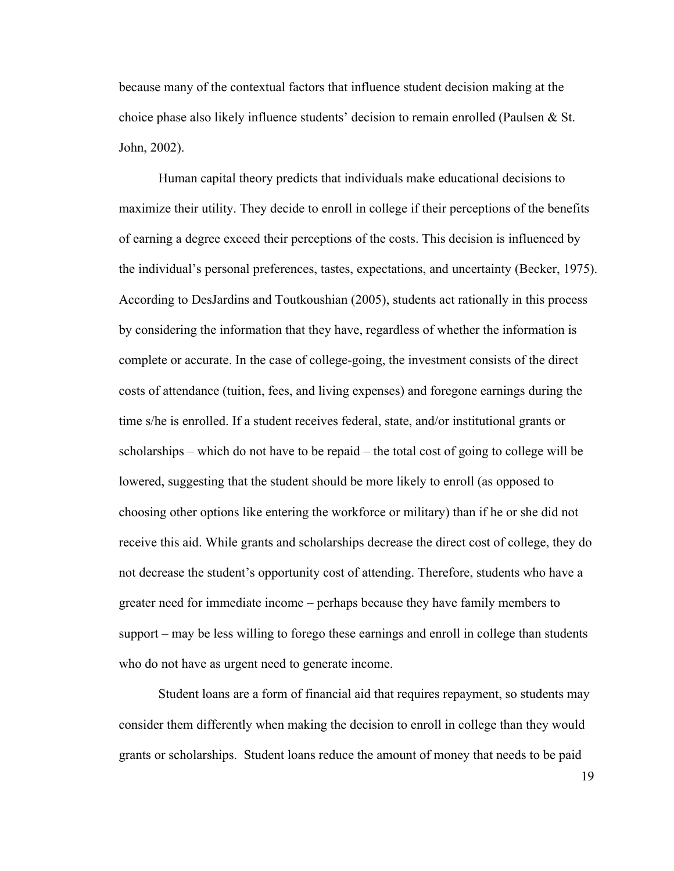because many of the contextual factors that influence student decision making at the choice phase also likely influence students' decision to remain enrolled (Paulsen & St. John, 2002).

Human capital theory predicts that individuals make educational decisions to maximize their utility. They decide to enroll in college if their perceptions of the benefits of earning a degree exceed their perceptions of the costs. This decision is influenced by the individual's personal preferences, tastes, expectations, and uncertainty (Becker, 1975). According to DesJardins and Toutkoushian (2005), students act rationally in this process by considering the information that they have, regardless of whether the information is complete or accurate. In the case of college-going, the investment consists of the direct costs of attendance (tuition, fees, and living expenses) and foregone earnings during the time s/he is enrolled. If a student receives federal, state, and/or institutional grants or scholarships – which do not have to be repaid – the total cost of going to college will be lowered, suggesting that the student should be more likely to enroll (as opposed to choosing other options like entering the workforce or military) than if he or she did not receive this aid. While grants and scholarships decrease the direct cost of college, they do not decrease the student's opportunity cost of attending. Therefore, students who have a greater need for immediate income – perhaps because they have family members to support – may be less willing to forego these earnings and enroll in college than students who do not have as urgent need to generate income.

Student loans are a form of financial aid that requires repayment, so students may consider them differently when making the decision to enroll in college than they would grants or scholarships. Student loans reduce the amount of money that needs to be paid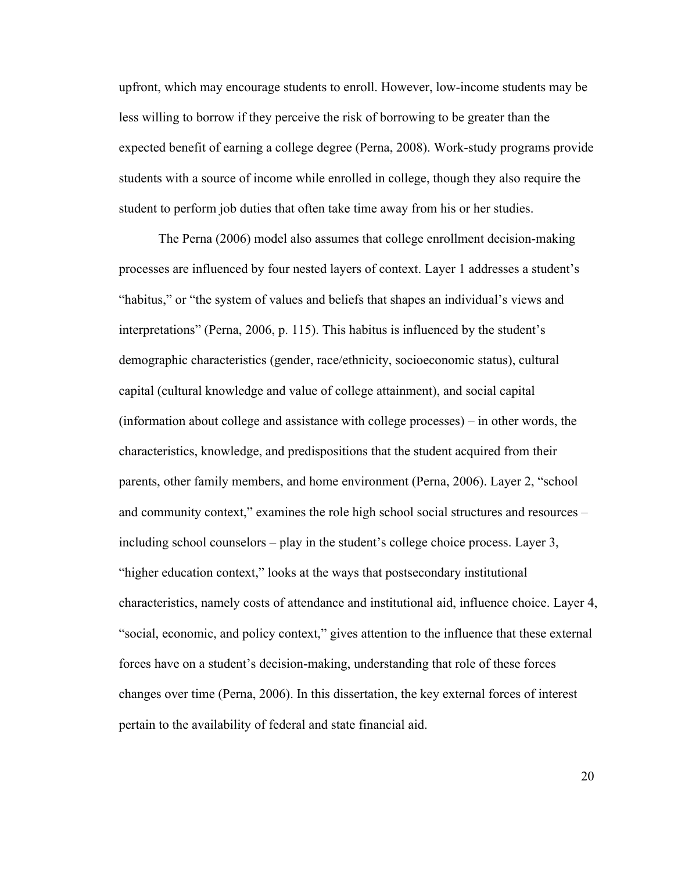upfront, which may encourage students to enroll. However, low-income students may be less willing to borrow if they perceive the risk of borrowing to be greater than the expected benefit of earning a college degree (Perna, 2008). Work-study programs provide students with a source of income while enrolled in college, though they also require the student to perform job duties that often take time away from his or her studies.

The Perna (2006) model also assumes that college enrollment decision-making processes are influenced by four nested layers of context. Layer 1 addresses a student's "habitus," or "the system of values and beliefs that shapes an individual's views and interpretations" (Perna, 2006, p. 115). This habitus is influenced by the student's demographic characteristics (gender, race/ethnicity, socioeconomic status), cultural capital (cultural knowledge and value of college attainment), and social capital (information about college and assistance with college processes) – in other words, the characteristics, knowledge, and predispositions that the student acquired from their parents, other family members, and home environment (Perna, 2006). Layer 2, "school and community context," examines the role high school social structures and resources – including school counselors – play in the student's college choice process. Layer 3, "higher education context," looks at the ways that postsecondary institutional characteristics, namely costs of attendance and institutional aid, influence choice. Layer 4, "social, economic, and policy context," gives attention to the influence that these external forces have on a student's decision-making, understanding that role of these forces changes over time (Perna, 2006). In this dissertation, the key external forces of interest pertain to the availability of federal and state financial aid.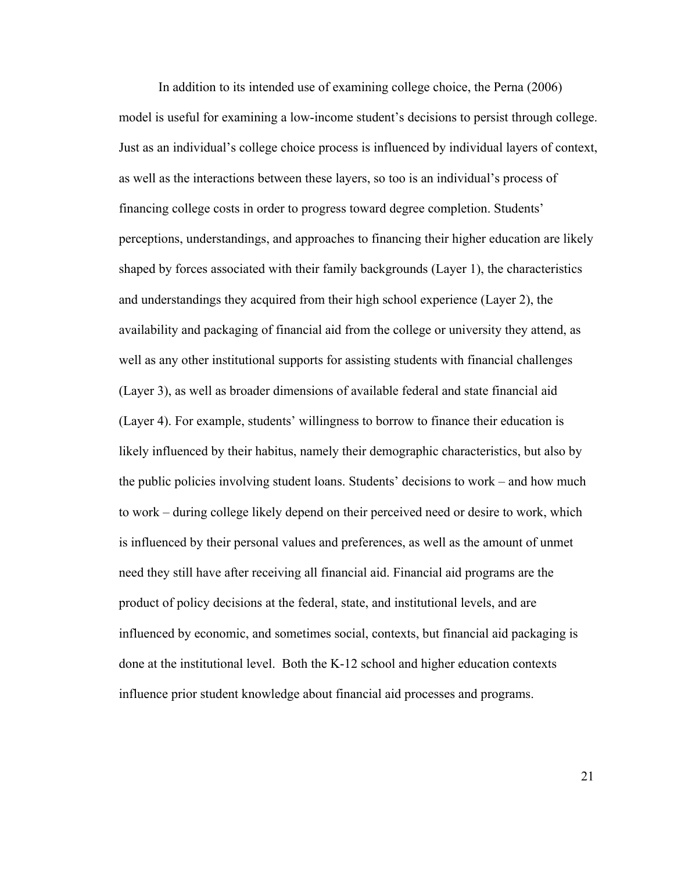In addition to its intended use of examining college choice, the Perna (2006) model is useful for examining a low-income student's decisions to persist through college. Just as an individual's college choice process is influenced by individual layers of context, as well as the interactions between these layers, so too is an individual's process of financing college costs in order to progress toward degree completion. Students' perceptions, understandings, and approaches to financing their higher education are likely shaped by forces associated with their family backgrounds (Layer 1), the characteristics and understandings they acquired from their high school experience (Layer 2), the availability and packaging of financial aid from the college or university they attend, as well as any other institutional supports for assisting students with financial challenges (Layer 3), as well as broader dimensions of available federal and state financial aid (Layer 4). For example, students' willingness to borrow to finance their education is likely influenced by their habitus, namely their demographic characteristics, but also by the public policies involving student loans. Students' decisions to work – and how much to work – during college likely depend on their perceived need or desire to work, which is influenced by their personal values and preferences, as well as the amount of unmet need they still have after receiving all financial aid. Financial aid programs are the product of policy decisions at the federal, state, and institutional levels, and are influenced by economic, and sometimes social, contexts, but financial aid packaging is done at the institutional level. Both the K-12 school and higher education contexts influence prior student knowledge about financial aid processes and programs.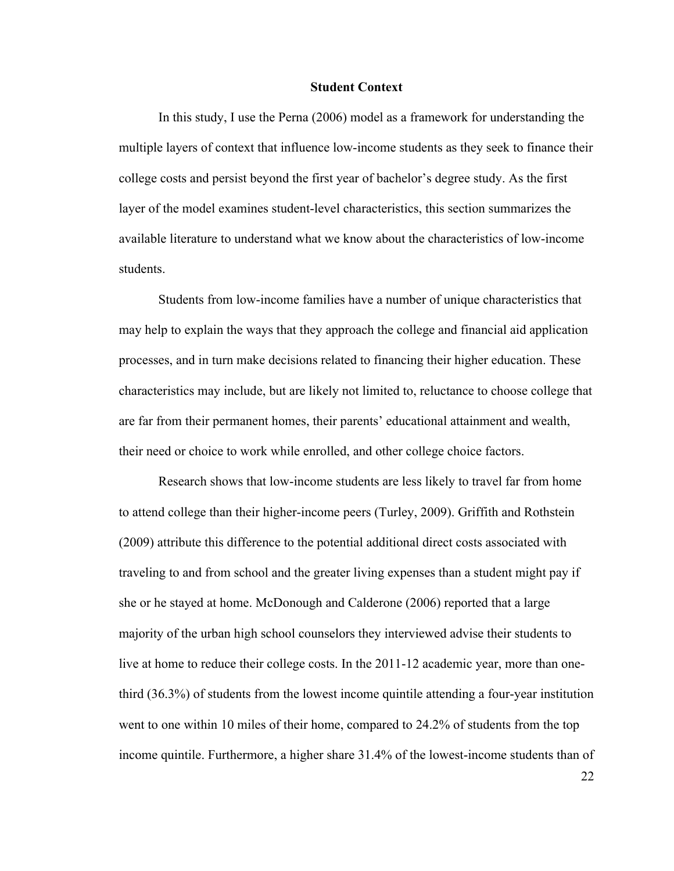## **Student Context**

In this study, I use the Perna (2006) model as a framework for understanding the multiple layers of context that influence low-income students as they seek to finance their college costs and persist beyond the first year of bachelor's degree study. As the first layer of the model examines student-level characteristics, this section summarizes the available literature to understand what we know about the characteristics of low-income students.

Students from low-income families have a number of unique characteristics that may help to explain the ways that they approach the college and financial aid application processes, and in turn make decisions related to financing their higher education. These characteristics may include, but are likely not limited to, reluctance to choose college that are far from their permanent homes, their parents' educational attainment and wealth, their need or choice to work while enrolled, and other college choice factors.

Research shows that low-income students are less likely to travel far from home to attend college than their higher-income peers (Turley, 2009). Griffith and Rothstein (2009) attribute this difference to the potential additional direct costs associated with traveling to and from school and the greater living expenses than a student might pay if she or he stayed at home. McDonough and Calderone (2006) reported that a large majority of the urban high school counselors they interviewed advise their students to live at home to reduce their college costs. In the 2011-12 academic year, more than onethird (36.3%) of students from the lowest income quintile attending a four-year institution went to one within 10 miles of their home, compared to 24.2% of students from the top income quintile. Furthermore, a higher share 31.4% of the lowest-income students than of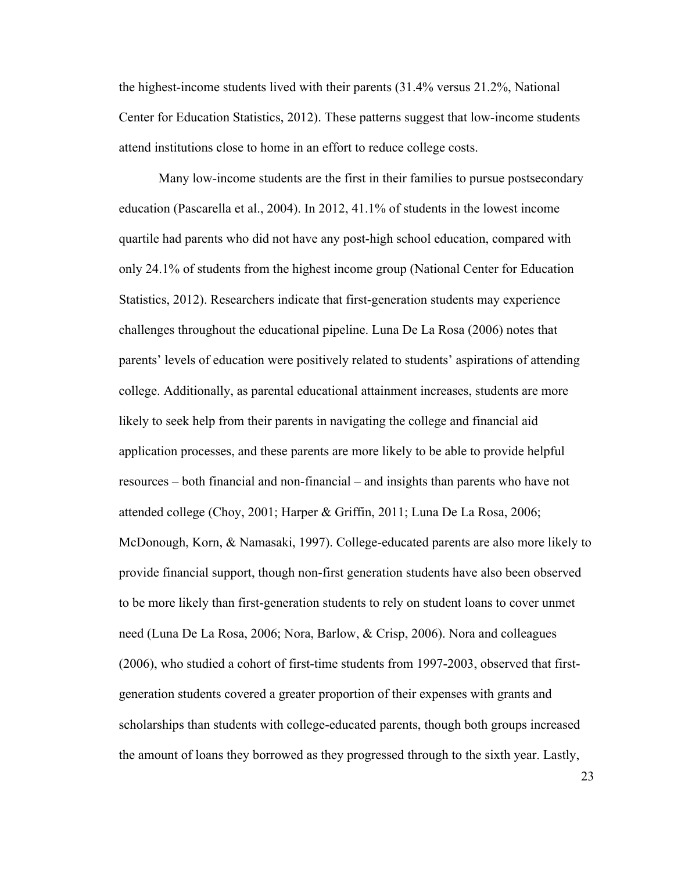the highest-income students lived with their parents (31.4% versus 21.2%, National Center for Education Statistics, 2012). These patterns suggest that low-income students attend institutions close to home in an effort to reduce college costs.

Many low-income students are the first in their families to pursue postsecondary education (Pascarella et al., 2004). In 2012, 41.1% of students in the lowest income quartile had parents who did not have any post-high school education, compared with only 24.1% of students from the highest income group (National Center for Education Statistics, 2012). Researchers indicate that first-generation students may experience challenges throughout the educational pipeline. Luna De La Rosa (2006) notes that parents' levels of education were positively related to students' aspirations of attending college. Additionally, as parental educational attainment increases, students are more likely to seek help from their parents in navigating the college and financial aid application processes, and these parents are more likely to be able to provide helpful resources – both financial and non-financial – and insights than parents who have not attended college (Choy, 2001; Harper & Griffin, 2011; Luna De La Rosa, 2006; McDonough, Korn, & Namasaki, 1997). College-educated parents are also more likely to provide financial support, though non-first generation students have also been observed to be more likely than first-generation students to rely on student loans to cover unmet need (Luna De La Rosa, 2006; Nora, Barlow, & Crisp, 2006). Nora and colleagues (2006), who studied a cohort of first-time students from 1997-2003, observed that firstgeneration students covered a greater proportion of their expenses with grants and scholarships than students with college-educated parents, though both groups increased the amount of loans they borrowed as they progressed through to the sixth year. Lastly,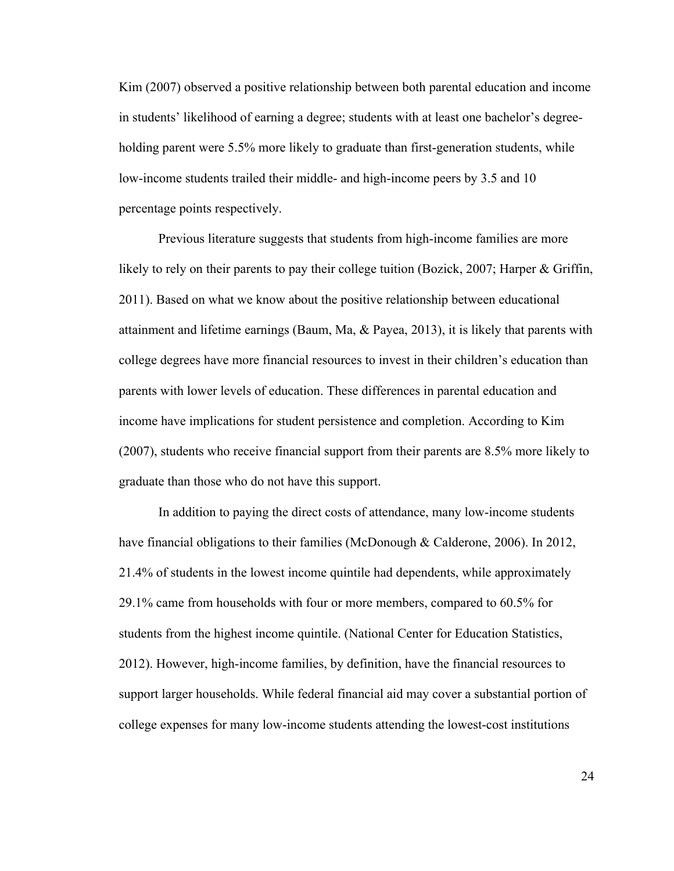Kim (2007) observed a positive relationship between both parental education and income in students' likelihood of earning a degree; students with at least one bachelor's degreeholding parent were 5.5% more likely to graduate than first-generation students, while low-income students trailed their middle- and high-income peers by 3.5 and 10 percentage points respectively.

Previous literature suggests that students from high-income families are more likely to rely on their parents to pay their college tuition (Bozick, 2007; Harper & Griffin, 2011). Based on what we know about the positive relationship between educational attainment and lifetime earnings (Baum, Ma, & Payea, 2013), it is likely that parents with college degrees have more financial resources to invest in their children's education than parents with lower levels of education. These differences in parental education and income have implications for student persistence and completion. According to Kim (2007), students who receive financial support from their parents are 8.5% more likely to graduate than those who do not have this support.

In addition to paying the direct costs of attendance, many low-income students have financial obligations to their families (McDonough & Calderone, 2006). In 2012, 21.4% of students in the lowest income quintile had dependents, while approximately 29.1% came from households with four or more members, compared to 60.5% for students from the highest income quintile. (National Center for Education Statistics, 2012). However, high-income families, by definition, have the financial resources to support larger households. While federal financial aid may cover a substantial portion of college expenses for many low-income students attending the lowest-cost institutions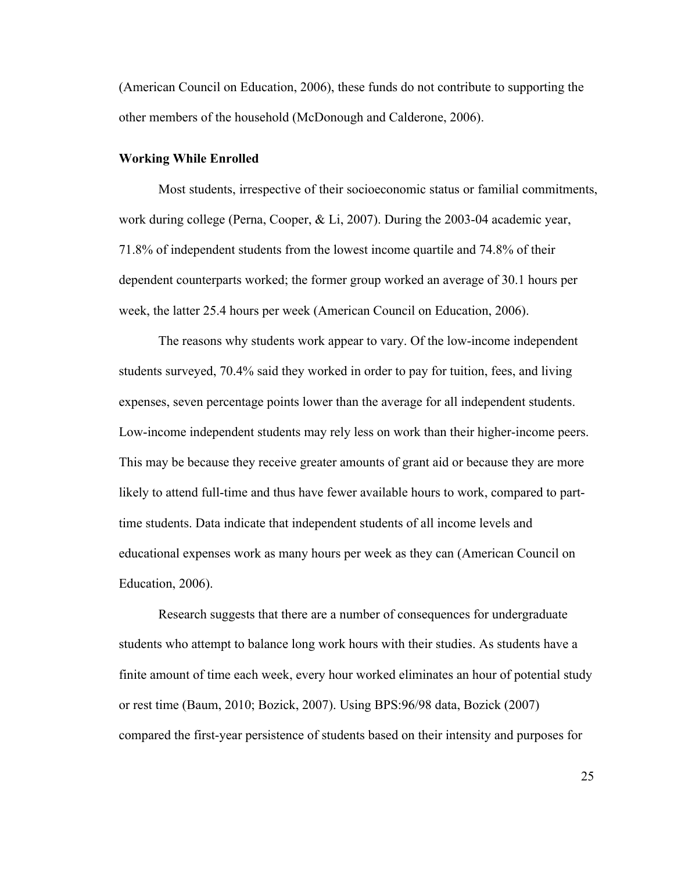(American Council on Education, 2006), these funds do not contribute to supporting the other members of the household (McDonough and Calderone, 2006).

#### **Working While Enrolled**

Most students, irrespective of their socioeconomic status or familial commitments, work during college (Perna, Cooper, & Li, 2007). During the 2003-04 academic year, 71.8% of independent students from the lowest income quartile and 74.8% of their dependent counterparts worked; the former group worked an average of 30.1 hours per week, the latter 25.4 hours per week (American Council on Education, 2006).

The reasons why students work appear to vary. Of the low-income independent students surveyed, 70.4% said they worked in order to pay for tuition, fees, and living expenses, seven percentage points lower than the average for all independent students. Low-income independent students may rely less on work than their higher-income peers. This may be because they receive greater amounts of grant aid or because they are more likely to attend full-time and thus have fewer available hours to work, compared to parttime students. Data indicate that independent students of all income levels and educational expenses work as many hours per week as they can (American Council on Education, 2006).

Research suggests that there are a number of consequences for undergraduate students who attempt to balance long work hours with their studies. As students have a finite amount of time each week, every hour worked eliminates an hour of potential study or rest time (Baum, 2010; Bozick, 2007). Using BPS:96/98 data, Bozick (2007) compared the first-year persistence of students based on their intensity and purposes for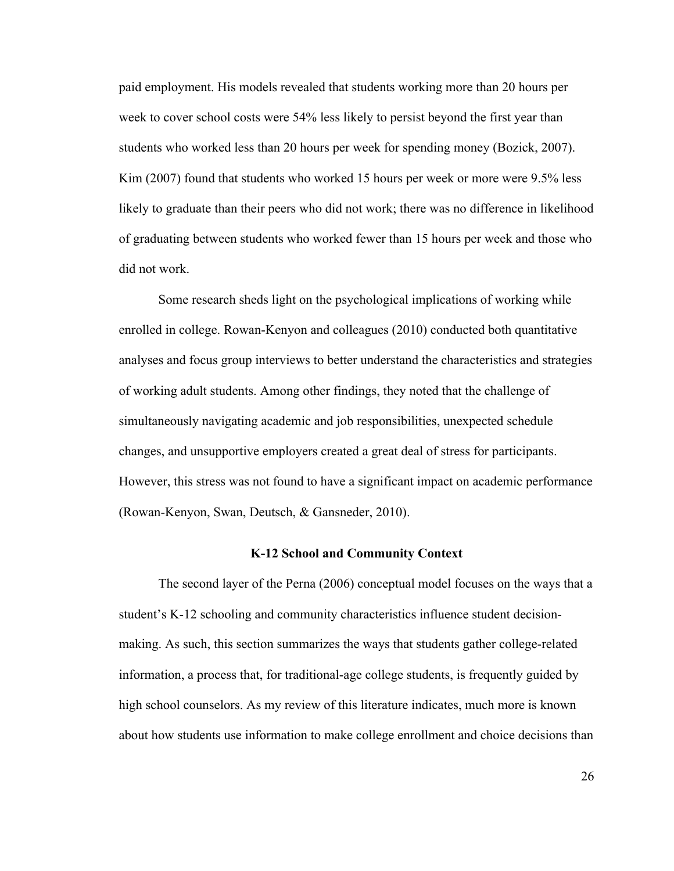paid employment. His models revealed that students working more than 20 hours per week to cover school costs were 54% less likely to persist beyond the first year than students who worked less than 20 hours per week for spending money (Bozick, 2007). Kim (2007) found that students who worked 15 hours per week or more were 9.5% less likely to graduate than their peers who did not work; there was no difference in likelihood of graduating between students who worked fewer than 15 hours per week and those who did not work.

Some research sheds light on the psychological implications of working while enrolled in college. Rowan-Kenyon and colleagues (2010) conducted both quantitative analyses and focus group interviews to better understand the characteristics and strategies of working adult students. Among other findings, they noted that the challenge of simultaneously navigating academic and job responsibilities, unexpected schedule changes, and unsupportive employers created a great deal of stress for participants. However, this stress was not found to have a significant impact on academic performance (Rowan-Kenyon, Swan, Deutsch, & Gansneder, 2010).

## **K-12 School and Community Context**

The second layer of the Perna (2006) conceptual model focuses on the ways that a student's K-12 schooling and community characteristics influence student decisionmaking. As such, this section summarizes the ways that students gather college-related information, a process that, for traditional-age college students, is frequently guided by high school counselors. As my review of this literature indicates, much more is known about how students use information to make college enrollment and choice decisions than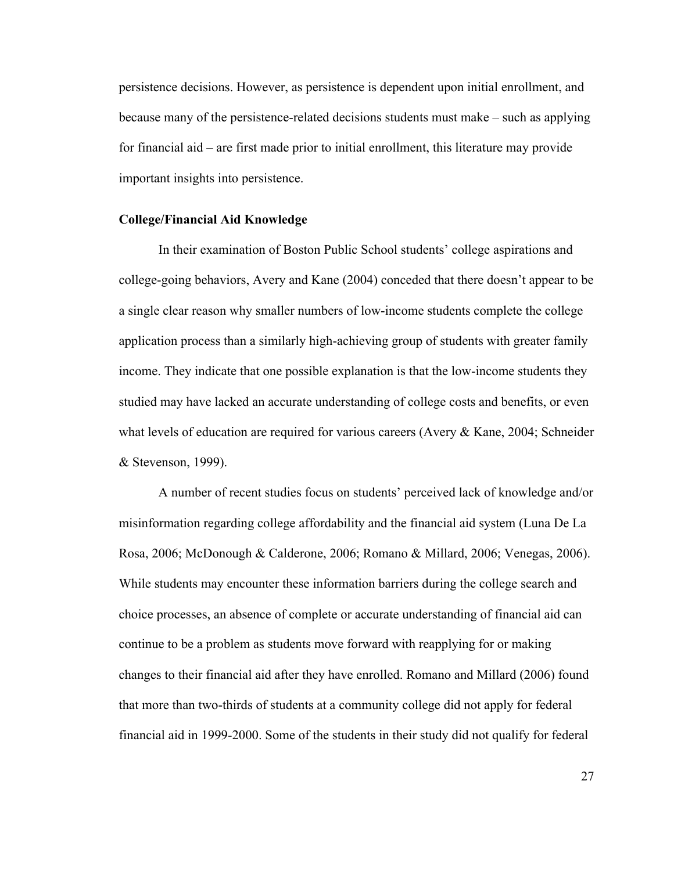persistence decisions. However, as persistence is dependent upon initial enrollment, and because many of the persistence-related decisions students must make – such as applying for financial aid – are first made prior to initial enrollment, this literature may provide important insights into persistence.

## **College/Financial Aid Knowledge**

In their examination of Boston Public School students' college aspirations and college-going behaviors, Avery and Kane (2004) conceded that there doesn't appear to be a single clear reason why smaller numbers of low-income students complete the college application process than a similarly high-achieving group of students with greater family income. They indicate that one possible explanation is that the low-income students they studied may have lacked an accurate understanding of college costs and benefits, or even what levels of education are required for various careers (Avery & Kane, 2004; Schneider & Stevenson, 1999).

A number of recent studies focus on students' perceived lack of knowledge and/or misinformation regarding college affordability and the financial aid system (Luna De La Rosa, 2006; McDonough & Calderone, 2006; Romano & Millard, 2006; Venegas, 2006). While students may encounter these information barriers during the college search and choice processes, an absence of complete or accurate understanding of financial aid can continue to be a problem as students move forward with reapplying for or making changes to their financial aid after they have enrolled. Romano and Millard (2006) found that more than two-thirds of students at a community college did not apply for federal financial aid in 1999-2000. Some of the students in their study did not qualify for federal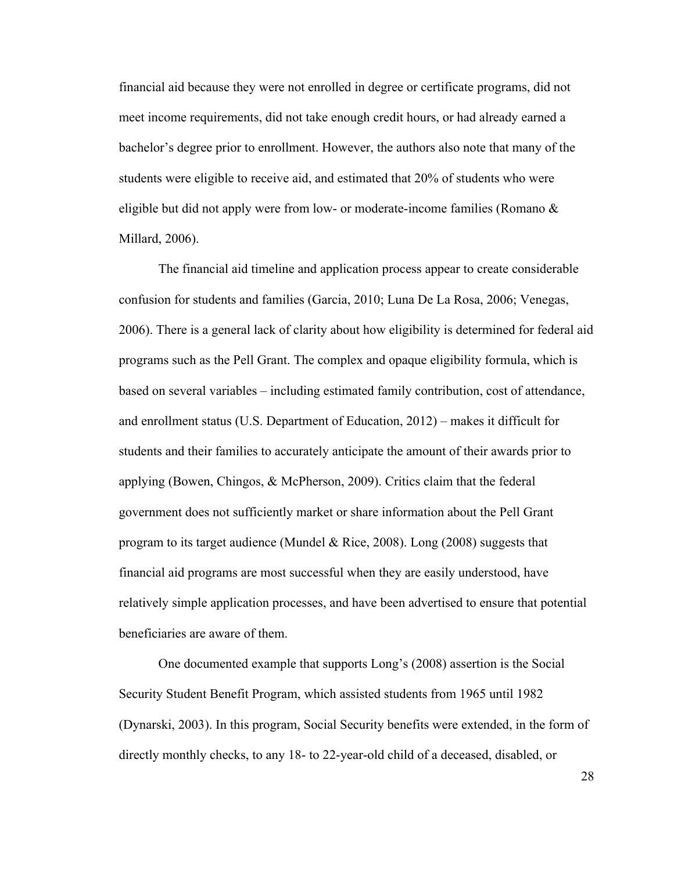financial aid because they were not enrolled in degree or certificate programs, did not meet income requirements, did not take enough credit hours, or had already earned a bachelor's degree prior to enrollment. However, the authors also note that many of the students were eligible to receive aid, and estimated that 20% of students who were eligible but did not apply were from low- or moderate-income families (Romano & Millard, 2006).

The financial aid timeline and application process appear to create considerable confusion for students and families (Garcia, 2010; Luna De La Rosa, 2006; Venegas, 2006). There is a general lack of clarity about how eligibility is determined for federal aid programs such as the Pell Grant. The complex and opaque eligibility formula, which is based on several variables – including estimated family contribution, cost of attendance, and enrollment status (U.S. Department of Education, 2012) – makes it difficult for students and their families to accurately anticipate the amount of their awards prior to applying (Bowen, Chingos, & McPherson, 2009). Critics claim that the federal government does not sufficiently market or share information about the Pell Grant program to its target audience (Mundel & Rice, 2008). Long (2008) suggests that financial aid programs are most successful when they are easily understood, have relatively simple application processes, and have been advertised to ensure that potential beneficiaries are aware of them.

One documented example that supports Long's (2008) assertion is the Social Security Student Benefit Program, which assisted students from 1965 until 1982 (Dynarski, 2003). In this program, Social Security benefits were extended, in the form of directly monthly checks, to any 18- to 22-year-old child of a deceased, disabled, or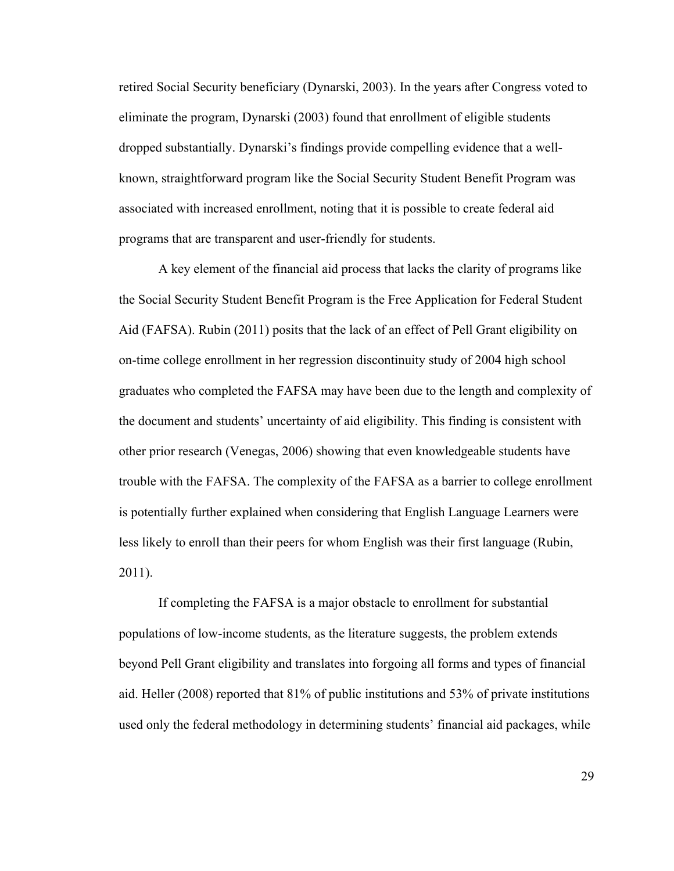retired Social Security beneficiary (Dynarski, 2003). In the years after Congress voted to eliminate the program, Dynarski (2003) found that enrollment of eligible students dropped substantially. Dynarski's findings provide compelling evidence that a wellknown, straightforward program like the Social Security Student Benefit Program was associated with increased enrollment, noting that it is possible to create federal aid programs that are transparent and user-friendly for students.

A key element of the financial aid process that lacks the clarity of programs like the Social Security Student Benefit Program is the Free Application for Federal Student Aid (FAFSA). Rubin (2011) posits that the lack of an effect of Pell Grant eligibility on on-time college enrollment in her regression discontinuity study of 2004 high school graduates who completed the FAFSA may have been due to the length and complexity of the document and students' uncertainty of aid eligibility. This finding is consistent with other prior research (Venegas, 2006) showing that even knowledgeable students have trouble with the FAFSA. The complexity of the FAFSA as a barrier to college enrollment is potentially further explained when considering that English Language Learners were less likely to enroll than their peers for whom English was their first language (Rubin, 2011).

If completing the FAFSA is a major obstacle to enrollment for substantial populations of low-income students, as the literature suggests, the problem extends beyond Pell Grant eligibility and translates into forgoing all forms and types of financial aid. Heller (2008) reported that 81% of public institutions and 53% of private institutions used only the federal methodology in determining students' financial aid packages, while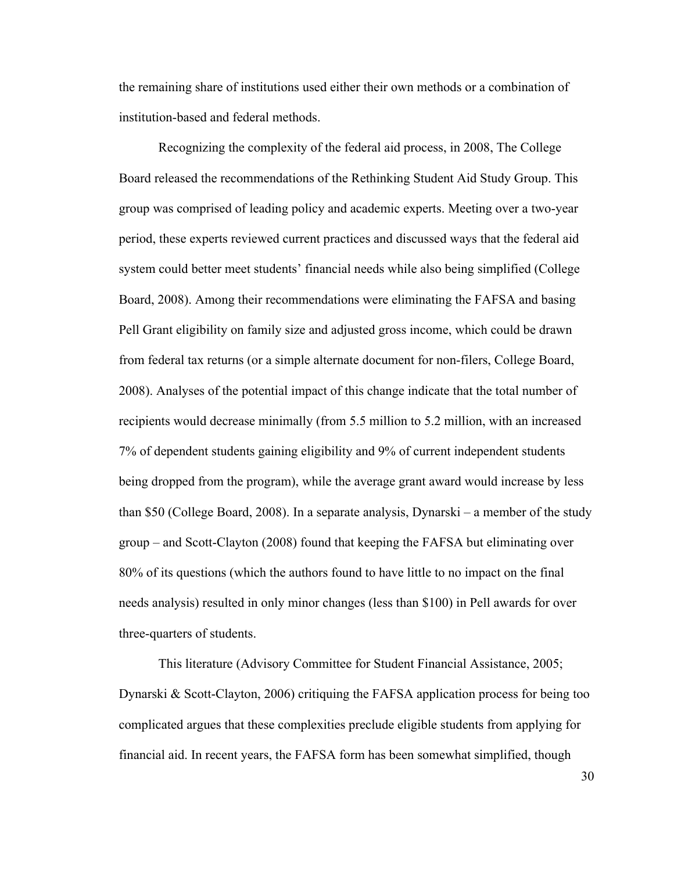the remaining share of institutions used either their own methods or a combination of institution-based and federal methods.

Recognizing the complexity of the federal aid process, in 2008, The College Board released the recommendations of the Rethinking Student Aid Study Group. This group was comprised of leading policy and academic experts. Meeting over a two-year period, these experts reviewed current practices and discussed ways that the federal aid system could better meet students' financial needs while also being simplified (College Board, 2008). Among their recommendations were eliminating the FAFSA and basing Pell Grant eligibility on family size and adjusted gross income, which could be drawn from federal tax returns (or a simple alternate document for non-filers, College Board, 2008). Analyses of the potential impact of this change indicate that the total number of recipients would decrease minimally (from 5.5 million to 5.2 million, with an increased 7% of dependent students gaining eligibility and 9% of current independent students being dropped from the program), while the average grant award would increase by less than \$50 (College Board, 2008). In a separate analysis, Dynarski – a member of the study group – and Scott-Clayton (2008) found that keeping the FAFSA but eliminating over 80% of its questions (which the authors found to have little to no impact on the final needs analysis) resulted in only minor changes (less than \$100) in Pell awards for over three-quarters of students.

This literature (Advisory Committee for Student Financial Assistance, 2005; Dynarski & Scott-Clayton, 2006) critiquing the FAFSA application process for being too complicated argues that these complexities preclude eligible students from applying for financial aid. In recent years, the FAFSA form has been somewhat simplified, though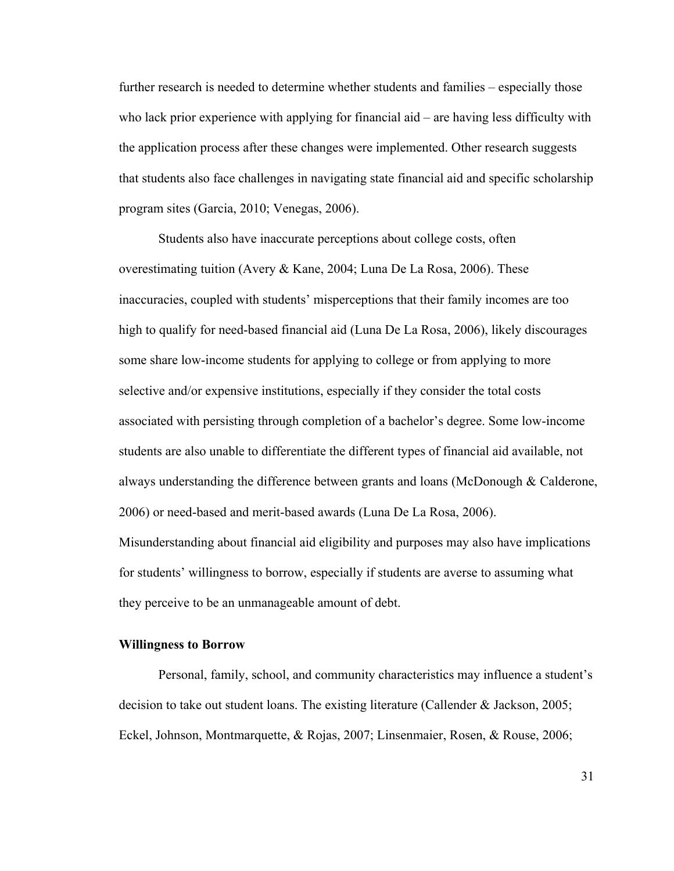further research is needed to determine whether students and families – especially those who lack prior experience with applying for financial aid – are having less difficulty with the application process after these changes were implemented. Other research suggests that students also face challenges in navigating state financial aid and specific scholarship program sites (Garcia, 2010; Venegas, 2006).

Students also have inaccurate perceptions about college costs, often overestimating tuition (Avery & Kane, 2004; Luna De La Rosa, 2006). These inaccuracies, coupled with students' misperceptions that their family incomes are too high to qualify for need-based financial aid (Luna De La Rosa, 2006), likely discourages some share low-income students for applying to college or from applying to more selective and/or expensive institutions, especially if they consider the total costs associated with persisting through completion of a bachelor's degree. Some low-income students are also unable to differentiate the different types of financial aid available, not always understanding the difference between grants and loans (McDonough & Calderone, 2006) or need-based and merit-based awards (Luna De La Rosa, 2006).

Misunderstanding about financial aid eligibility and purposes may also have implications for students' willingness to borrow, especially if students are averse to assuming what they perceive to be an unmanageable amount of debt.

# **Willingness to Borrow**

Personal, family, school, and community characteristics may influence a student's decision to take out student loans. The existing literature (Callender & Jackson, 2005; Eckel, Johnson, Montmarquette, & Rojas, 2007; Linsenmaier, Rosen, & Rouse, 2006;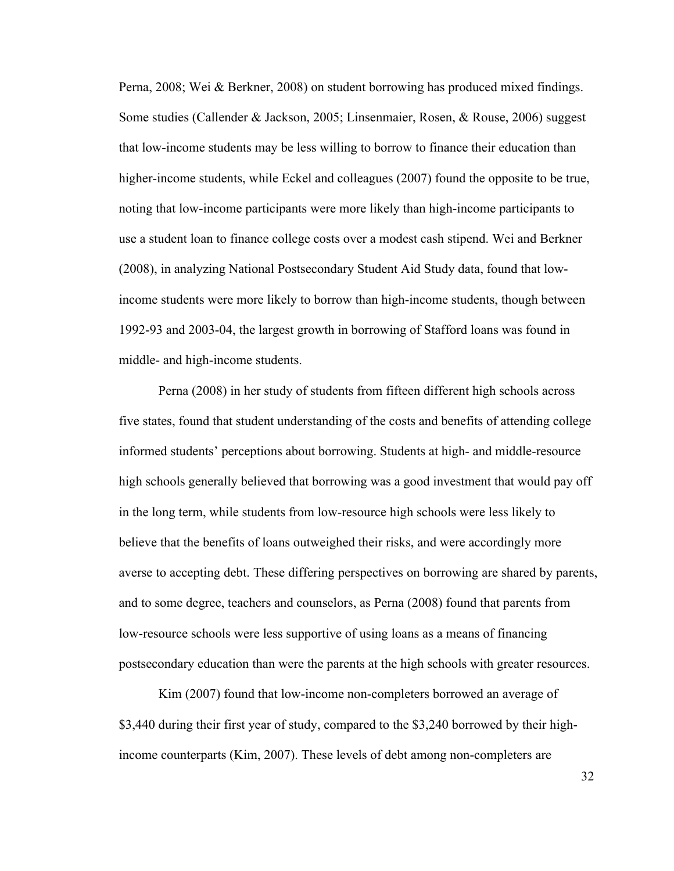Perna, 2008; Wei & Berkner, 2008) on student borrowing has produced mixed findings. Some studies (Callender & Jackson, 2005; Linsenmaier, Rosen, & Rouse, 2006) suggest that low-income students may be less willing to borrow to finance their education than higher-income students, while Eckel and colleagues (2007) found the opposite to be true, noting that low-income participants were more likely than high-income participants to use a student loan to finance college costs over a modest cash stipend. Wei and Berkner (2008), in analyzing National Postsecondary Student Aid Study data, found that lowincome students were more likely to borrow than high-income students, though between 1992-93 and 2003-04, the largest growth in borrowing of Stafford loans was found in middle- and high-income students.

Perna (2008) in her study of students from fifteen different high schools across five states, found that student understanding of the costs and benefits of attending college informed students' perceptions about borrowing. Students at high- and middle-resource high schools generally believed that borrowing was a good investment that would pay off in the long term, while students from low-resource high schools were less likely to believe that the benefits of loans outweighed their risks, and were accordingly more averse to accepting debt. These differing perspectives on borrowing are shared by parents, and to some degree, teachers and counselors, as Perna (2008) found that parents from low-resource schools were less supportive of using loans as a means of financing postsecondary education than were the parents at the high schools with greater resources.

Kim (2007) found that low-income non-completers borrowed an average of \$3,440 during their first year of study, compared to the \$3,240 borrowed by their highincome counterparts (Kim, 2007). These levels of debt among non-completers are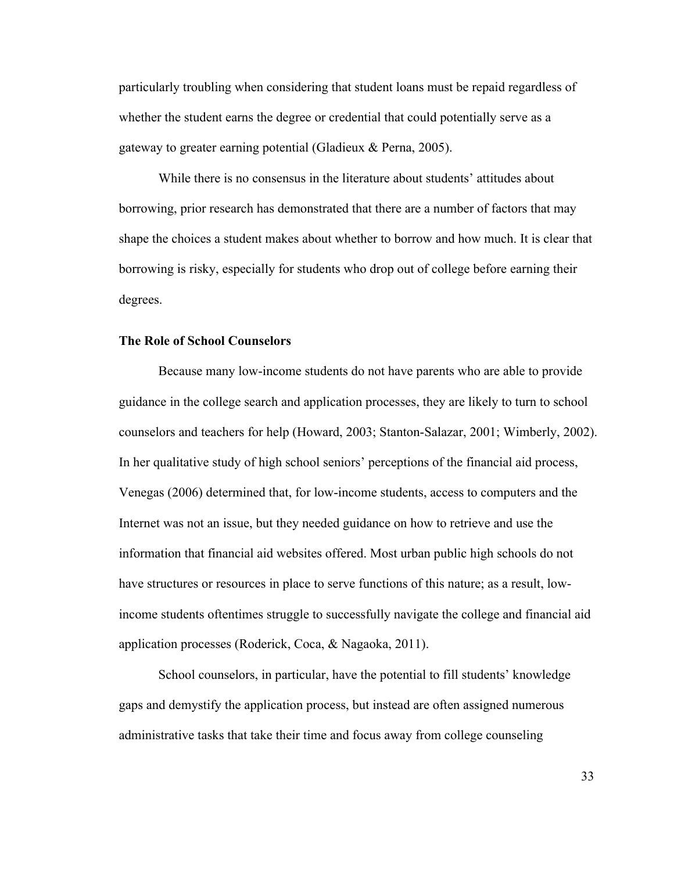particularly troubling when considering that student loans must be repaid regardless of whether the student earns the degree or credential that could potentially serve as a gateway to greater earning potential (Gladieux & Perna, 2005).

While there is no consensus in the literature about students' attitudes about borrowing, prior research has demonstrated that there are a number of factors that may shape the choices a student makes about whether to borrow and how much. It is clear that borrowing is risky, especially for students who drop out of college before earning their degrees.

# **The Role of School Counselors**

Because many low-income students do not have parents who are able to provide guidance in the college search and application processes, they are likely to turn to school counselors and teachers for help (Howard, 2003; Stanton-Salazar, 2001; Wimberly, 2002). In her qualitative study of high school seniors' perceptions of the financial aid process, Venegas (2006) determined that, for low-income students, access to computers and the Internet was not an issue, but they needed guidance on how to retrieve and use the information that financial aid websites offered. Most urban public high schools do not have structures or resources in place to serve functions of this nature; as a result, lowincome students oftentimes struggle to successfully navigate the college and financial aid application processes (Roderick, Coca, & Nagaoka, 2011).

School counselors, in particular, have the potential to fill students' knowledge gaps and demystify the application process, but instead are often assigned numerous administrative tasks that take their time and focus away from college counseling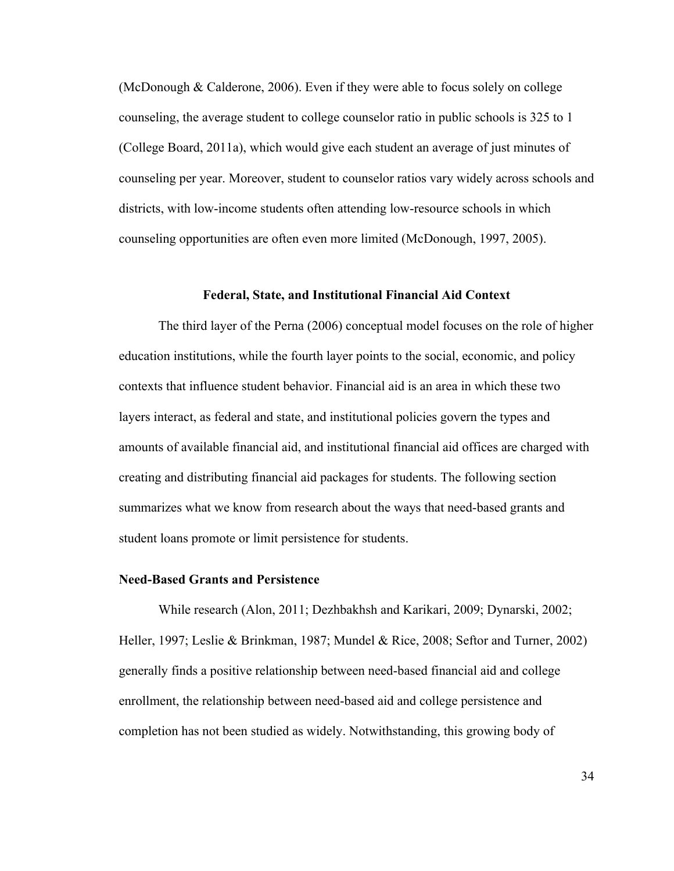(McDonough & Calderone, 2006). Even if they were able to focus solely on college counseling, the average student to college counselor ratio in public schools is 325 to 1 (College Board, 2011a), which would give each student an average of just minutes of counseling per year. Moreover, student to counselor ratios vary widely across schools and districts, with low-income students often attending low-resource schools in which counseling opportunities are often even more limited (McDonough, 1997, 2005).

#### **Federal, State, and Institutional Financial Aid Context**

The third layer of the Perna (2006) conceptual model focuses on the role of higher education institutions, while the fourth layer points to the social, economic, and policy contexts that influence student behavior. Financial aid is an area in which these two layers interact, as federal and state, and institutional policies govern the types and amounts of available financial aid, and institutional financial aid offices are charged with creating and distributing financial aid packages for students. The following section summarizes what we know from research about the ways that need-based grants and student loans promote or limit persistence for students.

#### **Need-Based Grants and Persistence**

While research (Alon, 2011; Dezhbakhsh and Karikari, 2009; Dynarski, 2002; Heller, 1997; Leslie & Brinkman, 1987; Mundel & Rice, 2008; Seftor and Turner, 2002) generally finds a positive relationship between need-based financial aid and college enrollment, the relationship between need-based aid and college persistence and completion has not been studied as widely. Notwithstanding, this growing body of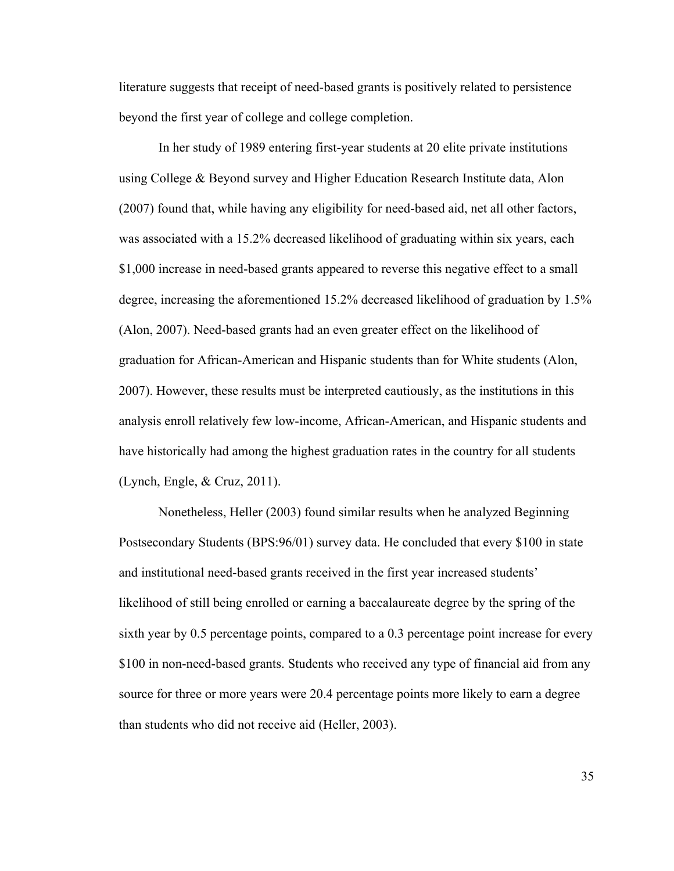literature suggests that receipt of need-based grants is positively related to persistence beyond the first year of college and college completion.

In her study of 1989 entering first-year students at 20 elite private institutions using College & Beyond survey and Higher Education Research Institute data, Alon (2007) found that, while having any eligibility for need-based aid, net all other factors, was associated with a 15.2% decreased likelihood of graduating within six years, each \$1,000 increase in need-based grants appeared to reverse this negative effect to a small degree, increasing the aforementioned 15.2% decreased likelihood of graduation by 1.5% (Alon, 2007). Need-based grants had an even greater effect on the likelihood of graduation for African-American and Hispanic students than for White students (Alon, 2007). However, these results must be interpreted cautiously, as the institutions in this analysis enroll relatively few low-income, African-American, and Hispanic students and have historically had among the highest graduation rates in the country for all students (Lynch, Engle, & Cruz, 2011).

Nonetheless, Heller (2003) found similar results when he analyzed Beginning Postsecondary Students (BPS:96/01) survey data. He concluded that every \$100 in state and institutional need-based grants received in the first year increased students' likelihood of still being enrolled or earning a baccalaureate degree by the spring of the sixth year by 0.5 percentage points, compared to a 0.3 percentage point increase for every \$100 in non-need-based grants. Students who received any type of financial aid from any source for three or more years were 20.4 percentage points more likely to earn a degree than students who did not receive aid (Heller, 2003).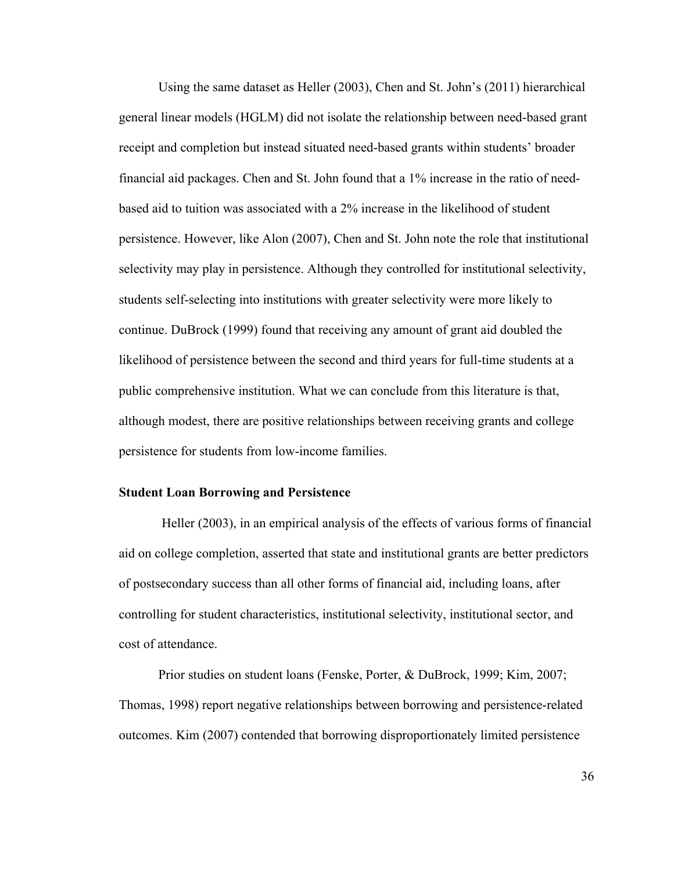Using the same dataset as Heller (2003), Chen and St. John's (2011) hierarchical general linear models (HGLM) did not isolate the relationship between need-based grant receipt and completion but instead situated need-based grants within students' broader financial aid packages. Chen and St. John found that a 1% increase in the ratio of needbased aid to tuition was associated with a 2% increase in the likelihood of student persistence. However, like Alon (2007), Chen and St. John note the role that institutional selectivity may play in persistence. Although they controlled for institutional selectivity, students self-selecting into institutions with greater selectivity were more likely to continue. DuBrock (1999) found that receiving any amount of grant aid doubled the likelihood of persistence between the second and third years for full-time students at a public comprehensive institution. What we can conclude from this literature is that, although modest, there are positive relationships between receiving grants and college persistence for students from low-income families.

# **Student Loan Borrowing and Persistence**

Heller (2003), in an empirical analysis of the effects of various forms of financial aid on college completion, asserted that state and institutional grants are better predictors of postsecondary success than all other forms of financial aid, including loans, after controlling for student characteristics, institutional selectivity, institutional sector, and cost of attendance.

Prior studies on student loans (Fenske, Porter, & DuBrock, 1999; Kim, 2007; Thomas, 1998) report negative relationships between borrowing and persistence-related outcomes. Kim (2007) contended that borrowing disproportionately limited persistence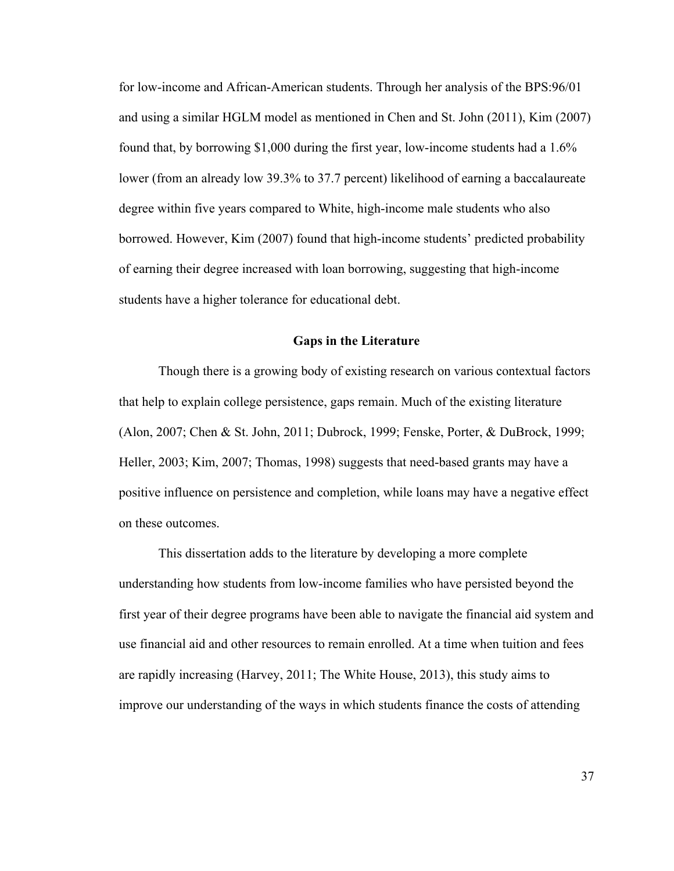for low-income and African-American students. Through her analysis of the BPS:96/01 and using a similar HGLM model as mentioned in Chen and St. John (2011), Kim (2007) found that, by borrowing \$1,000 during the first year, low-income students had a 1.6% lower (from an already low 39.3% to 37.7 percent) likelihood of earning a baccalaureate degree within five years compared to White, high-income male students who also borrowed. However, Kim (2007) found that high-income students' predicted probability of earning their degree increased with loan borrowing, suggesting that high-income students have a higher tolerance for educational debt.

# **Gaps in the Literature**

Though there is a growing body of existing research on various contextual factors that help to explain college persistence, gaps remain. Much of the existing literature (Alon, 2007; Chen & St. John, 2011; Dubrock, 1999; Fenske, Porter, & DuBrock, 1999; Heller, 2003; Kim, 2007; Thomas, 1998) suggests that need-based grants may have a positive influence on persistence and completion, while loans may have a negative effect on these outcomes.

This dissertation adds to the literature by developing a more complete understanding how students from low-income families who have persisted beyond the first year of their degree programs have been able to navigate the financial aid system and use financial aid and other resources to remain enrolled. At a time when tuition and fees are rapidly increasing (Harvey, 2011; The White House, 2013), this study aims to improve our understanding of the ways in which students finance the costs of attending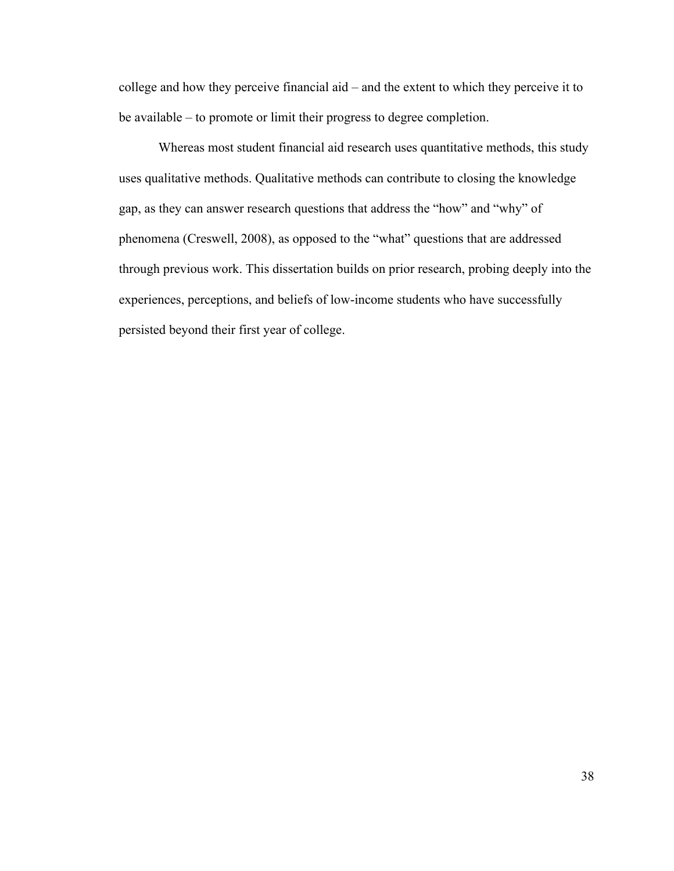college and how they perceive financial aid – and the extent to which they perceive it to be available – to promote or limit their progress to degree completion.

Whereas most student financial aid research uses quantitative methods, this study uses qualitative methods. Qualitative methods can contribute to closing the knowledge gap, as they can answer research questions that address the "how" and "why" of phenomena (Creswell, 2008), as opposed to the "what" questions that are addressed through previous work. This dissertation builds on prior research, probing deeply into the experiences, perceptions, and beliefs of low-income students who have successfully persisted beyond their first year of college.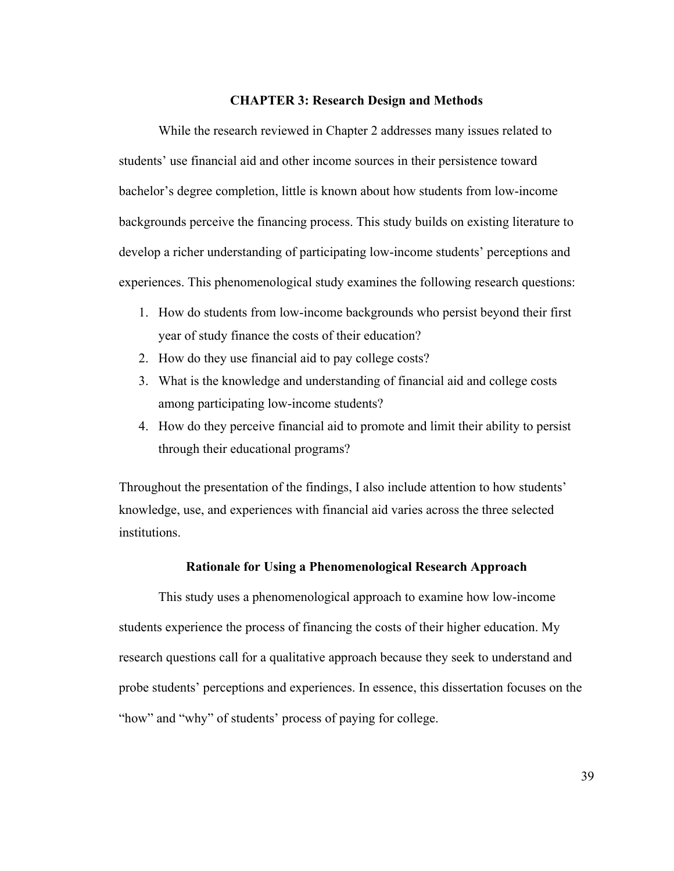## **CHAPTER 3: Research Design and Methods**

While the research reviewed in Chapter 2 addresses many issues related to students' use financial aid and other income sources in their persistence toward bachelor's degree completion, little is known about how students from low-income backgrounds perceive the financing process. This study builds on existing literature to develop a richer understanding of participating low-income students' perceptions and experiences. This phenomenological study examines the following research questions:

- 1. How do students from low-income backgrounds who persist beyond their first year of study finance the costs of their education?
- 2. How do they use financial aid to pay college costs?
- 3. What is the knowledge and understanding of financial aid and college costs among participating low-income students?
- 4. How do they perceive financial aid to promote and limit their ability to persist through their educational programs?

Throughout the presentation of the findings, I also include attention to how students' knowledge, use, and experiences with financial aid varies across the three selected institutions.

#### **Rationale for Using a Phenomenological Research Approach**

This study uses a phenomenological approach to examine how low-income students experience the process of financing the costs of their higher education. My research questions call for a qualitative approach because they seek to understand and probe students' perceptions and experiences. In essence, this dissertation focuses on the "how" and "why" of students' process of paying for college.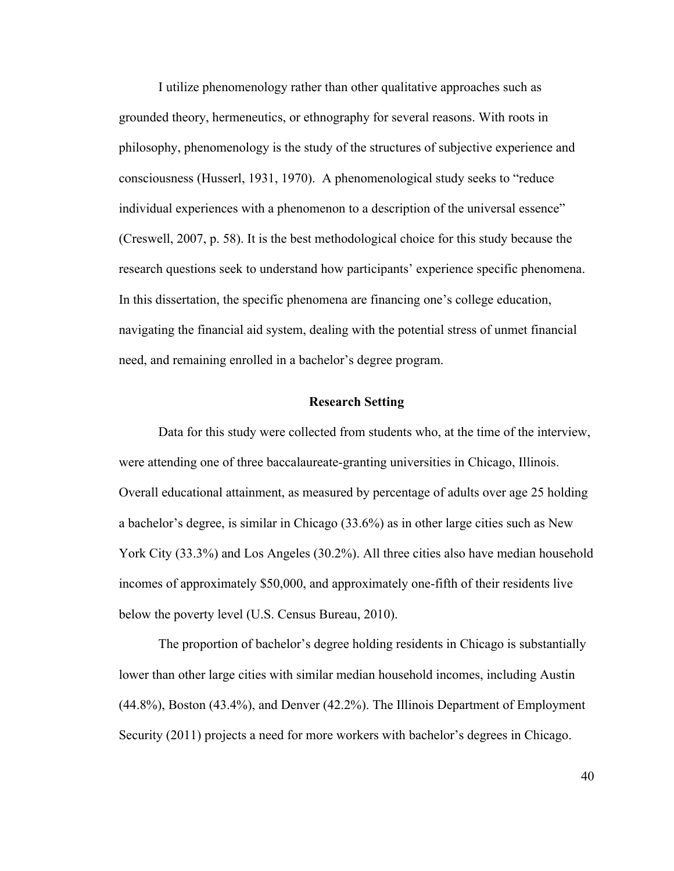I utilize phenomenology rather than other qualitative approaches such as grounded theory, hermeneutics, or ethnography for several reasons. With roots in philosophy, phenomenology is the study of the structures of subjective experience and consciousness (Husserl, 1931, 1970). A phenomenological study seeks to "reduce individual experiences with a phenomenon to a description of the universal essence" (Creswell, 2007, p. 58). It is the best methodological choice for this study because the research questions seek to understand how participants' experience specific phenomena. In this dissertation, the specific phenomena are financing one's college education, navigating the financial aid system, dealing with the potential stress of unmet financial need, and remaining enrolled in a bachelor's degree program.

# **Research Setting**

Data for this study were collected from students who, at the time of the interview, were attending one of three baccalaureate-granting universities in Chicago, Illinois. Overall educational attainment, as measured by percentage of adults over age 25 holding a bachelor's degree, is similar in Chicago (33.6%) as in other large cities such as New York City (33.3%) and Los Angeles (30.2%). All three cities also have median household incomes of approximately \$50,000, and approximately one-fifth of their residents live below the poverty level (U.S. Census Bureau, 2010).

The proportion of bachelor's degree holding residents in Chicago is substantially lower than other large cities with similar median household incomes, including Austin (44.8%), Boston (43.4%), and Denver (42.2%). The Illinois Department of Employment Security (2011) projects a need for more workers with bachelor's degrees in Chicago.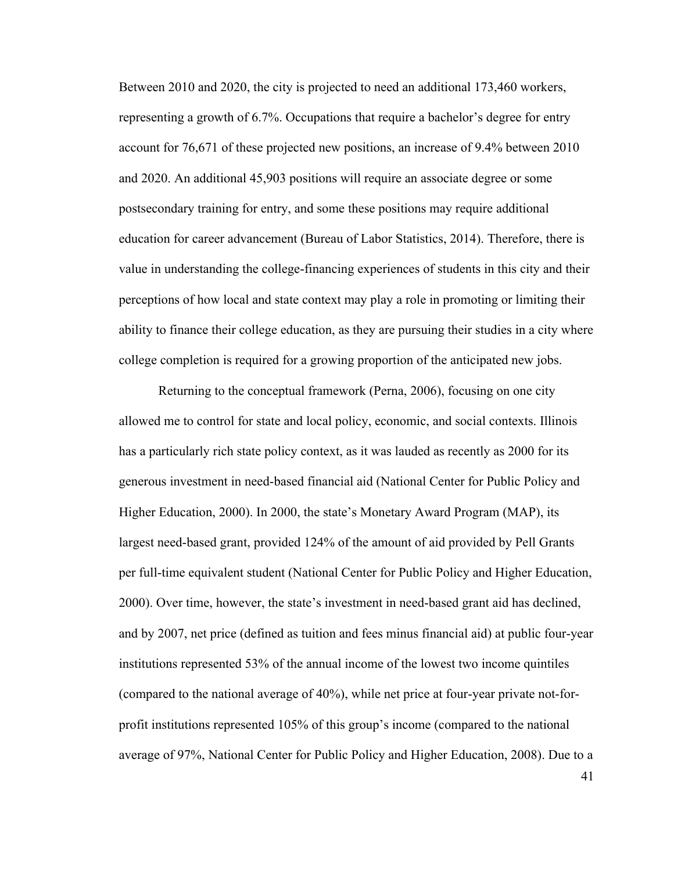Between 2010 and 2020, the city is projected to need an additional 173,460 workers, representing a growth of 6.7%. Occupations that require a bachelor's degree for entry account for 76,671 of these projected new positions, an increase of 9.4% between 2010 and 2020. An additional 45,903 positions will require an associate degree or some postsecondary training for entry, and some these positions may require additional education for career advancement (Bureau of Labor Statistics, 2014). Therefore, there is value in understanding the college-financing experiences of students in this city and their perceptions of how local and state context may play a role in promoting or limiting their ability to finance their college education, as they are pursuing their studies in a city where college completion is required for a growing proportion of the anticipated new jobs.

Returning to the conceptual framework (Perna, 2006), focusing on one city allowed me to control for state and local policy, economic, and social contexts. Illinois has a particularly rich state policy context, as it was lauded as recently as 2000 for its generous investment in need-based financial aid (National Center for Public Policy and Higher Education, 2000). In 2000, the state's Monetary Award Program (MAP), its largest need-based grant, provided 124% of the amount of aid provided by Pell Grants per full-time equivalent student (National Center for Public Policy and Higher Education, 2000). Over time, however, the state's investment in need-based grant aid has declined, and by 2007, net price (defined as tuition and fees minus financial aid) at public four-year institutions represented 53% of the annual income of the lowest two income quintiles (compared to the national average of 40%), while net price at four-year private not-forprofit institutions represented 105% of this group's income (compared to the national average of 97%, National Center for Public Policy and Higher Education, 2008). Due to a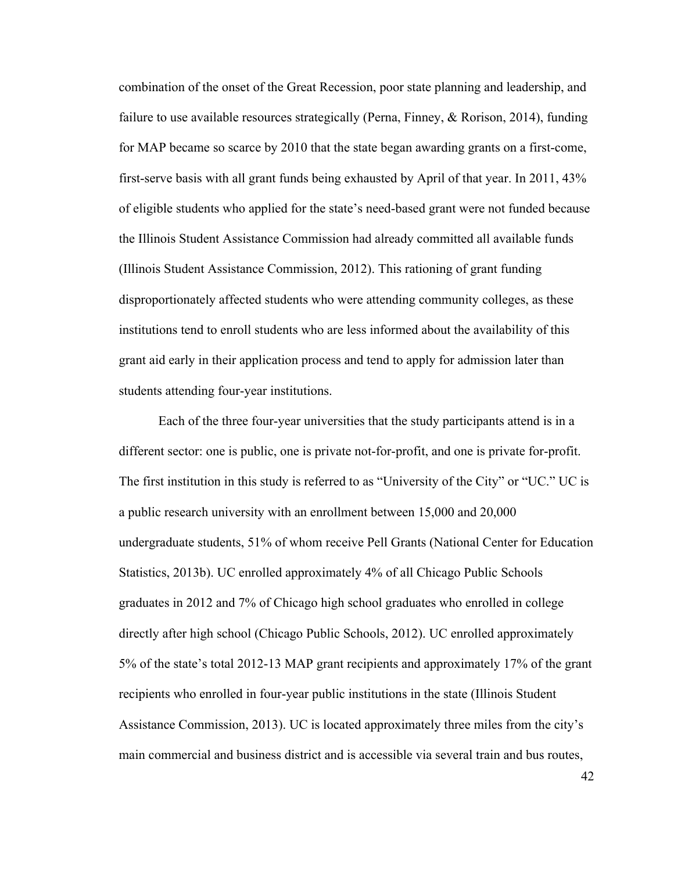combination of the onset of the Great Recession, poor state planning and leadership, and failure to use available resources strategically (Perna, Finney, & Rorison, 2014), funding for MAP became so scarce by 2010 that the state began awarding grants on a first-come, first-serve basis with all grant funds being exhausted by April of that year. In 2011, 43% of eligible students who applied for the state's need-based grant were not funded because the Illinois Student Assistance Commission had already committed all available funds (Illinois Student Assistance Commission, 2012). This rationing of grant funding disproportionately affected students who were attending community colleges, as these institutions tend to enroll students who are less informed about the availability of this grant aid early in their application process and tend to apply for admission later than students attending four-year institutions.

Each of the three four-year universities that the study participants attend is in a different sector: one is public, one is private not-for-profit, and one is private for-profit. The first institution in this study is referred to as "University of the City" or "UC." UC is a public research university with an enrollment between 15,000 and 20,000 undergraduate students, 51% of whom receive Pell Grants (National Center for Education Statistics, 2013b). UC enrolled approximately 4% of all Chicago Public Schools graduates in 2012 and 7% of Chicago high school graduates who enrolled in college directly after high school (Chicago Public Schools, 2012). UC enrolled approximately 5% of the state's total 2012-13 MAP grant recipients and approximately 17% of the grant recipients who enrolled in four-year public institutions in the state (Illinois Student Assistance Commission, 2013). UC is located approximately three miles from the city's main commercial and business district and is accessible via several train and bus routes,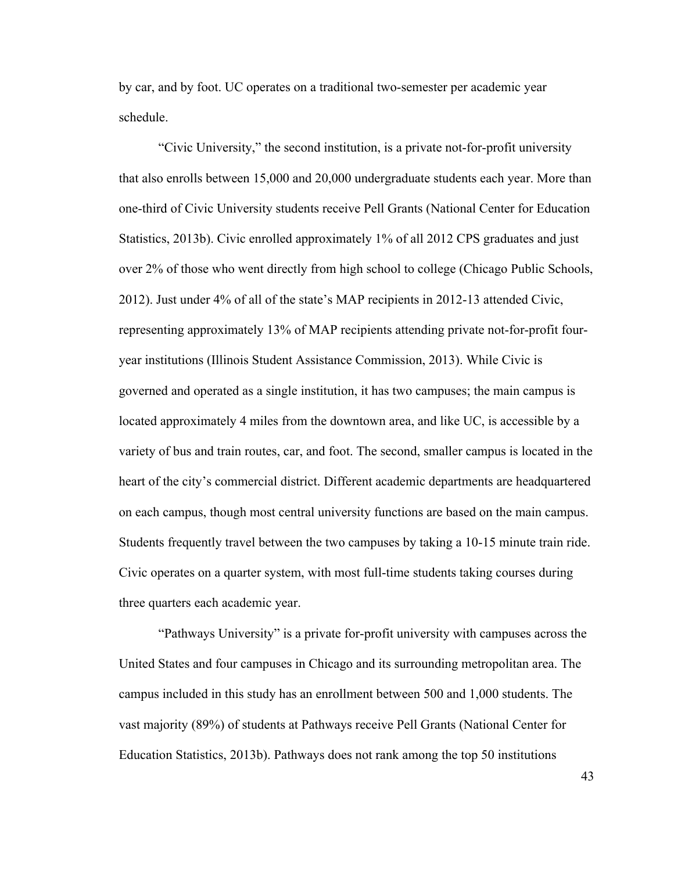by car, and by foot. UC operates on a traditional two-semester per academic year schedule.

"Civic University," the second institution, is a private not-for-profit university that also enrolls between 15,000 and 20,000 undergraduate students each year. More than one-third of Civic University students receive Pell Grants (National Center for Education Statistics, 2013b). Civic enrolled approximately 1% of all 2012 CPS graduates and just over 2% of those who went directly from high school to college (Chicago Public Schools, 2012). Just under 4% of all of the state's MAP recipients in 2012-13 attended Civic, representing approximately 13% of MAP recipients attending private not-for-profit fouryear institutions (Illinois Student Assistance Commission, 2013). While Civic is governed and operated as a single institution, it has two campuses; the main campus is located approximately 4 miles from the downtown area, and like UC, is accessible by a variety of bus and train routes, car, and foot. The second, smaller campus is located in the heart of the city's commercial district. Different academic departments are headquartered on each campus, though most central university functions are based on the main campus. Students frequently travel between the two campuses by taking a 10-15 minute train ride. Civic operates on a quarter system, with most full-time students taking courses during three quarters each academic year.

"Pathways University" is a private for-profit university with campuses across the United States and four campuses in Chicago and its surrounding metropolitan area. The campus included in this study has an enrollment between 500 and 1,000 students. The vast majority (89%) of students at Pathways receive Pell Grants (National Center for Education Statistics, 2013b). Pathways does not rank among the top 50 institutions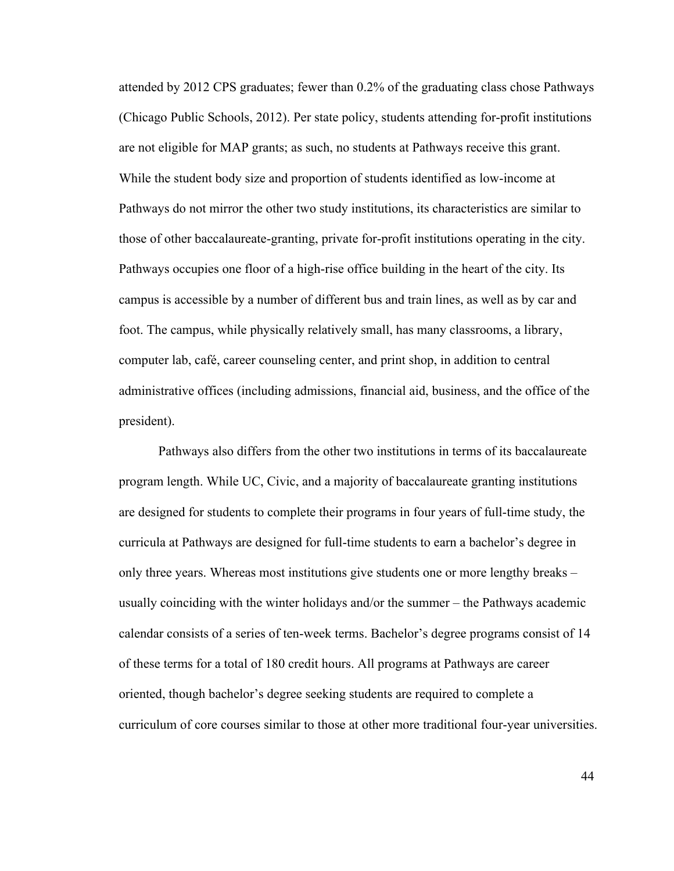attended by 2012 CPS graduates; fewer than 0.2% of the graduating class chose Pathways (Chicago Public Schools, 2012). Per state policy, students attending for-profit institutions are not eligible for MAP grants; as such, no students at Pathways receive this grant. While the student body size and proportion of students identified as low-income at Pathways do not mirror the other two study institutions, its characteristics are similar to those of other baccalaureate-granting, private for-profit institutions operating in the city. Pathways occupies one floor of a high-rise office building in the heart of the city. Its campus is accessible by a number of different bus and train lines, as well as by car and foot. The campus, while physically relatively small, has many classrooms, a library, computer lab, café, career counseling center, and print shop, in addition to central administrative offices (including admissions, financial aid, business, and the office of the president).

Pathways also differs from the other two institutions in terms of its baccalaureate program length. While UC, Civic, and a majority of baccalaureate granting institutions are designed for students to complete their programs in four years of full-time study, the curricula at Pathways are designed for full-time students to earn a bachelor's degree in only three years. Whereas most institutions give students one or more lengthy breaks – usually coinciding with the winter holidays and/or the summer – the Pathways academic calendar consists of a series of ten-week terms. Bachelor's degree programs consist of 14 of these terms for a total of 180 credit hours. All programs at Pathways are career oriented, though bachelor's degree seeking students are required to complete a curriculum of core courses similar to those at other more traditional four-year universities.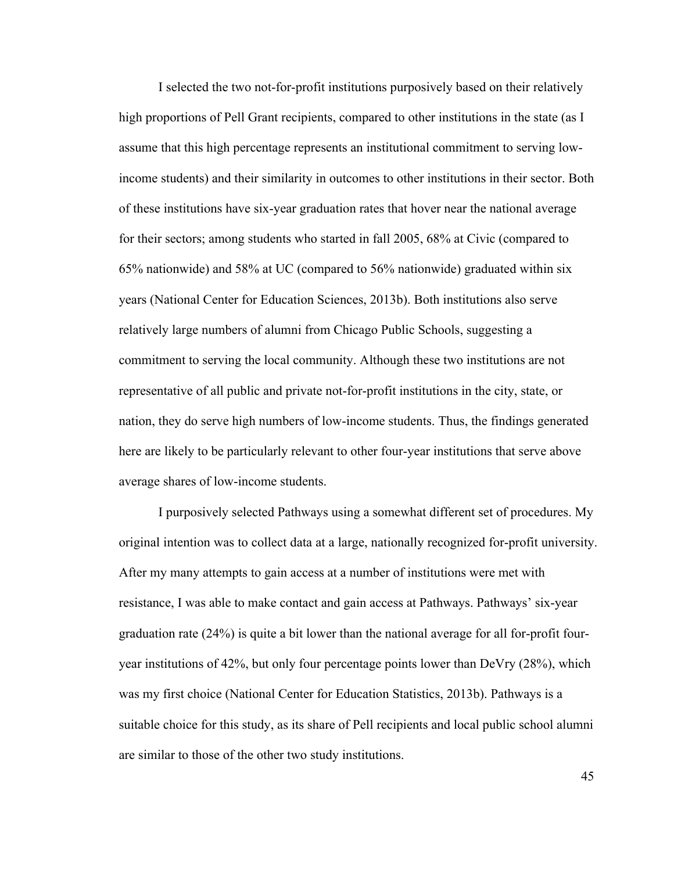I selected the two not-for-profit institutions purposively based on their relatively high proportions of Pell Grant recipients, compared to other institutions in the state (as I assume that this high percentage represents an institutional commitment to serving lowincome students) and their similarity in outcomes to other institutions in their sector. Both of these institutions have six-year graduation rates that hover near the national average for their sectors; among students who started in fall 2005, 68% at Civic (compared to 65% nationwide) and 58% at UC (compared to 56% nationwide) graduated within six years (National Center for Education Sciences, 2013b). Both institutions also serve relatively large numbers of alumni from Chicago Public Schools, suggesting a commitment to serving the local community. Although these two institutions are not representative of all public and private not-for-profit institutions in the city, state, or nation, they do serve high numbers of low-income students. Thus, the findings generated here are likely to be particularly relevant to other four-year institutions that serve above average shares of low-income students.

I purposively selected Pathways using a somewhat different set of procedures. My original intention was to collect data at a large, nationally recognized for-profit university. After my many attempts to gain access at a number of institutions were met with resistance, I was able to make contact and gain access at Pathways. Pathways' six-year graduation rate (24%) is quite a bit lower than the national average for all for-profit fouryear institutions of 42%, but only four percentage points lower than DeVry (28%), which was my first choice (National Center for Education Statistics, 2013b). Pathways is a suitable choice for this study, as its share of Pell recipients and local public school alumni are similar to those of the other two study institutions.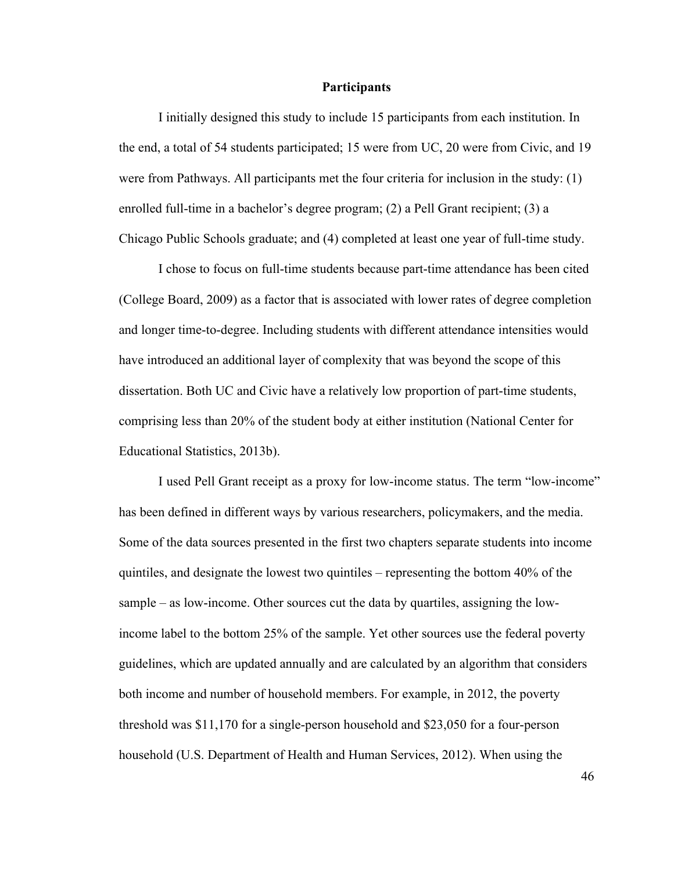## **Participants**

I initially designed this study to include 15 participants from each institution. In the end, a total of 54 students participated; 15 were from UC, 20 were from Civic, and 19 were from Pathways. All participants met the four criteria for inclusion in the study: (1) enrolled full-time in a bachelor's degree program; (2) a Pell Grant recipient; (3) a Chicago Public Schools graduate; and (4) completed at least one year of full-time study.

I chose to focus on full-time students because part-time attendance has been cited (College Board, 2009) as a factor that is associated with lower rates of degree completion and longer time-to-degree. Including students with different attendance intensities would have introduced an additional layer of complexity that was beyond the scope of this dissertation. Both UC and Civic have a relatively low proportion of part-time students, comprising less than 20% of the student body at either institution (National Center for Educational Statistics, 2013b).

I used Pell Grant receipt as a proxy for low-income status. The term "low-income" has been defined in different ways by various researchers, policymakers, and the media. Some of the data sources presented in the first two chapters separate students into income quintiles, and designate the lowest two quintiles – representing the bottom 40% of the sample – as low-income. Other sources cut the data by quartiles, assigning the lowincome label to the bottom 25% of the sample. Yet other sources use the federal poverty guidelines, which are updated annually and are calculated by an algorithm that considers both income and number of household members. For example, in 2012, the poverty threshold was \$11,170 for a single-person household and \$23,050 for a four-person household (U.S. Department of Health and Human Services, 2012). When using the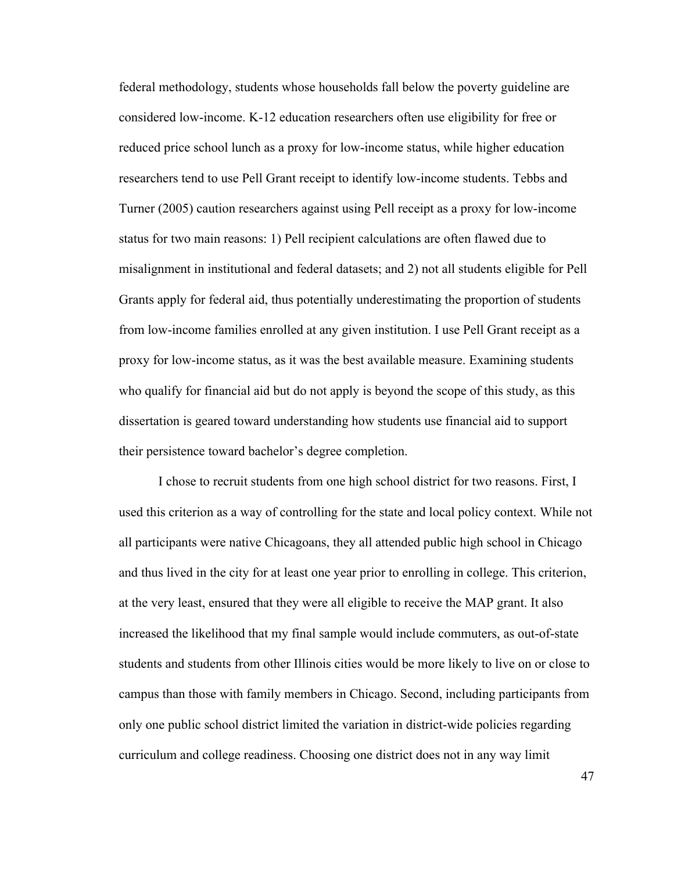federal methodology, students whose households fall below the poverty guideline are considered low-income. K-12 education researchers often use eligibility for free or reduced price school lunch as a proxy for low-income status, while higher education researchers tend to use Pell Grant receipt to identify low-income students. Tebbs and Turner (2005) caution researchers against using Pell receipt as a proxy for low-income status for two main reasons: 1) Pell recipient calculations are often flawed due to misalignment in institutional and federal datasets; and 2) not all students eligible for Pell Grants apply for federal aid, thus potentially underestimating the proportion of students from low-income families enrolled at any given institution. I use Pell Grant receipt as a proxy for low-income status, as it was the best available measure. Examining students who qualify for financial aid but do not apply is beyond the scope of this study, as this dissertation is geared toward understanding how students use financial aid to support their persistence toward bachelor's degree completion.

I chose to recruit students from one high school district for two reasons. First, I used this criterion as a way of controlling for the state and local policy context. While not all participants were native Chicagoans, they all attended public high school in Chicago and thus lived in the city for at least one year prior to enrolling in college. This criterion, at the very least, ensured that they were all eligible to receive the MAP grant. It also increased the likelihood that my final sample would include commuters, as out-of-state students and students from other Illinois cities would be more likely to live on or close to campus than those with family members in Chicago. Second, including participants from only one public school district limited the variation in district-wide policies regarding curriculum and college readiness. Choosing one district does not in any way limit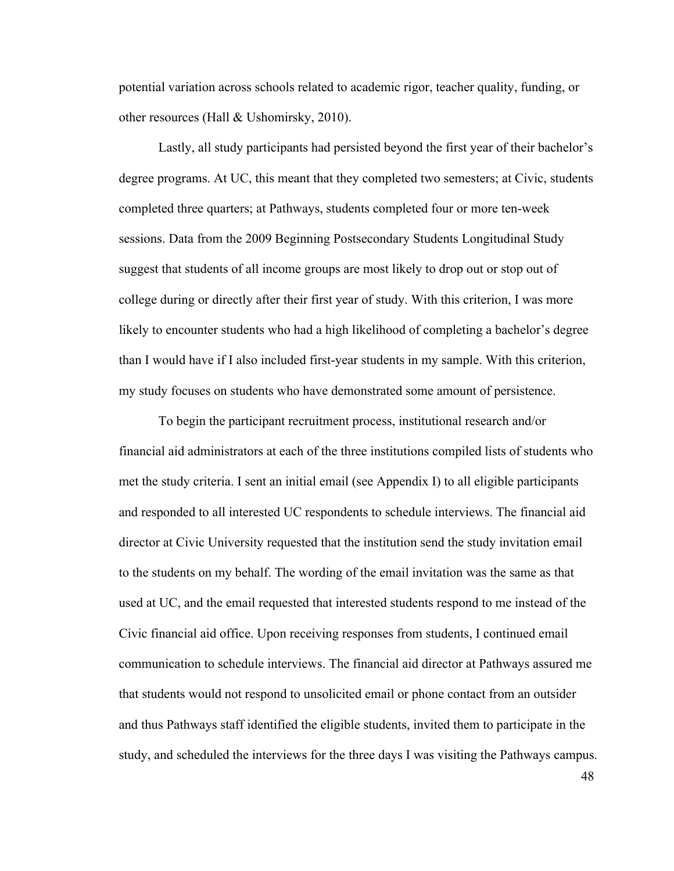potential variation across schools related to academic rigor, teacher quality, funding, or other resources (Hall & Ushomirsky, 2010).

Lastly, all study participants had persisted beyond the first year of their bachelor's degree programs. At UC, this meant that they completed two semesters; at Civic, students completed three quarters; at Pathways, students completed four or more ten-week sessions. Data from the 2009 Beginning Postsecondary Students Longitudinal Study suggest that students of all income groups are most likely to drop out or stop out of college during or directly after their first year of study. With this criterion, I was more likely to encounter students who had a high likelihood of completing a bachelor's degree than I would have if I also included first-year students in my sample. With this criterion, my study focuses on students who have demonstrated some amount of persistence.

To begin the participant recruitment process, institutional research and/or financial aid administrators at each of the three institutions compiled lists of students who met the study criteria. I sent an initial email (see Appendix I) to all eligible participants and responded to all interested UC respondents to schedule interviews. The financial aid director at Civic University requested that the institution send the study invitation email to the students on my behalf. The wording of the email invitation was the same as that used at UC, and the email requested that interested students respond to me instead of the Civic financial aid office. Upon receiving responses from students, I continued email communication to schedule interviews. The financial aid director at Pathways assured me that students would not respond to unsolicited email or phone contact from an outsider and thus Pathways staff identified the eligible students, invited them to participate in the study, and scheduled the interviews for the three days I was visiting the Pathways campus.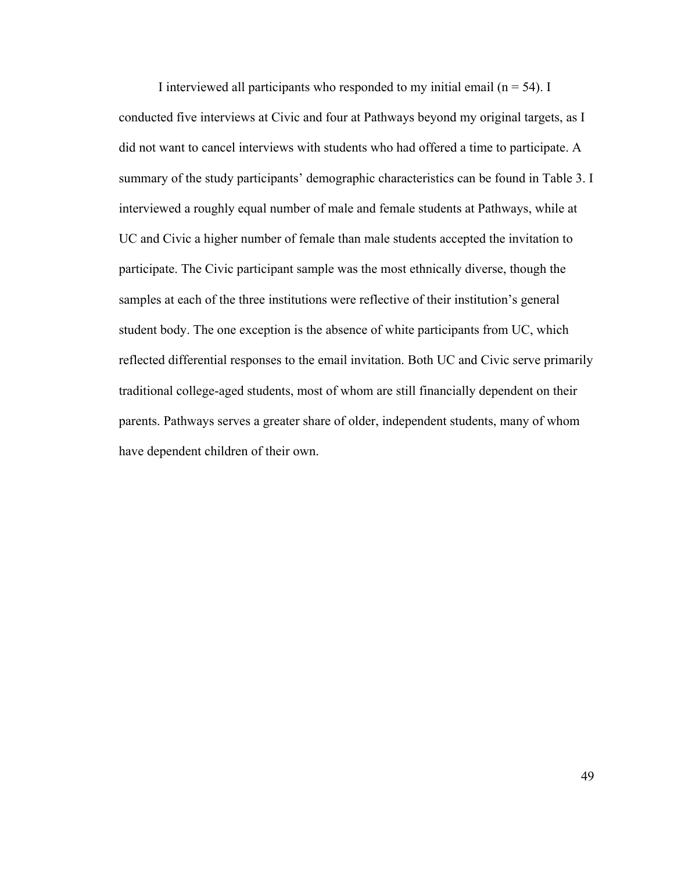I interviewed all participants who responded to my initial email ( $n = 54$ ). I conducted five interviews at Civic and four at Pathways beyond my original targets, as I did not want to cancel interviews with students who had offered a time to participate. A summary of the study participants' demographic characteristics can be found in Table 3. I interviewed a roughly equal number of male and female students at Pathways, while at UC and Civic a higher number of female than male students accepted the invitation to participate. The Civic participant sample was the most ethnically diverse, though the samples at each of the three institutions were reflective of their institution's general student body. The one exception is the absence of white participants from UC, which reflected differential responses to the email invitation. Both UC and Civic serve primarily traditional college-aged students, most of whom are still financially dependent on their parents. Pathways serves a greater share of older, independent students, many of whom have dependent children of their own.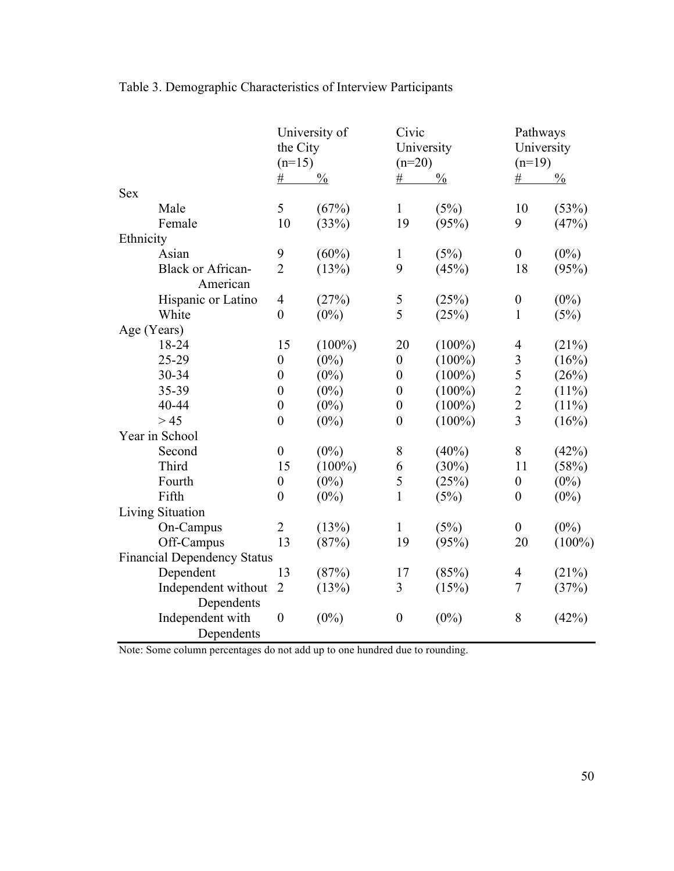|            |                                    | University of<br>the City<br>$(n=15)$<br>$\frac{0}{0}$<br>$\#$ |           | Civic<br>University<br>$(n=20)$<br>$\#$<br>$\frac{0}{0}$ |           | Pathways<br>University<br>$(n=19)$<br>$\#$<br>$\frac{0}{0}$ |           |
|------------|------------------------------------|----------------------------------------------------------------|-----------|----------------------------------------------------------|-----------|-------------------------------------------------------------|-----------|
| <b>Sex</b> |                                    |                                                                |           |                                                          |           |                                                             |           |
|            | Male                               | 5                                                              | (67%)     | $\mathbf{1}$                                             | (5%)      | 10                                                          | (53%)     |
|            | Female                             | 10                                                             | (33%)     | 19                                                       | (95%)     | 9                                                           | (47%)     |
| Ethnicity  |                                    |                                                                |           |                                                          |           |                                                             |           |
|            | Asian                              | 9                                                              | $(60\%)$  | $\mathbf{1}$                                             | (5%)      | $\boldsymbol{0}$                                            | $(0\%)$   |
|            | <b>Black or African-</b>           | $\overline{2}$                                                 | (13%)     | 9                                                        | (45%)     | 18                                                          | (95%)     |
|            | American                           |                                                                |           |                                                          |           |                                                             |           |
|            | Hispanic or Latino                 | $\overline{\mathcal{A}}$                                       | (27%)     | 5                                                        | (25%)     | $\boldsymbol{0}$                                            | $(0\%)$   |
|            | White                              | $\boldsymbol{0}$                                               | $(0\%)$   | 5                                                        | (25%)     | $\mathbf{1}$                                                | (5%)      |
|            | Age (Years)                        |                                                                |           |                                                          |           |                                                             |           |
|            | 18-24                              | 15                                                             | $(100\%)$ | 20                                                       | $(100\%)$ | $\overline{4}$                                              | (21%)     |
|            | 25-29                              | $\boldsymbol{0}$                                               | $(0\%)$   | $\boldsymbol{0}$                                         | $(100\%)$ | $\overline{\mathbf{3}}$                                     | (16%)     |
|            | 30-34                              | $\boldsymbol{0}$                                               | $(0\%)$   | $\boldsymbol{0}$                                         | $(100\%)$ | 5                                                           | (26%)     |
|            | 35-39                              | $\boldsymbol{0}$                                               | $(0\%)$   | $\boldsymbol{0}$                                         | $(100\%)$ | $\overline{2}$                                              | $(11\%)$  |
|            | 40-44                              | $\boldsymbol{0}$                                               | $(0\%)$   | $\boldsymbol{0}$                                         | $(100\%)$ | $\overline{2}$                                              | $(11\%)$  |
|            | > 45                               | $\boldsymbol{0}$                                               | $(0\%)$   | $\boldsymbol{0}$                                         | $(100\%)$ | $\overline{3}$                                              | (16%)     |
|            | Year in School                     |                                                                |           |                                                          |           |                                                             |           |
|            | Second                             | $\boldsymbol{0}$                                               | $(0\%)$   | 8                                                        | $(40\%)$  | $8\,$                                                       | (42%)     |
|            | Third                              | 15                                                             | $(100\%)$ | 6                                                        | $(30\%)$  | 11                                                          | (58%)     |
|            | Fourth                             | $\boldsymbol{0}$                                               | $(0\%)$   | 5                                                        | (25%)     | $\boldsymbol{0}$                                            | $(0\%)$   |
|            | Fifth                              | $\boldsymbol{0}$                                               | $(0\%)$   | $\mathbf{1}$                                             | (5%)      | $\boldsymbol{0}$                                            | $(0\%)$   |
|            | Living Situation                   |                                                                |           |                                                          |           |                                                             |           |
|            | On-Campus                          | $\overline{2}$                                                 | (13%)     | $\mathbf{1}$                                             | (5%)      | $\boldsymbol{0}$                                            | $(0\%)$   |
|            | Off-Campus                         | 13                                                             | (87%)     | 19                                                       | (95%)     | 20                                                          | $(100\%)$ |
|            | <b>Financial Dependency Status</b> |                                                                |           |                                                          |           |                                                             |           |
|            | Dependent                          | 13                                                             | (87%)     | 17                                                       | (85%)     | $\overline{4}$                                              | (21%)     |
|            | Independent without                | $\overline{2}$                                                 | (13%)     | 3                                                        | (15%)     | 7                                                           | (37%)     |
|            | Dependents                         |                                                                |           |                                                          |           |                                                             |           |
|            | Independent with                   | $\boldsymbol{0}$                                               | $(0\%)$   | $\boldsymbol{0}$                                         | $(0\%)$   | 8                                                           | (42%)     |
|            | Dependents                         |                                                                |           |                                                          |           |                                                             |           |

# Table 3. Demographic Characteristics of Interview Participants

Note: Some column percentages do not add up to one hundred due to rounding.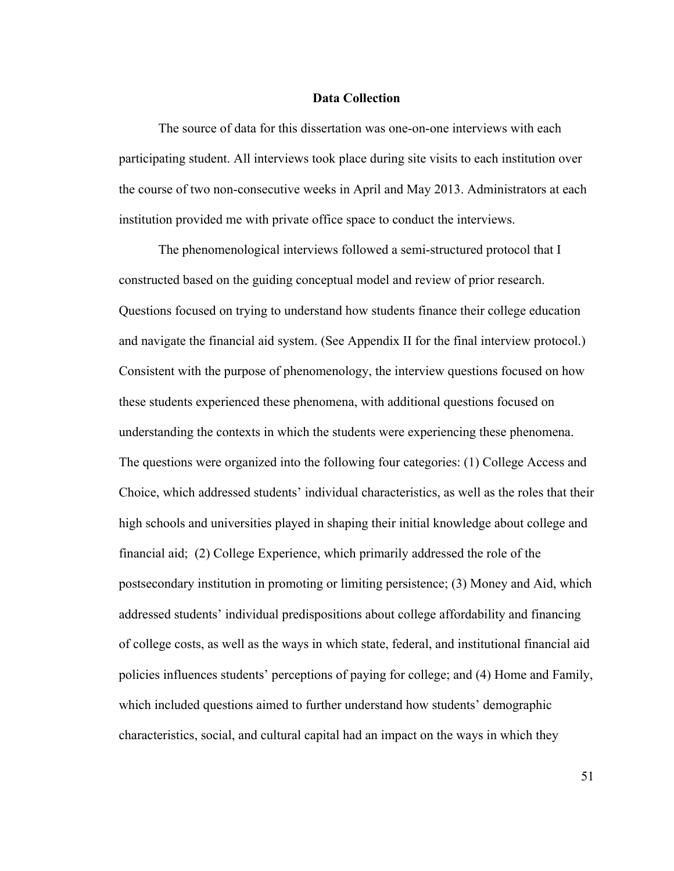# **Data Collection**

The source of data for this dissertation was one-on-one interviews with each participating student. All interviews took place during site visits to each institution over the course of two non-consecutive weeks in April and May 2013. Administrators at each institution provided me with private office space to conduct the interviews.

The phenomenological interviews followed a semi-structured protocol that I constructed based on the guiding conceptual model and review of prior research. Questions focused on trying to understand how students finance their college education and navigate the financial aid system. (See Appendix II for the final interview protocol.) Consistent with the purpose of phenomenology, the interview questions focused on how these students experienced these phenomena, with additional questions focused on understanding the contexts in which the students were experiencing these phenomena. The questions were organized into the following four categories: (1) College Access and Choice, which addressed students' individual characteristics, as well as the roles that their high schools and universities played in shaping their initial knowledge about college and financial aid; (2) College Experience, which primarily addressed the role of the postsecondary institution in promoting or limiting persistence; (3) Money and Aid, which addressed students' individual predispositions about college affordability and financing of college costs, as well as the ways in which state, federal, and institutional financial aid policies influences students' perceptions of paying for college; and (4) Home and Family, which included questions aimed to further understand how students' demographic characteristics, social, and cultural capital had an impact on the ways in which they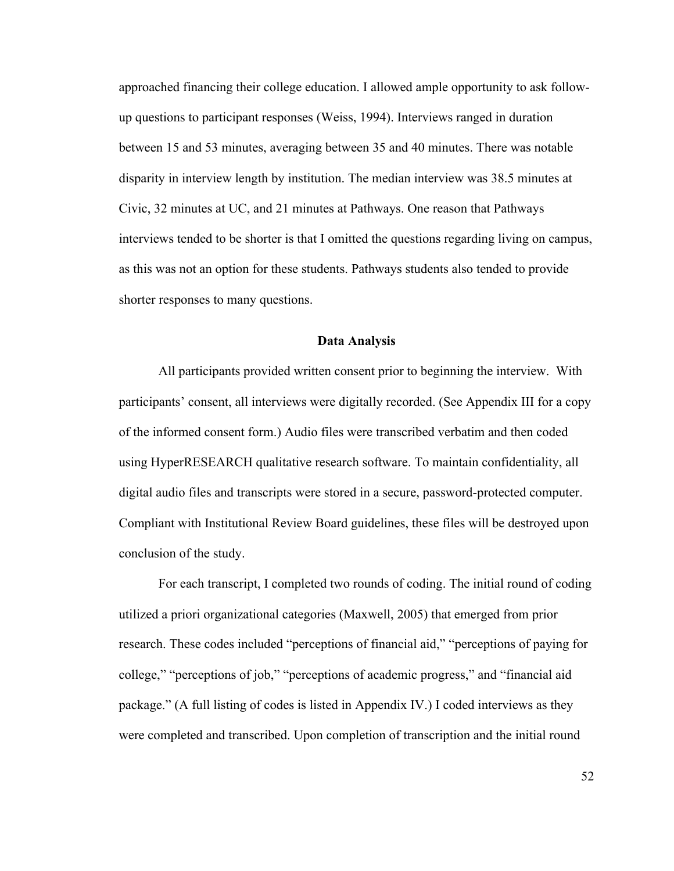approached financing their college education. I allowed ample opportunity to ask followup questions to participant responses (Weiss, 1994). Interviews ranged in duration between 15 and 53 minutes, averaging between 35 and 40 minutes. There was notable disparity in interview length by institution. The median interview was 38.5 minutes at Civic, 32 minutes at UC, and 21 minutes at Pathways. One reason that Pathways interviews tended to be shorter is that I omitted the questions regarding living on campus, as this was not an option for these students. Pathways students also tended to provide shorter responses to many questions.

# **Data Analysis**

All participants provided written consent prior to beginning the interview. With participants' consent, all interviews were digitally recorded. (See Appendix III for a copy of the informed consent form.) Audio files were transcribed verbatim and then coded using HyperRESEARCH qualitative research software. To maintain confidentiality, all digital audio files and transcripts were stored in a secure, password-protected computer. Compliant with Institutional Review Board guidelines, these files will be destroyed upon conclusion of the study.

For each transcript, I completed two rounds of coding. The initial round of coding utilized a priori organizational categories (Maxwell, 2005) that emerged from prior research. These codes included "perceptions of financial aid," "perceptions of paying for college," "perceptions of job," "perceptions of academic progress," and "financial aid package." (A full listing of codes is listed in Appendix IV.) I coded interviews as they were completed and transcribed. Upon completion of transcription and the initial round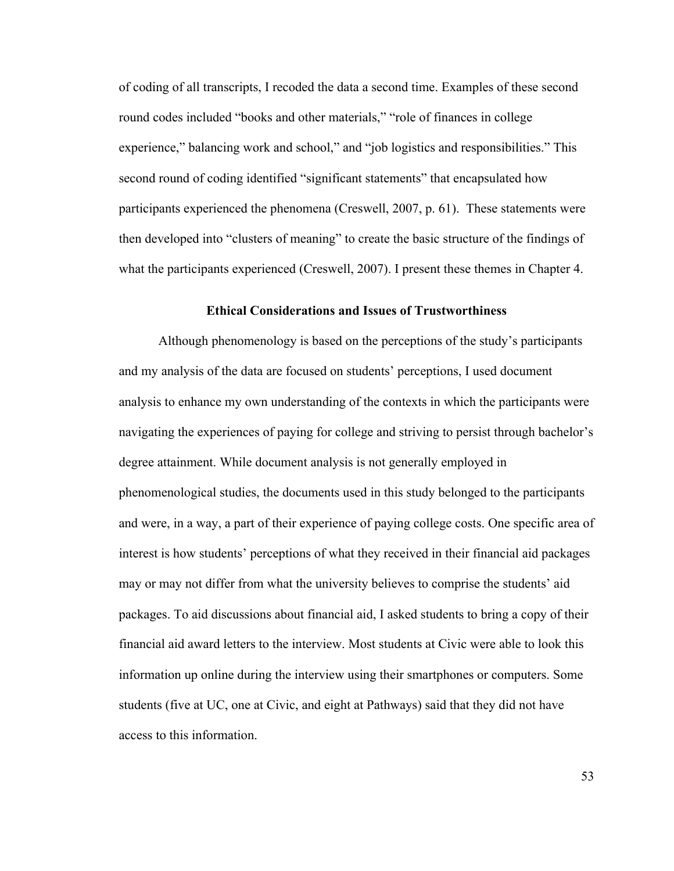of coding of all transcripts, I recoded the data a second time. Examples of these second round codes included "books and other materials," "role of finances in college experience," balancing work and school," and "job logistics and responsibilities." This second round of coding identified "significant statements" that encapsulated how participants experienced the phenomena (Creswell, 2007, p. 61). These statements were then developed into "clusters of meaning" to create the basic structure of the findings of what the participants experienced (Creswell, 2007). I present these themes in Chapter 4.

### **Ethical Considerations and Issues of Trustworthiness**

Although phenomenology is based on the perceptions of the study's participants and my analysis of the data are focused on students' perceptions, I used document analysis to enhance my own understanding of the contexts in which the participants were navigating the experiences of paying for college and striving to persist through bachelor's degree attainment. While document analysis is not generally employed in phenomenological studies, the documents used in this study belonged to the participants and were, in a way, a part of their experience of paying college costs. One specific area of interest is how students' perceptions of what they received in their financial aid packages may or may not differ from what the university believes to comprise the students' aid packages. To aid discussions about financial aid, I asked students to bring a copy of their financial aid award letters to the interview. Most students at Civic were able to look this information up online during the interview using their smartphones or computers. Some students (five at UC, one at Civic, and eight at Pathways) said that they did not have access to this information.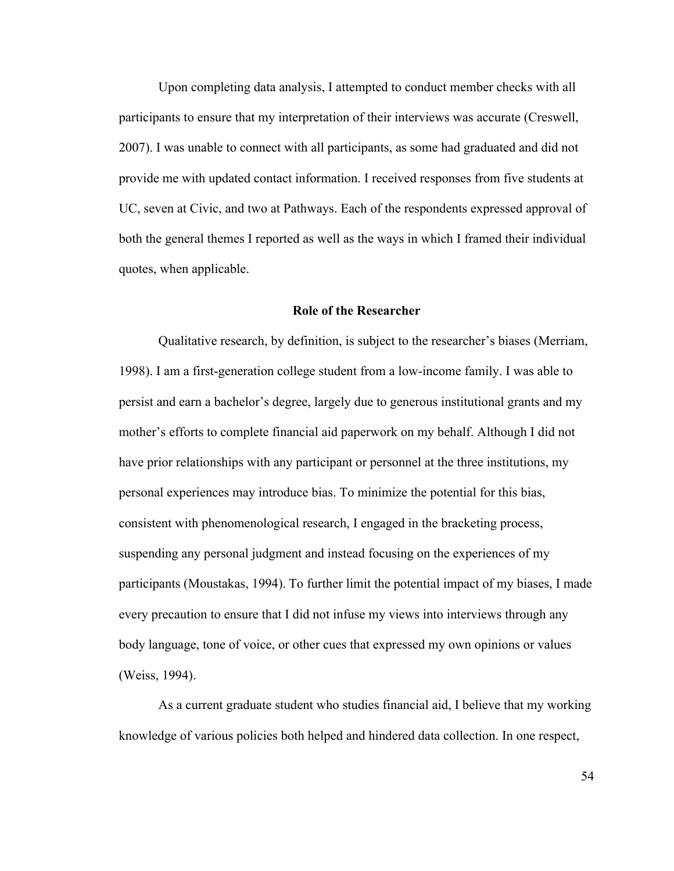Upon completing data analysis, I attempted to conduct member checks with all participants to ensure that my interpretation of their interviews was accurate (Creswell, 2007). I was unable to connect with all participants, as some had graduated and did not provide me with updated contact information. I received responses from five students at UC, seven at Civic, and two at Pathways. Each of the respondents expressed approval of both the general themes I reported as well as the ways in which I framed their individual quotes, when applicable.

## **Role of the Researcher**

Qualitative research, by definition, is subject to the researcher's biases (Merriam, 1998). I am a first-generation college student from a low-income family. I was able to persist and earn a bachelor's degree, largely due to generous institutional grants and my mother's efforts to complete financial aid paperwork on my behalf. Although I did not have prior relationships with any participant or personnel at the three institutions, my personal experiences may introduce bias. To minimize the potential for this bias, consistent with phenomenological research, I engaged in the bracketing process, suspending any personal judgment and instead focusing on the experiences of my participants (Moustakas, 1994). To further limit the potential impact of my biases, I made every precaution to ensure that I did not infuse my views into interviews through any body language, tone of voice, or other cues that expressed my own opinions or values (Weiss, 1994).

As a current graduate student who studies financial aid, I believe that my working knowledge of various policies both helped and hindered data collection. In one respect,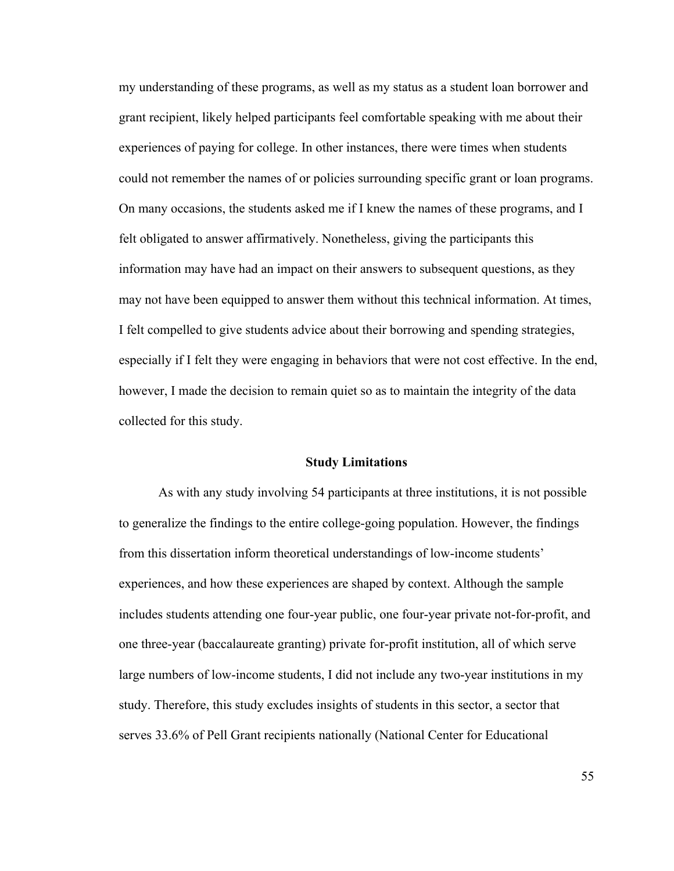my understanding of these programs, as well as my status as a student loan borrower and grant recipient, likely helped participants feel comfortable speaking with me about their experiences of paying for college. In other instances, there were times when students could not remember the names of or policies surrounding specific grant or loan programs. On many occasions, the students asked me if I knew the names of these programs, and I felt obligated to answer affirmatively. Nonetheless, giving the participants this information may have had an impact on their answers to subsequent questions, as they may not have been equipped to answer them without this technical information. At times, I felt compelled to give students advice about their borrowing and spending strategies, especially if I felt they were engaging in behaviors that were not cost effective. In the end, however, I made the decision to remain quiet so as to maintain the integrity of the data collected for this study.

### **Study Limitations**

As with any study involving 54 participants at three institutions, it is not possible to generalize the findings to the entire college-going population. However, the findings from this dissertation inform theoretical understandings of low-income students' experiences, and how these experiences are shaped by context. Although the sample includes students attending one four-year public, one four-year private not-for-profit, and one three-year (baccalaureate granting) private for-profit institution, all of which serve large numbers of low-income students, I did not include any two-year institutions in my study. Therefore, this study excludes insights of students in this sector, a sector that serves 33.6% of Pell Grant recipients nationally (National Center for Educational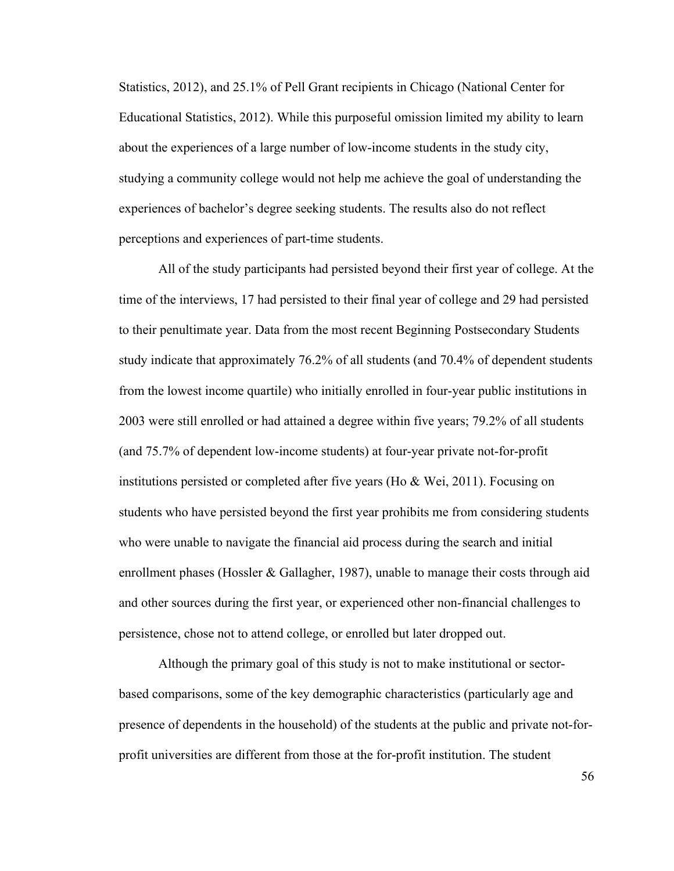Statistics, 2012), and 25.1% of Pell Grant recipients in Chicago (National Center for Educational Statistics, 2012). While this purposeful omission limited my ability to learn about the experiences of a large number of low-income students in the study city, studying a community college would not help me achieve the goal of understanding the experiences of bachelor's degree seeking students. The results also do not reflect perceptions and experiences of part-time students.

All of the study participants had persisted beyond their first year of college. At the time of the interviews, 17 had persisted to their final year of college and 29 had persisted to their penultimate year. Data from the most recent Beginning Postsecondary Students study indicate that approximately 76.2% of all students (and 70.4% of dependent students from the lowest income quartile) who initially enrolled in four-year public institutions in 2003 were still enrolled or had attained a degree within five years; 79.2% of all students (and 75.7% of dependent low-income students) at four-year private not-for-profit institutions persisted or completed after five years (Ho  $\&$  Wei, 2011). Focusing on students who have persisted beyond the first year prohibits me from considering students who were unable to navigate the financial aid process during the search and initial enrollment phases (Hossler & Gallagher, 1987), unable to manage their costs through aid and other sources during the first year, or experienced other non-financial challenges to persistence, chose not to attend college, or enrolled but later dropped out.

Although the primary goal of this study is not to make institutional or sectorbased comparisons, some of the key demographic characteristics (particularly age and presence of dependents in the household) of the students at the public and private not-forprofit universities are different from those at the for-profit institution. The student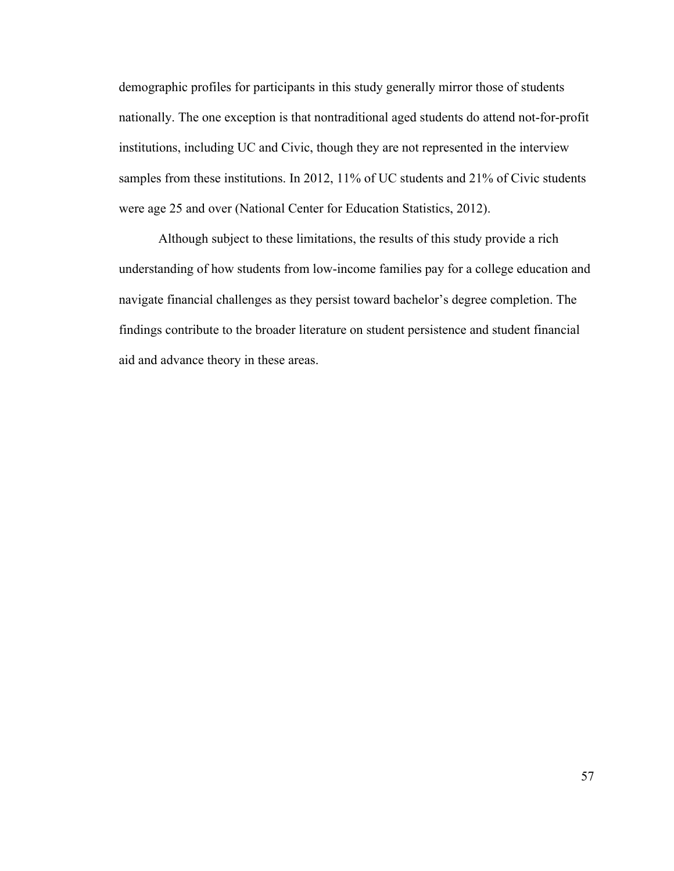demographic profiles for participants in this study generally mirror those of students nationally. The one exception is that nontraditional aged students do attend not-for-profit institutions, including UC and Civic, though they are not represented in the interview samples from these institutions. In 2012, 11% of UC students and 21% of Civic students were age 25 and over (National Center for Education Statistics, 2012).

Although subject to these limitations, the results of this study provide a rich understanding of how students from low-income families pay for a college education and navigate financial challenges as they persist toward bachelor's degree completion. The findings contribute to the broader literature on student persistence and student financial aid and advance theory in these areas.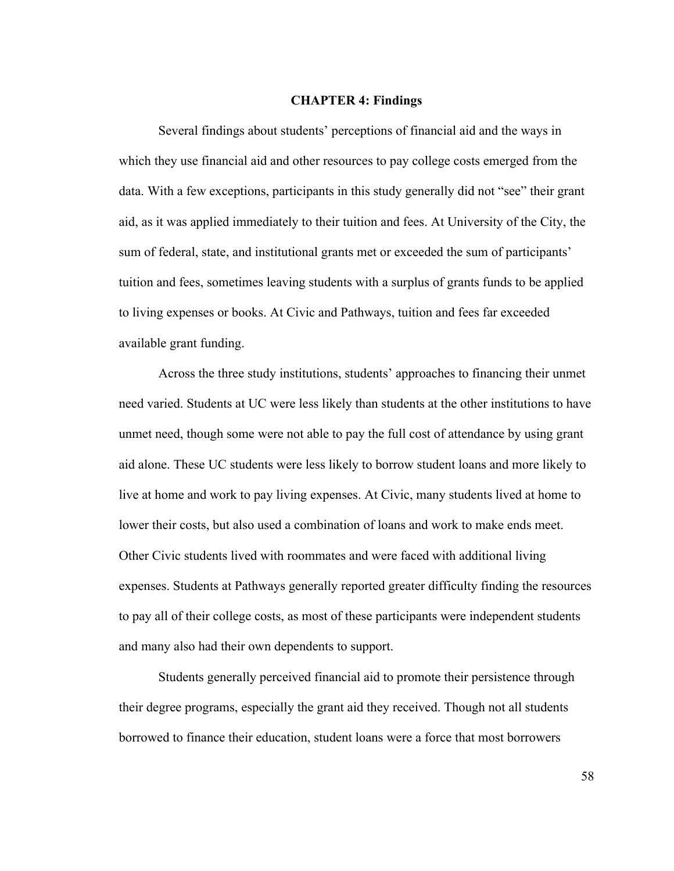### **CHAPTER 4: Findings**

Several findings about students' perceptions of financial aid and the ways in which they use financial aid and other resources to pay college costs emerged from the data. With a few exceptions, participants in this study generally did not "see" their grant aid, as it was applied immediately to their tuition and fees. At University of the City, the sum of federal, state, and institutional grants met or exceeded the sum of participants' tuition and fees, sometimes leaving students with a surplus of grants funds to be applied to living expenses or books. At Civic and Pathways, tuition and fees far exceeded available grant funding.

Across the three study institutions, students' approaches to financing their unmet need varied. Students at UC were less likely than students at the other institutions to have unmet need, though some were not able to pay the full cost of attendance by using grant aid alone. These UC students were less likely to borrow student loans and more likely to live at home and work to pay living expenses. At Civic, many students lived at home to lower their costs, but also used a combination of loans and work to make ends meet. Other Civic students lived with roommates and were faced with additional living expenses. Students at Pathways generally reported greater difficulty finding the resources to pay all of their college costs, as most of these participants were independent students and many also had their own dependents to support.

Students generally perceived financial aid to promote their persistence through their degree programs, especially the grant aid they received. Though not all students borrowed to finance their education, student loans were a force that most borrowers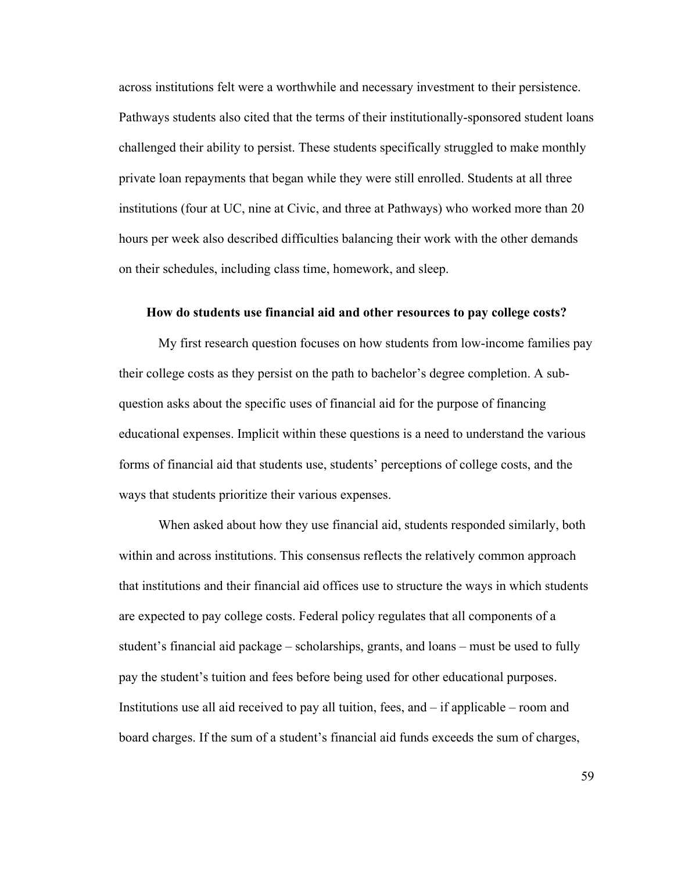across institutions felt were a worthwhile and necessary investment to their persistence. Pathways students also cited that the terms of their institutionally-sponsored student loans challenged their ability to persist. These students specifically struggled to make monthly private loan repayments that began while they were still enrolled. Students at all three institutions (four at UC, nine at Civic, and three at Pathways) who worked more than 20 hours per week also described difficulties balancing their work with the other demands on their schedules, including class time, homework, and sleep.

#### **How do students use financial aid and other resources to pay college costs?**

My first research question focuses on how students from low-income families pay their college costs as they persist on the path to bachelor's degree completion. A subquestion asks about the specific uses of financial aid for the purpose of financing educational expenses. Implicit within these questions is a need to understand the various forms of financial aid that students use, students' perceptions of college costs, and the ways that students prioritize their various expenses.

When asked about how they use financial aid, students responded similarly, both within and across institutions. This consensus reflects the relatively common approach that institutions and their financial aid offices use to structure the ways in which students are expected to pay college costs. Federal policy regulates that all components of a student's financial aid package – scholarships, grants, and loans – must be used to fully pay the student's tuition and fees before being used for other educational purposes. Institutions use all aid received to pay all tuition, fees, and – if applicable – room and board charges. If the sum of a student's financial aid funds exceeds the sum of charges,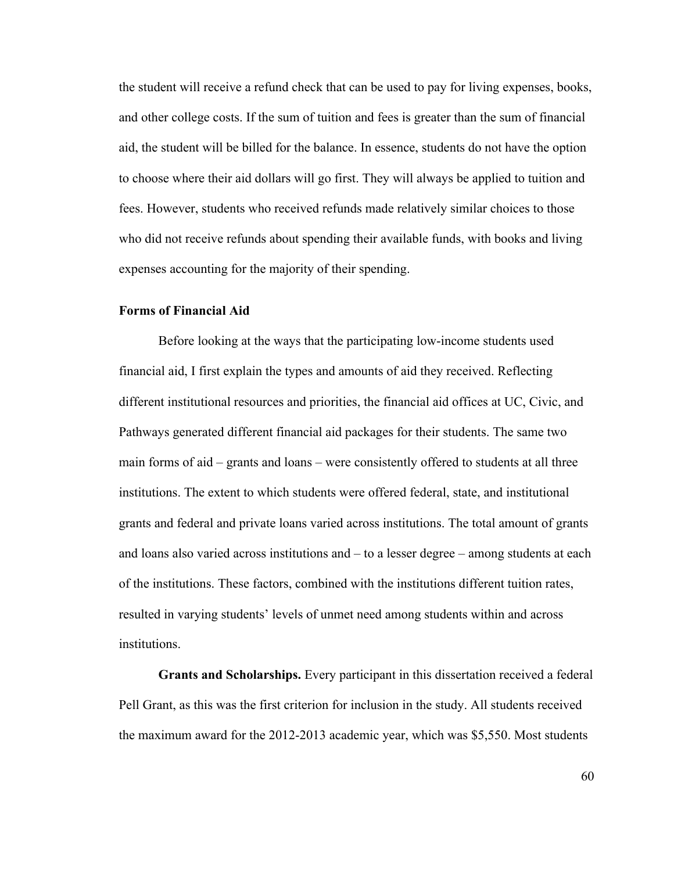the student will receive a refund check that can be used to pay for living expenses, books, and other college costs. If the sum of tuition and fees is greater than the sum of financial aid, the student will be billed for the balance. In essence, students do not have the option to choose where their aid dollars will go first. They will always be applied to tuition and fees. However, students who received refunds made relatively similar choices to those who did not receive refunds about spending their available funds, with books and living expenses accounting for the majority of their spending.

# **Forms of Financial Aid**

Before looking at the ways that the participating low-income students used financial aid, I first explain the types and amounts of aid they received. Reflecting different institutional resources and priorities, the financial aid offices at UC, Civic, and Pathways generated different financial aid packages for their students. The same two main forms of aid – grants and loans – were consistently offered to students at all three institutions. The extent to which students were offered federal, state, and institutional grants and federal and private loans varied across institutions. The total amount of grants and loans also varied across institutions and – to a lesser degree – among students at each of the institutions. These factors, combined with the institutions different tuition rates, resulted in varying students' levels of unmet need among students within and across institutions.

**Grants and Scholarships.** Every participant in this dissertation received a federal Pell Grant, as this was the first criterion for inclusion in the study. All students received the maximum award for the 2012-2013 academic year, which was \$5,550. Most students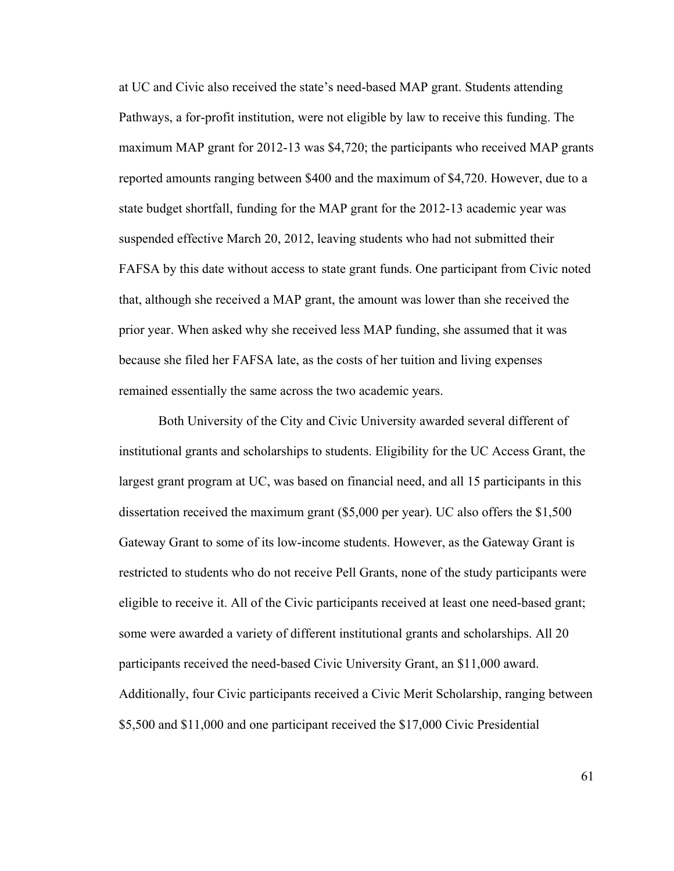at UC and Civic also received the state's need-based MAP grant. Students attending Pathways, a for-profit institution, were not eligible by law to receive this funding. The maximum MAP grant for 2012-13 was \$4,720; the participants who received MAP grants reported amounts ranging between \$400 and the maximum of \$4,720. However, due to a state budget shortfall, funding for the MAP grant for the 2012-13 academic year was suspended effective March 20, 2012, leaving students who had not submitted their FAFSA by this date without access to state grant funds. One participant from Civic noted that, although she received a MAP grant, the amount was lower than she received the prior year. When asked why she received less MAP funding, she assumed that it was because she filed her FAFSA late, as the costs of her tuition and living expenses remained essentially the same across the two academic years.

Both University of the City and Civic University awarded several different of institutional grants and scholarships to students. Eligibility for the UC Access Grant, the largest grant program at UC, was based on financial need, and all 15 participants in this dissertation received the maximum grant (\$5,000 per year). UC also offers the \$1,500 Gateway Grant to some of its low-income students. However, as the Gateway Grant is restricted to students who do not receive Pell Grants, none of the study participants were eligible to receive it. All of the Civic participants received at least one need-based grant; some were awarded a variety of different institutional grants and scholarships. All 20 participants received the need-based Civic University Grant, an \$11,000 award. Additionally, four Civic participants received a Civic Merit Scholarship, ranging between \$5,500 and \$11,000 and one participant received the \$17,000 Civic Presidential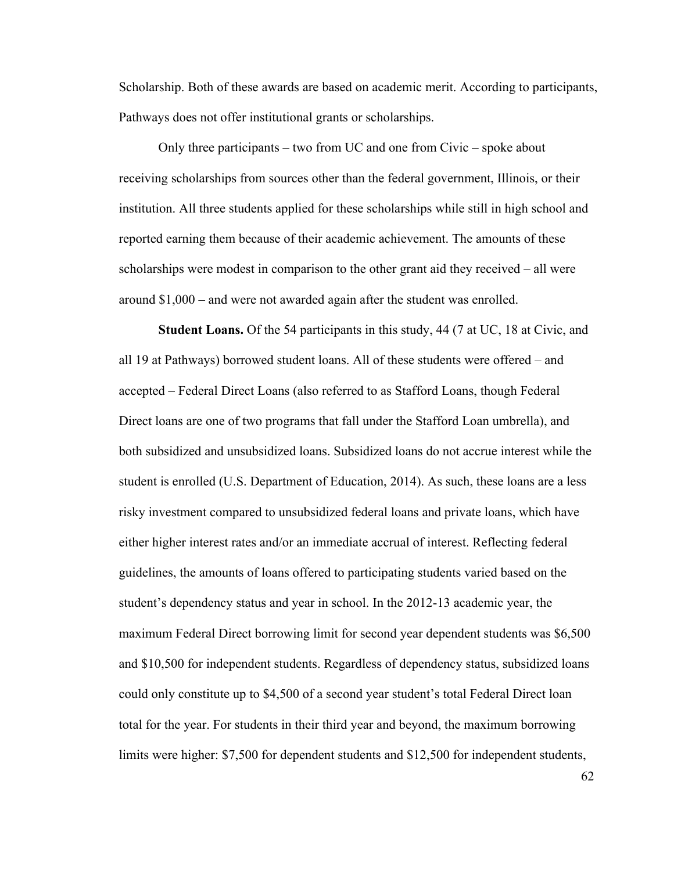Scholarship. Both of these awards are based on academic merit. According to participants, Pathways does not offer institutional grants or scholarships.

Only three participants – two from UC and one from Civic – spoke about receiving scholarships from sources other than the federal government, Illinois, or their institution. All three students applied for these scholarships while still in high school and reported earning them because of their academic achievement. The amounts of these scholarships were modest in comparison to the other grant aid they received – all were around \$1,000 – and were not awarded again after the student was enrolled.

**Student Loans.** Of the 54 participants in this study, 44 (7 at UC, 18 at Civic, and all 19 at Pathways) borrowed student loans. All of these students were offered – and accepted – Federal Direct Loans (also referred to as Stafford Loans, though Federal Direct loans are one of two programs that fall under the Stafford Loan umbrella), and both subsidized and unsubsidized loans. Subsidized loans do not accrue interest while the student is enrolled (U.S. Department of Education, 2014). As such, these loans are a less risky investment compared to unsubsidized federal loans and private loans, which have either higher interest rates and/or an immediate accrual of interest. Reflecting federal guidelines, the amounts of loans offered to participating students varied based on the student's dependency status and year in school. In the 2012-13 academic year, the maximum Federal Direct borrowing limit for second year dependent students was \$6,500 and \$10,500 for independent students. Regardless of dependency status, subsidized loans could only constitute up to \$4,500 of a second year student's total Federal Direct loan total for the year. For students in their third year and beyond, the maximum borrowing limits were higher: \$7,500 for dependent students and \$12,500 for independent students,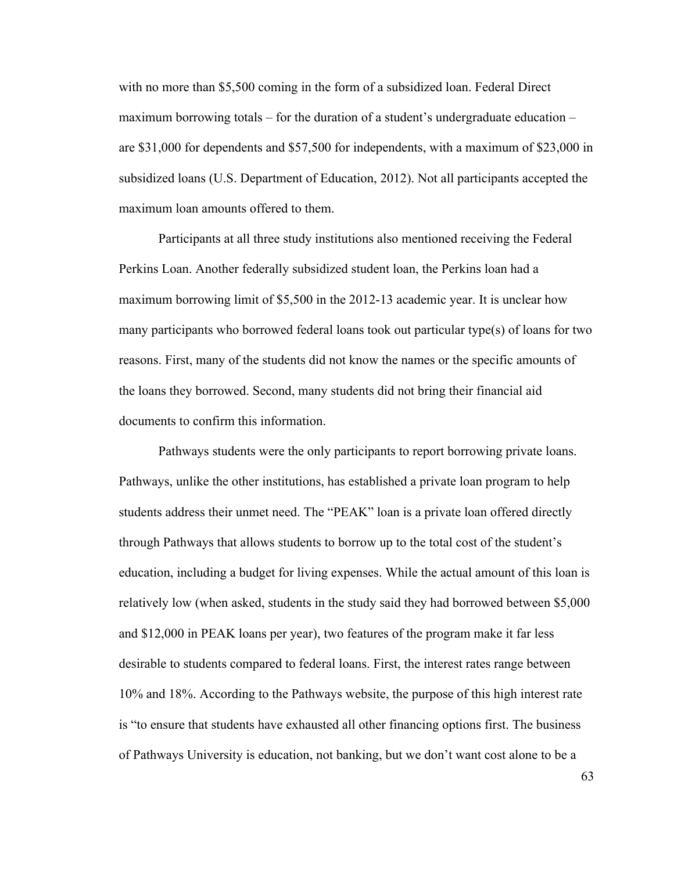with no more than \$5,500 coming in the form of a subsidized loan. Federal Direct maximum borrowing totals – for the duration of a student's undergraduate education – are \$31,000 for dependents and \$57,500 for independents, with a maximum of \$23,000 in subsidized loans (U.S. Department of Education, 2012). Not all participants accepted the maximum loan amounts offered to them.

Participants at all three study institutions also mentioned receiving the Federal Perkins Loan. Another federally subsidized student loan, the Perkins loan had a maximum borrowing limit of \$5,500 in the 2012-13 academic year. It is unclear how many participants who borrowed federal loans took out particular type(s) of loans for two reasons. First, many of the students did not know the names or the specific amounts of the loans they borrowed. Second, many students did not bring their financial aid documents to confirm this information.

Pathways students were the only participants to report borrowing private loans. Pathways, unlike the other institutions, has established a private loan program to help students address their unmet need. The "PEAK" loan is a private loan offered directly through Pathways that allows students to borrow up to the total cost of the student's education, including a budget for living expenses. While the actual amount of this loan is relatively low (when asked, students in the study said they had borrowed between \$5,000 and \$12,000 in PEAK loans per year), two features of the program make it far less desirable to students compared to federal loans. First, the interest rates range between 10% and 18%. According to the Pathways website, the purpose of this high interest rate is "to ensure that students have exhausted all other financing options first. The business of Pathways University is education, not banking, but we don't want cost alone to be a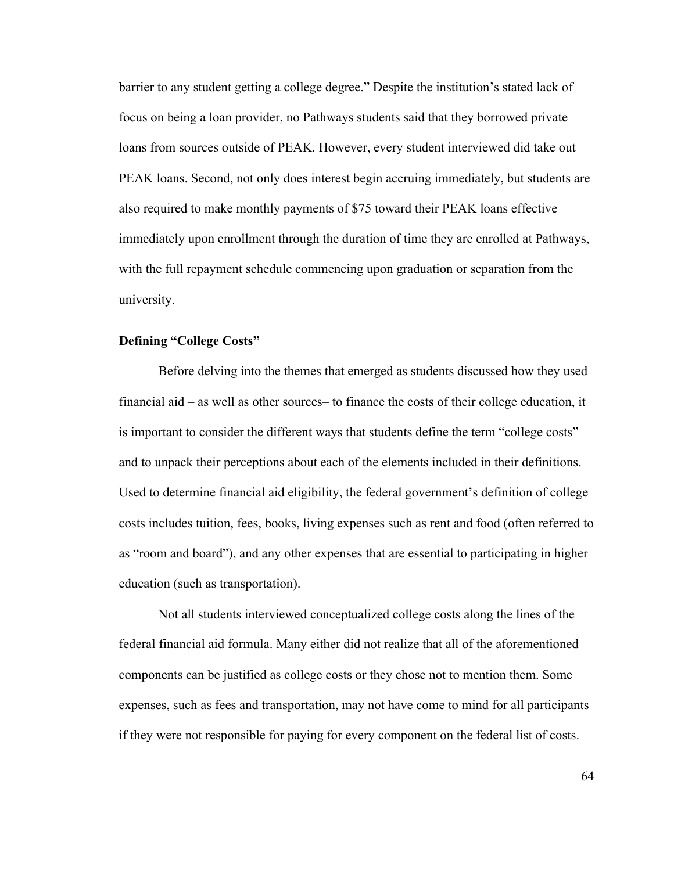barrier to any student getting a college degree." Despite the institution's stated lack of focus on being a loan provider, no Pathways students said that they borrowed private loans from sources outside of PEAK. However, every student interviewed did take out PEAK loans. Second, not only does interest begin accruing immediately, but students are also required to make monthly payments of \$75 toward their PEAK loans effective immediately upon enrollment through the duration of time they are enrolled at Pathways, with the full repayment schedule commencing upon graduation or separation from the university.

# **Defining "College Costs"**

Before delving into the themes that emerged as students discussed how they used financial aid – as well as other sources– to finance the costs of their college education, it is important to consider the different ways that students define the term "college costs" and to unpack their perceptions about each of the elements included in their definitions. Used to determine financial aid eligibility, the federal government's definition of college costs includes tuition, fees, books, living expenses such as rent and food (often referred to as "room and board"), and any other expenses that are essential to participating in higher education (such as transportation).

Not all students interviewed conceptualized college costs along the lines of the federal financial aid formula. Many either did not realize that all of the aforementioned components can be justified as college costs or they chose not to mention them. Some expenses, such as fees and transportation, may not have come to mind for all participants if they were not responsible for paying for every component on the federal list of costs.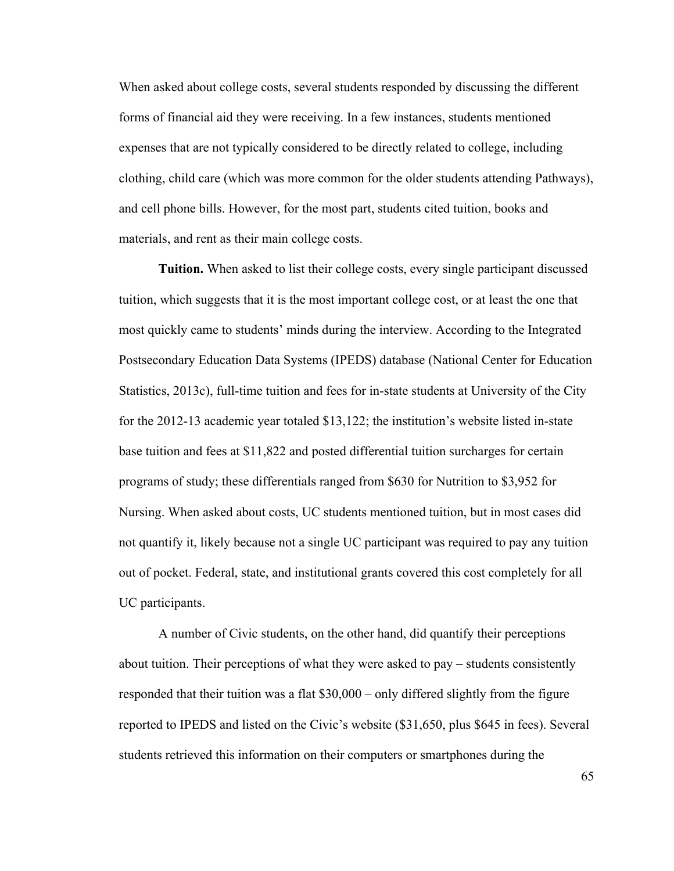When asked about college costs, several students responded by discussing the different forms of financial aid they were receiving. In a few instances, students mentioned expenses that are not typically considered to be directly related to college, including clothing, child care (which was more common for the older students attending Pathways), and cell phone bills. However, for the most part, students cited tuition, books and materials, and rent as their main college costs.

**Tuition.** When asked to list their college costs, every single participant discussed tuition, which suggests that it is the most important college cost, or at least the one that most quickly came to students' minds during the interview. According to the Integrated Postsecondary Education Data Systems (IPEDS) database (National Center for Education Statistics, 2013c), full-time tuition and fees for in-state students at University of the City for the 2012-13 academic year totaled \$13,122; the institution's website listed in-state base tuition and fees at \$11,822 and posted differential tuition surcharges for certain programs of study; these differentials ranged from \$630 for Nutrition to \$3,952 for Nursing. When asked about costs, UC students mentioned tuition, but in most cases did not quantify it, likely because not a single UC participant was required to pay any tuition out of pocket. Federal, state, and institutional grants covered this cost completely for all UC participants.

A number of Civic students, on the other hand, did quantify their perceptions about tuition. Their perceptions of what they were asked to pay – students consistently responded that their tuition was a flat \$30,000 – only differed slightly from the figure reported to IPEDS and listed on the Civic's website (\$31,650, plus \$645 in fees). Several students retrieved this information on their computers or smartphones during the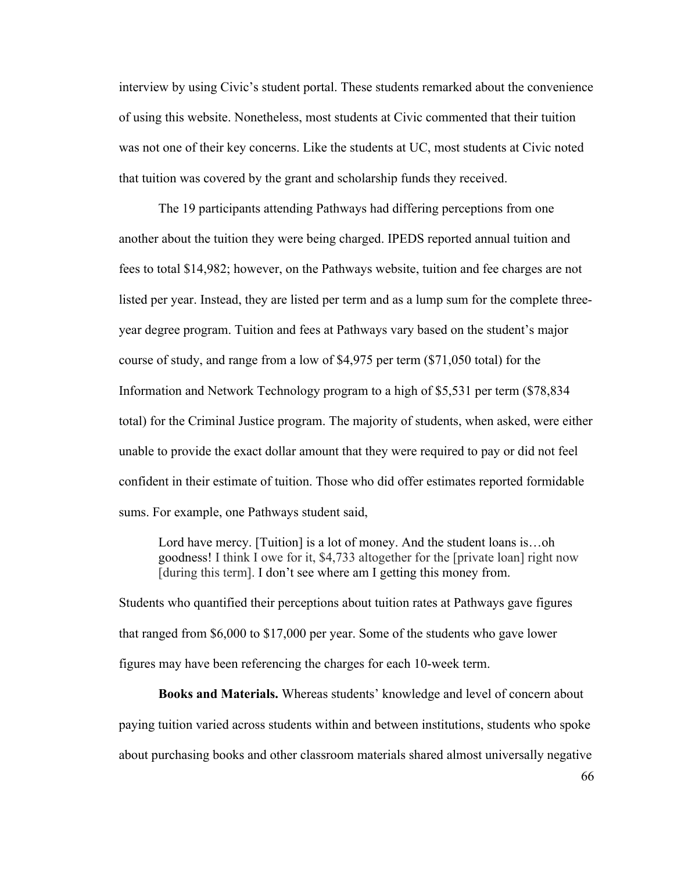interview by using Civic's student portal. These students remarked about the convenience of using this website. Nonetheless, most students at Civic commented that their tuition was not one of their key concerns. Like the students at UC, most students at Civic noted that tuition was covered by the grant and scholarship funds they received.

The 19 participants attending Pathways had differing perceptions from one another about the tuition they were being charged. IPEDS reported annual tuition and fees to total \$14,982; however, on the Pathways website, tuition and fee charges are not listed per year. Instead, they are listed per term and as a lump sum for the complete threeyear degree program. Tuition and fees at Pathways vary based on the student's major course of study, and range from a low of \$4,975 per term (\$71,050 total) for the Information and Network Technology program to a high of \$5,531 per term (\$78,834 total) for the Criminal Justice program. The majority of students, when asked, were either unable to provide the exact dollar amount that they were required to pay or did not feel confident in their estimate of tuition. Those who did offer estimates reported formidable sums. For example, one Pathways student said,

Lord have mercy. [Tuition] is a lot of money. And the student loans is...oh goodness! I think I owe for it, \$4,733 altogether for the [private loan] right now [during this term]. I don't see where am I getting this money from.

Students who quantified their perceptions about tuition rates at Pathways gave figures that ranged from \$6,000 to \$17,000 per year. Some of the students who gave lower figures may have been referencing the charges for each 10-week term.

**Books and Materials.** Whereas students' knowledge and level of concern about paying tuition varied across students within and between institutions, students who spoke about purchasing books and other classroom materials shared almost universally negative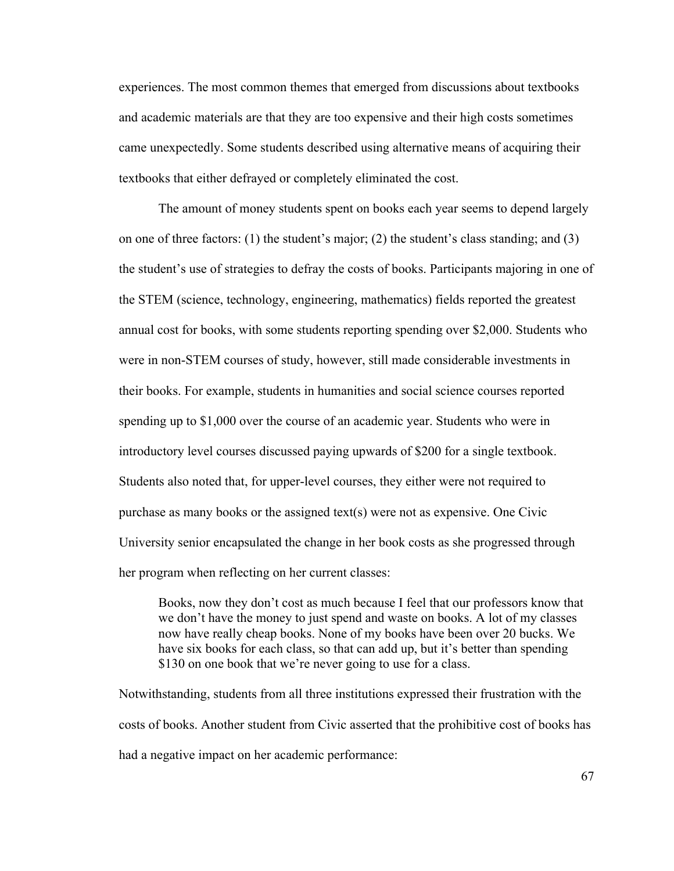experiences. The most common themes that emerged from discussions about textbooks and academic materials are that they are too expensive and their high costs sometimes came unexpectedly. Some students described using alternative means of acquiring their textbooks that either defrayed or completely eliminated the cost.

The amount of money students spent on books each year seems to depend largely on one of three factors: (1) the student's major; (2) the student's class standing; and (3) the student's use of strategies to defray the costs of books. Participants majoring in one of the STEM (science, technology, engineering, mathematics) fields reported the greatest annual cost for books, with some students reporting spending over \$2,000. Students who were in non-STEM courses of study, however, still made considerable investments in their books. For example, students in humanities and social science courses reported spending up to \$1,000 over the course of an academic year. Students who were in introductory level courses discussed paying upwards of \$200 for a single textbook. Students also noted that, for upper-level courses, they either were not required to purchase as many books or the assigned text(s) were not as expensive. One Civic University senior encapsulated the change in her book costs as she progressed through her program when reflecting on her current classes:

Books, now they don't cost as much because I feel that our professors know that we don't have the money to just spend and waste on books. A lot of my classes now have really cheap books. None of my books have been over 20 bucks. We have six books for each class, so that can add up, but it's better than spending \$130 on one book that we're never going to use for a class.

Notwithstanding, students from all three institutions expressed their frustration with the costs of books. Another student from Civic asserted that the prohibitive cost of books has had a negative impact on her academic performance: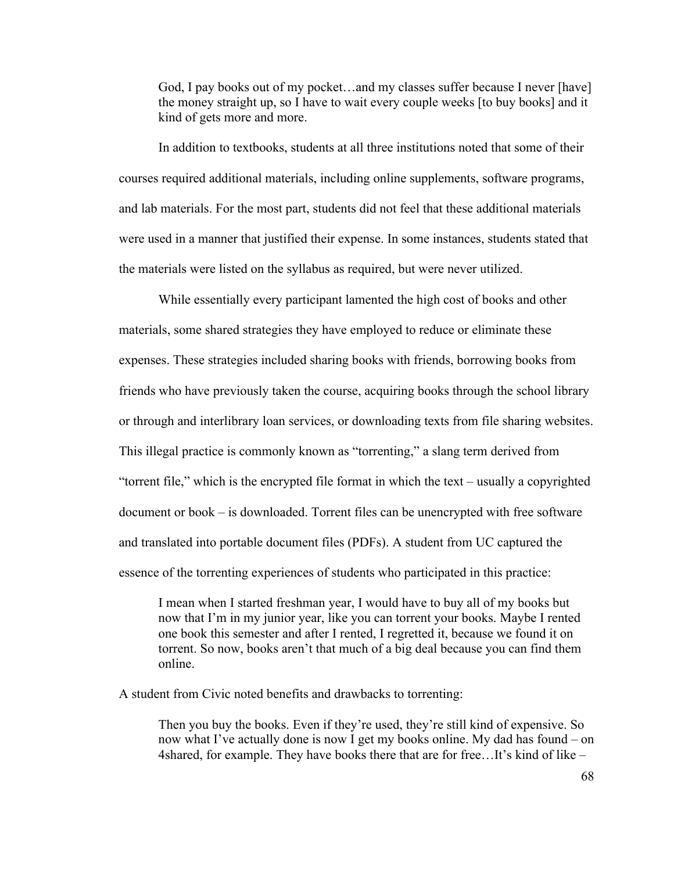God, I pay books out of my pocket…and my classes suffer because I never [have] the money straight up, so I have to wait every couple weeks [to buy books] and it kind of gets more and more.

In addition to textbooks, students at all three institutions noted that some of their courses required additional materials, including online supplements, software programs, and lab materials. For the most part, students did not feel that these additional materials were used in a manner that justified their expense. In some instances, students stated that the materials were listed on the syllabus as required, but were never utilized.

While essentially every participant lamented the high cost of books and other materials, some shared strategies they have employed to reduce or eliminate these expenses. These strategies included sharing books with friends, borrowing books from friends who have previously taken the course, acquiring books through the school library or through and interlibrary loan services, or downloading texts from file sharing websites. This illegal practice is commonly known as "torrenting," a slang term derived from "torrent file," which is the encrypted file format in which the text – usually a copyrighted document or book – is downloaded. Torrent files can be unencrypted with free software and translated into portable document files (PDFs). A student from UC captured the essence of the torrenting experiences of students who participated in this practice:

I mean when I started freshman year, I would have to buy all of my books but now that I'm in my junior year, like you can torrent your books. Maybe I rented one book this semester and after I rented, I regretted it, because we found it on torrent. So now, books aren't that much of a big deal because you can find them online.

A student from Civic noted benefits and drawbacks to torrenting:

Then you buy the books. Even if they're used, they're still kind of expensive. So now what I've actually done is now I get my books online. My dad has found – on 4shared, for example. They have books there that are for free…It's kind of like –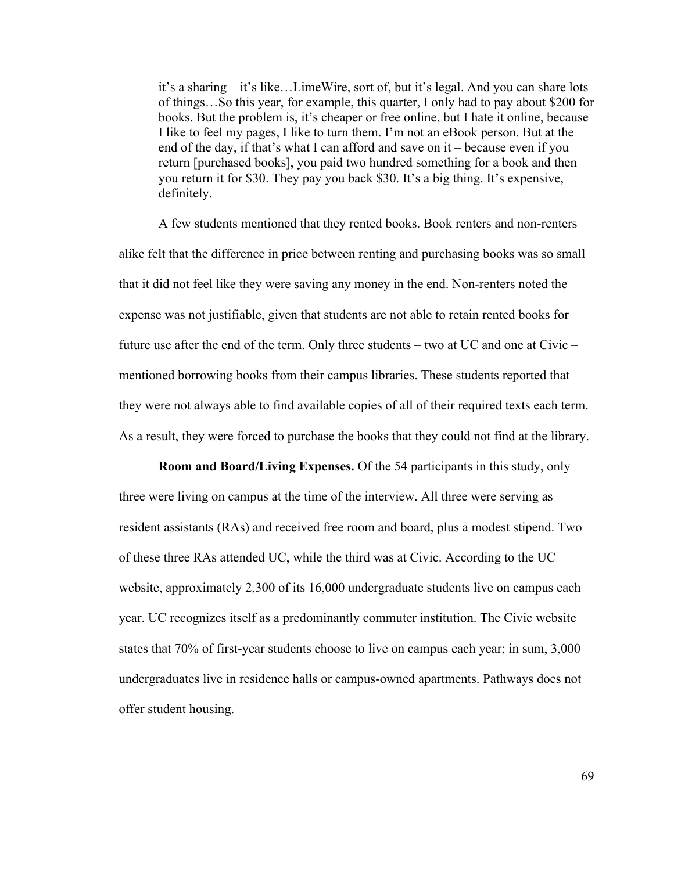it's a sharing – it's like…LimeWire, sort of, but it's legal. And you can share lots of things…So this year, for example, this quarter, I only had to pay about \$200 for books. But the problem is, it's cheaper or free online, but I hate it online, because I like to feel my pages, I like to turn them. I'm not an eBook person. But at the end of the day, if that's what I can afford and save on it – because even if you return [purchased books], you paid two hundred something for a book and then you return it for \$30. They pay you back \$30. It's a big thing. It's expensive, definitely.

A few students mentioned that they rented books. Book renters and non-renters alike felt that the difference in price between renting and purchasing books was so small that it did not feel like they were saving any money in the end. Non-renters noted the expense was not justifiable, given that students are not able to retain rented books for future use after the end of the term. Only three students – two at UC and one at Civic – mentioned borrowing books from their campus libraries. These students reported that they were not always able to find available copies of all of their required texts each term. As a result, they were forced to purchase the books that they could not find at the library.

**Room and Board/Living Expenses.** Of the 54 participants in this study, only three were living on campus at the time of the interview. All three were serving as resident assistants (RAs) and received free room and board, plus a modest stipend. Two of these three RAs attended UC, while the third was at Civic. According to the UC website, approximately 2,300 of its 16,000 undergraduate students live on campus each year. UC recognizes itself as a predominantly commuter institution. The Civic website states that 70% of first-year students choose to live on campus each year; in sum, 3,000 undergraduates live in residence halls or campus-owned apartments. Pathways does not offer student housing.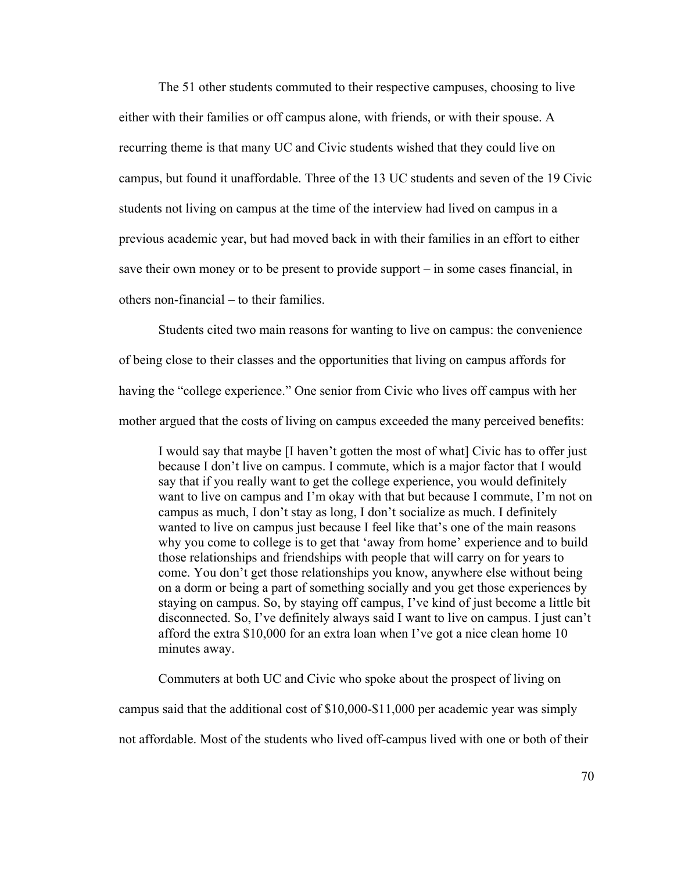The 51 other students commuted to their respective campuses, choosing to live either with their families or off campus alone, with friends, or with their spouse. A recurring theme is that many UC and Civic students wished that they could live on campus, but found it unaffordable. Three of the 13 UC students and seven of the 19 Civic students not living on campus at the time of the interview had lived on campus in a previous academic year, but had moved back in with their families in an effort to either save their own money or to be present to provide support – in some cases financial, in others non-financial – to their families.

Students cited two main reasons for wanting to live on campus: the convenience of being close to their classes and the opportunities that living on campus affords for having the "college experience." One senior from Civic who lives off campus with her mother argued that the costs of living on campus exceeded the many perceived benefits:

I would say that maybe [I haven't gotten the most of what] Civic has to offer just because I don't live on campus. I commute, which is a major factor that I would say that if you really want to get the college experience, you would definitely want to live on campus and I'm okay with that but because I commute, I'm not on campus as much, I don't stay as long, I don't socialize as much. I definitely wanted to live on campus just because I feel like that's one of the main reasons why you come to college is to get that 'away from home' experience and to build those relationships and friendships with people that will carry on for years to come. You don't get those relationships you know, anywhere else without being on a dorm or being a part of something socially and you get those experiences by staying on campus. So, by staying off campus, I've kind of just become a little bit disconnected. So, I've definitely always said I want to live on campus. I just can't afford the extra \$10,000 for an extra loan when I've got a nice clean home 10 minutes away.

Commuters at both UC and Civic who spoke about the prospect of living on

campus said that the additional cost of \$10,000-\$11,000 per academic year was simply

not affordable. Most of the students who lived off-campus lived with one or both of their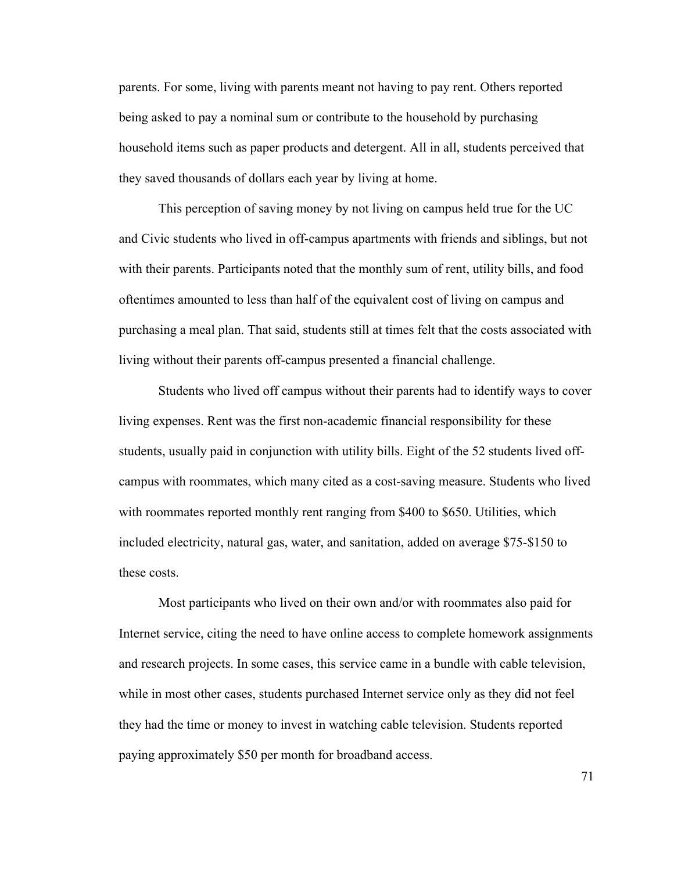parents. For some, living with parents meant not having to pay rent. Others reported being asked to pay a nominal sum or contribute to the household by purchasing household items such as paper products and detergent. All in all, students perceived that they saved thousands of dollars each year by living at home.

This perception of saving money by not living on campus held true for the UC and Civic students who lived in off-campus apartments with friends and siblings, but not with their parents. Participants noted that the monthly sum of rent, utility bills, and food oftentimes amounted to less than half of the equivalent cost of living on campus and purchasing a meal plan. That said, students still at times felt that the costs associated with living without their parents off-campus presented a financial challenge.

Students who lived off campus without their parents had to identify ways to cover living expenses. Rent was the first non-academic financial responsibility for these students, usually paid in conjunction with utility bills. Eight of the 52 students lived offcampus with roommates, which many cited as a cost-saving measure. Students who lived with roommates reported monthly rent ranging from \$400 to \$650. Utilities, which included electricity, natural gas, water, and sanitation, added on average \$75-\$150 to these costs.

Most participants who lived on their own and/or with roommates also paid for Internet service, citing the need to have online access to complete homework assignments and research projects. In some cases, this service came in a bundle with cable television, while in most other cases, students purchased Internet service only as they did not feel they had the time or money to invest in watching cable television. Students reported paying approximately \$50 per month for broadband access.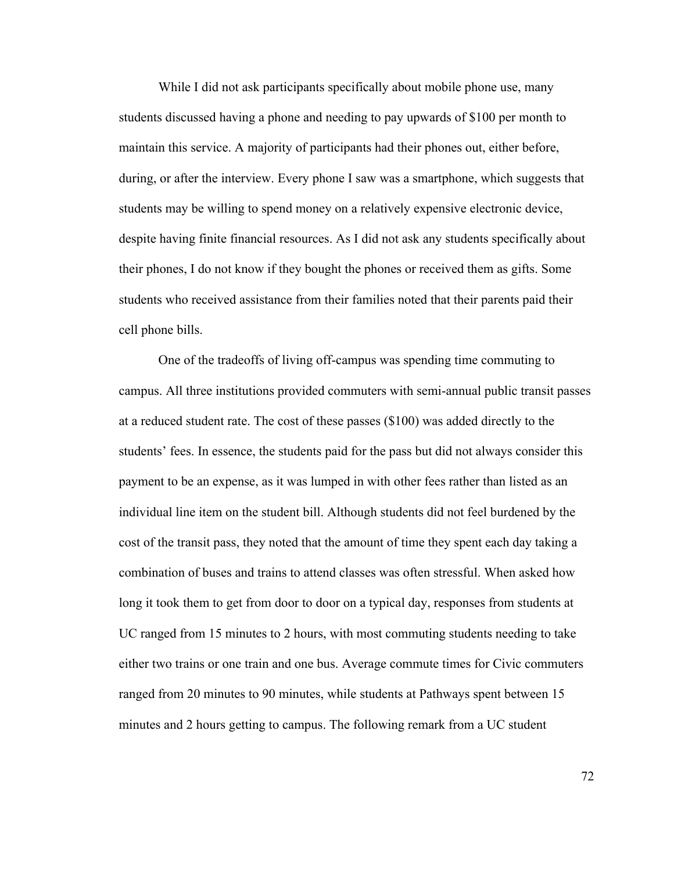While I did not ask participants specifically about mobile phone use, many students discussed having a phone and needing to pay upwards of \$100 per month to maintain this service. A majority of participants had their phones out, either before, during, or after the interview. Every phone I saw was a smartphone, which suggests that students may be willing to spend money on a relatively expensive electronic device, despite having finite financial resources. As I did not ask any students specifically about their phones, I do not know if they bought the phones or received them as gifts. Some students who received assistance from their families noted that their parents paid their cell phone bills.

One of the tradeoffs of living off-campus was spending time commuting to campus. All three institutions provided commuters with semi-annual public transit passes at a reduced student rate. The cost of these passes (\$100) was added directly to the students' fees. In essence, the students paid for the pass but did not always consider this payment to be an expense, as it was lumped in with other fees rather than listed as an individual line item on the student bill. Although students did not feel burdened by the cost of the transit pass, they noted that the amount of time they spent each day taking a combination of buses and trains to attend classes was often stressful. When asked how long it took them to get from door to door on a typical day, responses from students at UC ranged from 15 minutes to 2 hours, with most commuting students needing to take either two trains or one train and one bus. Average commute times for Civic commuters ranged from 20 minutes to 90 minutes, while students at Pathways spent between 15 minutes and 2 hours getting to campus. The following remark from a UC student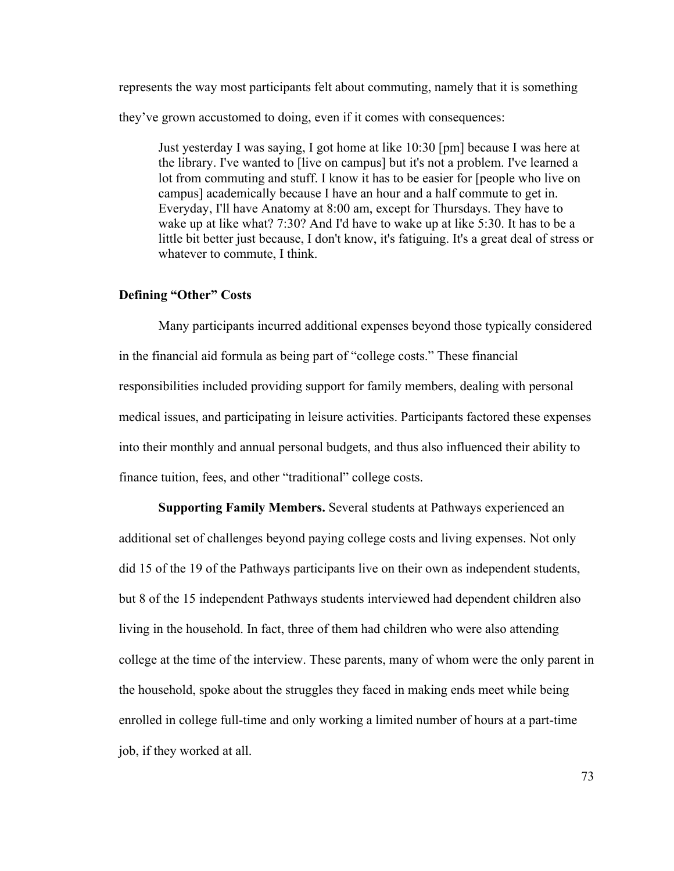represents the way most participants felt about commuting, namely that it is something they've grown accustomed to doing, even if it comes with consequences:

Just yesterday I was saying, I got home at like 10:30 [pm] because I was here at the library. I've wanted to [live on campus] but it's not a problem. I've learned a lot from commuting and stuff. I know it has to be easier for [people who live on campus] academically because I have an hour and a half commute to get in. Everyday, I'll have Anatomy at 8:00 am, except for Thursdays. They have to wake up at like what? 7:30? And I'd have to wake up at like 5:30. It has to be a little bit better just because, I don't know, it's fatiguing. It's a great deal of stress or whatever to commute, I think.

# **Defining "Other" Costs**

Many participants incurred additional expenses beyond those typically considered in the financial aid formula as being part of "college costs." These financial responsibilities included providing support for family members, dealing with personal medical issues, and participating in leisure activities. Participants factored these expenses into their monthly and annual personal budgets, and thus also influenced their ability to finance tuition, fees, and other "traditional" college costs.

**Supporting Family Members.** Several students at Pathways experienced an additional set of challenges beyond paying college costs and living expenses. Not only did 15 of the 19 of the Pathways participants live on their own as independent students, but 8 of the 15 independent Pathways students interviewed had dependent children also living in the household. In fact, three of them had children who were also attending college at the time of the interview. These parents, many of whom were the only parent in the household, spoke about the struggles they faced in making ends meet while being enrolled in college full-time and only working a limited number of hours at a part-time job, if they worked at all.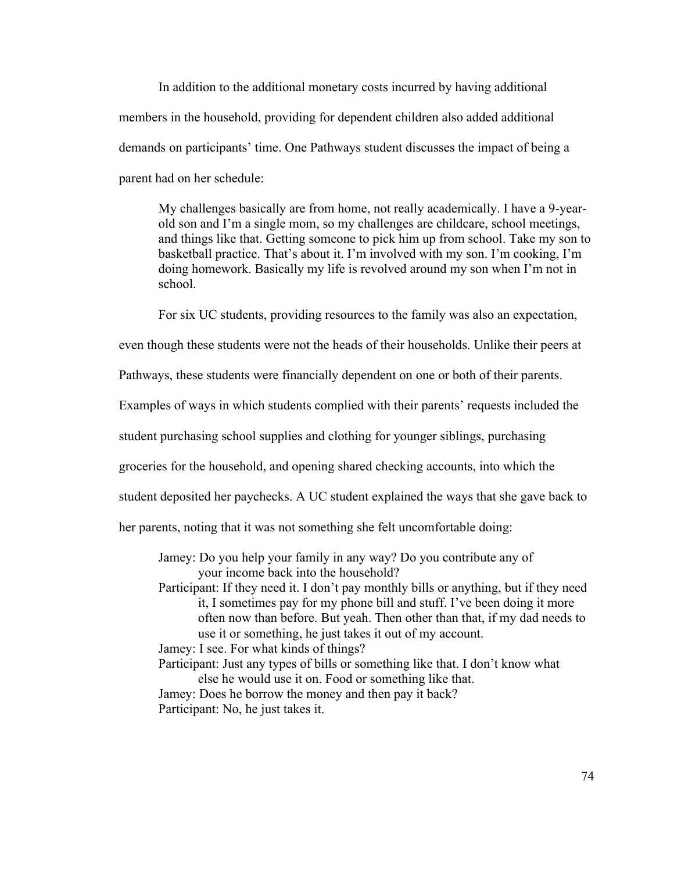In addition to the additional monetary costs incurred by having additional members in the household, providing for dependent children also added additional demands on participants' time. One Pathways student discusses the impact of being a parent had on her schedule:

My challenges basically are from home, not really academically. I have a 9-yearold son and I'm a single mom, so my challenges are childcare, school meetings, and things like that. Getting someone to pick him up from school. Take my son to basketball practice. That's about it. I'm involved with my son. I'm cooking, I'm doing homework. Basically my life is revolved around my son when I'm not in school.

For six UC students, providing resources to the family was also an expectation,

even though these students were not the heads of their households. Unlike their peers at

Pathways, these students were financially dependent on one or both of their parents.

Examples of ways in which students complied with their parents' requests included the

student purchasing school supplies and clothing for younger siblings, purchasing

groceries for the household, and opening shared checking accounts, into which the

student deposited her paychecks. A UC student explained the ways that she gave back to

her parents, noting that it was not something she felt uncomfortable doing:

Jamey: Do you help your family in any way? Do you contribute any of your income back into the household?

- Participant: If they need it. I don't pay monthly bills or anything, but if they need it, I sometimes pay for my phone bill and stuff. I've been doing it more often now than before. But yeah. Then other than that, if my dad needs to use it or something, he just takes it out of my account.
- Jamey: I see. For what kinds of things?
- Participant: Just any types of bills or something like that. I don't know what else he would use it on. Food or something like that. Jamey: Does he borrow the money and then pay it back?
- Participant: No, he just takes it.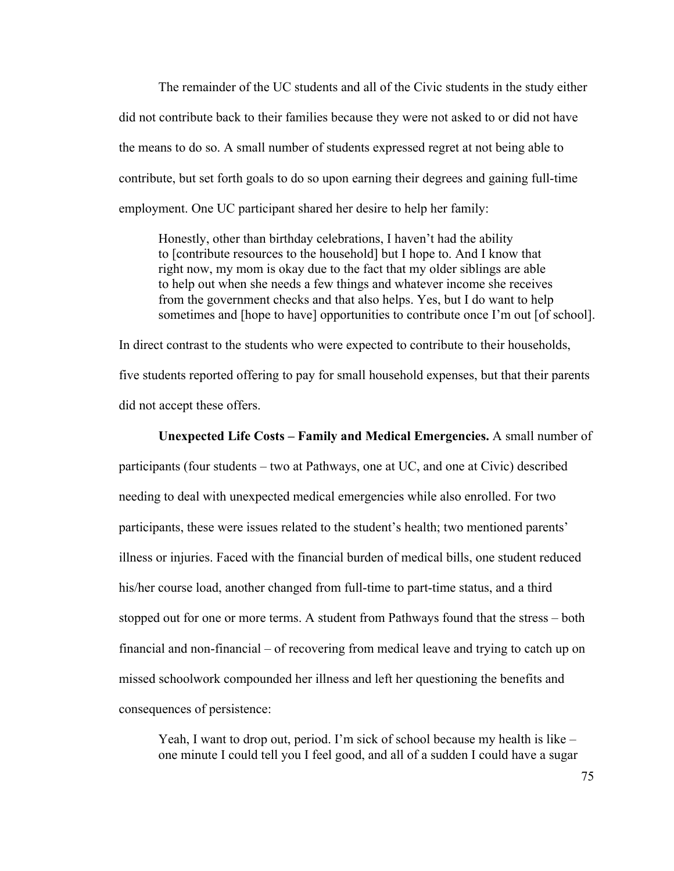The remainder of the UC students and all of the Civic students in the study either did not contribute back to their families because they were not asked to or did not have the means to do so. A small number of students expressed regret at not being able to contribute, but set forth goals to do so upon earning their degrees and gaining full-time employment. One UC participant shared her desire to help her family:

Honestly, other than birthday celebrations, I haven't had the ability to [contribute resources to the household] but I hope to. And I know that right now, my mom is okay due to the fact that my older siblings are able to help out when she needs a few things and whatever income she receives from the government checks and that also helps. Yes, but I do want to help sometimes and [hope to have] opportunities to contribute once I'm out [of school].

In direct contrast to the students who were expected to contribute to their households, five students reported offering to pay for small household expenses, but that their parents did not accept these offers.

### **Unexpected Life Costs – Family and Medical Emergencies.** A small number of

participants (four students – two at Pathways, one at UC, and one at Civic) described needing to deal with unexpected medical emergencies while also enrolled. For two participants, these were issues related to the student's health; two mentioned parents' illness or injuries. Faced with the financial burden of medical bills, one student reduced his/her course load, another changed from full-time to part-time status, and a third stopped out for one or more terms. A student from Pathways found that the stress – both financial and non-financial – of recovering from medical leave and trying to catch up on missed schoolwork compounded her illness and left her questioning the benefits and consequences of persistence:

Yeah, I want to drop out, period. I'm sick of school because my health is like – one minute I could tell you I feel good, and all of a sudden I could have a sugar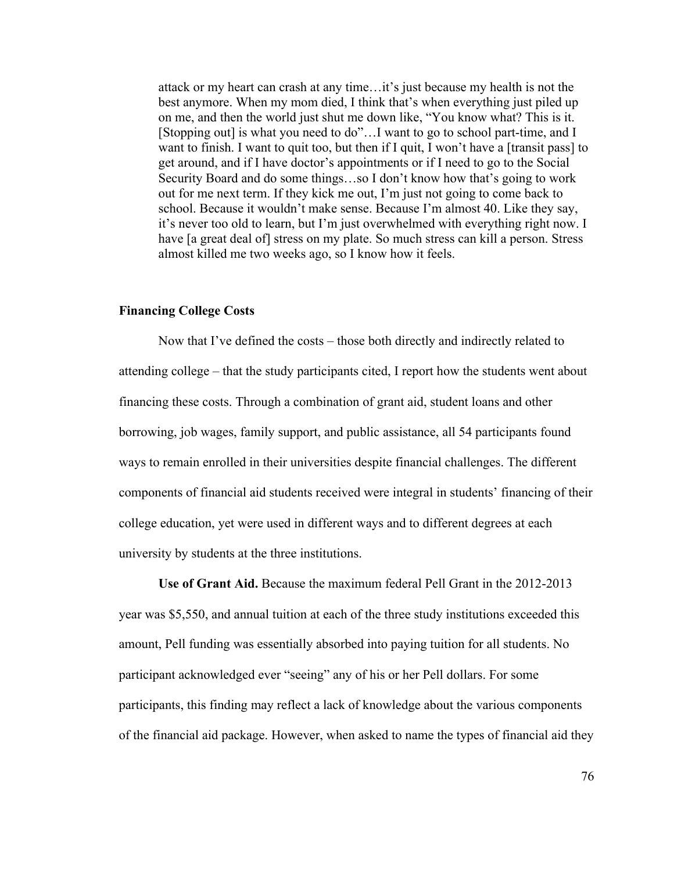attack or my heart can crash at any time…it's just because my health is not the best anymore. When my mom died, I think that's when everything just piled up on me, and then the world just shut me down like, "You know what? This is it. [Stopping out] is what you need to do"…I want to go to school part-time, and I want to finish. I want to quit too, but then if I quit, I won't have a [transit pass] to get around, and if I have doctor's appointments or if I need to go to the Social Security Board and do some things…so I don't know how that's going to work out for me next term. If they kick me out, I'm just not going to come back to school. Because it wouldn't make sense. Because I'm almost 40. Like they say, it's never too old to learn, but I'm just overwhelmed with everything right now. I have [a great deal of] stress on my plate. So much stress can kill a person. Stress almost killed me two weeks ago, so I know how it feels.

# **Financing College Costs**

Now that I've defined the costs – those both directly and indirectly related to attending college – that the study participants cited, I report how the students went about financing these costs. Through a combination of grant aid, student loans and other borrowing, job wages, family support, and public assistance, all 54 participants found ways to remain enrolled in their universities despite financial challenges. The different components of financial aid students received were integral in students' financing of their college education, yet were used in different ways and to different degrees at each university by students at the three institutions.

**Use of Grant Aid.** Because the maximum federal Pell Grant in the 2012-2013 year was \$5,550, and annual tuition at each of the three study institutions exceeded this amount, Pell funding was essentially absorbed into paying tuition for all students. No participant acknowledged ever "seeing" any of his or her Pell dollars. For some participants, this finding may reflect a lack of knowledge about the various components of the financial aid package. However, when asked to name the types of financial aid they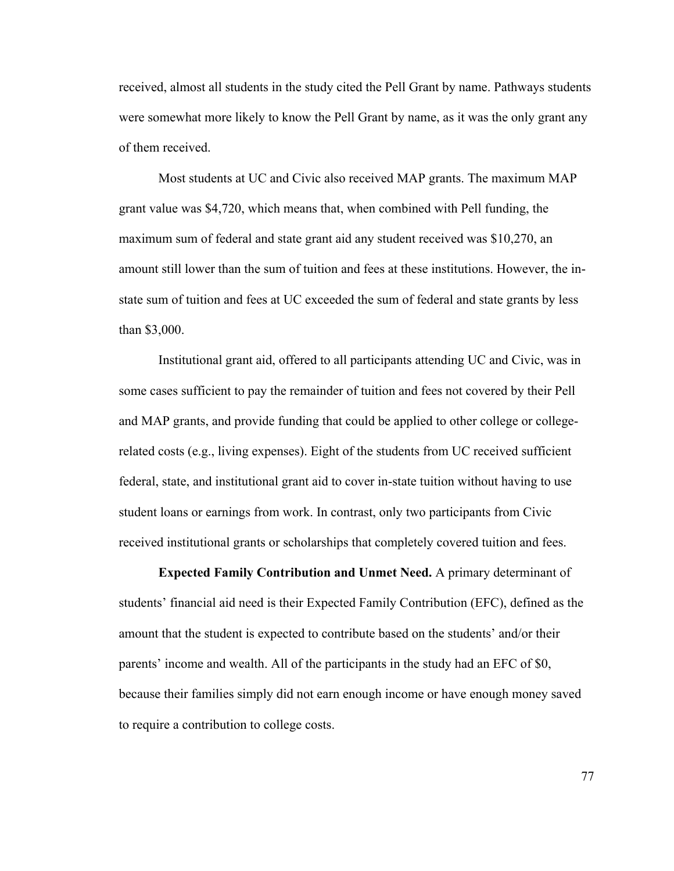received, almost all students in the study cited the Pell Grant by name. Pathways students were somewhat more likely to know the Pell Grant by name, as it was the only grant any of them received.

Most students at UC and Civic also received MAP grants. The maximum MAP grant value was \$4,720, which means that, when combined with Pell funding, the maximum sum of federal and state grant aid any student received was \$10,270, an amount still lower than the sum of tuition and fees at these institutions. However, the instate sum of tuition and fees at UC exceeded the sum of federal and state grants by less than \$3,000.

Institutional grant aid, offered to all participants attending UC and Civic, was in some cases sufficient to pay the remainder of tuition and fees not covered by their Pell and MAP grants, and provide funding that could be applied to other college or collegerelated costs (e.g., living expenses). Eight of the students from UC received sufficient federal, state, and institutional grant aid to cover in-state tuition without having to use student loans or earnings from work. In contrast, only two participants from Civic received institutional grants or scholarships that completely covered tuition and fees.

**Expected Family Contribution and Unmet Need.** A primary determinant of students' financial aid need is their Expected Family Contribution (EFC), defined as the amount that the student is expected to contribute based on the students' and/or their parents' income and wealth. All of the participants in the study had an EFC of \$0, because their families simply did not earn enough income or have enough money saved to require a contribution to college costs.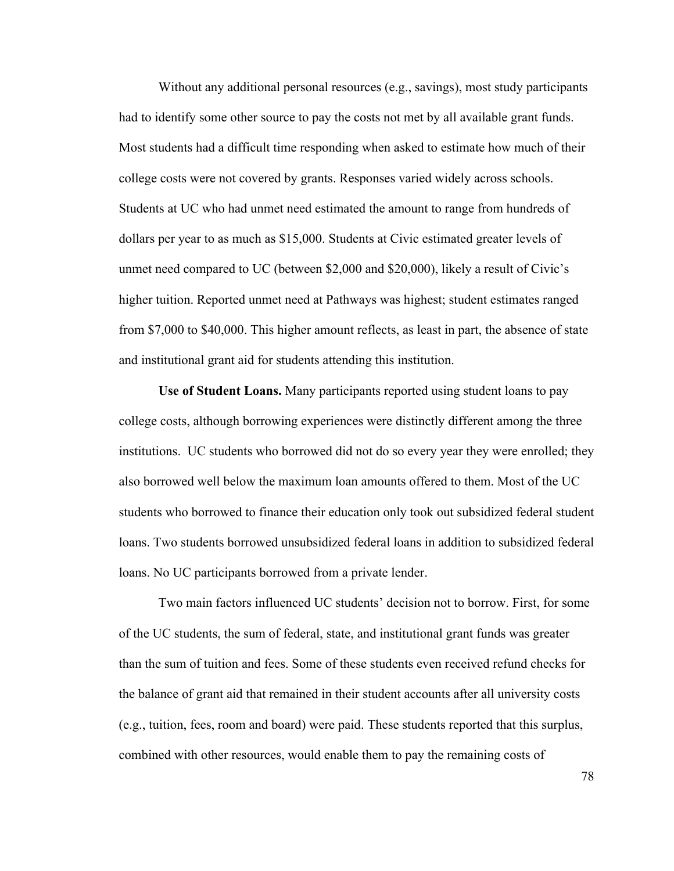Without any additional personal resources (e.g., savings), most study participants had to identify some other source to pay the costs not met by all available grant funds. Most students had a difficult time responding when asked to estimate how much of their college costs were not covered by grants. Responses varied widely across schools. Students at UC who had unmet need estimated the amount to range from hundreds of dollars per year to as much as \$15,000. Students at Civic estimated greater levels of unmet need compared to UC (between \$2,000 and \$20,000), likely a result of Civic's higher tuition. Reported unmet need at Pathways was highest; student estimates ranged from \$7,000 to \$40,000. This higher amount reflects, as least in part, the absence of state and institutional grant aid for students attending this institution.

**Use of Student Loans.** Many participants reported using student loans to pay college costs, although borrowing experiences were distinctly different among the three institutions. UC students who borrowed did not do so every year they were enrolled; they also borrowed well below the maximum loan amounts offered to them. Most of the UC students who borrowed to finance their education only took out subsidized federal student loans. Two students borrowed unsubsidized federal loans in addition to subsidized federal loans. No UC participants borrowed from a private lender.

Two main factors influenced UC students' decision not to borrow. First, for some of the UC students, the sum of federal, state, and institutional grant funds was greater than the sum of tuition and fees. Some of these students even received refund checks for the balance of grant aid that remained in their student accounts after all university costs (e.g., tuition, fees, room and board) were paid. These students reported that this surplus, combined with other resources, would enable them to pay the remaining costs of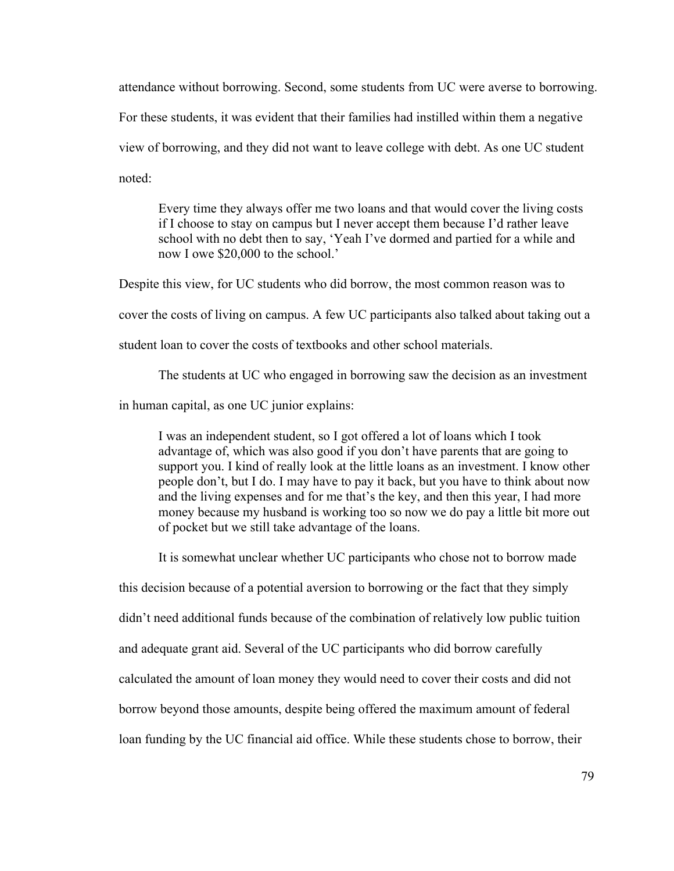attendance without borrowing. Second, some students from UC were averse to borrowing. For these students, it was evident that their families had instilled within them a negative view of borrowing, and they did not want to leave college with debt. As one UC student noted:

Every time they always offer me two loans and that would cover the living costs if I choose to stay on campus but I never accept them because I'd rather leave school with no debt then to say, 'Yeah I've dormed and partied for a while and now I owe \$20,000 to the school.'

Despite this view, for UC students who did borrow, the most common reason was to cover the costs of living on campus. A few UC participants also talked about taking out a student loan to cover the costs of textbooks and other school materials.

The students at UC who engaged in borrowing saw the decision as an investment

in human capital, as one UC junior explains:

I was an independent student, so I got offered a lot of loans which I took advantage of, which was also good if you don't have parents that are going to support you. I kind of really look at the little loans as an investment. I know other people don't, but I do. I may have to pay it back, but you have to think about now and the living expenses and for me that's the key, and then this year, I had more money because my husband is working too so now we do pay a little bit more out of pocket but we still take advantage of the loans.

It is somewhat unclear whether UC participants who chose not to borrow made

this decision because of a potential aversion to borrowing or the fact that they simply

didn't need additional funds because of the combination of relatively low public tuition

and adequate grant aid. Several of the UC participants who did borrow carefully

calculated the amount of loan money they would need to cover their costs and did not

borrow beyond those amounts, despite being offered the maximum amount of federal

loan funding by the UC financial aid office. While these students chose to borrow, their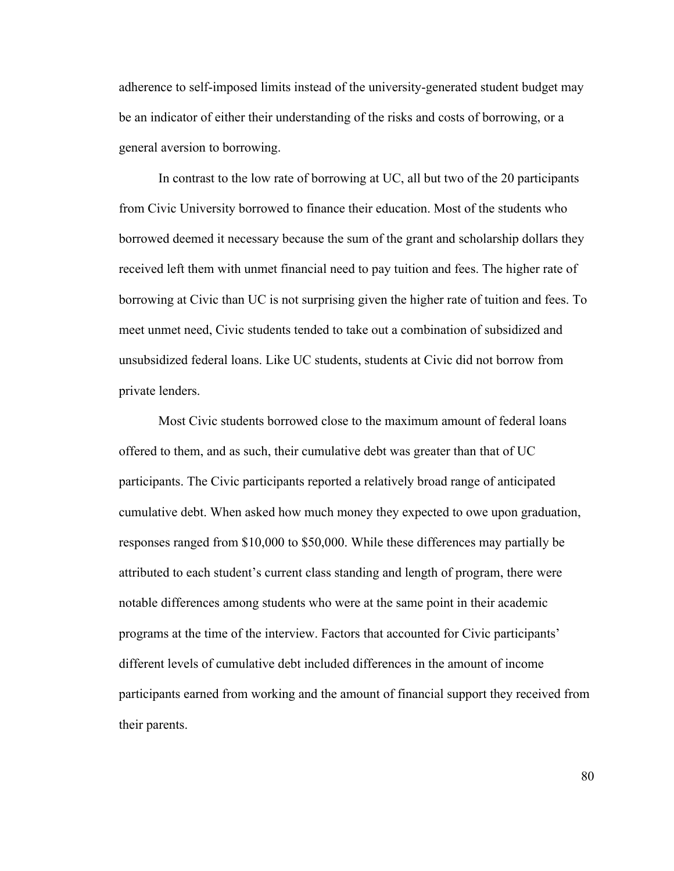adherence to self-imposed limits instead of the university-generated student budget may be an indicator of either their understanding of the risks and costs of borrowing, or a general aversion to borrowing.

In contrast to the low rate of borrowing at UC, all but two of the 20 participants from Civic University borrowed to finance their education. Most of the students who borrowed deemed it necessary because the sum of the grant and scholarship dollars they received left them with unmet financial need to pay tuition and fees. The higher rate of borrowing at Civic than UC is not surprising given the higher rate of tuition and fees. To meet unmet need, Civic students tended to take out a combination of subsidized and unsubsidized federal loans. Like UC students, students at Civic did not borrow from private lenders.

Most Civic students borrowed close to the maximum amount of federal loans offered to them, and as such, their cumulative debt was greater than that of UC participants. The Civic participants reported a relatively broad range of anticipated cumulative debt. When asked how much money they expected to owe upon graduation, responses ranged from \$10,000 to \$50,000. While these differences may partially be attributed to each student's current class standing and length of program, there were notable differences among students who were at the same point in their academic programs at the time of the interview. Factors that accounted for Civic participants' different levels of cumulative debt included differences in the amount of income participants earned from working and the amount of financial support they received from their parents.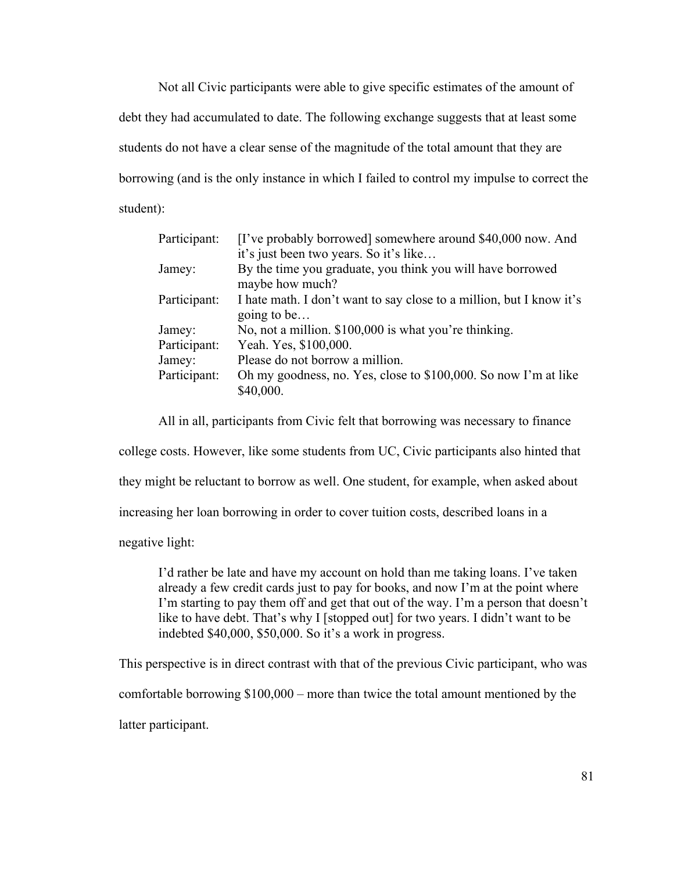Not all Civic participants were able to give specific estimates of the amount of debt they had accumulated to date. The following exchange suggests that at least some students do not have a clear sense of the magnitude of the total amount that they are borrowing (and is the only instance in which I failed to control my impulse to correct the student):

| Participant: | [I've probably borrowed] somewhere around \$40,000 now. And                         |
|--------------|-------------------------------------------------------------------------------------|
|              | it's just been two years. So it's like                                              |
| Jamey:       | By the time you graduate, you think you will have borrowed<br>maybe how much?       |
| Participant: | I hate math. I don't want to say close to a million, but I know it's<br>going to be |
| Jamey:       | No, not a million. \$100,000 is what you're thinking.                               |
| Participant: | Yeah. Yes, \$100,000.                                                               |
| Jamey:       | Please do not borrow a million.                                                     |
| Participant: | Oh my goodness, no. Yes, close to \$100,000. So now I'm at like                     |
|              | \$40,000.                                                                           |

All in all, participants from Civic felt that borrowing was necessary to finance

college costs. However, like some students from UC, Civic participants also hinted that

they might be reluctant to borrow as well. One student, for example, when asked about

increasing her loan borrowing in order to cover tuition costs, described loans in a

negative light:

I'd rather be late and have my account on hold than me taking loans. I've taken already a few credit cards just to pay for books, and now I'm at the point where I'm starting to pay them off and get that out of the way. I'm a person that doesn't like to have debt. That's why I [stopped out] for two years. I didn't want to be indebted \$40,000, \$50,000. So it's a work in progress.

This perspective is in direct contrast with that of the previous Civic participant, who was

comfortable borrowing \$100,000 – more than twice the total amount mentioned by the

latter participant.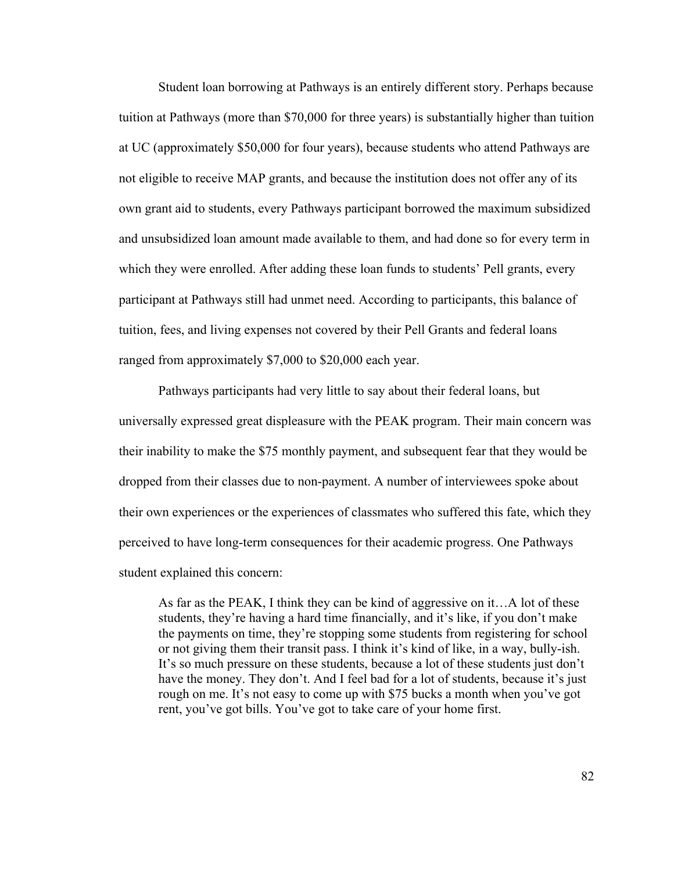Student loan borrowing at Pathways is an entirely different story. Perhaps because tuition at Pathways (more than \$70,000 for three years) is substantially higher than tuition at UC (approximately \$50,000 for four years), because students who attend Pathways are not eligible to receive MAP grants, and because the institution does not offer any of its own grant aid to students, every Pathways participant borrowed the maximum subsidized and unsubsidized loan amount made available to them, and had done so for every term in which they were enrolled. After adding these loan funds to students' Pell grants, every participant at Pathways still had unmet need. According to participants, this balance of tuition, fees, and living expenses not covered by their Pell Grants and federal loans ranged from approximately \$7,000 to \$20,000 each year.

Pathways participants had very little to say about their federal loans, but universally expressed great displeasure with the PEAK program. Their main concern was their inability to make the \$75 monthly payment, and subsequent fear that they would be dropped from their classes due to non-payment. A number of interviewees spoke about their own experiences or the experiences of classmates who suffered this fate, which they perceived to have long-term consequences for their academic progress. One Pathways student explained this concern:

As far as the PEAK, I think they can be kind of aggressive on it…A lot of these students, they're having a hard time financially, and it's like, if you don't make the payments on time, they're stopping some students from registering for school or not giving them their transit pass. I think it's kind of like, in a way, bully-ish. It's so much pressure on these students, because a lot of these students just don't have the money. They don't. And I feel bad for a lot of students, because it's just rough on me. It's not easy to come up with \$75 bucks a month when you've got rent, you've got bills. You've got to take care of your home first.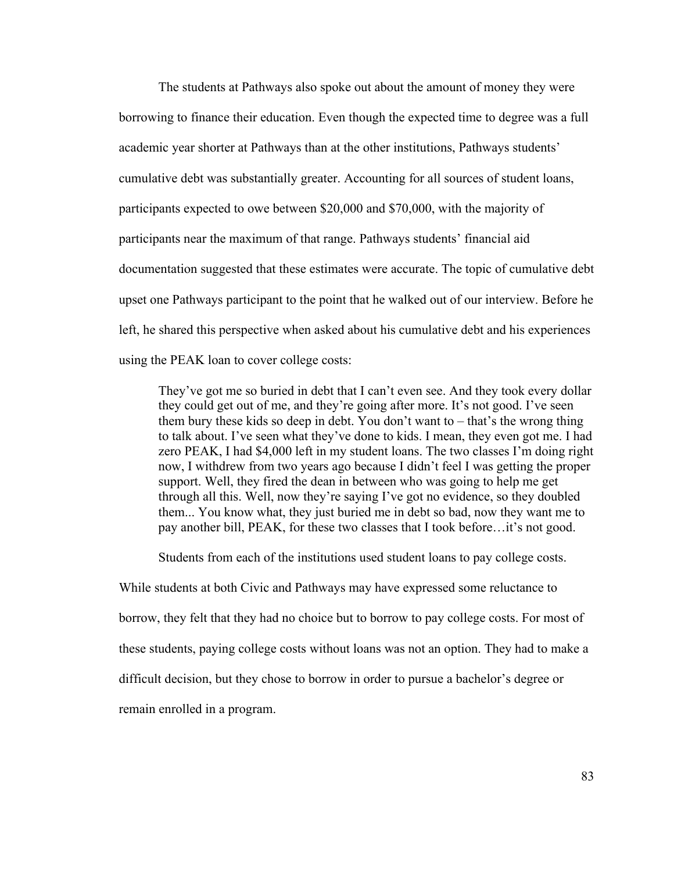The students at Pathways also spoke out about the amount of money they were borrowing to finance their education. Even though the expected time to degree was a full academic year shorter at Pathways than at the other institutions, Pathways students' cumulative debt was substantially greater. Accounting for all sources of student loans, participants expected to owe between \$20,000 and \$70,000, with the majority of participants near the maximum of that range. Pathways students' financial aid documentation suggested that these estimates were accurate. The topic of cumulative debt upset one Pathways participant to the point that he walked out of our interview. Before he left, he shared this perspective when asked about his cumulative debt and his experiences using the PEAK loan to cover college costs:

They've got me so buried in debt that I can't even see. And they took every dollar they could get out of me, and they're going after more. It's not good. I've seen them bury these kids so deep in debt. You don't want to – that's the wrong thing to talk about. I've seen what they've done to kids. I mean, they even got me. I had zero PEAK, I had \$4,000 left in my student loans. The two classes I'm doing right now, I withdrew from two years ago because I didn't feel I was getting the proper support. Well, they fired the dean in between who was going to help me get through all this. Well, now they're saying I've got no evidence, so they doubled them... You know what, they just buried me in debt so bad, now they want me to pay another bill, PEAK, for these two classes that I took before…it's not good.

Students from each of the institutions used student loans to pay college costs.

While students at both Civic and Pathways may have expressed some reluctance to borrow, they felt that they had no choice but to borrow to pay college costs. For most of these students, paying college costs without loans was not an option. They had to make a difficult decision, but they chose to borrow in order to pursue a bachelor's degree or remain enrolled in a program.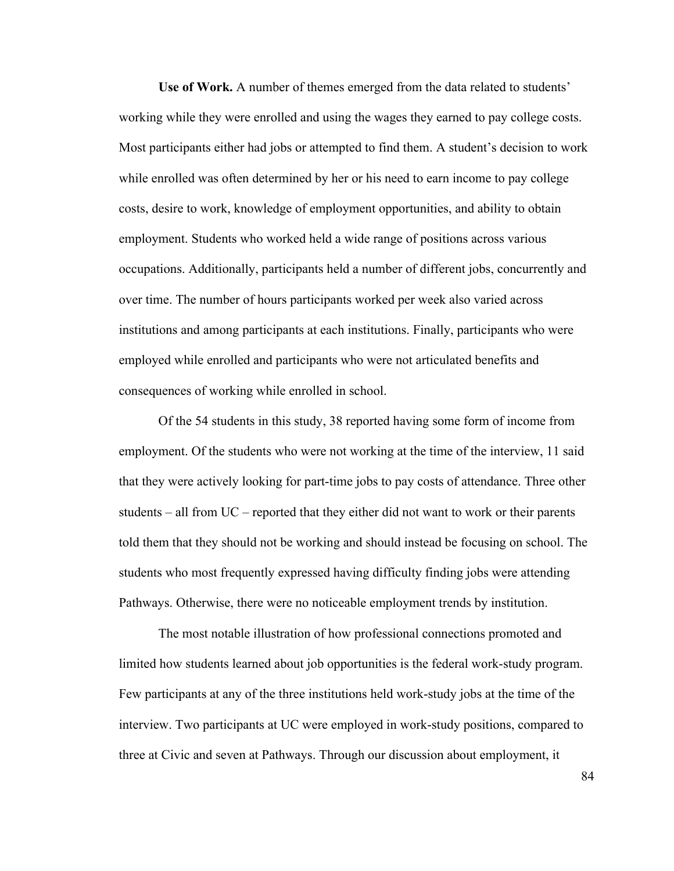**Use of Work.** A number of themes emerged from the data related to students' working while they were enrolled and using the wages they earned to pay college costs. Most participants either had jobs or attempted to find them. A student's decision to work while enrolled was often determined by her or his need to earn income to pay college costs, desire to work, knowledge of employment opportunities, and ability to obtain employment. Students who worked held a wide range of positions across various occupations. Additionally, participants held a number of different jobs, concurrently and over time. The number of hours participants worked per week also varied across institutions and among participants at each institutions. Finally, participants who were employed while enrolled and participants who were not articulated benefits and consequences of working while enrolled in school.

Of the 54 students in this study, 38 reported having some form of income from employment. Of the students who were not working at the time of the interview, 11 said that they were actively looking for part-time jobs to pay costs of attendance. Three other students – all from UC – reported that they either did not want to work or their parents told them that they should not be working and should instead be focusing on school. The students who most frequently expressed having difficulty finding jobs were attending Pathways. Otherwise, there were no noticeable employment trends by institution.

The most notable illustration of how professional connections promoted and limited how students learned about job opportunities is the federal work-study program. Few participants at any of the three institutions held work-study jobs at the time of the interview. Two participants at UC were employed in work-study positions, compared to three at Civic and seven at Pathways. Through our discussion about employment, it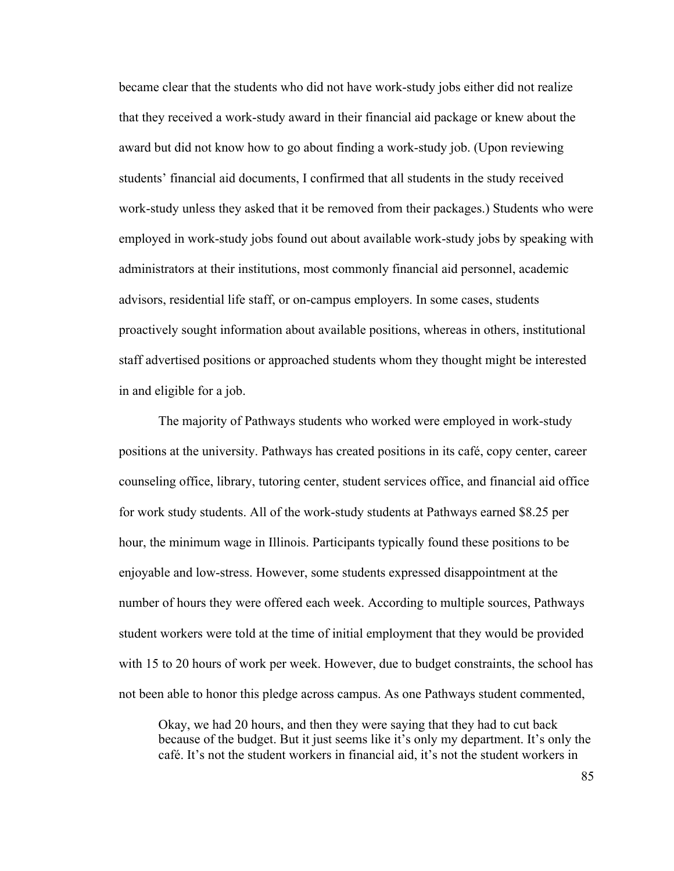became clear that the students who did not have work-study jobs either did not realize that they received a work-study award in their financial aid package or knew about the award but did not know how to go about finding a work-study job. (Upon reviewing students' financial aid documents, I confirmed that all students in the study received work-study unless they asked that it be removed from their packages.) Students who were employed in work-study jobs found out about available work-study jobs by speaking with administrators at their institutions, most commonly financial aid personnel, academic advisors, residential life staff, or on-campus employers. In some cases, students proactively sought information about available positions, whereas in others, institutional staff advertised positions or approached students whom they thought might be interested in and eligible for a job.

The majority of Pathways students who worked were employed in work-study positions at the university. Pathways has created positions in its café, copy center, career counseling office, library, tutoring center, student services office, and financial aid office for work study students. All of the work-study students at Pathways earned \$8.25 per hour, the minimum wage in Illinois. Participants typically found these positions to be enjoyable and low-stress. However, some students expressed disappointment at the number of hours they were offered each week. According to multiple sources, Pathways student workers were told at the time of initial employment that they would be provided with 15 to 20 hours of work per week. However, due to budget constraints, the school has not been able to honor this pledge across campus. As one Pathways student commented,

Okay, we had 20 hours, and then they were saying that they had to cut back because of the budget. But it just seems like it's only my department. It's only the café. It's not the student workers in financial aid, it's not the student workers in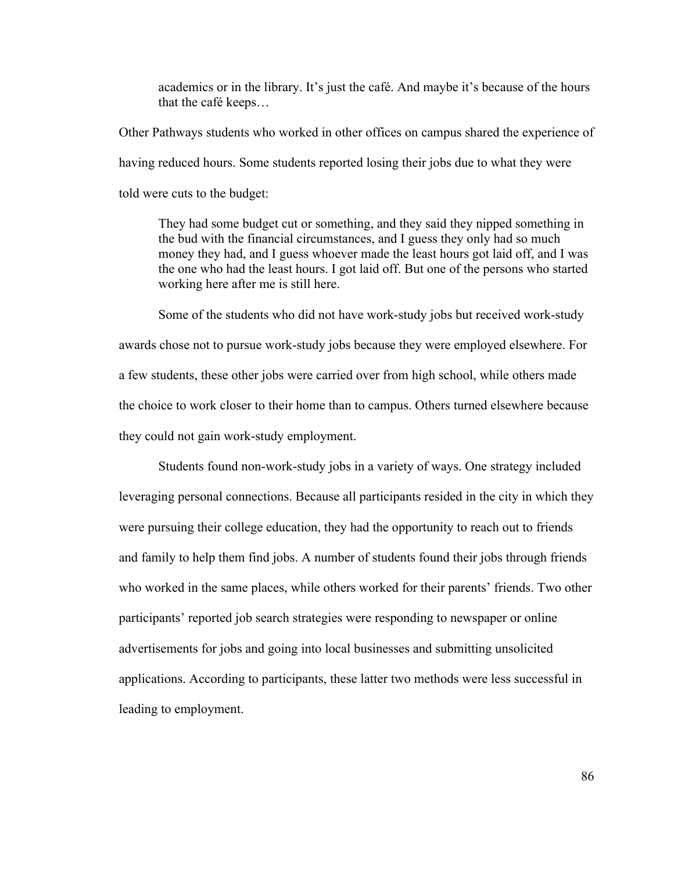academics or in the library. It's just the café. And maybe it's because of the hours that the café keeps…

Other Pathways students who worked in other offices on campus shared the experience of having reduced hours. Some students reported losing their jobs due to what they were told were cuts to the budget:

They had some budget cut or something, and they said they nipped something in the bud with the financial circumstances, and I guess they only had so much money they had, and I guess whoever made the least hours got laid off, and I was the one who had the least hours. I got laid off. But one of the persons who started working here after me is still here.

Some of the students who did not have work-study jobs but received work-study awards chose not to pursue work-study jobs because they were employed elsewhere. For a few students, these other jobs were carried over from high school, while others made the choice to work closer to their home than to campus. Others turned elsewhere because they could not gain work-study employment.

Students found non-work-study jobs in a variety of ways. One strategy included leveraging personal connections. Because all participants resided in the city in which they were pursuing their college education, they had the opportunity to reach out to friends and family to help them find jobs. A number of students found their jobs through friends who worked in the same places, while others worked for their parents' friends. Two other participants' reported job search strategies were responding to newspaper or online advertisements for jobs and going into local businesses and submitting unsolicited applications. According to participants, these latter two methods were less successful in leading to employment.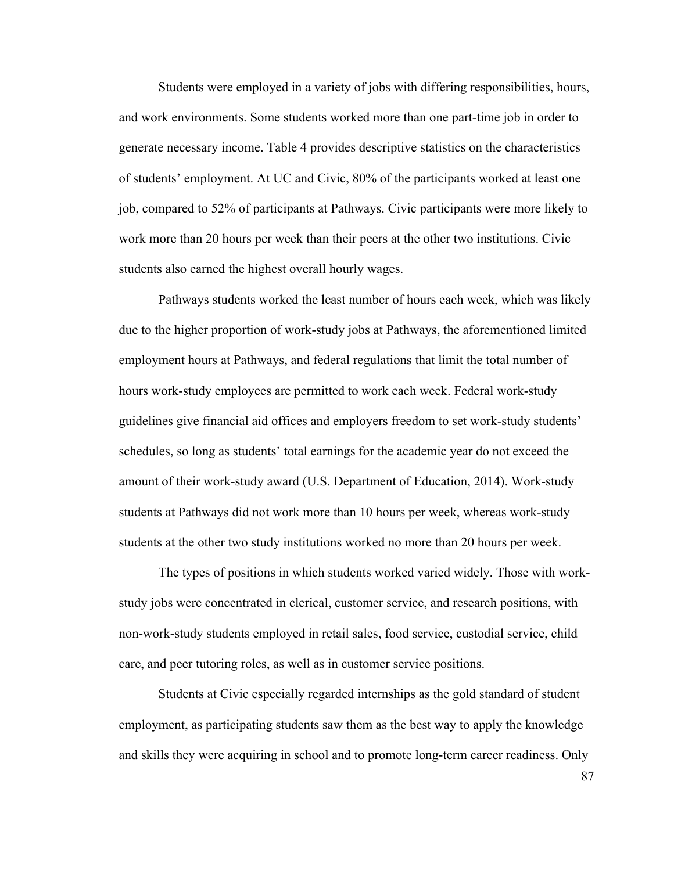Students were employed in a variety of jobs with differing responsibilities, hours, and work environments. Some students worked more than one part-time job in order to generate necessary income. Table 4 provides descriptive statistics on the characteristics of students' employment. At UC and Civic, 80% of the participants worked at least one job, compared to 52% of participants at Pathways. Civic participants were more likely to work more than 20 hours per week than their peers at the other two institutions. Civic students also earned the highest overall hourly wages.

Pathways students worked the least number of hours each week, which was likely due to the higher proportion of work-study jobs at Pathways, the aforementioned limited employment hours at Pathways, and federal regulations that limit the total number of hours work-study employees are permitted to work each week. Federal work-study guidelines give financial aid offices and employers freedom to set work-study students' schedules, so long as students' total earnings for the academic year do not exceed the amount of their work-study award (U.S. Department of Education, 2014). Work-study students at Pathways did not work more than 10 hours per week, whereas work-study students at the other two study institutions worked no more than 20 hours per week.

The types of positions in which students worked varied widely. Those with workstudy jobs were concentrated in clerical, customer service, and research positions, with non-work-study students employed in retail sales, food service, custodial service, child care, and peer tutoring roles, as well as in customer service positions.

Students at Civic especially regarded internships as the gold standard of student employment, as participating students saw them as the best way to apply the knowledge and skills they were acquiring in school and to promote long-term career readiness. Only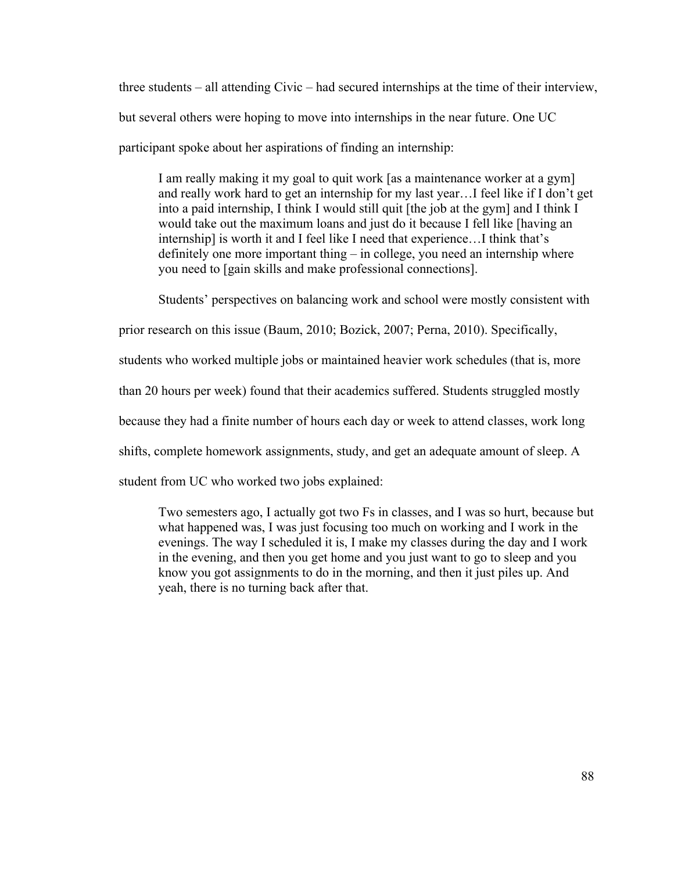three students – all attending Civic – had secured internships at the time of their interview, but several others were hoping to move into internships in the near future. One UC participant spoke about her aspirations of finding an internship:

I am really making it my goal to quit work [as a maintenance worker at a gym] and really work hard to get an internship for my last year…I feel like if I don't get into a paid internship, I think I would still quit [the job at the gym] and I think I would take out the maximum loans and just do it because I fell like [having an internship] is worth it and I feel like I need that experience…I think that's definitely one more important thing – in college, you need an internship where you need to [gain skills and make professional connections].

Students' perspectives on balancing work and school were mostly consistent with

prior research on this issue (Baum, 2010; Bozick, 2007; Perna, 2010). Specifically,

students who worked multiple jobs or maintained heavier work schedules (that is, more

than 20 hours per week) found that their academics suffered. Students struggled mostly

because they had a finite number of hours each day or week to attend classes, work long

shifts, complete homework assignments, study, and get an adequate amount of sleep. A

student from UC who worked two jobs explained:

Two semesters ago, I actually got two Fs in classes, and I was so hurt, because but what happened was, I was just focusing too much on working and I work in the evenings. The way I scheduled it is, I make my classes during the day and I work in the evening, and then you get home and you just want to go to sleep and you know you got assignments to do in the morning, and then it just piles up. And yeah, there is no turning back after that.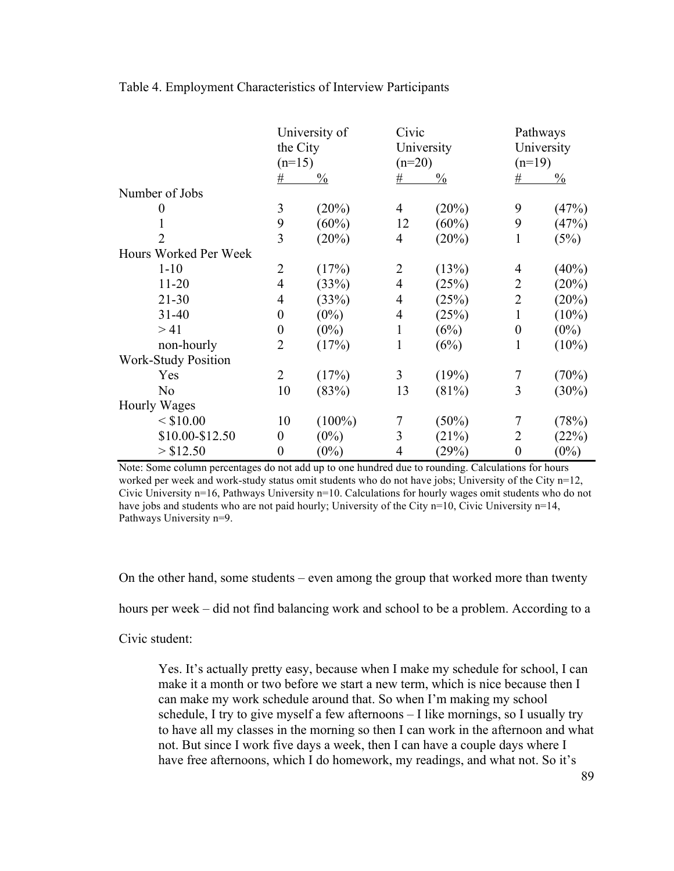|                            | University of<br>the City<br>$(n=15)$ |               | Civic<br>University<br>$(n=20)$ |               | Pathways<br>University<br>$(n=19)$ |               |
|----------------------------|---------------------------------------|---------------|---------------------------------|---------------|------------------------------------|---------------|
|                            |                                       |               |                                 |               |                                    |               |
|                            |                                       |               |                                 |               |                                    |               |
|                            | #                                     | $\frac{0}{0}$ | #                               | $\frac{0}{0}$ | #                                  | $\frac{0}{0}$ |
| Number of Jobs             |                                       |               |                                 |               |                                    |               |
|                            | 3                                     | (20%)         | 4                               | (20%)         | 9                                  | (47%)         |
|                            | 9                                     | $(60\%)$      | 12                              | $(60\%)$      | 9                                  | (47%)         |
|                            | 3                                     | (20%)         | $\overline{4}$                  | (20%)         | 1                                  | (5%)          |
| Hours Worked Per Week      |                                       |               |                                 |               |                                    |               |
| $1 - 10$                   | $\overline{2}$                        | (17%)         | $\overline{2}$                  | (13%)         | $\overline{4}$                     | (40%)         |
| $11 - 20$                  | $\overline{4}$                        | (33%)         | $\overline{4}$                  | (25%)         | $\overline{2}$                     | (20%)         |
| $21 - 30$                  | $\overline{4}$                        | (33%)         | $\overline{4}$                  | (25%)         | $\overline{2}$                     | (20%)         |
| $31 - 40$                  | $\boldsymbol{0}$                      | $(0\%)$       | $\overline{4}$                  | (25%)         | 1                                  | $(10\%)$      |
| >41                        | $\boldsymbol{0}$                      | $(0\%)$       | 1                               | (6%)          | $\boldsymbol{0}$                   | $(0\%)$       |
| non-hourly                 | $\overline{2}$                        | (17%)         | 1                               | (6%)          | 1                                  | $(10\%)$      |
| <b>Work-Study Position</b> |                                       |               |                                 |               |                                    |               |
| Yes                        | $\overline{2}$                        | (17%)         | 3                               | (19%)         | $\overline{7}$                     | (70%)         |
| N <sub>0</sub>             | 10                                    | (83%)         | 13                              | (81%)         | 3                                  | $(30\%)$      |
| <b>Hourly Wages</b>        |                                       |               |                                 |               |                                    |               |
| $<$ \$10.00                | 10                                    | $(100\%)$     | 7                               | $(50\%)$      | $\overline{7}$                     | (78%)         |
| \$10.00-\$12.50            | $\boldsymbol{0}$                      | $(0\%)$       | 3                               | (21%)         | $\overline{2}$                     | (22%)         |
| > \$12.50                  | $\boldsymbol{0}$                      | $(0\%)$       | 4                               | (29%)         | $\boldsymbol{0}$                   | $(0\%)$       |

Table 4. Employment Characteristics of Interview Participants

Note: Some column percentages do not add up to one hundred due to rounding. Calculations for hours worked per week and work-study status omit students who do not have jobs; University of the City n=12, Civic University n=16, Pathways University n=10. Calculations for hourly wages omit students who do not have jobs and students who are not paid hourly; University of the City n=10, Civic University n=14, Pathways University n=9.

On the other hand, some students – even among the group that worked more than twenty

hours per week – did not find balancing work and school to be a problem. According to a

Civic student:

Yes. It's actually pretty easy, because when I make my schedule for school, I can make it a month or two before we start a new term, which is nice because then I can make my work schedule around that. So when I'm making my school schedule, I try to give myself a few afternoons – I like mornings, so I usually try to have all my classes in the morning so then I can work in the afternoon and what not. But since I work five days a week, then I can have a couple days where I have free afternoons, which I do homework, my readings, and what not. So it's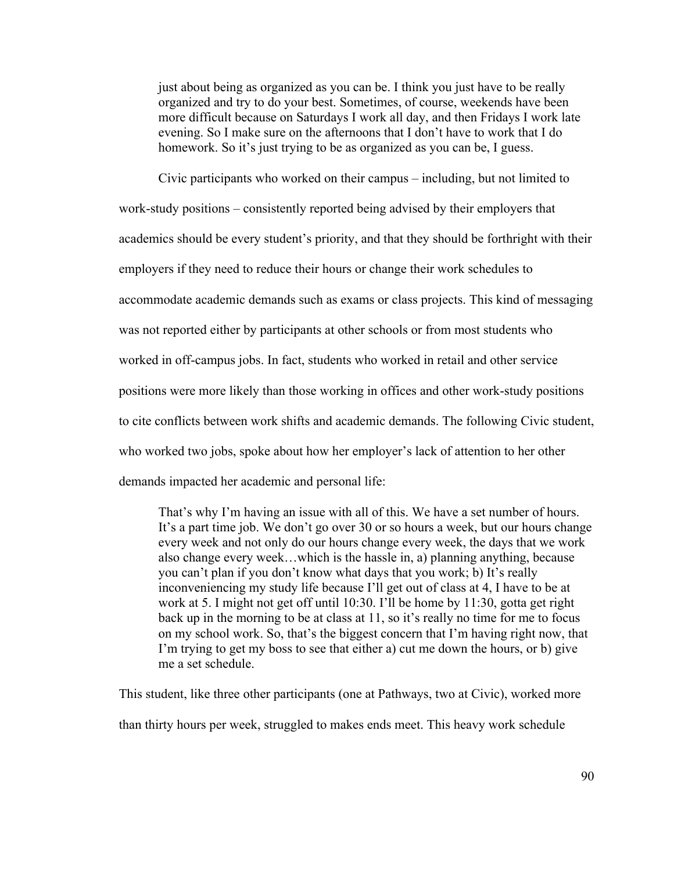just about being as organized as you can be. I think you just have to be really organized and try to do your best. Sometimes, of course, weekends have been more difficult because on Saturdays I work all day, and then Fridays I work late evening. So I make sure on the afternoons that I don't have to work that I do homework. So it's just trying to be as organized as you can be, I guess.

Civic participants who worked on their campus – including, but not limited to work-study positions – consistently reported being advised by their employers that academics should be every student's priority, and that they should be forthright with their employers if they need to reduce their hours or change their work schedules to accommodate academic demands such as exams or class projects. This kind of messaging was not reported either by participants at other schools or from most students who worked in off-campus jobs. In fact, students who worked in retail and other service positions were more likely than those working in offices and other work-study positions to cite conflicts between work shifts and academic demands. The following Civic student, who worked two jobs, spoke about how her employer's lack of attention to her other demands impacted her academic and personal life:

That's why I'm having an issue with all of this. We have a set number of hours. It's a part time job. We don't go over 30 or so hours a week, but our hours change every week and not only do our hours change every week, the days that we work also change every week…which is the hassle in, a) planning anything, because you can't plan if you don't know what days that you work; b) It's really inconveniencing my study life because I'll get out of class at 4, I have to be at work at 5. I might not get off until 10:30. I'll be home by 11:30, gotta get right back up in the morning to be at class at 11, so it's really no time for me to focus on my school work. So, that's the biggest concern that I'm having right now, that I'm trying to get my boss to see that either a) cut me down the hours, or b) give me a set schedule.

This student, like three other participants (one at Pathways, two at Civic), worked more than thirty hours per week, struggled to makes ends meet. This heavy work schedule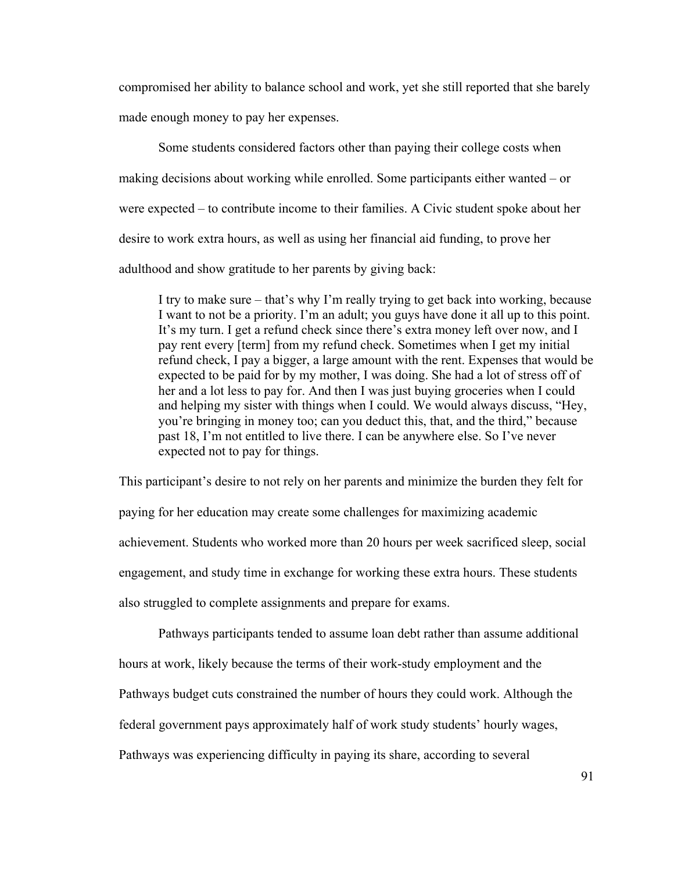compromised her ability to balance school and work, yet she still reported that she barely made enough money to pay her expenses.

Some students considered factors other than paying their college costs when making decisions about working while enrolled. Some participants either wanted – or were expected – to contribute income to their families. A Civic student spoke about her desire to work extra hours, as well as using her financial aid funding, to prove her adulthood and show gratitude to her parents by giving back:

I try to make sure – that's why I'm really trying to get back into working, because I want to not be a priority. I'm an adult; you guys have done it all up to this point. It's my turn. I get a refund check since there's extra money left over now, and I pay rent every [term] from my refund check. Sometimes when I get my initial refund check, I pay a bigger, a large amount with the rent. Expenses that would be expected to be paid for by my mother, I was doing. She had a lot of stress off of her and a lot less to pay for. And then I was just buying groceries when I could and helping my sister with things when I could. We would always discuss, "Hey, you're bringing in money too; can you deduct this, that, and the third," because past 18, I'm not entitled to live there. I can be anywhere else. So I've never expected not to pay for things.

This participant's desire to not rely on her parents and minimize the burden they felt for paying for her education may create some challenges for maximizing academic achievement. Students who worked more than 20 hours per week sacrificed sleep, social engagement, and study time in exchange for working these extra hours. These students also struggled to complete assignments and prepare for exams.

Pathways participants tended to assume loan debt rather than assume additional hours at work, likely because the terms of their work-study employment and the Pathways budget cuts constrained the number of hours they could work. Although the federal government pays approximately half of work study students' hourly wages, Pathways was experiencing difficulty in paying its share, according to several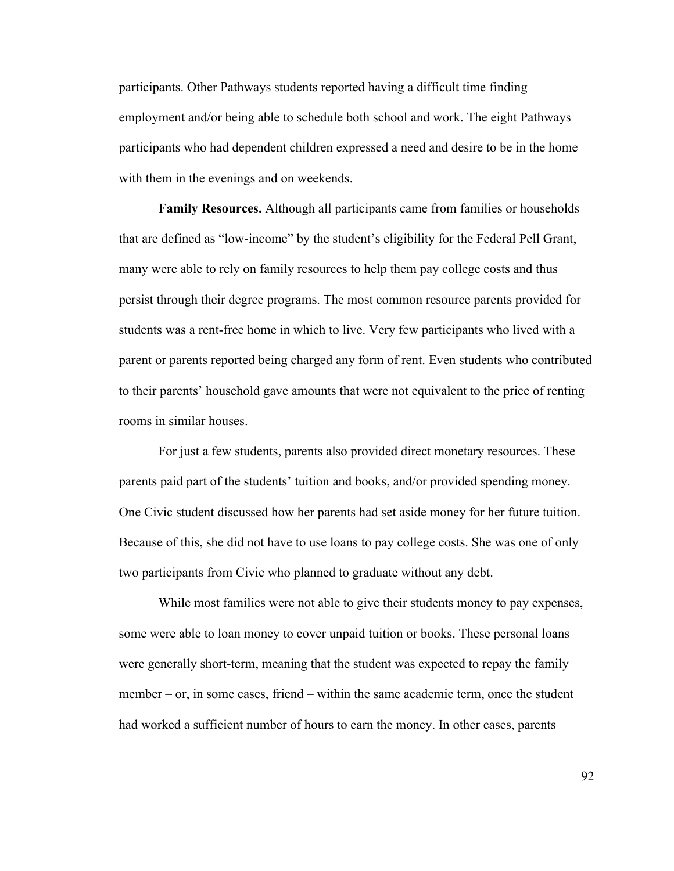participants. Other Pathways students reported having a difficult time finding employment and/or being able to schedule both school and work. The eight Pathways participants who had dependent children expressed a need and desire to be in the home with them in the evenings and on weekends.

**Family Resources.** Although all participants came from families or households that are defined as "low-income" by the student's eligibility for the Federal Pell Grant, many were able to rely on family resources to help them pay college costs and thus persist through their degree programs. The most common resource parents provided for students was a rent-free home in which to live. Very few participants who lived with a parent or parents reported being charged any form of rent. Even students who contributed to their parents' household gave amounts that were not equivalent to the price of renting rooms in similar houses.

For just a few students, parents also provided direct monetary resources. These parents paid part of the students' tuition and books, and/or provided spending money. One Civic student discussed how her parents had set aside money for her future tuition. Because of this, she did not have to use loans to pay college costs. She was one of only two participants from Civic who planned to graduate without any debt.

While most families were not able to give their students money to pay expenses, some were able to loan money to cover unpaid tuition or books. These personal loans were generally short-term, meaning that the student was expected to repay the family member – or, in some cases, friend – within the same academic term, once the student had worked a sufficient number of hours to earn the money. In other cases, parents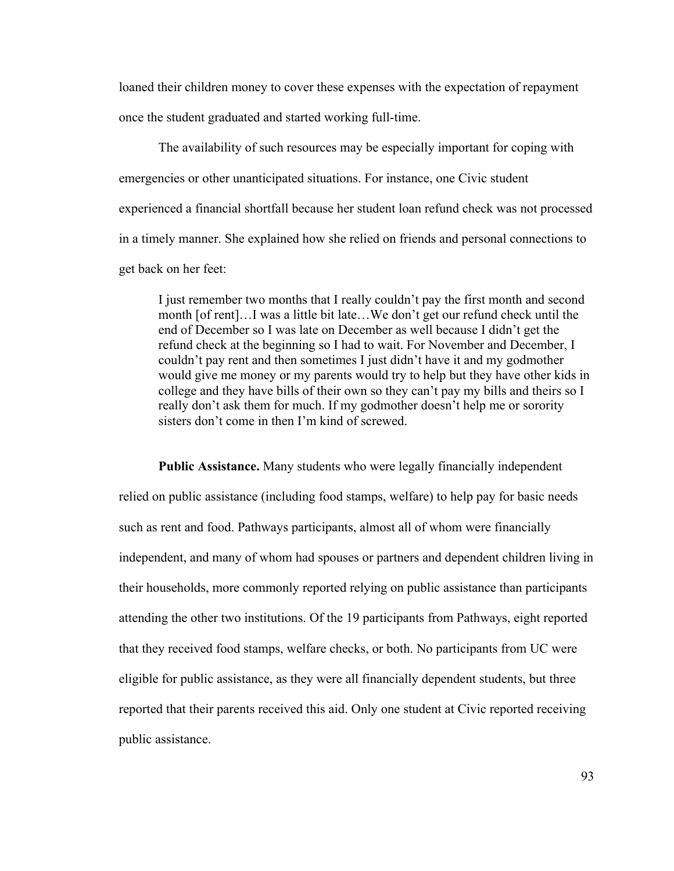loaned their children money to cover these expenses with the expectation of repayment once the student graduated and started working full-time.

The availability of such resources may be especially important for coping with emergencies or other unanticipated situations. For instance, one Civic student experienced a financial shortfall because her student loan refund check was not processed in a timely manner. She explained how she relied on friends and personal connections to get back on her feet:

I just remember two months that I really couldn't pay the first month and second month [of rent]…I was a little bit late…We don't get our refund check until the end of December so I was late on December as well because I didn't get the refund check at the beginning so I had to wait. For November and December, I couldn't pay rent and then sometimes I just didn't have it and my godmother would give me money or my parents would try to help but they have other kids in college and they have bills of their own so they can't pay my bills and theirs so I really don't ask them for much. If my godmother doesn't help me or sorority sisters don't come in then I'm kind of screwed.

**Public Assistance.** Many students who were legally financially independent relied on public assistance (including food stamps, welfare) to help pay for basic needs such as rent and food. Pathways participants, almost all of whom were financially independent, and many of whom had spouses or partners and dependent children living in their households, more commonly reported relying on public assistance than participants attending the other two institutions. Of the 19 participants from Pathways, eight reported that they received food stamps, welfare checks, or both. No participants from UC were eligible for public assistance, as they were all financially dependent students, but three reported that their parents received this aid. Only one student at Civic reported receiving public assistance.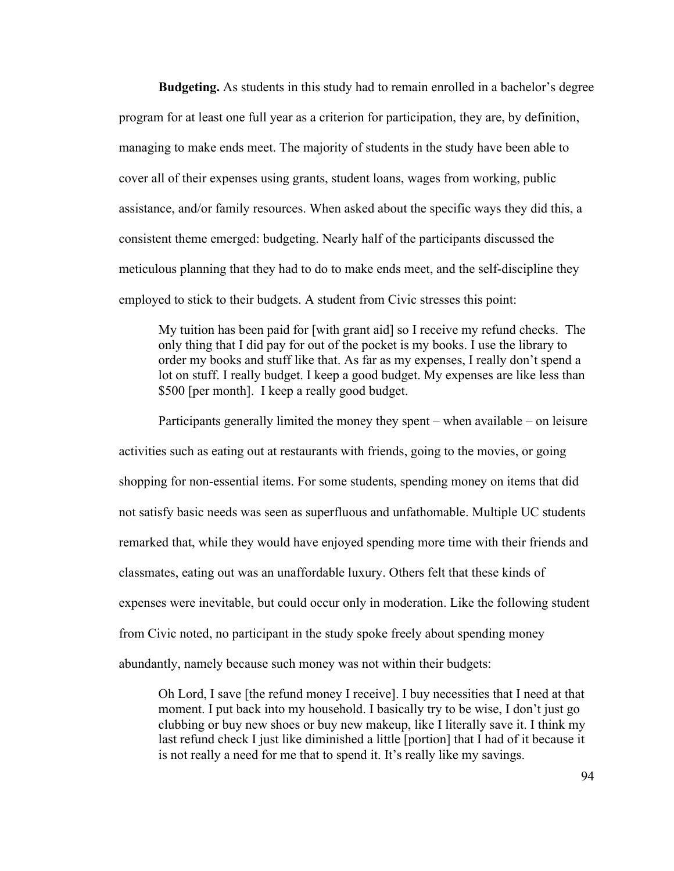**Budgeting.** As students in this study had to remain enrolled in a bachelor's degree program for at least one full year as a criterion for participation, they are, by definition, managing to make ends meet. The majority of students in the study have been able to cover all of their expenses using grants, student loans, wages from working, public assistance, and/or family resources. When asked about the specific ways they did this, a consistent theme emerged: budgeting. Nearly half of the participants discussed the meticulous planning that they had to do to make ends meet, and the self-discipline they employed to stick to their budgets. A student from Civic stresses this point:

My tuition has been paid for [with grant aid] so I receive my refund checks. The only thing that I did pay for out of the pocket is my books. I use the library to order my books and stuff like that. As far as my expenses, I really don't spend a lot on stuff. I really budget. I keep a good budget. My expenses are like less than \$500 [per month]. I keep a really good budget.

Participants generally limited the money they spent – when available – on leisure activities such as eating out at restaurants with friends, going to the movies, or going shopping for non-essential items. For some students, spending money on items that did not satisfy basic needs was seen as superfluous and unfathomable. Multiple UC students remarked that, while they would have enjoyed spending more time with their friends and classmates, eating out was an unaffordable luxury. Others felt that these kinds of expenses were inevitable, but could occur only in moderation. Like the following student from Civic noted, no participant in the study spoke freely about spending money abundantly, namely because such money was not within their budgets:

Oh Lord, I save [the refund money I receive]. I buy necessities that I need at that moment. I put back into my household. I basically try to be wise, I don't just go clubbing or buy new shoes or buy new makeup, like I literally save it. I think my last refund check I just like diminished a little [portion] that I had of it because it is not really a need for me that to spend it. It's really like my savings.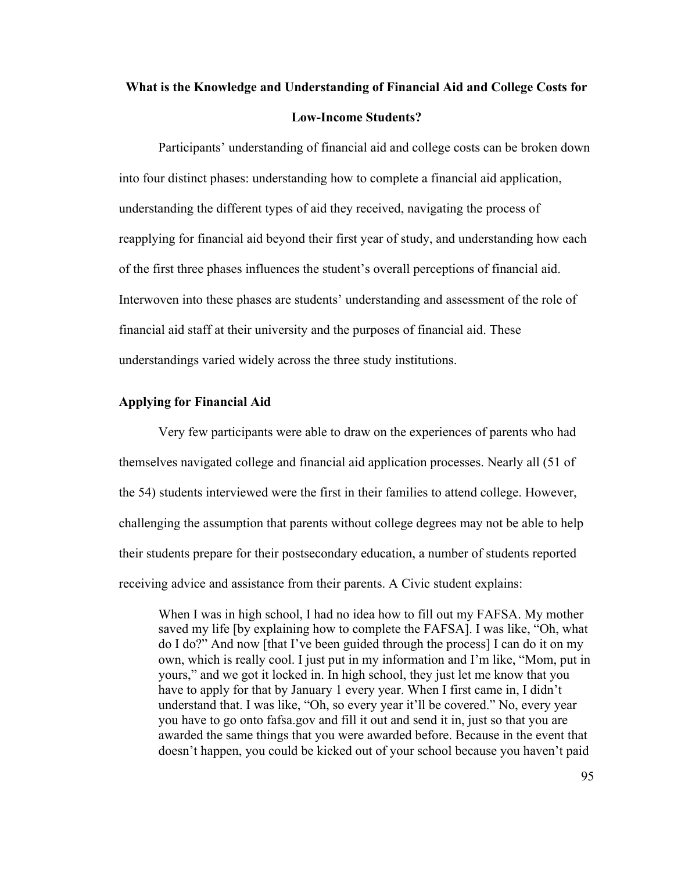# **What is the Knowledge and Understanding of Financial Aid and College Costs for Low-Income Students?**

Participants' understanding of financial aid and college costs can be broken down into four distinct phases: understanding how to complete a financial aid application, understanding the different types of aid they received, navigating the process of reapplying for financial aid beyond their first year of study, and understanding how each of the first three phases influences the student's overall perceptions of financial aid. Interwoven into these phases are students' understanding and assessment of the role of financial aid staff at their university and the purposes of financial aid. These understandings varied widely across the three study institutions.

# **Applying for Financial Aid**

Very few participants were able to draw on the experiences of parents who had themselves navigated college and financial aid application processes. Nearly all (51 of the 54) students interviewed were the first in their families to attend college. However, challenging the assumption that parents without college degrees may not be able to help their students prepare for their postsecondary education, a number of students reported receiving advice and assistance from their parents. A Civic student explains:

When I was in high school, I had no idea how to fill out my FAFSA. My mother saved my life [by explaining how to complete the FAFSA]. I was like, "Oh, what do I do?" And now [that I've been guided through the process] I can do it on my own, which is really cool. I just put in my information and I'm like, "Mom, put in yours," and we got it locked in. In high school, they just let me know that you have to apply for that by January 1 every year. When I first came in, I didn't understand that. I was like, "Oh, so every year it'll be covered." No, every year you have to go onto fafsa.gov and fill it out and send it in, just so that you are awarded the same things that you were awarded before. Because in the event that doesn't happen, you could be kicked out of your school because you haven't paid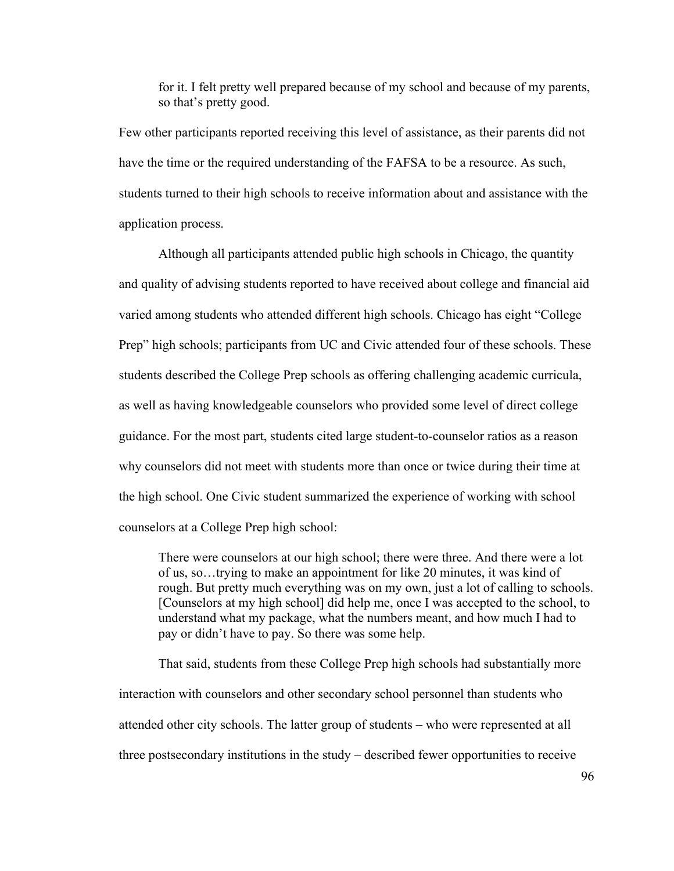for it. I felt pretty well prepared because of my school and because of my parents, so that's pretty good.

Few other participants reported receiving this level of assistance, as their parents did not have the time or the required understanding of the FAFSA to be a resource. As such, students turned to their high schools to receive information about and assistance with the application process.

Although all participants attended public high schools in Chicago, the quantity and quality of advising students reported to have received about college and financial aid varied among students who attended different high schools. Chicago has eight "College Prep" high schools; participants from UC and Civic attended four of these schools. These students described the College Prep schools as offering challenging academic curricula, as well as having knowledgeable counselors who provided some level of direct college guidance. For the most part, students cited large student-to-counselor ratios as a reason why counselors did not meet with students more than once or twice during their time at the high school. One Civic student summarized the experience of working with school counselors at a College Prep high school:

There were counselors at our high school; there were three. And there were a lot of us, so…trying to make an appointment for like 20 minutes, it was kind of rough. But pretty much everything was on my own, just a lot of calling to schools. [Counselors at my high school] did help me, once I was accepted to the school, to understand what my package, what the numbers meant, and how much I had to pay or didn't have to pay. So there was some help.

That said, students from these College Prep high schools had substantially more interaction with counselors and other secondary school personnel than students who attended other city schools. The latter group of students – who were represented at all three postsecondary institutions in the study – described fewer opportunities to receive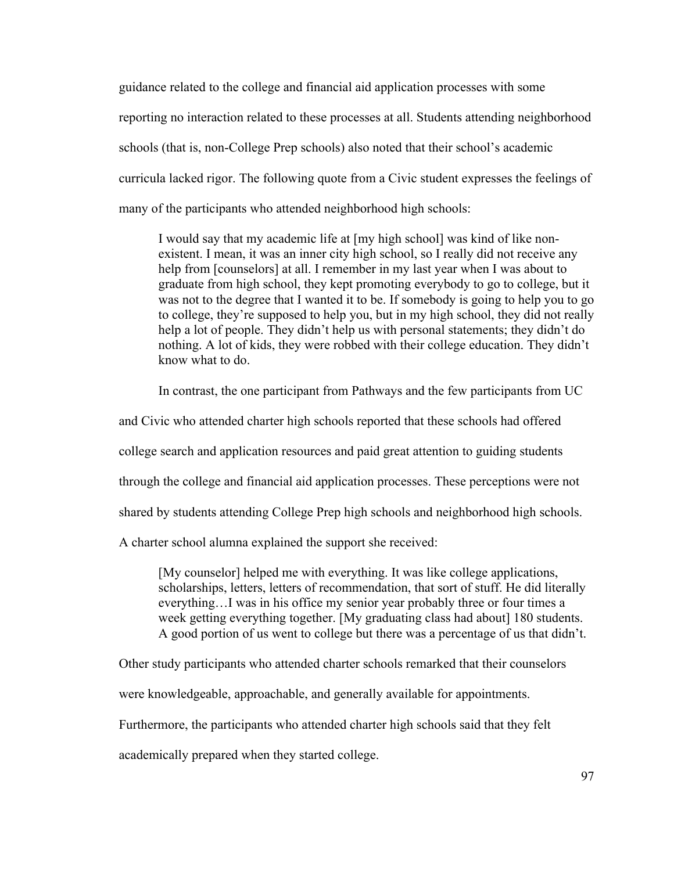guidance related to the college and financial aid application processes with some reporting no interaction related to these processes at all. Students attending neighborhood schools (that is, non-College Prep schools) also noted that their school's academic curricula lacked rigor. The following quote from a Civic student expresses the feelings of many of the participants who attended neighborhood high schools:

I would say that my academic life at [my high school] was kind of like nonexistent. I mean, it was an inner city high school, so I really did not receive any help from [counselors] at all. I remember in my last year when I was about to graduate from high school, they kept promoting everybody to go to college, but it was not to the degree that I wanted it to be. If somebody is going to help you to go to college, they're supposed to help you, but in my high school, they did not really help a lot of people. They didn't help us with personal statements; they didn't do nothing. A lot of kids, they were robbed with their college education. They didn't know what to do.

In contrast, the one participant from Pathways and the few participants from UC

and Civic who attended charter high schools reported that these schools had offered

college search and application resources and paid great attention to guiding students

through the college and financial aid application processes. These perceptions were not

shared by students attending College Prep high schools and neighborhood high schools.

A charter school alumna explained the support she received:

[My counselor] helped me with everything. It was like college applications, scholarships, letters, letters of recommendation, that sort of stuff. He did literally everything…I was in his office my senior year probably three or four times a week getting everything together. [My graduating class had about] 180 students. A good portion of us went to college but there was a percentage of us that didn't.

Other study participants who attended charter schools remarked that their counselors

were knowledgeable, approachable, and generally available for appointments.

Furthermore, the participants who attended charter high schools said that they felt

academically prepared when they started college.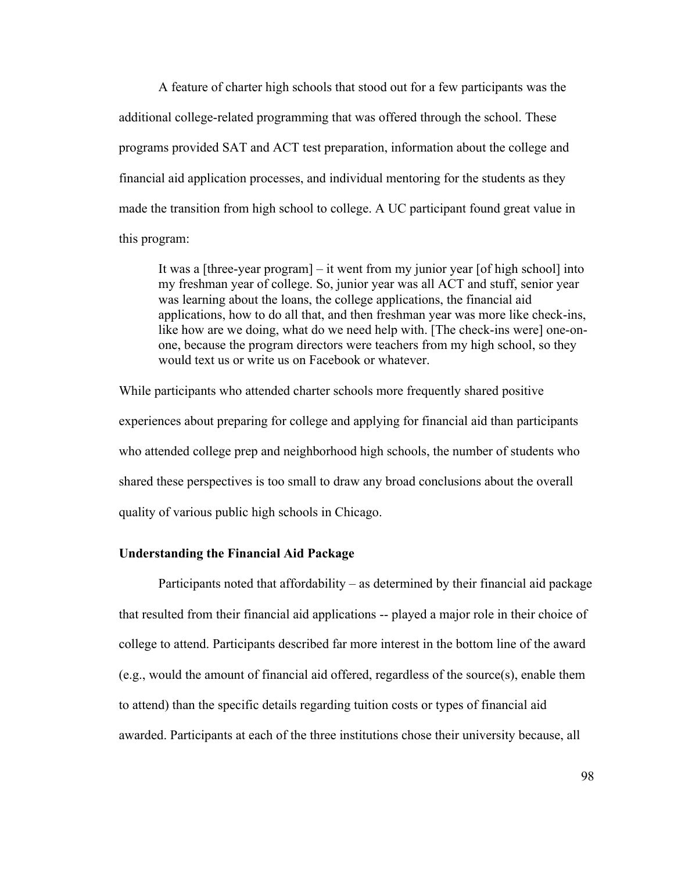A feature of charter high schools that stood out for a few participants was the additional college-related programming that was offered through the school. These programs provided SAT and ACT test preparation, information about the college and financial aid application processes, and individual mentoring for the students as they made the transition from high school to college. A UC participant found great value in this program:

It was a [three-year program] – it went from my junior year [of high school] into my freshman year of college. So, junior year was all ACT and stuff, senior year was learning about the loans, the college applications, the financial aid applications, how to do all that, and then freshman year was more like check-ins, like how are we doing, what do we need help with. [The check-ins were] one-onone, because the program directors were teachers from my high school, so they would text us or write us on Facebook or whatever.

While participants who attended charter schools more frequently shared positive experiences about preparing for college and applying for financial aid than participants who attended college prep and neighborhood high schools, the number of students who shared these perspectives is too small to draw any broad conclusions about the overall quality of various public high schools in Chicago.

# **Understanding the Financial Aid Package**

Participants noted that affordability – as determined by their financial aid package that resulted from their financial aid applications -- played a major role in their choice of college to attend. Participants described far more interest in the bottom line of the award (e.g., would the amount of financial aid offered, regardless of the source(s), enable them to attend) than the specific details regarding tuition costs or types of financial aid awarded. Participants at each of the three institutions chose their university because, all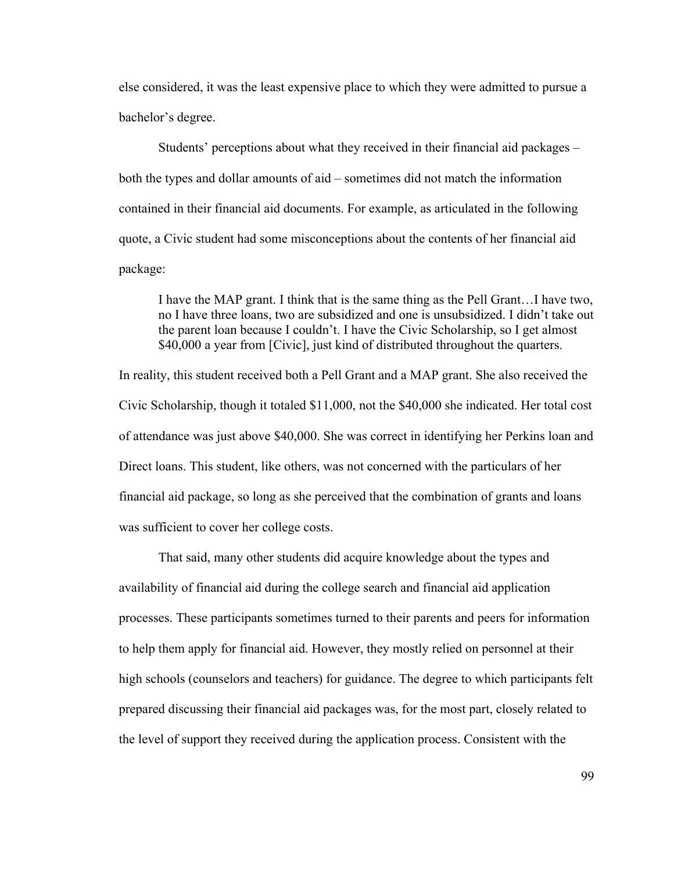else considered, it was the least expensive place to which they were admitted to pursue a bachelor's degree.

Students' perceptions about what they received in their financial aid packages – both the types and dollar amounts of aid – sometimes did not match the information contained in their financial aid documents. For example, as articulated in the following quote, a Civic student had some misconceptions about the contents of her financial aid package:

I have the MAP grant. I think that is the same thing as the Pell Grant…I have two, no I have three loans, two are subsidized and one is unsubsidized. I didn't take out the parent loan because I couldn't. I have the Civic Scholarship, so I get almost \$40,000 a year from [Civic], just kind of distributed throughout the quarters.

In reality, this student received both a Pell Grant and a MAP grant. She also received the Civic Scholarship, though it totaled \$11,000, not the \$40,000 she indicated. Her total cost of attendance was just above \$40,000. She was correct in identifying her Perkins loan and Direct loans. This student, like others, was not concerned with the particulars of her financial aid package, so long as she perceived that the combination of grants and loans was sufficient to cover her college costs.

That said, many other students did acquire knowledge about the types and availability of financial aid during the college search and financial aid application processes. These participants sometimes turned to their parents and peers for information to help them apply for financial aid. However, they mostly relied on personnel at their high schools (counselors and teachers) for guidance. The degree to which participants felt prepared discussing their financial aid packages was, for the most part, closely related to the level of support they received during the application process. Consistent with the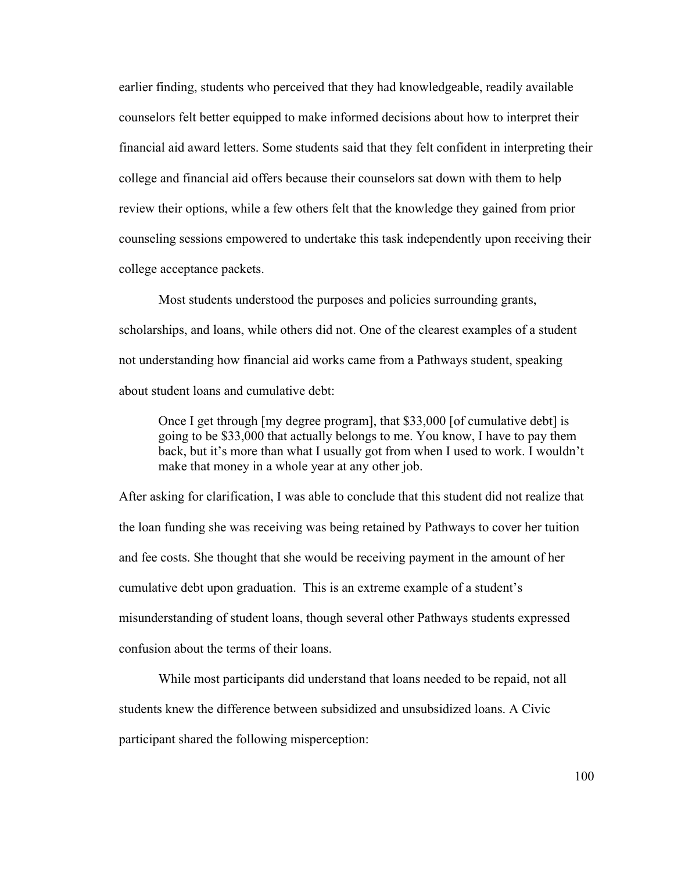earlier finding, students who perceived that they had knowledgeable, readily available counselors felt better equipped to make informed decisions about how to interpret their financial aid award letters. Some students said that they felt confident in interpreting their college and financial aid offers because their counselors sat down with them to help review their options, while a few others felt that the knowledge they gained from prior counseling sessions empowered to undertake this task independently upon receiving their college acceptance packets.

Most students understood the purposes and policies surrounding grants, scholarships, and loans, while others did not. One of the clearest examples of a student not understanding how financial aid works came from a Pathways student, speaking about student loans and cumulative debt:

Once I get through [my degree program], that \$33,000 [of cumulative debt] is going to be \$33,000 that actually belongs to me. You know, I have to pay them back, but it's more than what I usually got from when I used to work. I wouldn't make that money in a whole year at any other job.

After asking for clarification, I was able to conclude that this student did not realize that the loan funding she was receiving was being retained by Pathways to cover her tuition and fee costs. She thought that she would be receiving payment in the amount of her cumulative debt upon graduation. This is an extreme example of a student's misunderstanding of student loans, though several other Pathways students expressed confusion about the terms of their loans.

While most participants did understand that loans needed to be repaid, not all students knew the difference between subsidized and unsubsidized loans. A Civic participant shared the following misperception: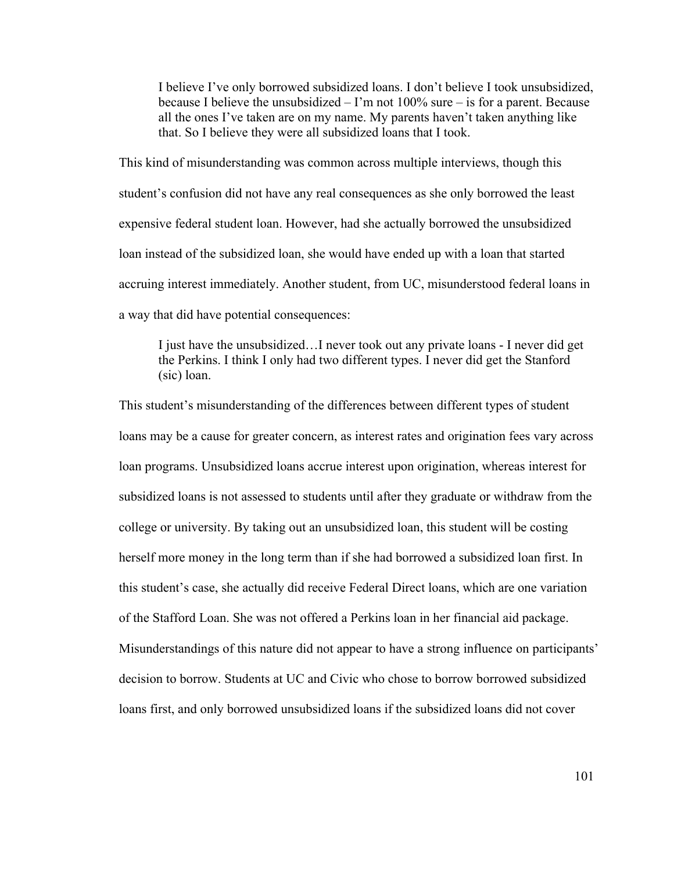I believe I've only borrowed subsidized loans. I don't believe I took unsubsidized, because I believe the unsubsidized  $-1$ 'm not 100% sure  $-$  is for a parent. Because all the ones I've taken are on my name. My parents haven't taken anything like that. So I believe they were all subsidized loans that I took.

This kind of misunderstanding was common across multiple interviews, though this student's confusion did not have any real consequences as she only borrowed the least expensive federal student loan. However, had she actually borrowed the unsubsidized loan instead of the subsidized loan, she would have ended up with a loan that started accruing interest immediately. Another student, from UC, misunderstood federal loans in a way that did have potential consequences:

I just have the unsubsidized…I never took out any private loans - I never did get the Perkins. I think I only had two different types. I never did get the Stanford (sic) loan.

This student's misunderstanding of the differences between different types of student loans may be a cause for greater concern, as interest rates and origination fees vary across loan programs. Unsubsidized loans accrue interest upon origination, whereas interest for subsidized loans is not assessed to students until after they graduate or withdraw from the college or university. By taking out an unsubsidized loan, this student will be costing herself more money in the long term than if she had borrowed a subsidized loan first. In this student's case, she actually did receive Federal Direct loans, which are one variation of the Stafford Loan. She was not offered a Perkins loan in her financial aid package. Misunderstandings of this nature did not appear to have a strong influence on participants' decision to borrow. Students at UC and Civic who chose to borrow borrowed subsidized loans first, and only borrowed unsubsidized loans if the subsidized loans did not cover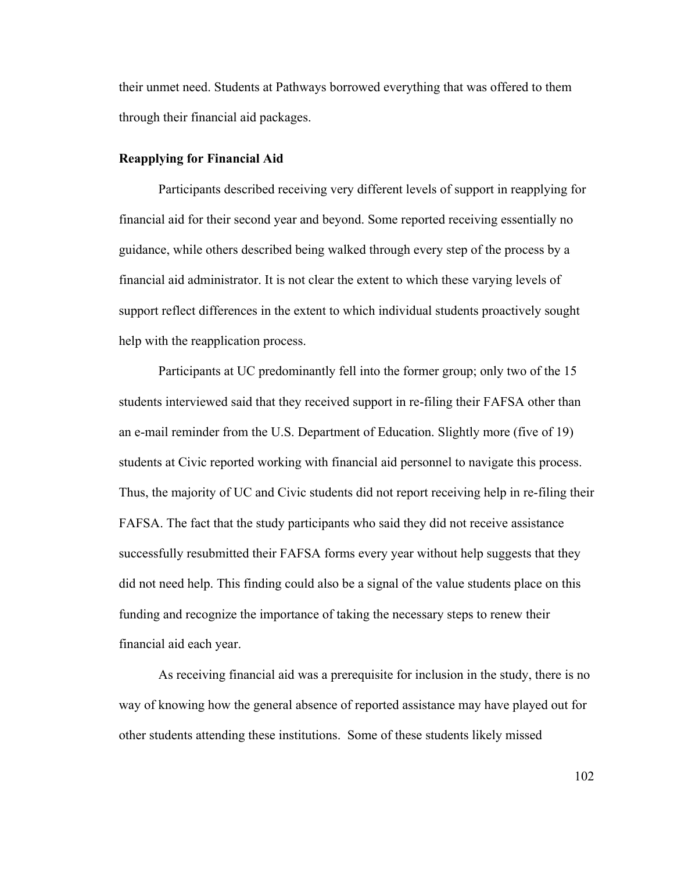their unmet need. Students at Pathways borrowed everything that was offered to them through their financial aid packages.

### **Reapplying for Financial Aid**

Participants described receiving very different levels of support in reapplying for financial aid for their second year and beyond. Some reported receiving essentially no guidance, while others described being walked through every step of the process by a financial aid administrator. It is not clear the extent to which these varying levels of support reflect differences in the extent to which individual students proactively sought help with the reapplication process.

Participants at UC predominantly fell into the former group; only two of the 15 students interviewed said that they received support in re-filing their FAFSA other than an e-mail reminder from the U.S. Department of Education. Slightly more (five of 19) students at Civic reported working with financial aid personnel to navigate this process. Thus, the majority of UC and Civic students did not report receiving help in re-filing their FAFSA. The fact that the study participants who said they did not receive assistance successfully resubmitted their FAFSA forms every year without help suggests that they did not need help. This finding could also be a signal of the value students place on this funding and recognize the importance of taking the necessary steps to renew their financial aid each year.

As receiving financial aid was a prerequisite for inclusion in the study, there is no way of knowing how the general absence of reported assistance may have played out for other students attending these institutions. Some of these students likely missed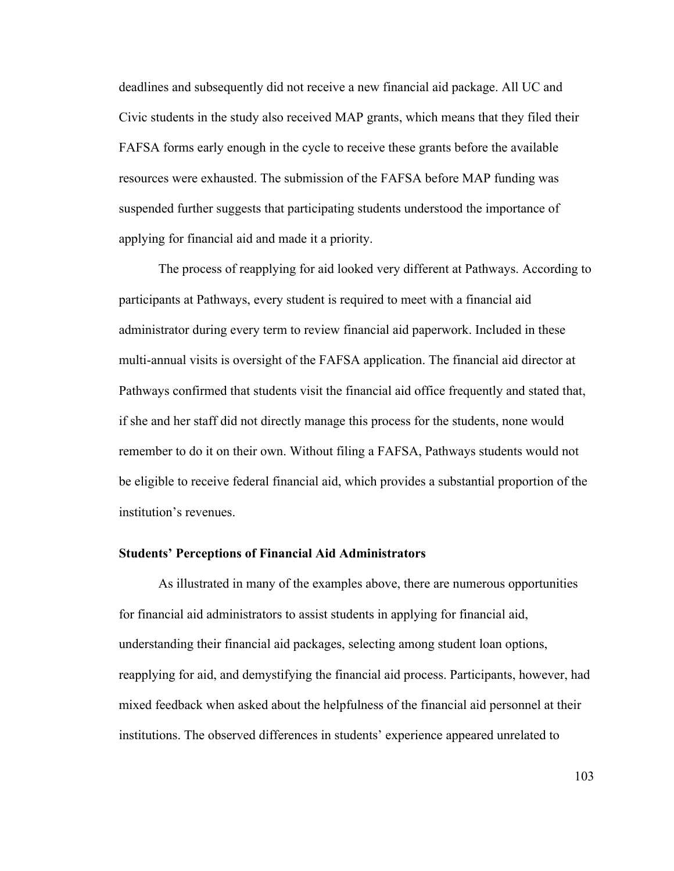deadlines and subsequently did not receive a new financial aid package. All UC and Civic students in the study also received MAP grants, which means that they filed their FAFSA forms early enough in the cycle to receive these grants before the available resources were exhausted. The submission of the FAFSA before MAP funding was suspended further suggests that participating students understood the importance of applying for financial aid and made it a priority.

The process of reapplying for aid looked very different at Pathways. According to participants at Pathways, every student is required to meet with a financial aid administrator during every term to review financial aid paperwork. Included in these multi-annual visits is oversight of the FAFSA application. The financial aid director at Pathways confirmed that students visit the financial aid office frequently and stated that, if she and her staff did not directly manage this process for the students, none would remember to do it on their own. Without filing a FAFSA, Pathways students would not be eligible to receive federal financial aid, which provides a substantial proportion of the institution's revenues.

# **Students' Perceptions of Financial Aid Administrators**

As illustrated in many of the examples above, there are numerous opportunities for financial aid administrators to assist students in applying for financial aid, understanding their financial aid packages, selecting among student loan options, reapplying for aid, and demystifying the financial aid process. Participants, however, had mixed feedback when asked about the helpfulness of the financial aid personnel at their institutions. The observed differences in students' experience appeared unrelated to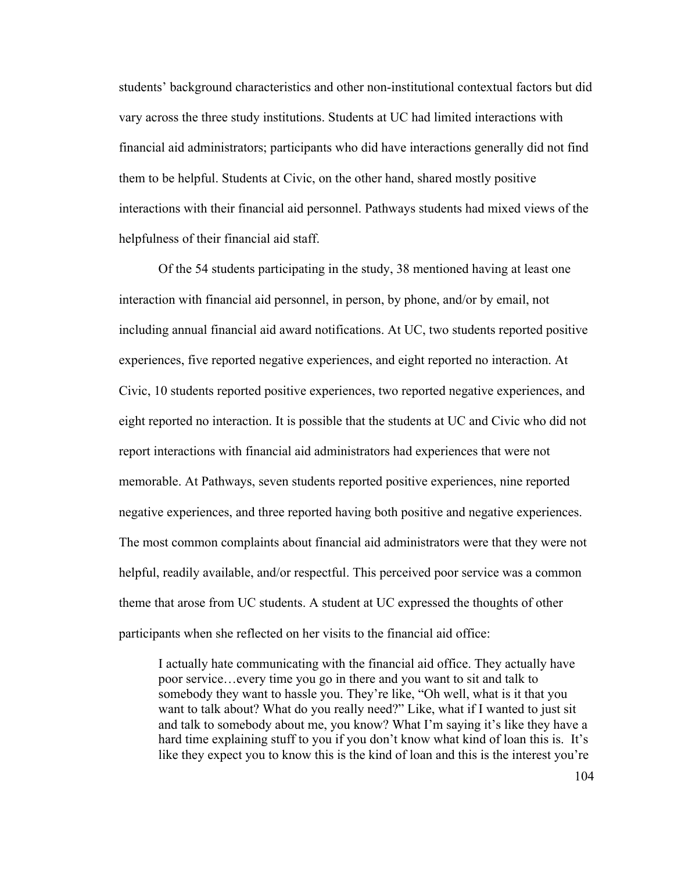students' background characteristics and other non-institutional contextual factors but did vary across the three study institutions. Students at UC had limited interactions with financial aid administrators; participants who did have interactions generally did not find them to be helpful. Students at Civic, on the other hand, shared mostly positive interactions with their financial aid personnel. Pathways students had mixed views of the helpfulness of their financial aid staff.

Of the 54 students participating in the study, 38 mentioned having at least one interaction with financial aid personnel, in person, by phone, and/or by email, not including annual financial aid award notifications. At UC, two students reported positive experiences, five reported negative experiences, and eight reported no interaction. At Civic, 10 students reported positive experiences, two reported negative experiences, and eight reported no interaction. It is possible that the students at UC and Civic who did not report interactions with financial aid administrators had experiences that were not memorable. At Pathways, seven students reported positive experiences, nine reported negative experiences, and three reported having both positive and negative experiences. The most common complaints about financial aid administrators were that they were not helpful, readily available, and/or respectful. This perceived poor service was a common theme that arose from UC students. A student at UC expressed the thoughts of other participants when she reflected on her visits to the financial aid office:

I actually hate communicating with the financial aid office. They actually have poor service…every time you go in there and you want to sit and talk to somebody they want to hassle you. They're like, "Oh well, what is it that you want to talk about? What do you really need?" Like, what if I wanted to just sit and talk to somebody about me, you know? What I'm saying it's like they have a hard time explaining stuff to you if you don't know what kind of loan this is. It's like they expect you to know this is the kind of loan and this is the interest you're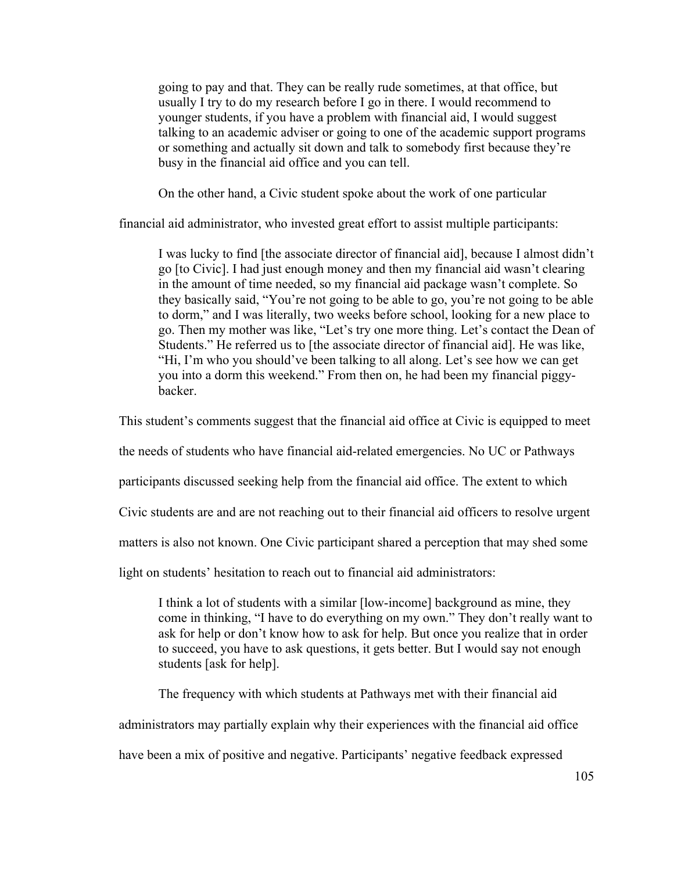going to pay and that. They can be really rude sometimes, at that office, but usually I try to do my research before I go in there. I would recommend to younger students, if you have a problem with financial aid, I would suggest talking to an academic adviser or going to one of the academic support programs or something and actually sit down and talk to somebody first because they're busy in the financial aid office and you can tell.

On the other hand, a Civic student spoke about the work of one particular

financial aid administrator, who invested great effort to assist multiple participants:

I was lucky to find [the associate director of financial aid], because I almost didn't go [to Civic]. I had just enough money and then my financial aid wasn't clearing in the amount of time needed, so my financial aid package wasn't complete. So they basically said, "You're not going to be able to go, you're not going to be able to dorm," and I was literally, two weeks before school, looking for a new place to go. Then my mother was like, "Let's try one more thing. Let's contact the Dean of Students." He referred us to [the associate director of financial aid]. He was like, "Hi, I'm who you should've been talking to all along. Let's see how we can get you into a dorm this weekend." From then on, he had been my financial piggybacker.

This student's comments suggest that the financial aid office at Civic is equipped to meet

the needs of students who have financial aid-related emergencies. No UC or Pathways

participants discussed seeking help from the financial aid office. The extent to which

Civic students are and are not reaching out to their financial aid officers to resolve urgent

matters is also not known. One Civic participant shared a perception that may shed some

light on students' hesitation to reach out to financial aid administrators:

I think a lot of students with a similar [low-income] background as mine, they come in thinking, "I have to do everything on my own." They don't really want to ask for help or don't know how to ask for help. But once you realize that in order to succeed, you have to ask questions, it gets better. But I would say not enough students [ask for help].

The frequency with which students at Pathways met with their financial aid

administrators may partially explain why their experiences with the financial aid office

have been a mix of positive and negative. Participants' negative feedback expressed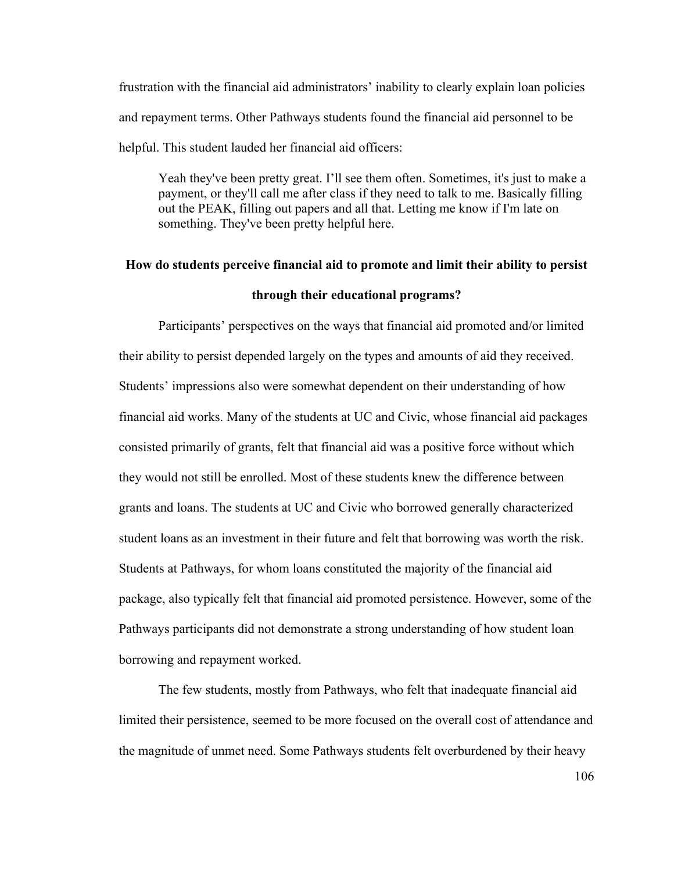frustration with the financial aid administrators' inability to clearly explain loan policies and repayment terms. Other Pathways students found the financial aid personnel to be helpful. This student lauded her financial aid officers:

Yeah they've been pretty great. I'll see them often. Sometimes, it's just to make a payment, or they'll call me after class if they need to talk to me. Basically filling out the PEAK, filling out papers and all that. Letting me know if I'm late on something. They've been pretty helpful here.

# **How do students perceive financial aid to promote and limit their ability to persist through their educational programs?**

Participants' perspectives on the ways that financial aid promoted and/or limited their ability to persist depended largely on the types and amounts of aid they received. Students' impressions also were somewhat dependent on their understanding of how financial aid works. Many of the students at UC and Civic, whose financial aid packages consisted primarily of grants, felt that financial aid was a positive force without which they would not still be enrolled. Most of these students knew the difference between grants and loans. The students at UC and Civic who borrowed generally characterized student loans as an investment in their future and felt that borrowing was worth the risk. Students at Pathways, for whom loans constituted the majority of the financial aid package, also typically felt that financial aid promoted persistence. However, some of the Pathways participants did not demonstrate a strong understanding of how student loan borrowing and repayment worked.

The few students, mostly from Pathways, who felt that inadequate financial aid limited their persistence, seemed to be more focused on the overall cost of attendance and the magnitude of unmet need. Some Pathways students felt overburdened by their heavy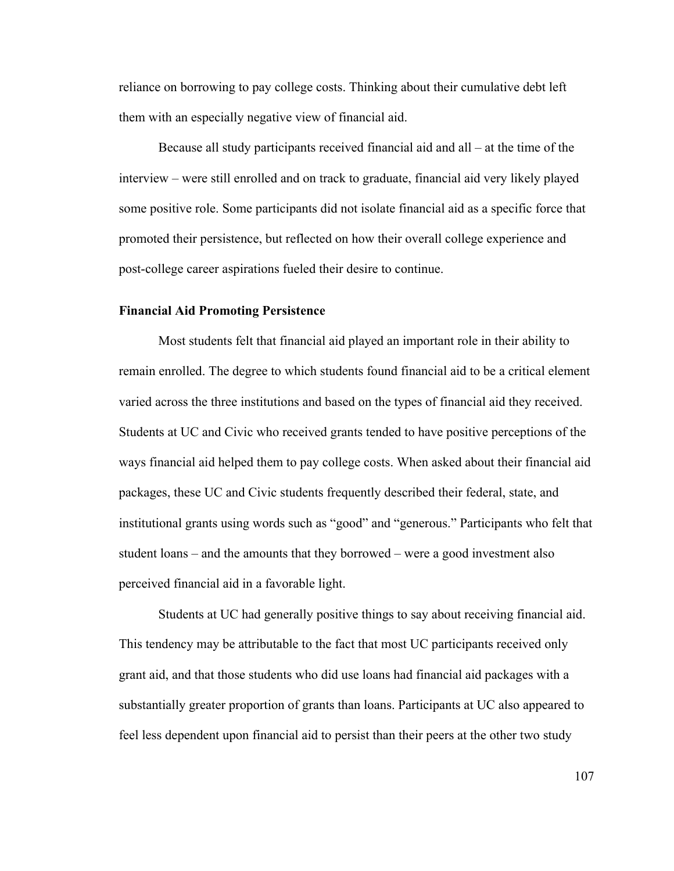reliance on borrowing to pay college costs. Thinking about their cumulative debt left them with an especially negative view of financial aid.

Because all study participants received financial aid and all – at the time of the interview – were still enrolled and on track to graduate, financial aid very likely played some positive role. Some participants did not isolate financial aid as a specific force that promoted their persistence, but reflected on how their overall college experience and post-college career aspirations fueled their desire to continue.

### **Financial Aid Promoting Persistence**

Most students felt that financial aid played an important role in their ability to remain enrolled. The degree to which students found financial aid to be a critical element varied across the three institutions and based on the types of financial aid they received. Students at UC and Civic who received grants tended to have positive perceptions of the ways financial aid helped them to pay college costs. When asked about their financial aid packages, these UC and Civic students frequently described their federal, state, and institutional grants using words such as "good" and "generous." Participants who felt that student loans – and the amounts that they borrowed – were a good investment also perceived financial aid in a favorable light.

Students at UC had generally positive things to say about receiving financial aid. This tendency may be attributable to the fact that most UC participants received only grant aid, and that those students who did use loans had financial aid packages with a substantially greater proportion of grants than loans. Participants at UC also appeared to feel less dependent upon financial aid to persist than their peers at the other two study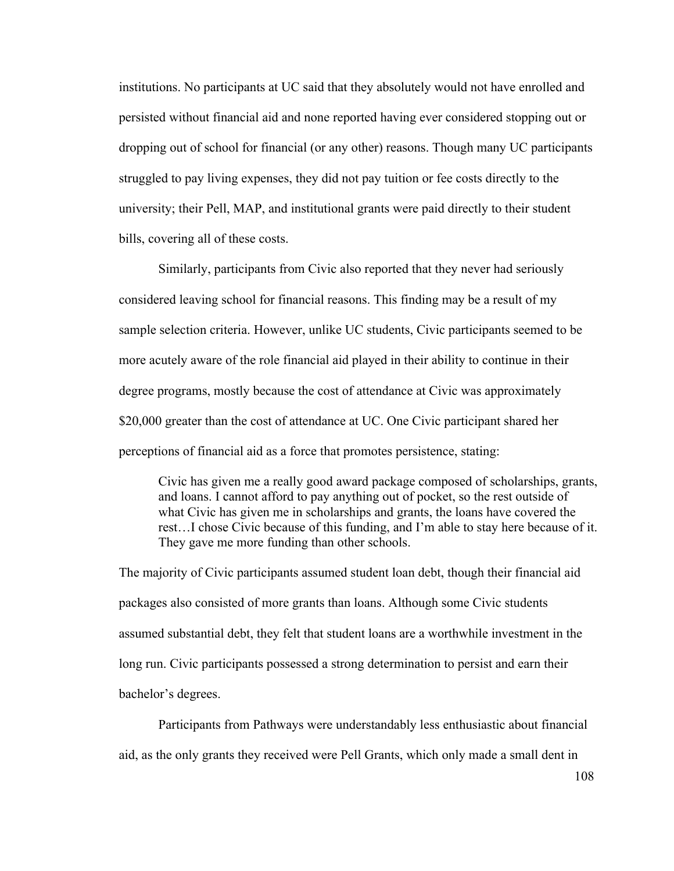institutions. No participants at UC said that they absolutely would not have enrolled and persisted without financial aid and none reported having ever considered stopping out or dropping out of school for financial (or any other) reasons. Though many UC participants struggled to pay living expenses, they did not pay tuition or fee costs directly to the university; their Pell, MAP, and institutional grants were paid directly to their student bills, covering all of these costs.

Similarly, participants from Civic also reported that they never had seriously considered leaving school for financial reasons. This finding may be a result of my sample selection criteria. However, unlike UC students, Civic participants seemed to be more acutely aware of the role financial aid played in their ability to continue in their degree programs, mostly because the cost of attendance at Civic was approximately \$20,000 greater than the cost of attendance at UC. One Civic participant shared her perceptions of financial aid as a force that promotes persistence, stating:

Civic has given me a really good award package composed of scholarships, grants, and loans. I cannot afford to pay anything out of pocket, so the rest outside of what Civic has given me in scholarships and grants, the loans have covered the rest…I chose Civic because of this funding, and I'm able to stay here because of it. They gave me more funding than other schools.

The majority of Civic participants assumed student loan debt, though their financial aid packages also consisted of more grants than loans. Although some Civic students assumed substantial debt, they felt that student loans are a worthwhile investment in the long run. Civic participants possessed a strong determination to persist and earn their bachelor's degrees.

Participants from Pathways were understandably less enthusiastic about financial aid, as the only grants they received were Pell Grants, which only made a small dent in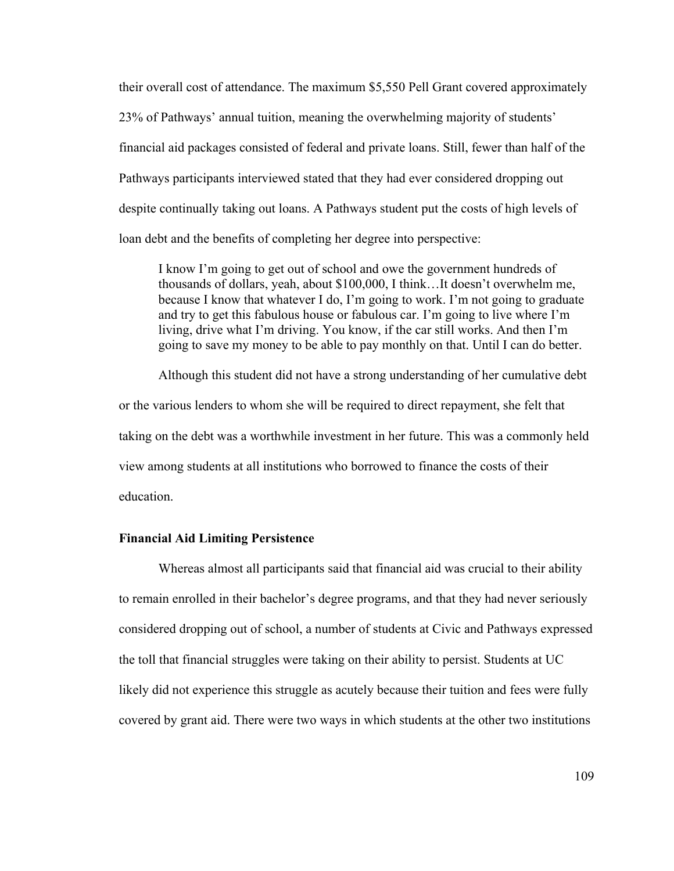their overall cost of attendance. The maximum \$5,550 Pell Grant covered approximately 23% of Pathways' annual tuition, meaning the overwhelming majority of students' financial aid packages consisted of federal and private loans. Still, fewer than half of the Pathways participants interviewed stated that they had ever considered dropping out despite continually taking out loans. A Pathways student put the costs of high levels of loan debt and the benefits of completing her degree into perspective:

I know I'm going to get out of school and owe the government hundreds of thousands of dollars, yeah, about \$100,000, I think…It doesn't overwhelm me, because I know that whatever I do, I'm going to work. I'm not going to graduate and try to get this fabulous house or fabulous car. I'm going to live where I'm living, drive what I'm driving. You know, if the car still works. And then I'm going to save my money to be able to pay monthly on that. Until I can do better.

Although this student did not have a strong understanding of her cumulative debt or the various lenders to whom she will be required to direct repayment, she felt that taking on the debt was a worthwhile investment in her future. This was a commonly held view among students at all institutions who borrowed to finance the costs of their education.

# **Financial Aid Limiting Persistence**

Whereas almost all participants said that financial aid was crucial to their ability to remain enrolled in their bachelor's degree programs, and that they had never seriously considered dropping out of school, a number of students at Civic and Pathways expressed the toll that financial struggles were taking on their ability to persist. Students at UC likely did not experience this struggle as acutely because their tuition and fees were fully covered by grant aid. There were two ways in which students at the other two institutions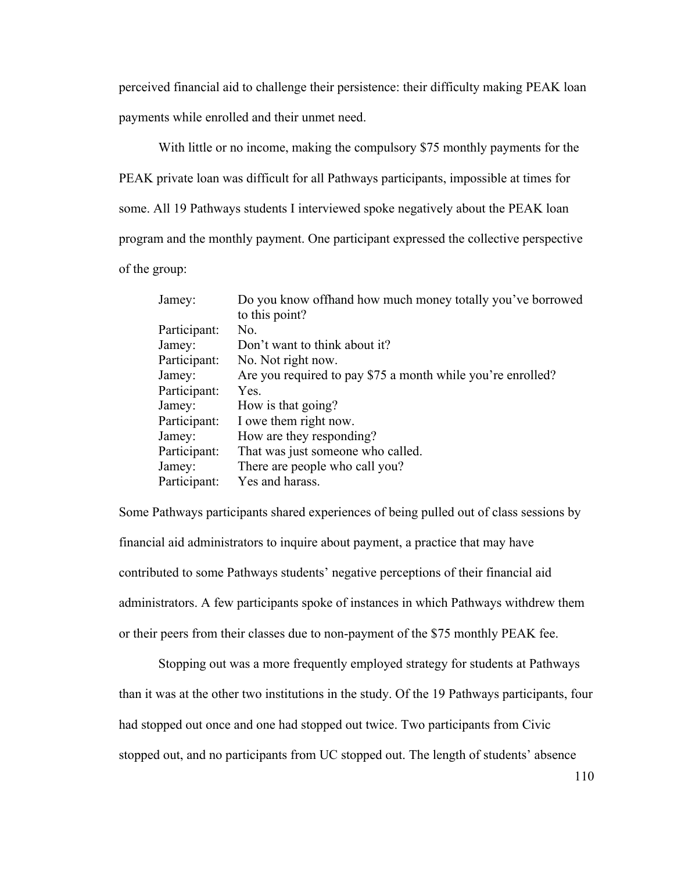perceived financial aid to challenge their persistence: their difficulty making PEAK loan payments while enrolled and their unmet need.

With little or no income, making the compulsory \$75 monthly payments for the PEAK private loan was difficult for all Pathways participants, impossible at times for some. All 19 Pathways students I interviewed spoke negatively about the PEAK loan program and the monthly payment. One participant expressed the collective perspective of the group:

| Jamey:       | Do you know of thand how much money totally you've borrowed |
|--------------|-------------------------------------------------------------|
|              | to this point?                                              |
| Participant: | No.                                                         |
| Jamey:       | Don't want to think about it?                               |
| Participant: | No. Not right now.                                          |
| Jamey:       | Are you required to pay \$75 a month while you're enrolled? |
| Participant: | Yes.                                                        |
| Jamey:       | How is that going?                                          |
| Participant: | I owe them right now.                                       |
| Jamey:       | How are they responding?                                    |
| Participant: | That was just someone who called.                           |
| Jamey:       | There are people who call you?                              |
| Participant: | Yes and harass.                                             |

Some Pathways participants shared experiences of being pulled out of class sessions by financial aid administrators to inquire about payment, a practice that may have contributed to some Pathways students' negative perceptions of their financial aid administrators. A few participants spoke of instances in which Pathways withdrew them or their peers from their classes due to non-payment of the \$75 monthly PEAK fee.

Stopping out was a more frequently employed strategy for students at Pathways than it was at the other two institutions in the study. Of the 19 Pathways participants, four had stopped out once and one had stopped out twice. Two participants from Civic stopped out, and no participants from UC stopped out. The length of students' absence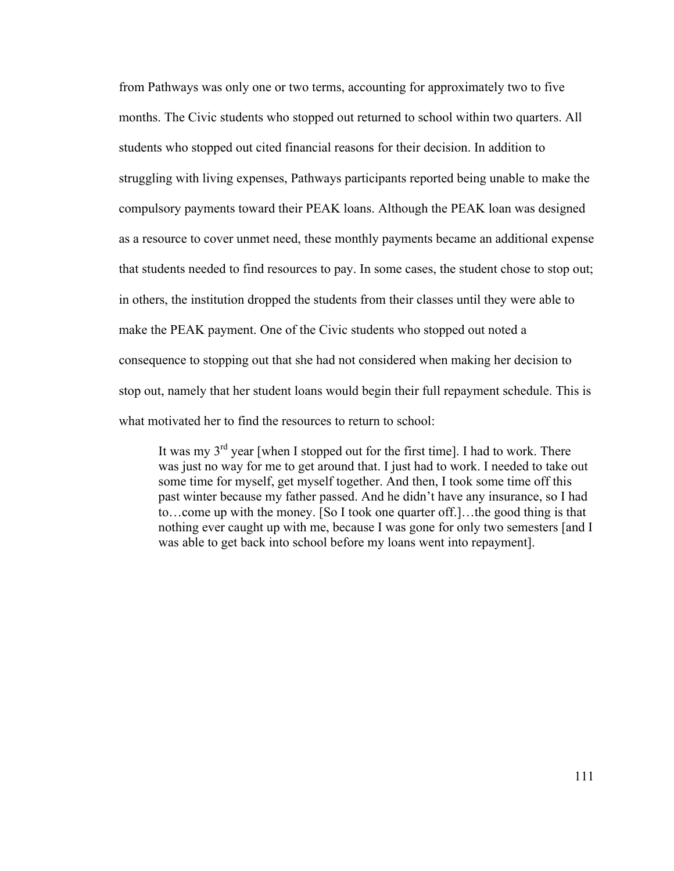from Pathways was only one or two terms, accounting for approximately two to five months. The Civic students who stopped out returned to school within two quarters. All students who stopped out cited financial reasons for their decision. In addition to struggling with living expenses, Pathways participants reported being unable to make the compulsory payments toward their PEAK loans. Although the PEAK loan was designed as a resource to cover unmet need, these monthly payments became an additional expense that students needed to find resources to pay. In some cases, the student chose to stop out; in others, the institution dropped the students from their classes until they were able to make the PEAK payment. One of the Civic students who stopped out noted a consequence to stopping out that she had not considered when making her decision to stop out, namely that her student loans would begin their full repayment schedule. This is what motivated her to find the resources to return to school:

It was my  $3<sup>rd</sup>$  year [when I stopped out for the first time]. I had to work. There was just no way for me to get around that. I just had to work. I needed to take out some time for myself, get myself together. And then, I took some time off this past winter because my father passed. And he didn't have any insurance, so I had to…come up with the money. [So I took one quarter off.]…the good thing is that nothing ever caught up with me, because I was gone for only two semesters [and I was able to get back into school before my loans went into repayment].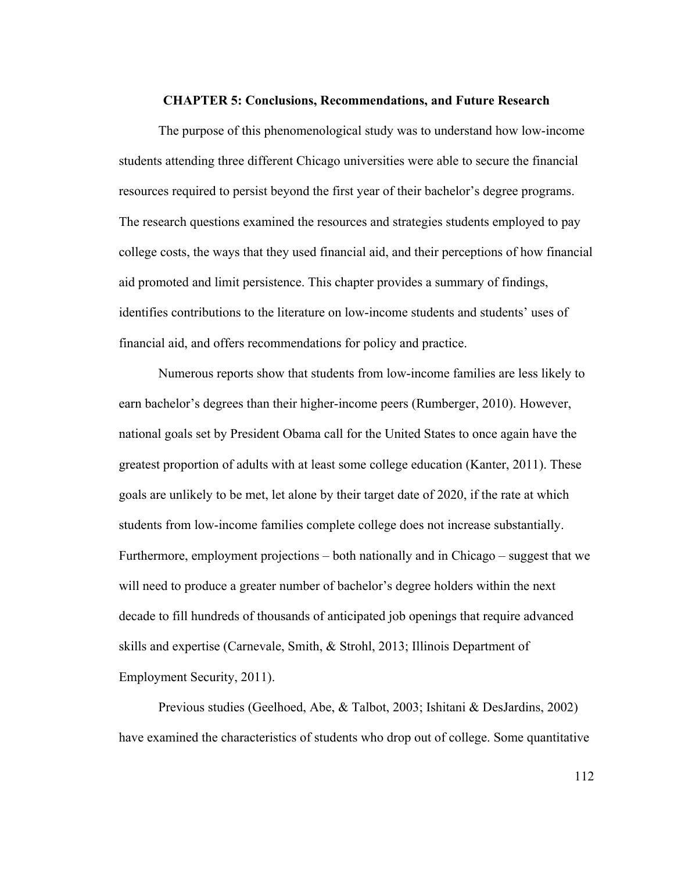#### **CHAPTER 5: Conclusions, Recommendations, and Future Research**

The purpose of this phenomenological study was to understand how low-income students attending three different Chicago universities were able to secure the financial resources required to persist beyond the first year of their bachelor's degree programs. The research questions examined the resources and strategies students employed to pay college costs, the ways that they used financial aid, and their perceptions of how financial aid promoted and limit persistence. This chapter provides a summary of findings, identifies contributions to the literature on low-income students and students' uses of financial aid, and offers recommendations for policy and practice.

Numerous reports show that students from low-income families are less likely to earn bachelor's degrees than their higher-income peers (Rumberger, 2010). However, national goals set by President Obama call for the United States to once again have the greatest proportion of adults with at least some college education (Kanter, 2011). These goals are unlikely to be met, let alone by their target date of 2020, if the rate at which students from low-income families complete college does not increase substantially. Furthermore, employment projections – both nationally and in Chicago – suggest that we will need to produce a greater number of bachelor's degree holders within the next decade to fill hundreds of thousands of anticipated job openings that require advanced skills and expertise (Carnevale, Smith, & Strohl, 2013; Illinois Department of Employment Security, 2011).

Previous studies (Geelhoed, Abe, & Talbot, 2003; Ishitani & DesJardins, 2002) have examined the characteristics of students who drop out of college. Some quantitative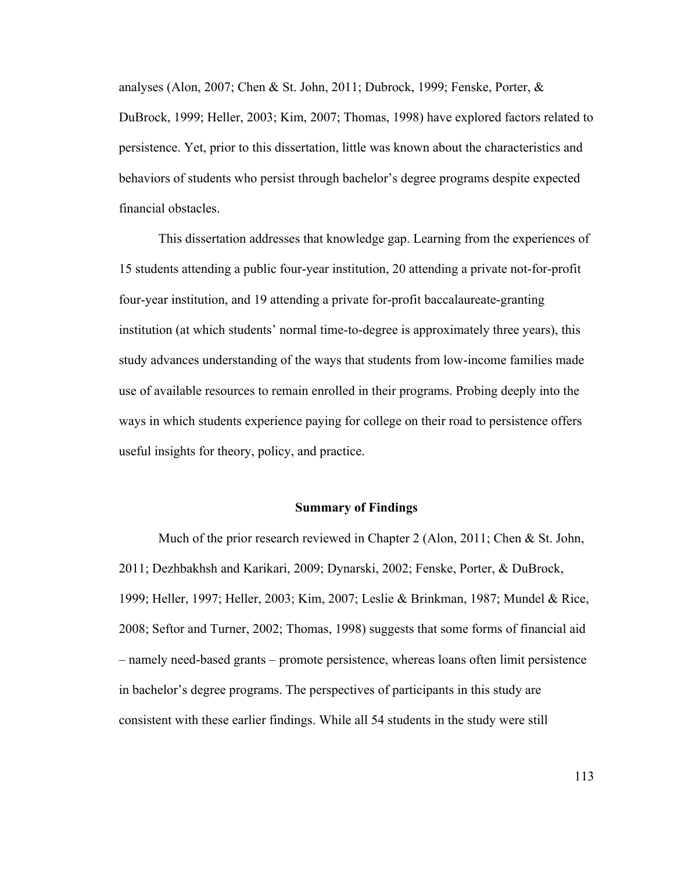analyses (Alon, 2007; Chen & St. John, 2011; Dubrock, 1999; Fenske, Porter, & DuBrock, 1999; Heller, 2003; Kim, 2007; Thomas, 1998) have explored factors related to persistence. Yet, prior to this dissertation, little was known about the characteristics and behaviors of students who persist through bachelor's degree programs despite expected financial obstacles.

This dissertation addresses that knowledge gap. Learning from the experiences of 15 students attending a public four-year institution, 20 attending a private not-for-profit four-year institution, and 19 attending a private for-profit baccalaureate-granting institution (at which students' normal time-to-degree is approximately three years), this study advances understanding of the ways that students from low-income families made use of available resources to remain enrolled in their programs. Probing deeply into the ways in which students experience paying for college on their road to persistence offers useful insights for theory, policy, and practice.

## **Summary of Findings**

Much of the prior research reviewed in Chapter 2 (Alon, 2011; Chen & St. John, 2011; Dezhbakhsh and Karikari, 2009; Dynarski, 2002; Fenske, Porter, & DuBrock, 1999; Heller, 1997; Heller, 2003; Kim, 2007; Leslie & Brinkman, 1987; Mundel & Rice, 2008; Seftor and Turner, 2002; Thomas, 1998) suggests that some forms of financial aid – namely need-based grants – promote persistence, whereas loans often limit persistence in bachelor's degree programs. The perspectives of participants in this study are consistent with these earlier findings. While all 54 students in the study were still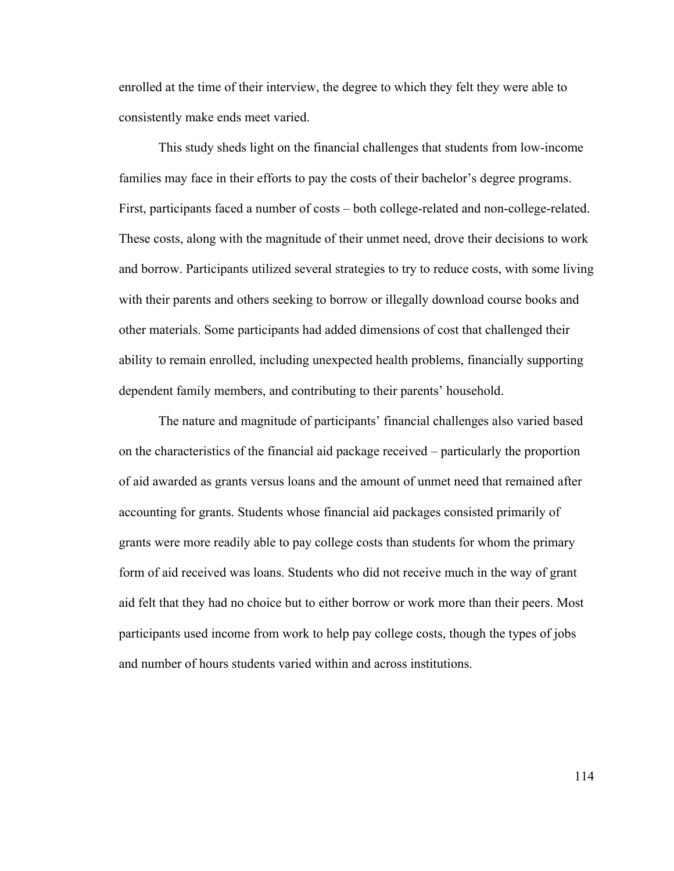enrolled at the time of their interview, the degree to which they felt they were able to consistently make ends meet varied.

This study sheds light on the financial challenges that students from low-income families may face in their efforts to pay the costs of their bachelor's degree programs. First, participants faced a number of costs – both college-related and non-college-related. These costs, along with the magnitude of their unmet need, drove their decisions to work and borrow. Participants utilized several strategies to try to reduce costs, with some living with their parents and others seeking to borrow or illegally download course books and other materials. Some participants had added dimensions of cost that challenged their ability to remain enrolled, including unexpected health problems, financially supporting dependent family members, and contributing to their parents' household.

The nature and magnitude of participants' financial challenges also varied based on the characteristics of the financial aid package received – particularly the proportion of aid awarded as grants versus loans and the amount of unmet need that remained after accounting for grants. Students whose financial aid packages consisted primarily of grants were more readily able to pay college costs than students for whom the primary form of aid received was loans. Students who did not receive much in the way of grant aid felt that they had no choice but to either borrow or work more than their peers. Most participants used income from work to help pay college costs, though the types of jobs and number of hours students varied within and across institutions.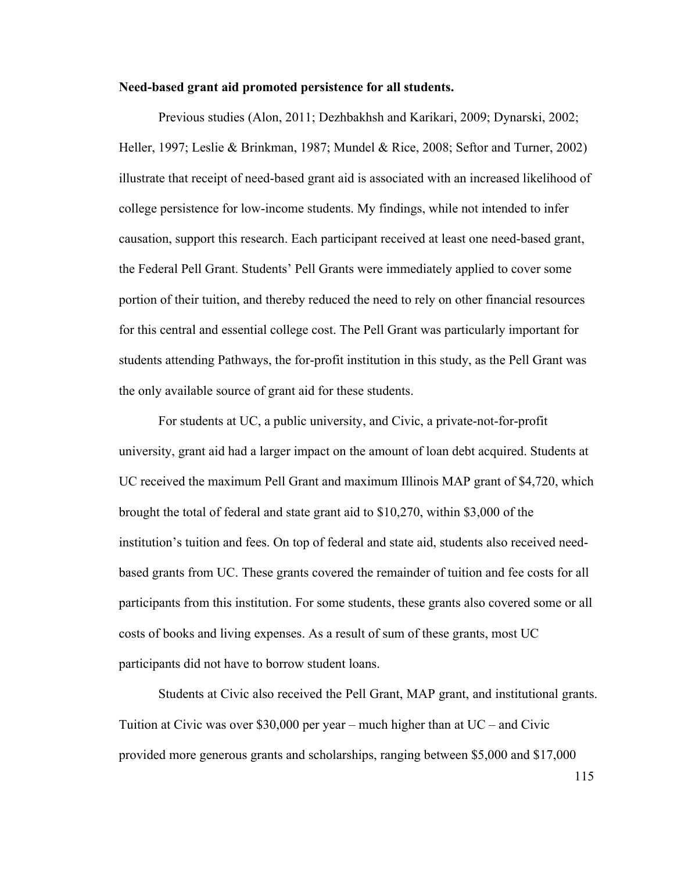## **Need-based grant aid promoted persistence for all students.**

Previous studies (Alon, 2011; Dezhbakhsh and Karikari, 2009; Dynarski, 2002; Heller, 1997; Leslie & Brinkman, 1987; Mundel & Rice, 2008; Seftor and Turner, 2002) illustrate that receipt of need-based grant aid is associated with an increased likelihood of college persistence for low-income students. My findings, while not intended to infer causation, support this research. Each participant received at least one need-based grant, the Federal Pell Grant. Students' Pell Grants were immediately applied to cover some portion of their tuition, and thereby reduced the need to rely on other financial resources for this central and essential college cost. The Pell Grant was particularly important for students attending Pathways, the for-profit institution in this study, as the Pell Grant was the only available source of grant aid for these students.

For students at UC, a public university, and Civic, a private-not-for-profit university, grant aid had a larger impact on the amount of loan debt acquired. Students at UC received the maximum Pell Grant and maximum Illinois MAP grant of \$4,720, which brought the total of federal and state grant aid to \$10,270, within \$3,000 of the institution's tuition and fees. On top of federal and state aid, students also received needbased grants from UC. These grants covered the remainder of tuition and fee costs for all participants from this institution. For some students, these grants also covered some or all costs of books and living expenses. As a result of sum of these grants, most UC participants did not have to borrow student loans.

Students at Civic also received the Pell Grant, MAP grant, and institutional grants. Tuition at Civic was over \$30,000 per year – much higher than at UC – and Civic provided more generous grants and scholarships, ranging between \$5,000 and \$17,000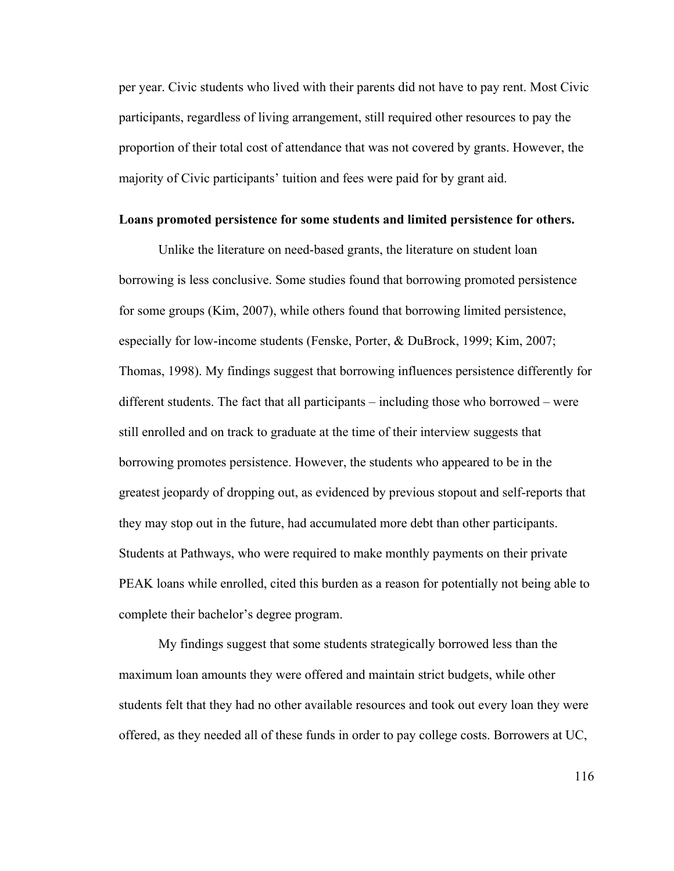per year. Civic students who lived with their parents did not have to pay rent. Most Civic participants, regardless of living arrangement, still required other resources to pay the proportion of their total cost of attendance that was not covered by grants. However, the majority of Civic participants' tuition and fees were paid for by grant aid.

#### **Loans promoted persistence for some students and limited persistence for others.**

Unlike the literature on need-based grants, the literature on student loan borrowing is less conclusive. Some studies found that borrowing promoted persistence for some groups (Kim, 2007), while others found that borrowing limited persistence, especially for low-income students (Fenske, Porter, & DuBrock, 1999; Kim, 2007; Thomas, 1998). My findings suggest that borrowing influences persistence differently for different students. The fact that all participants – including those who borrowed – were still enrolled and on track to graduate at the time of their interview suggests that borrowing promotes persistence. However, the students who appeared to be in the greatest jeopardy of dropping out, as evidenced by previous stopout and self-reports that they may stop out in the future, had accumulated more debt than other participants. Students at Pathways, who were required to make monthly payments on their private PEAK loans while enrolled, cited this burden as a reason for potentially not being able to complete their bachelor's degree program.

My findings suggest that some students strategically borrowed less than the maximum loan amounts they were offered and maintain strict budgets, while other students felt that they had no other available resources and took out every loan they were offered, as they needed all of these funds in order to pay college costs. Borrowers at UC,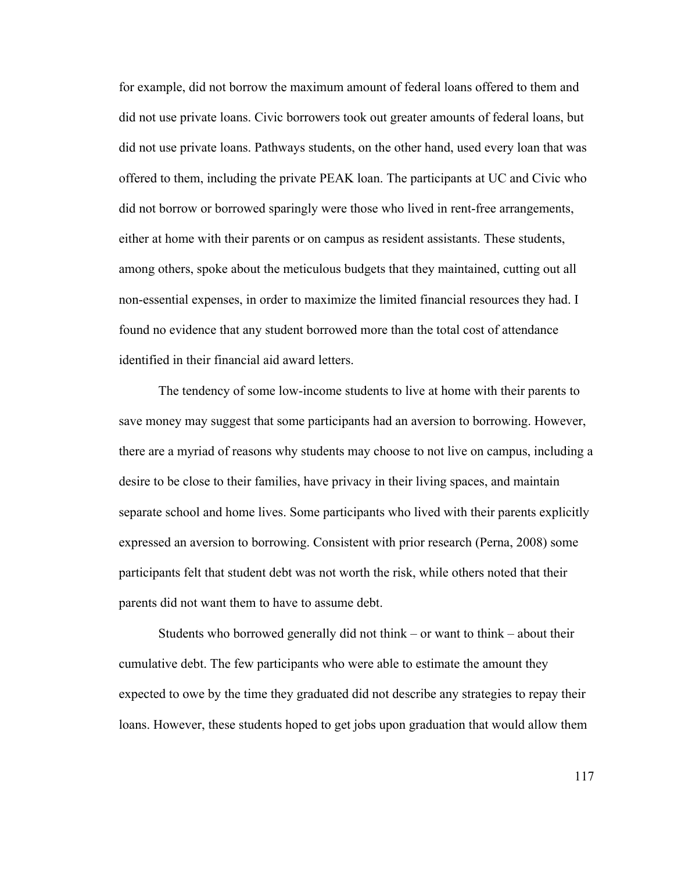for example, did not borrow the maximum amount of federal loans offered to them and did not use private loans. Civic borrowers took out greater amounts of federal loans, but did not use private loans. Pathways students, on the other hand, used every loan that was offered to them, including the private PEAK loan. The participants at UC and Civic who did not borrow or borrowed sparingly were those who lived in rent-free arrangements, either at home with their parents or on campus as resident assistants. These students, among others, spoke about the meticulous budgets that they maintained, cutting out all non-essential expenses, in order to maximize the limited financial resources they had. I found no evidence that any student borrowed more than the total cost of attendance identified in their financial aid award letters.

The tendency of some low-income students to live at home with their parents to save money may suggest that some participants had an aversion to borrowing. However, there are a myriad of reasons why students may choose to not live on campus, including a desire to be close to their families, have privacy in their living spaces, and maintain separate school and home lives. Some participants who lived with their parents explicitly expressed an aversion to borrowing. Consistent with prior research (Perna, 2008) some participants felt that student debt was not worth the risk, while others noted that their parents did not want them to have to assume debt.

Students who borrowed generally did not think – or want to think – about their cumulative debt. The few participants who were able to estimate the amount they expected to owe by the time they graduated did not describe any strategies to repay their loans. However, these students hoped to get jobs upon graduation that would allow them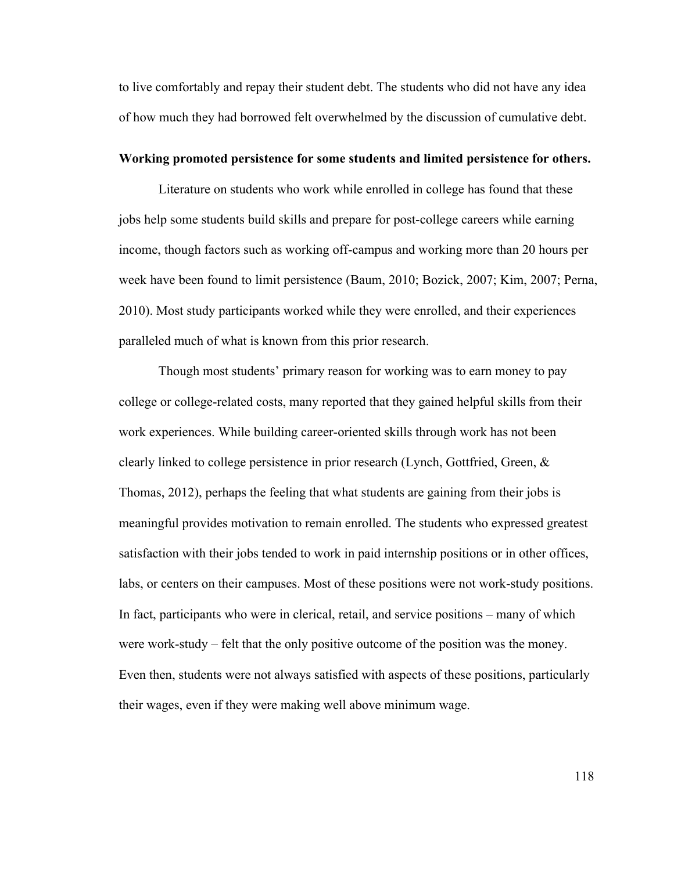to live comfortably and repay their student debt. The students who did not have any idea of how much they had borrowed felt overwhelmed by the discussion of cumulative debt.

#### **Working promoted persistence for some students and limited persistence for others.**

Literature on students who work while enrolled in college has found that these jobs help some students build skills and prepare for post-college careers while earning income, though factors such as working off-campus and working more than 20 hours per week have been found to limit persistence (Baum, 2010; Bozick, 2007; Kim, 2007; Perna, 2010). Most study participants worked while they were enrolled, and their experiences paralleled much of what is known from this prior research.

Though most students' primary reason for working was to earn money to pay college or college-related costs, many reported that they gained helpful skills from their work experiences. While building career-oriented skills through work has not been clearly linked to college persistence in prior research (Lynch, Gottfried, Green, & Thomas, 2012), perhaps the feeling that what students are gaining from their jobs is meaningful provides motivation to remain enrolled. The students who expressed greatest satisfaction with their jobs tended to work in paid internship positions or in other offices, labs, or centers on their campuses. Most of these positions were not work-study positions. In fact, participants who were in clerical, retail, and service positions – many of which were work-study – felt that the only positive outcome of the position was the money. Even then, students were not always satisfied with aspects of these positions, particularly their wages, even if they were making well above minimum wage.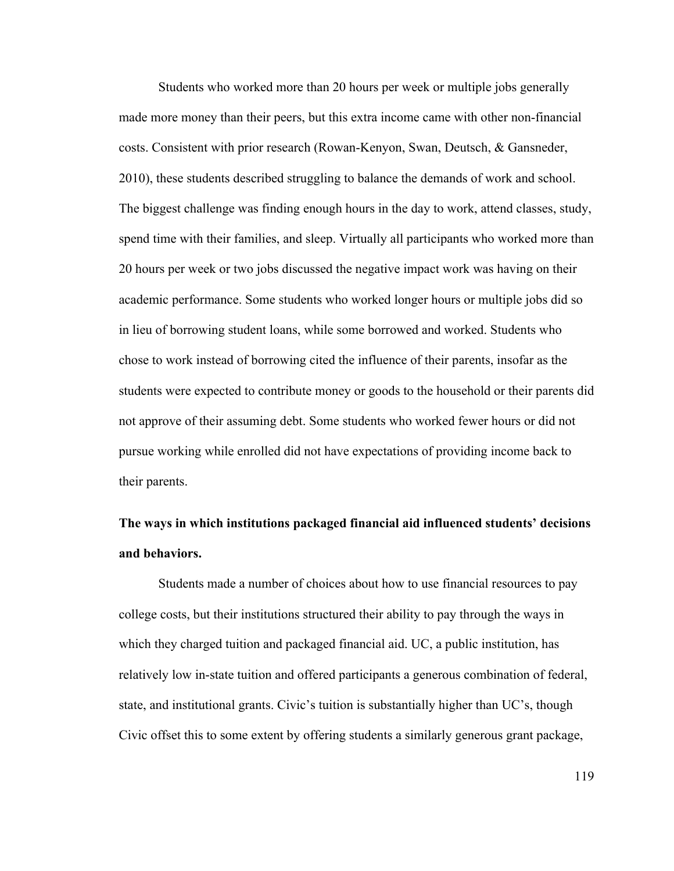Students who worked more than 20 hours per week or multiple jobs generally made more money than their peers, but this extra income came with other non-financial costs. Consistent with prior research (Rowan-Kenyon, Swan, Deutsch, & Gansneder, 2010), these students described struggling to balance the demands of work and school. The biggest challenge was finding enough hours in the day to work, attend classes, study, spend time with their families, and sleep. Virtually all participants who worked more than 20 hours per week or two jobs discussed the negative impact work was having on their academic performance. Some students who worked longer hours or multiple jobs did so in lieu of borrowing student loans, while some borrowed and worked. Students who chose to work instead of borrowing cited the influence of their parents, insofar as the students were expected to contribute money or goods to the household or their parents did not approve of their assuming debt. Some students who worked fewer hours or did not pursue working while enrolled did not have expectations of providing income back to their parents.

# **The ways in which institutions packaged financial aid influenced students' decisions and behaviors.**

Students made a number of choices about how to use financial resources to pay college costs, but their institutions structured their ability to pay through the ways in which they charged tuition and packaged financial aid. UC, a public institution, has relatively low in-state tuition and offered participants a generous combination of federal, state, and institutional grants. Civic's tuition is substantially higher than UC's, though Civic offset this to some extent by offering students a similarly generous grant package,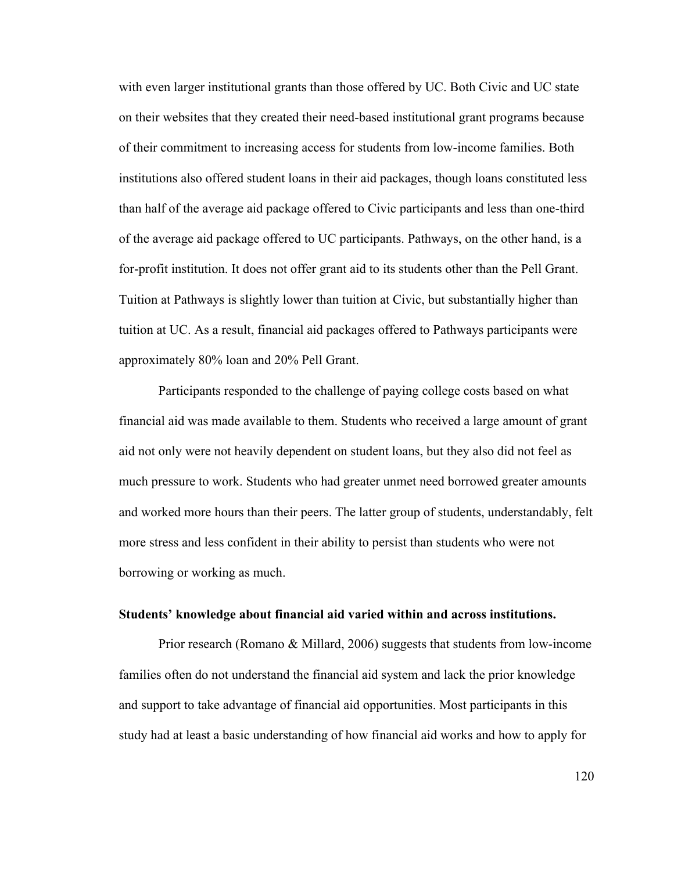with even larger institutional grants than those offered by UC. Both Civic and UC state on their websites that they created their need-based institutional grant programs because of their commitment to increasing access for students from low-income families. Both institutions also offered student loans in their aid packages, though loans constituted less than half of the average aid package offered to Civic participants and less than one-third of the average aid package offered to UC participants. Pathways, on the other hand, is a for-profit institution. It does not offer grant aid to its students other than the Pell Grant. Tuition at Pathways is slightly lower than tuition at Civic, but substantially higher than tuition at UC. As a result, financial aid packages offered to Pathways participants were approximately 80% loan and 20% Pell Grant.

Participants responded to the challenge of paying college costs based on what financial aid was made available to them. Students who received a large amount of grant aid not only were not heavily dependent on student loans, but they also did not feel as much pressure to work. Students who had greater unmet need borrowed greater amounts and worked more hours than their peers. The latter group of students, understandably, felt more stress and less confident in their ability to persist than students who were not borrowing or working as much.

## **Students' knowledge about financial aid varied within and across institutions.**

Prior research (Romano & Millard, 2006) suggests that students from low-income families often do not understand the financial aid system and lack the prior knowledge and support to take advantage of financial aid opportunities. Most participants in this study had at least a basic understanding of how financial aid works and how to apply for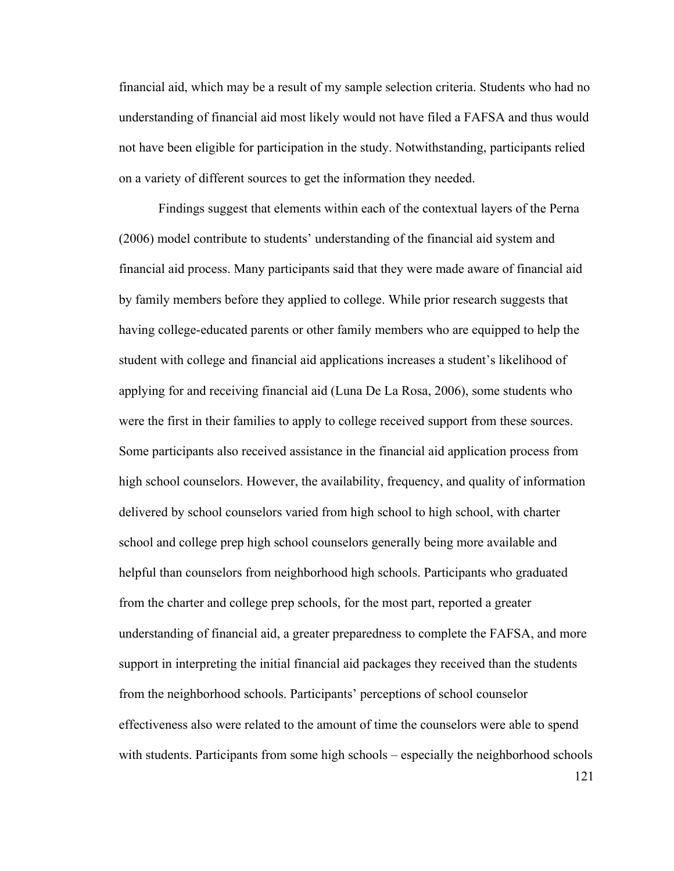financial aid, which may be a result of my sample selection criteria. Students who had no understanding of financial aid most likely would not have filed a FAFSA and thus would not have been eligible for participation in the study. Notwithstanding, participants relied on a variety of different sources to get the information they needed.

Findings suggest that elements within each of the contextual layers of the Perna (2006) model contribute to students' understanding of the financial aid system and financial aid process. Many participants said that they were made aware of financial aid by family members before they applied to college. While prior research suggests that having college-educated parents or other family members who are equipped to help the student with college and financial aid applications increases a student's likelihood of applying for and receiving financial aid (Luna De La Rosa, 2006), some students who were the first in their families to apply to college received support from these sources. Some participants also received assistance in the financial aid application process from high school counselors. However, the availability, frequency, and quality of information delivered by school counselors varied from high school to high school, with charter school and college prep high school counselors generally being more available and helpful than counselors from neighborhood high schools. Participants who graduated from the charter and college prep schools, for the most part, reported a greater understanding of financial aid, a greater preparedness to complete the FAFSA, and more support in interpreting the initial financial aid packages they received than the students from the neighborhood schools. Participants' perceptions of school counselor effectiveness also were related to the amount of time the counselors were able to spend with students. Participants from some high schools – especially the neighborhood schools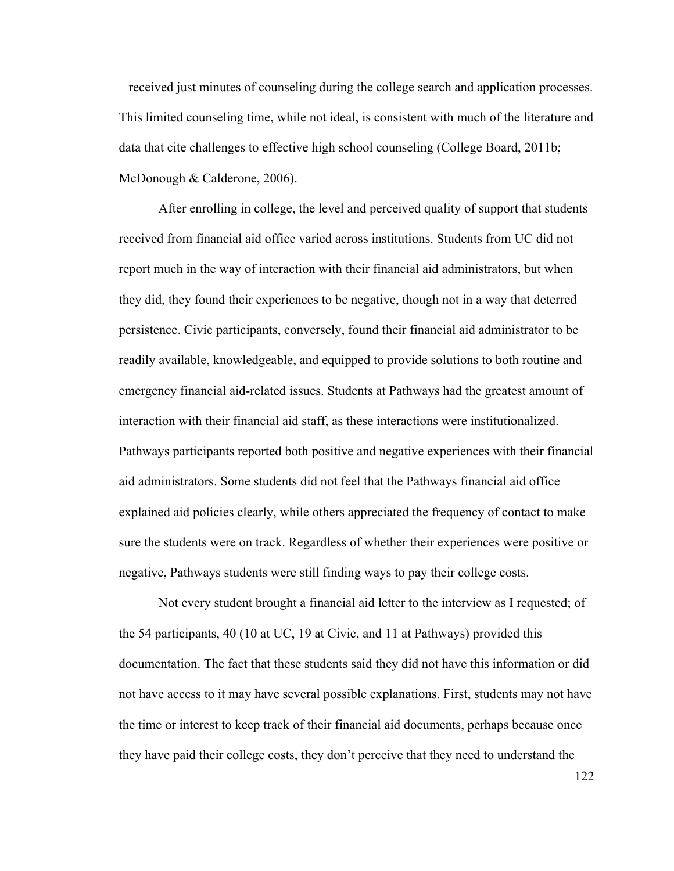– received just minutes of counseling during the college search and application processes. This limited counseling time, while not ideal, is consistent with much of the literature and data that cite challenges to effective high school counseling (College Board, 2011b; McDonough & Calderone, 2006).

After enrolling in college, the level and perceived quality of support that students received from financial aid office varied across institutions. Students from UC did not report much in the way of interaction with their financial aid administrators, but when they did, they found their experiences to be negative, though not in a way that deterred persistence. Civic participants, conversely, found their financial aid administrator to be readily available, knowledgeable, and equipped to provide solutions to both routine and emergency financial aid-related issues. Students at Pathways had the greatest amount of interaction with their financial aid staff, as these interactions were institutionalized. Pathways participants reported both positive and negative experiences with their financial aid administrators. Some students did not feel that the Pathways financial aid office explained aid policies clearly, while others appreciated the frequency of contact to make sure the students were on track. Regardless of whether their experiences were positive or negative, Pathways students were still finding ways to pay their college costs.

Not every student brought a financial aid letter to the interview as I requested; of the 54 participants, 40 (10 at UC, 19 at Civic, and 11 at Pathways) provided this documentation. The fact that these students said they did not have this information or did not have access to it may have several possible explanations. First, students may not have the time or interest to keep track of their financial aid documents, perhaps because once they have paid their college costs, they don't perceive that they need to understand the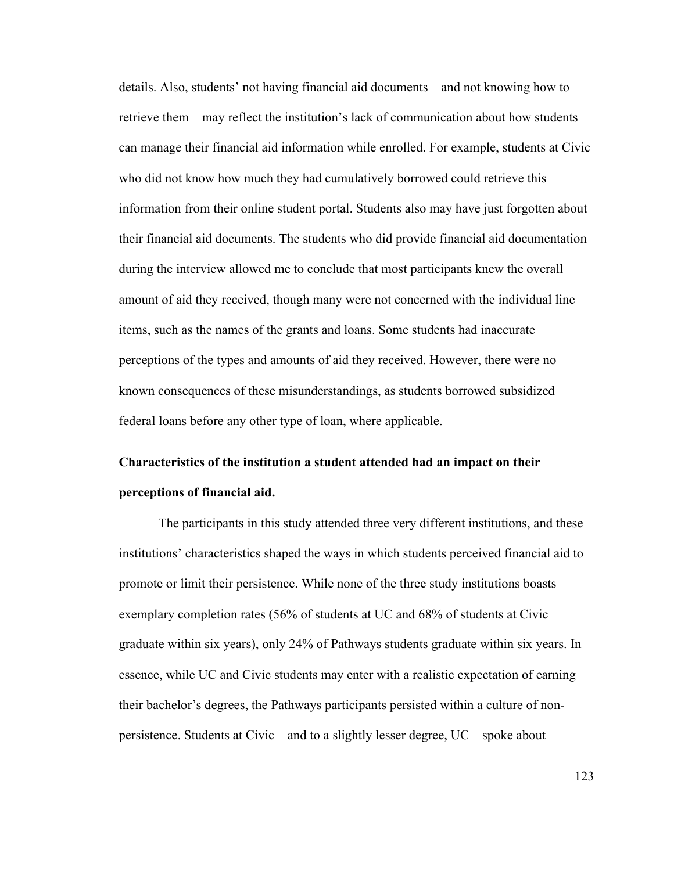details. Also, students' not having financial aid documents – and not knowing how to retrieve them – may reflect the institution's lack of communication about how students can manage their financial aid information while enrolled. For example, students at Civic who did not know how much they had cumulatively borrowed could retrieve this information from their online student portal. Students also may have just forgotten about their financial aid documents. The students who did provide financial aid documentation during the interview allowed me to conclude that most participants knew the overall amount of aid they received, though many were not concerned with the individual line items, such as the names of the grants and loans. Some students had inaccurate perceptions of the types and amounts of aid they received. However, there were no known consequences of these misunderstandings, as students borrowed subsidized federal loans before any other type of loan, where applicable.

# **Characteristics of the institution a student attended had an impact on their perceptions of financial aid.**

The participants in this study attended three very different institutions, and these institutions' characteristics shaped the ways in which students perceived financial aid to promote or limit their persistence. While none of the three study institutions boasts exemplary completion rates (56% of students at UC and 68% of students at Civic graduate within six years), only 24% of Pathways students graduate within six years. In essence, while UC and Civic students may enter with a realistic expectation of earning their bachelor's degrees, the Pathways participants persisted within a culture of nonpersistence. Students at Civic – and to a slightly lesser degree, UC – spoke about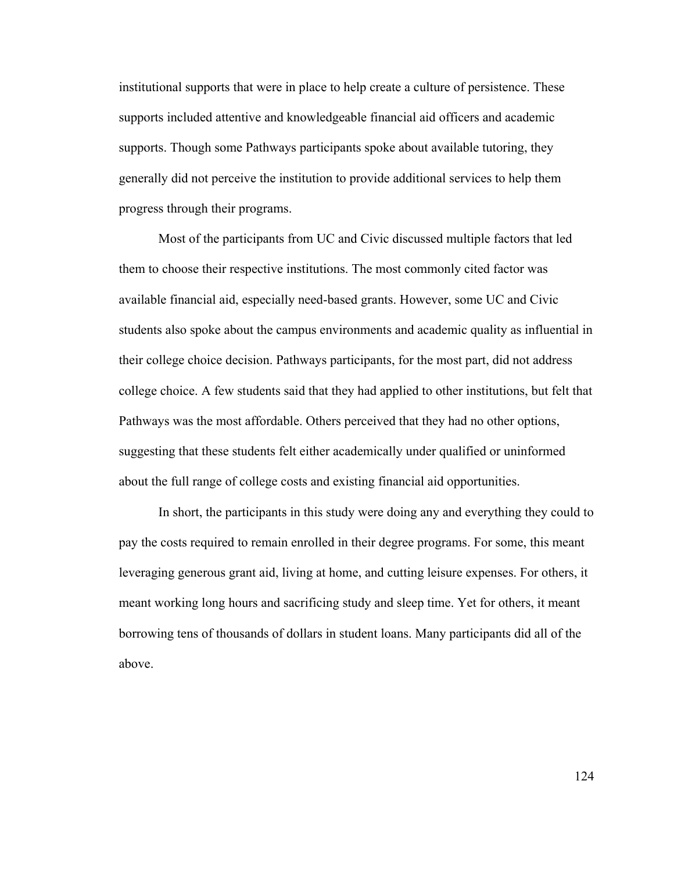institutional supports that were in place to help create a culture of persistence. These supports included attentive and knowledgeable financial aid officers and academic supports. Though some Pathways participants spoke about available tutoring, they generally did not perceive the institution to provide additional services to help them progress through their programs.

Most of the participants from UC and Civic discussed multiple factors that led them to choose their respective institutions. The most commonly cited factor was available financial aid, especially need-based grants. However, some UC and Civic students also spoke about the campus environments and academic quality as influential in their college choice decision. Pathways participants, for the most part, did not address college choice. A few students said that they had applied to other institutions, but felt that Pathways was the most affordable. Others perceived that they had no other options, suggesting that these students felt either academically under qualified or uninformed about the full range of college costs and existing financial aid opportunities.

In short, the participants in this study were doing any and everything they could to pay the costs required to remain enrolled in their degree programs. For some, this meant leveraging generous grant aid, living at home, and cutting leisure expenses. For others, it meant working long hours and sacrificing study and sleep time. Yet for others, it meant borrowing tens of thousands of dollars in student loans. Many participants did all of the above.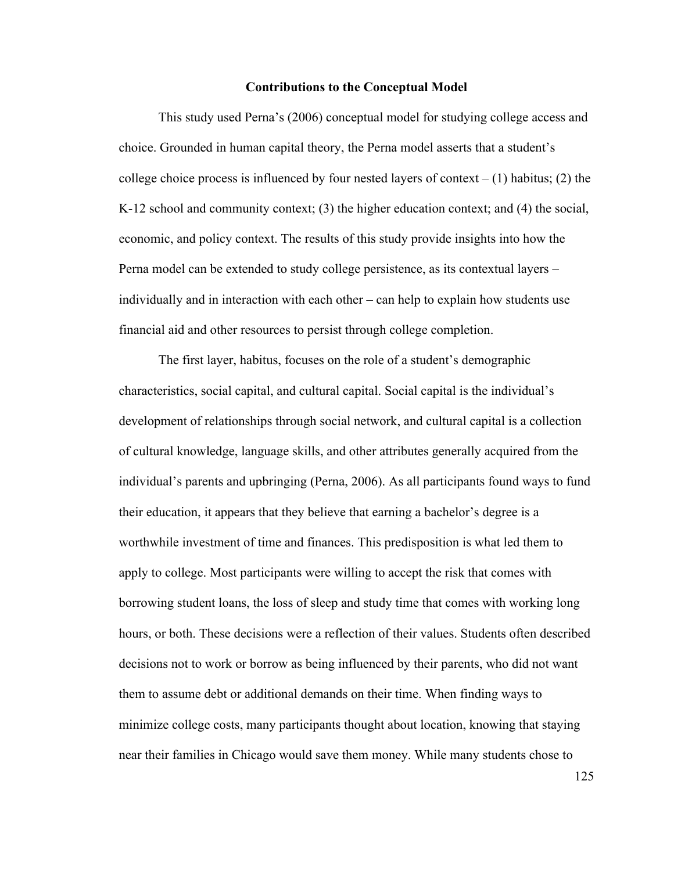#### **Contributions to the Conceptual Model**

This study used Perna's (2006) conceptual model for studying college access and choice. Grounded in human capital theory, the Perna model asserts that a student's college choice process is influenced by four nested layers of context  $- (1)$  habitus; (2) the K-12 school and community context; (3) the higher education context; and (4) the social, economic, and policy context. The results of this study provide insights into how the Perna model can be extended to study college persistence, as its contextual layers – individually and in interaction with each other – can help to explain how students use financial aid and other resources to persist through college completion.

The first layer, habitus, focuses on the role of a student's demographic characteristics, social capital, and cultural capital. Social capital is the individual's development of relationships through social network, and cultural capital is a collection of cultural knowledge, language skills, and other attributes generally acquired from the individual's parents and upbringing (Perna, 2006). As all participants found ways to fund their education, it appears that they believe that earning a bachelor's degree is a worthwhile investment of time and finances. This predisposition is what led them to apply to college. Most participants were willing to accept the risk that comes with borrowing student loans, the loss of sleep and study time that comes with working long hours, or both. These decisions were a reflection of their values. Students often described decisions not to work or borrow as being influenced by their parents, who did not want them to assume debt or additional demands on their time. When finding ways to minimize college costs, many participants thought about location, knowing that staying near their families in Chicago would save them money. While many students chose to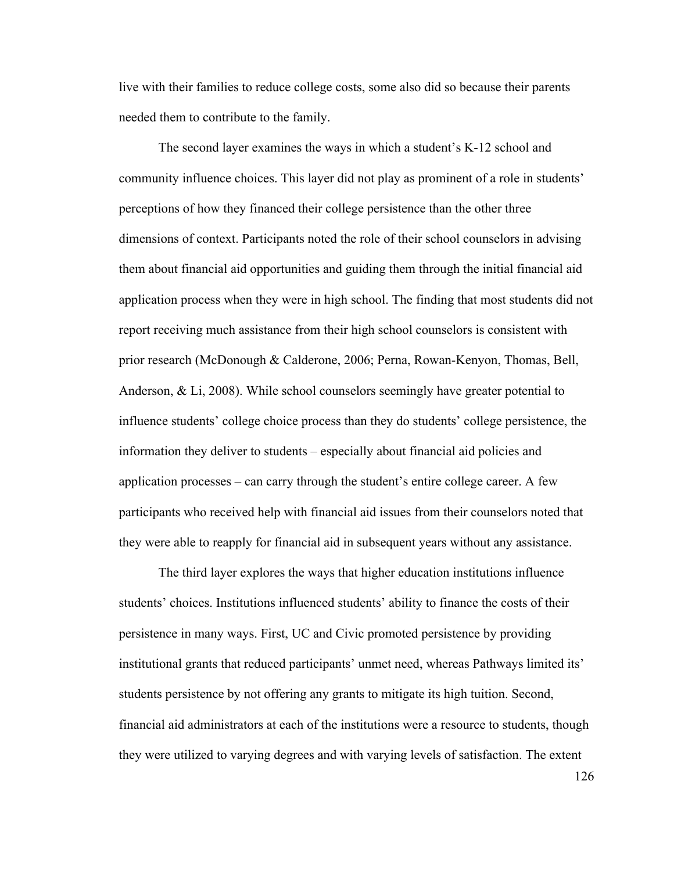live with their families to reduce college costs, some also did so because their parents needed them to contribute to the family.

The second layer examines the ways in which a student's K-12 school and community influence choices. This layer did not play as prominent of a role in students' perceptions of how they financed their college persistence than the other three dimensions of context. Participants noted the role of their school counselors in advising them about financial aid opportunities and guiding them through the initial financial aid application process when they were in high school. The finding that most students did not report receiving much assistance from their high school counselors is consistent with prior research (McDonough & Calderone, 2006; Perna, Rowan-Kenyon, Thomas, Bell, Anderson, & Li, 2008). While school counselors seemingly have greater potential to influence students' college choice process than they do students' college persistence, the information they deliver to students – especially about financial aid policies and application processes – can carry through the student's entire college career. A few participants who received help with financial aid issues from their counselors noted that they were able to reapply for financial aid in subsequent years without any assistance.

The third layer explores the ways that higher education institutions influence students' choices. Institutions influenced students' ability to finance the costs of their persistence in many ways. First, UC and Civic promoted persistence by providing institutional grants that reduced participants' unmet need, whereas Pathways limited its' students persistence by not offering any grants to mitigate its high tuition. Second, financial aid administrators at each of the institutions were a resource to students, though they were utilized to varying degrees and with varying levels of satisfaction. The extent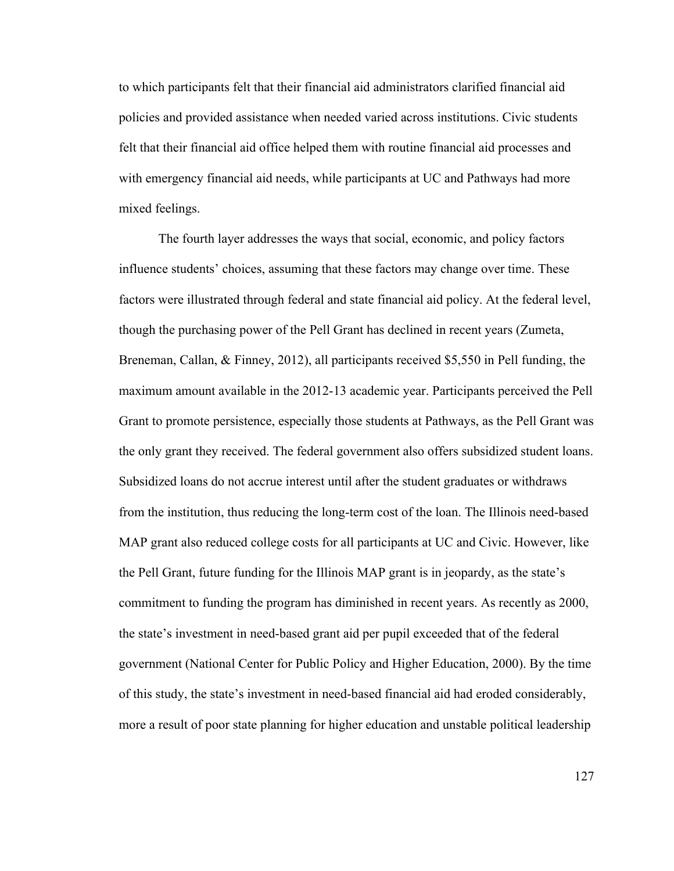to which participants felt that their financial aid administrators clarified financial aid policies and provided assistance when needed varied across institutions. Civic students felt that their financial aid office helped them with routine financial aid processes and with emergency financial aid needs, while participants at UC and Pathways had more mixed feelings.

The fourth layer addresses the ways that social, economic, and policy factors influence students' choices, assuming that these factors may change over time. These factors were illustrated through federal and state financial aid policy. At the federal level, though the purchasing power of the Pell Grant has declined in recent years (Zumeta, Breneman, Callan, & Finney, 2012), all participants received \$5,550 in Pell funding, the maximum amount available in the 2012-13 academic year. Participants perceived the Pell Grant to promote persistence, especially those students at Pathways, as the Pell Grant was the only grant they received. The federal government also offers subsidized student loans. Subsidized loans do not accrue interest until after the student graduates or withdraws from the institution, thus reducing the long-term cost of the loan. The Illinois need-based MAP grant also reduced college costs for all participants at UC and Civic. However, like the Pell Grant, future funding for the Illinois MAP grant is in jeopardy, as the state's commitment to funding the program has diminished in recent years. As recently as 2000, the state's investment in need-based grant aid per pupil exceeded that of the federal government (National Center for Public Policy and Higher Education, 2000). By the time of this study, the state's investment in need-based financial aid had eroded considerably, more a result of poor state planning for higher education and unstable political leadership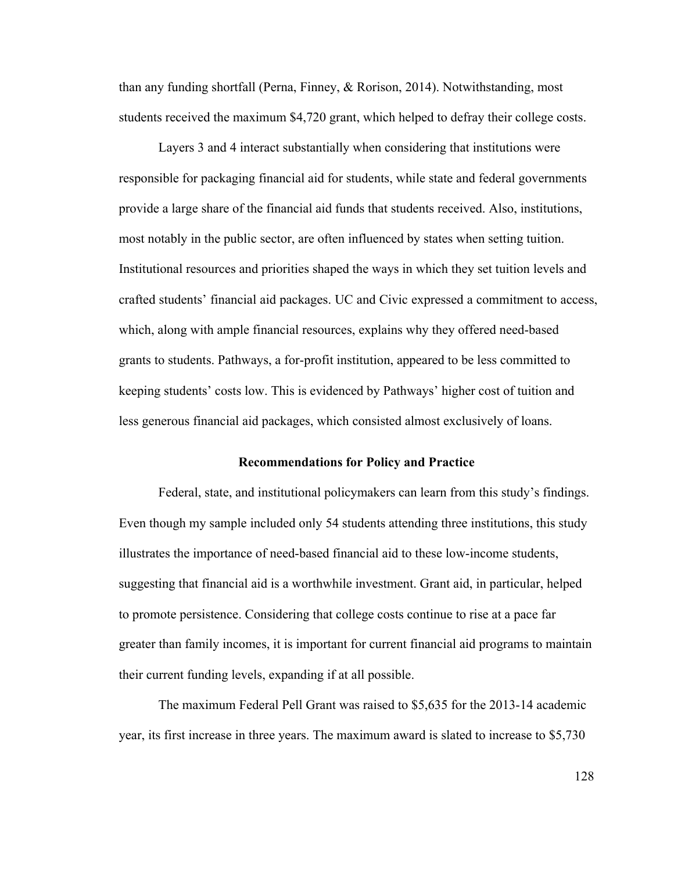than any funding shortfall (Perna, Finney, & Rorison, 2014). Notwithstanding, most students received the maximum \$4,720 grant, which helped to defray their college costs.

Layers 3 and 4 interact substantially when considering that institutions were responsible for packaging financial aid for students, while state and federal governments provide a large share of the financial aid funds that students received. Also, institutions, most notably in the public sector, are often influenced by states when setting tuition. Institutional resources and priorities shaped the ways in which they set tuition levels and crafted students' financial aid packages. UC and Civic expressed a commitment to access, which, along with ample financial resources, explains why they offered need-based grants to students. Pathways, a for-profit institution, appeared to be less committed to keeping students' costs low. This is evidenced by Pathways' higher cost of tuition and less generous financial aid packages, which consisted almost exclusively of loans.

#### **Recommendations for Policy and Practice**

Federal, state, and institutional policymakers can learn from this study's findings. Even though my sample included only 54 students attending three institutions, this study illustrates the importance of need-based financial aid to these low-income students, suggesting that financial aid is a worthwhile investment. Grant aid, in particular, helped to promote persistence. Considering that college costs continue to rise at a pace far greater than family incomes, it is important for current financial aid programs to maintain their current funding levels, expanding if at all possible.

The maximum Federal Pell Grant was raised to \$5,635 for the 2013-14 academic year, its first increase in three years. The maximum award is slated to increase to \$5,730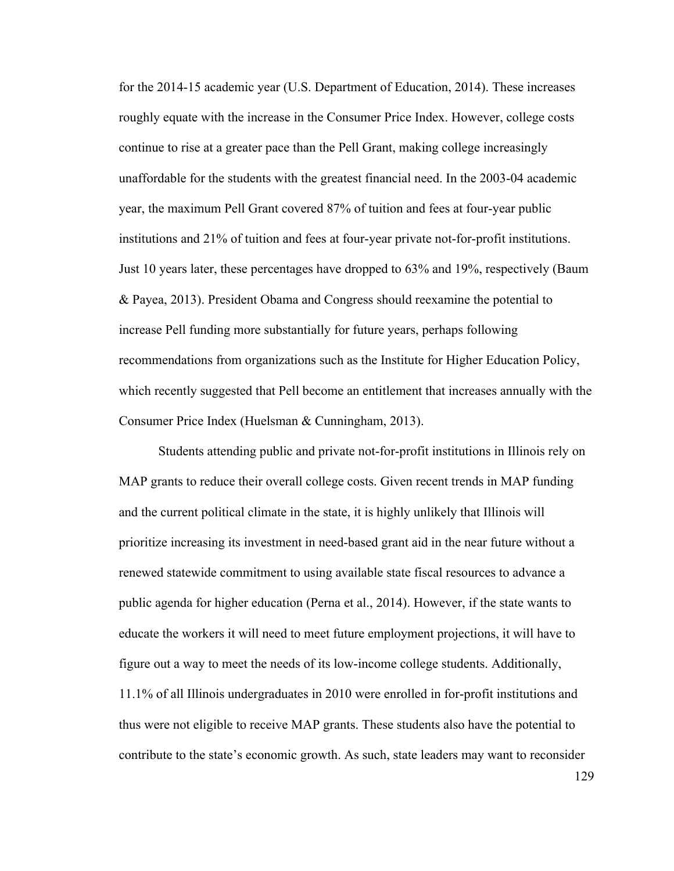for the 2014-15 academic year (U.S. Department of Education, 2014). These increases roughly equate with the increase in the Consumer Price Index. However, college costs continue to rise at a greater pace than the Pell Grant, making college increasingly unaffordable for the students with the greatest financial need. In the 2003-04 academic year, the maximum Pell Grant covered 87% of tuition and fees at four-year public institutions and 21% of tuition and fees at four-year private not-for-profit institutions. Just 10 years later, these percentages have dropped to 63% and 19%, respectively (Baum & Payea, 2013). President Obama and Congress should reexamine the potential to increase Pell funding more substantially for future years, perhaps following recommendations from organizations such as the Institute for Higher Education Policy, which recently suggested that Pell become an entitlement that increases annually with the Consumer Price Index (Huelsman & Cunningham, 2013).

Students attending public and private not-for-profit institutions in Illinois rely on MAP grants to reduce their overall college costs. Given recent trends in MAP funding and the current political climate in the state, it is highly unlikely that Illinois will prioritize increasing its investment in need-based grant aid in the near future without a renewed statewide commitment to using available state fiscal resources to advance a public agenda for higher education (Perna et al., 2014). However, if the state wants to educate the workers it will need to meet future employment projections, it will have to figure out a way to meet the needs of its low-income college students. Additionally, 11.1% of all Illinois undergraduates in 2010 were enrolled in for-profit institutions and thus were not eligible to receive MAP grants. These students also have the potential to contribute to the state's economic growth. As such, state leaders may want to reconsider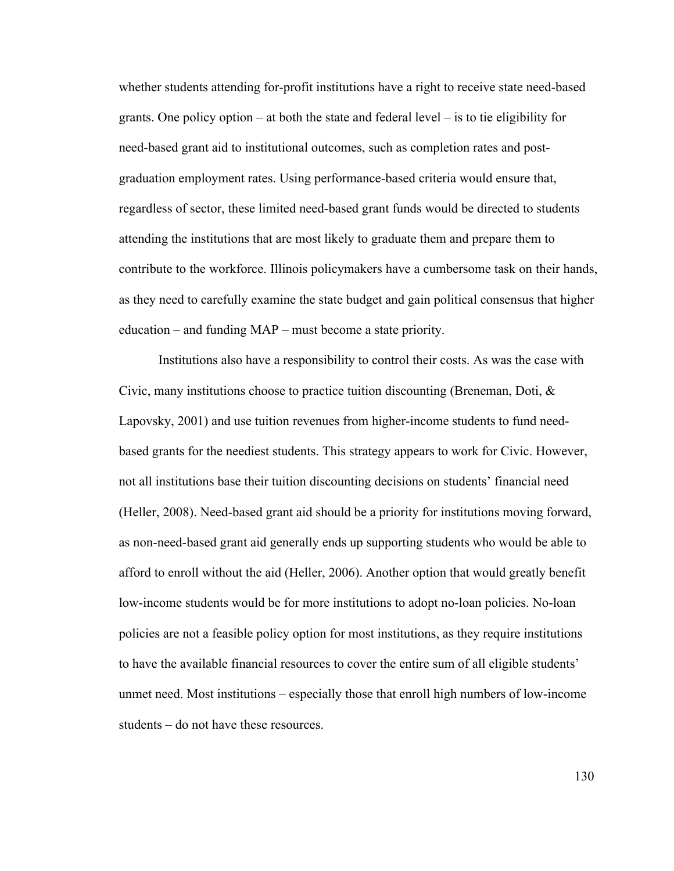whether students attending for-profit institutions have a right to receive state need-based grants. One policy option – at both the state and federal level – is to tie eligibility for need-based grant aid to institutional outcomes, such as completion rates and postgraduation employment rates. Using performance-based criteria would ensure that, regardless of sector, these limited need-based grant funds would be directed to students attending the institutions that are most likely to graduate them and prepare them to contribute to the workforce. Illinois policymakers have a cumbersome task on their hands, as they need to carefully examine the state budget and gain political consensus that higher education – and funding MAP – must become a state priority.

Institutions also have a responsibility to control their costs. As was the case with Civic, many institutions choose to practice tuition discounting (Breneman, Doti,  $\&$ Lapovsky, 2001) and use tuition revenues from higher-income students to fund needbased grants for the neediest students. This strategy appears to work for Civic. However, not all institutions base their tuition discounting decisions on students' financial need (Heller, 2008). Need-based grant aid should be a priority for institutions moving forward, as non-need-based grant aid generally ends up supporting students who would be able to afford to enroll without the aid (Heller, 2006). Another option that would greatly benefit low-income students would be for more institutions to adopt no-loan policies. No-loan policies are not a feasible policy option for most institutions, as they require institutions to have the available financial resources to cover the entire sum of all eligible students' unmet need. Most institutions – especially those that enroll high numbers of low-income students – do not have these resources.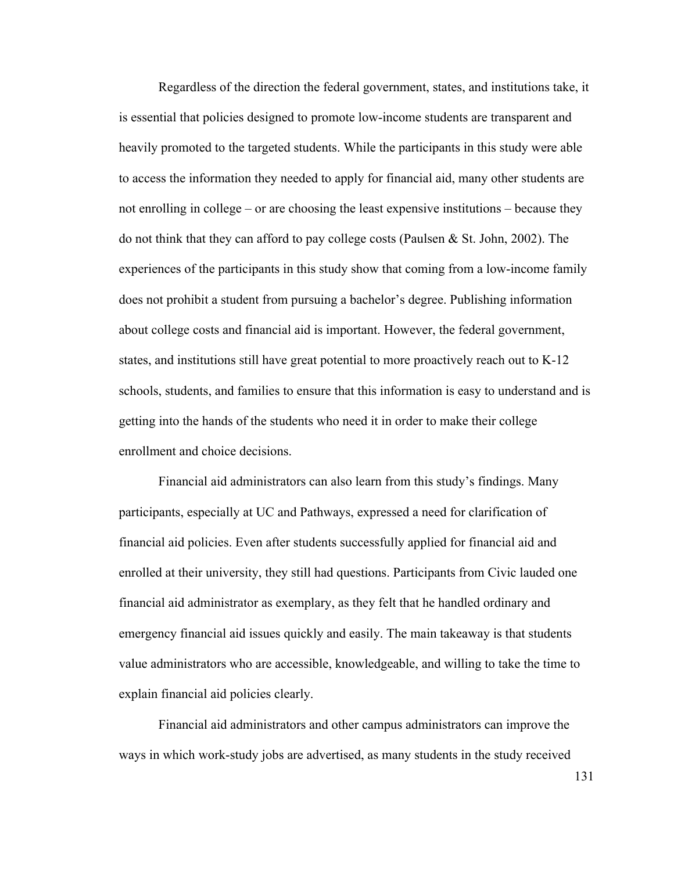Regardless of the direction the federal government, states, and institutions take, it is essential that policies designed to promote low-income students are transparent and heavily promoted to the targeted students. While the participants in this study were able to access the information they needed to apply for financial aid, many other students are not enrolling in college – or are choosing the least expensive institutions – because they do not think that they can afford to pay college costs (Paulsen & St. John, 2002). The experiences of the participants in this study show that coming from a low-income family does not prohibit a student from pursuing a bachelor's degree. Publishing information about college costs and financial aid is important. However, the federal government, states, and institutions still have great potential to more proactively reach out to K-12 schools, students, and families to ensure that this information is easy to understand and is getting into the hands of the students who need it in order to make their college enrollment and choice decisions.

Financial aid administrators can also learn from this study's findings. Many participants, especially at UC and Pathways, expressed a need for clarification of financial aid policies. Even after students successfully applied for financial aid and enrolled at their university, they still had questions. Participants from Civic lauded one financial aid administrator as exemplary, as they felt that he handled ordinary and emergency financial aid issues quickly and easily. The main takeaway is that students value administrators who are accessible, knowledgeable, and willing to take the time to explain financial aid policies clearly.

Financial aid administrators and other campus administrators can improve the ways in which work-study jobs are advertised, as many students in the study received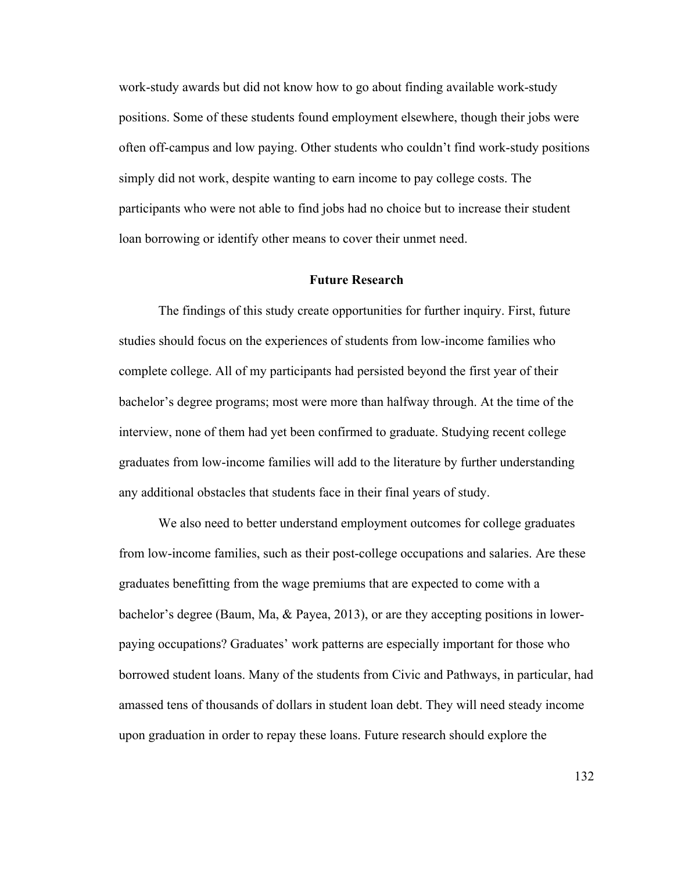work-study awards but did not know how to go about finding available work-study positions. Some of these students found employment elsewhere, though their jobs were often off-campus and low paying. Other students who couldn't find work-study positions simply did not work, despite wanting to earn income to pay college costs. The participants who were not able to find jobs had no choice but to increase their student loan borrowing or identify other means to cover their unmet need.

#### **Future Research**

The findings of this study create opportunities for further inquiry. First, future studies should focus on the experiences of students from low-income families who complete college. All of my participants had persisted beyond the first year of their bachelor's degree programs; most were more than halfway through. At the time of the interview, none of them had yet been confirmed to graduate. Studying recent college graduates from low-income families will add to the literature by further understanding any additional obstacles that students face in their final years of study.

We also need to better understand employment outcomes for college graduates from low-income families, such as their post-college occupations and salaries. Are these graduates benefitting from the wage premiums that are expected to come with a bachelor's degree (Baum, Ma, & Payea, 2013), or are they accepting positions in lowerpaying occupations? Graduates' work patterns are especially important for those who borrowed student loans. Many of the students from Civic and Pathways, in particular, had amassed tens of thousands of dollars in student loan debt. They will need steady income upon graduation in order to repay these loans. Future research should explore the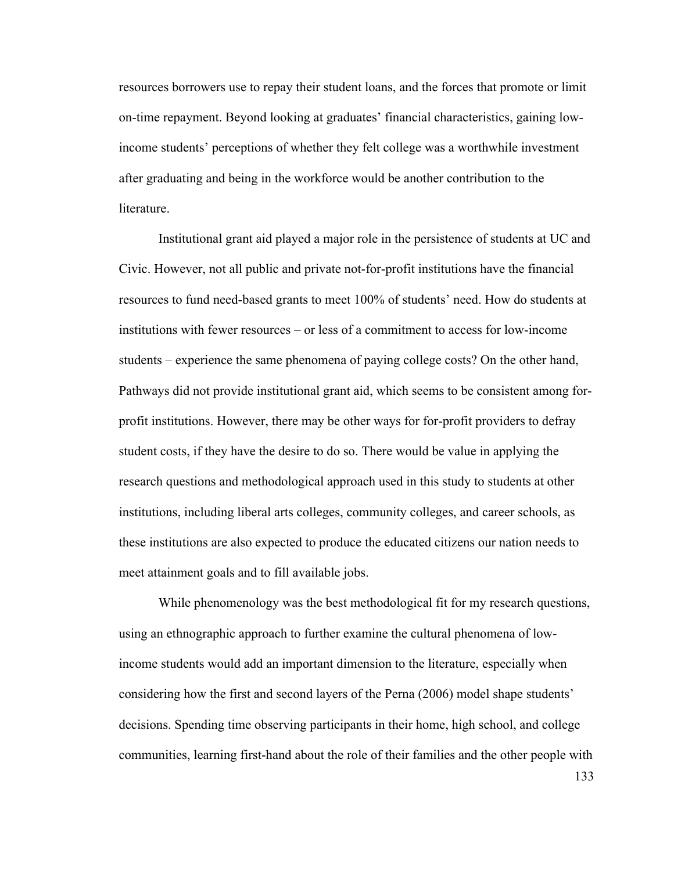resources borrowers use to repay their student loans, and the forces that promote or limit on-time repayment. Beyond looking at graduates' financial characteristics, gaining lowincome students' perceptions of whether they felt college was a worthwhile investment after graduating and being in the workforce would be another contribution to the literature.

Institutional grant aid played a major role in the persistence of students at UC and Civic. However, not all public and private not-for-profit institutions have the financial resources to fund need-based grants to meet 100% of students' need. How do students at institutions with fewer resources – or less of a commitment to access for low-income students – experience the same phenomena of paying college costs? On the other hand, Pathways did not provide institutional grant aid, which seems to be consistent among forprofit institutions. However, there may be other ways for for-profit providers to defray student costs, if they have the desire to do so. There would be value in applying the research questions and methodological approach used in this study to students at other institutions, including liberal arts colleges, community colleges, and career schools, as these institutions are also expected to produce the educated citizens our nation needs to meet attainment goals and to fill available jobs.

While phenomenology was the best methodological fit for my research questions, using an ethnographic approach to further examine the cultural phenomena of lowincome students would add an important dimension to the literature, especially when considering how the first and second layers of the Perna (2006) model shape students' decisions. Spending time observing participants in their home, high school, and college communities, learning first-hand about the role of their families and the other people with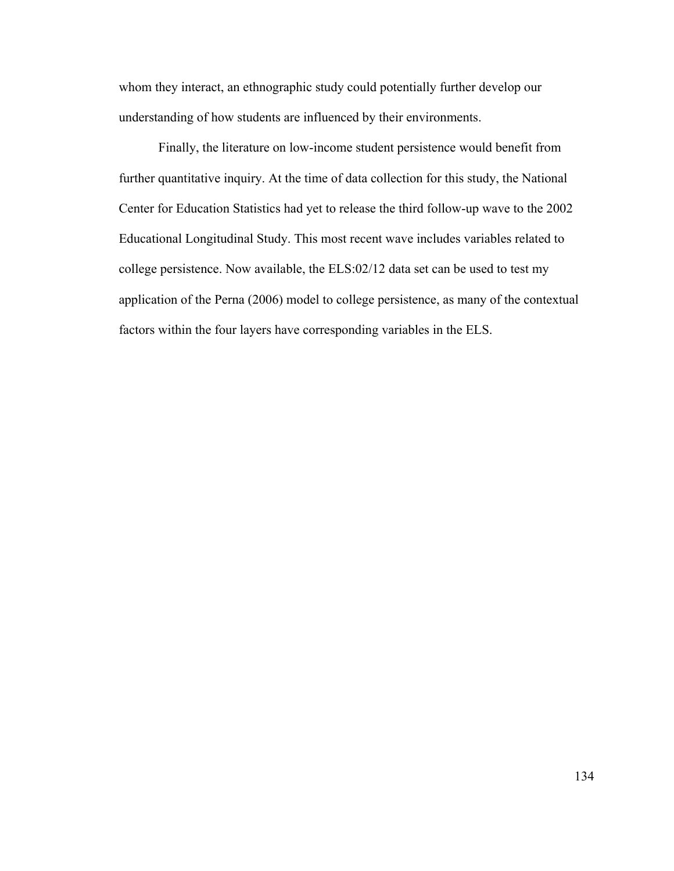whom they interact, an ethnographic study could potentially further develop our understanding of how students are influenced by their environments.

Finally, the literature on low-income student persistence would benefit from further quantitative inquiry. At the time of data collection for this study, the National Center for Education Statistics had yet to release the third follow-up wave to the 2002 Educational Longitudinal Study. This most recent wave includes variables related to college persistence. Now available, the ELS:02/12 data set can be used to test my application of the Perna (2006) model to college persistence, as many of the contextual factors within the four layers have corresponding variables in the ELS.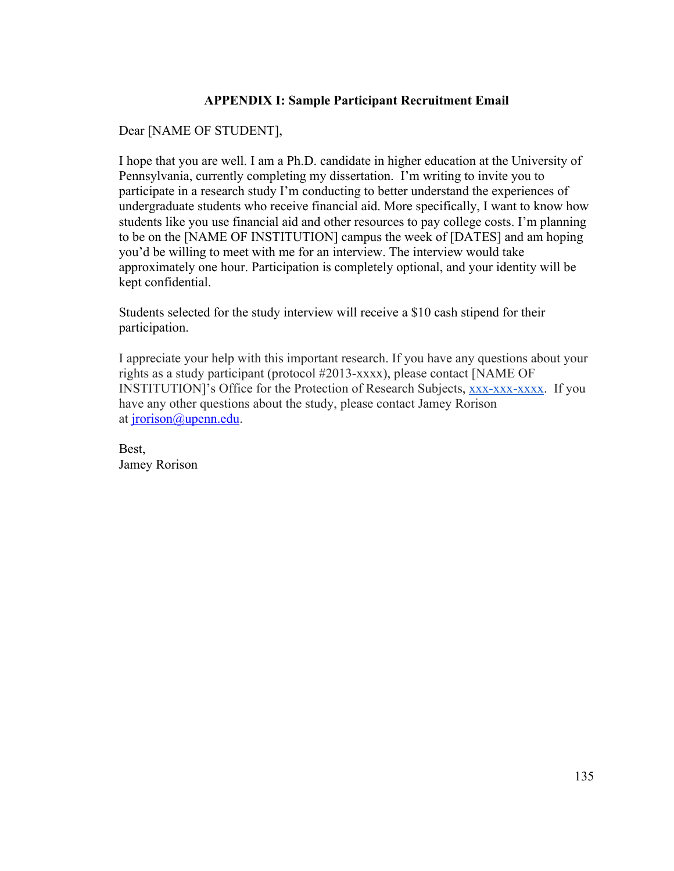### **APPENDIX I: Sample Participant Recruitment Email**

## Dear [NAME OF STUDENT],

I hope that you are well. I am a Ph.D. candidate in higher education at the University of Pennsylvania, currently completing my dissertation. I'm writing to invite you to participate in a research study I'm conducting to better understand the experiences of undergraduate students who receive financial aid. More specifically, I want to know how students like you use financial aid and other resources to pay college costs. I'm planning to be on the [NAME OF INSTITUTION] campus the week of [DATES] and am hoping you'd be willing to meet with me for an interview. The interview would take approximately one hour. Participation is completely optional, and your identity will be kept confidential.

Students selected for the study interview will receive a \$10 cash stipend for their participation.

I appreciate your help with this important research. If you have any questions about your rights as a study participant (protocol #2013-xxxx), please contact [NAME OF INSTITUTION]'s Office for the Protection of Research Subjects, xxx-xxx-xxxx. If you have any other questions about the study, please contact Jamey Rorison at jrorison@upenn.edu.

Best, Jamey Rorison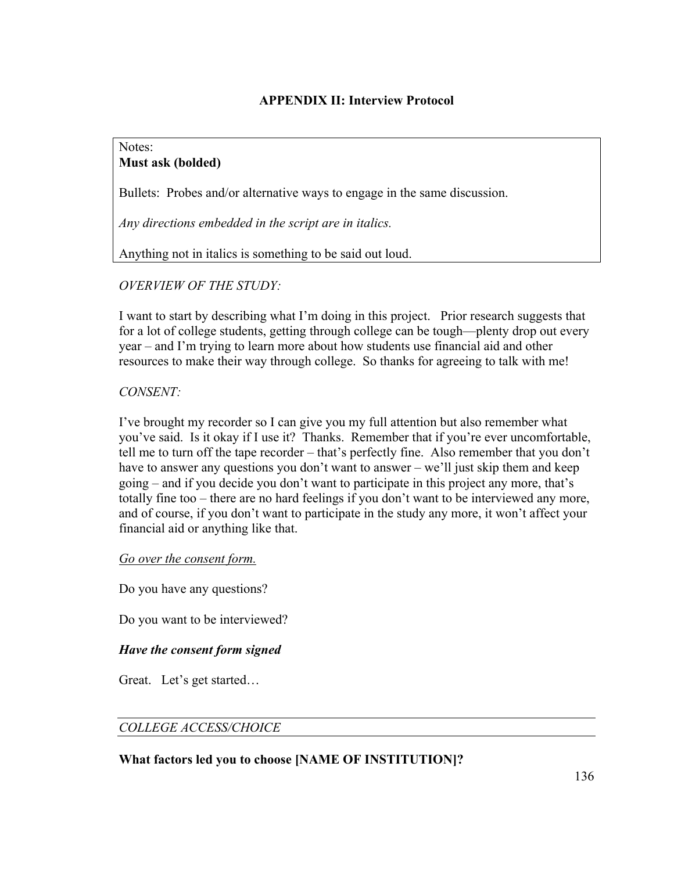### **APPENDIX II: Interview Protocol**

### Notes: **Must ask (bolded)**

Bullets: Probes and/or alternative ways to engage in the same discussion.

*Any directions embedded in the script are in italics.* 

Anything not in italics is something to be said out loud.

*OVERVIEW OF THE STUDY:*

I want to start by describing what I'm doing in this project. Prior research suggests that for a lot of college students, getting through college can be tough—plenty drop out every year – and I'm trying to learn more about how students use financial aid and other resources to make their way through college. So thanks for agreeing to talk with me!

### *CONSENT:*

I've brought my recorder so I can give you my full attention but also remember what you've said. Is it okay if I use it? Thanks. Remember that if you're ever uncomfortable, tell me to turn off the tape recorder – that's perfectly fine. Also remember that you don't have to answer any questions you don't want to answer – we'll just skip them and keep going – and if you decide you don't want to participate in this project any more, that's totally fine too – there are no hard feelings if you don't want to be interviewed any more, and of course, if you don't want to participate in the study any more, it won't affect your financial aid or anything like that.

*Go over the consent form.* 

Do you have any questions?

Do you want to be interviewed?

### *Have the consent form signed*

Great. Let's get started…

### *COLLEGE ACCESS/CHOICE*

### **What factors led you to choose [NAME OF INSTITUTION]?**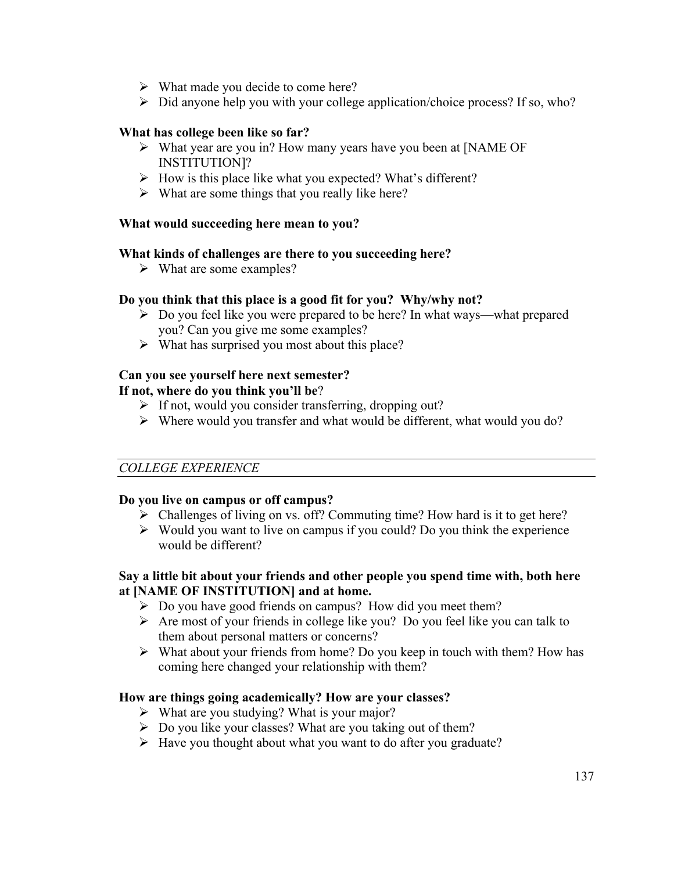- $\triangleright$  What made you decide to come here?
- $\triangleright$  Did anyone help you with your college application/choice process? If so, who?

### **What has college been like so far?**

- ! What year are you in? How many years have you been at [NAME OF INSTITUTION]?
- $\triangleright$  How is this place like what you expected? What's different?
- $\triangleright$  What are some things that you really like here?

### **What would succeeding here mean to you?**

### **What kinds of challenges are there to you succeeding here?**

 $\triangleright$  What are some examples?

### **Do you think that this place is a good fit for you? Why/why not?**

- $\triangleright$  Do you feel like you were prepared to be here? In what ways—what prepared you? Can you give me some examples?
- $\triangleright$  What has surprised you most about this place?

### **Can you see yourself here next semester?**

### **If not, where do you think you'll be**?

- $\triangleright$  If not, would you consider transferring, dropping out?
- $\triangleright$  Where would you transfer and what would be different, what would you do?

### *COLLEGE EXPERIENCE*

### **Do you live on campus or off campus?**

- $\triangleright$  Challenges of living on vs. off? Commuting time? How hard is it to get here?
- $\triangleright$  Would you want to live on campus if you could? Do you think the experience would be different?

### **Say a little bit about your friends and other people you spend time with, both here at [NAME OF INSTITUTION] and at home.**

- $\triangleright$  Do you have good friends on campus? How did you meet them?
- $\triangleright$  Are most of your friends in college like you? Do you feel like you can talk to them about personal matters or concerns?
- $\triangleright$  What about your friends from home? Do you keep in touch with them? How has coming here changed your relationship with them?

### **How are things going academically? How are your classes?**

- $\triangleright$  What are you studying? What is your major?
- $\triangleright$  Do you like your classes? What are you taking out of them?
- $\triangleright$  Have you thought about what you want to do after you graduate?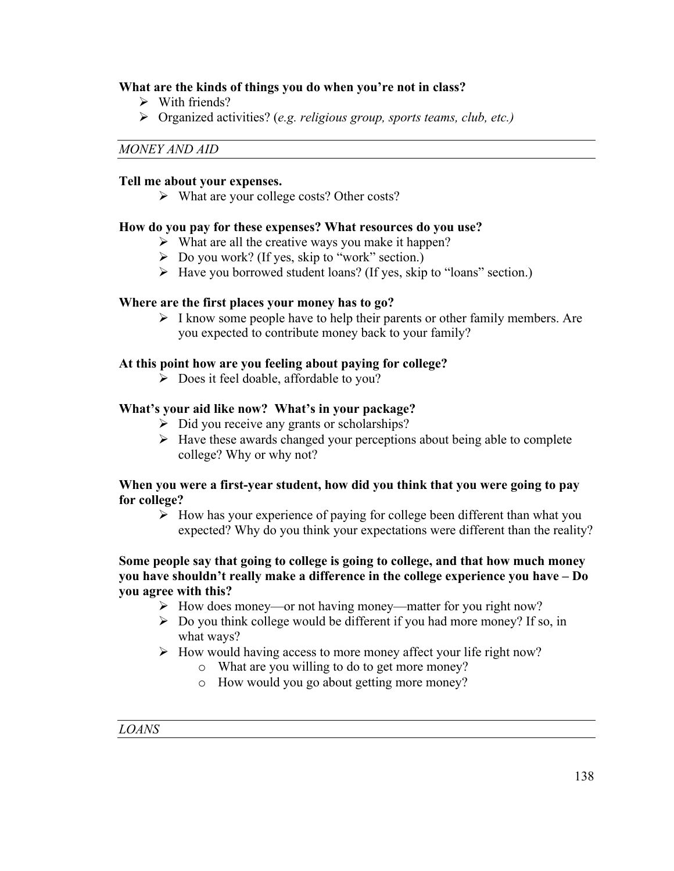### **What are the kinds of things you do when you're not in class?**

- $\triangleright$  With friends?
- ! Organized activities? (*e.g. religious group, sports teams, club, etc.)*

### *MONEY AND AID*

### **Tell me about your expenses.**

 $\triangleright$  What are your college costs? Other costs?

### **How do you pay for these expenses? What resources do you use?**

- $\triangleright$  What are all the creative ways you make it happen?
- $\triangleright$  Do you work? (If yes, skip to "work" section.)
- $\triangleright$  Have you borrowed student loans? (If yes, skip to "loans" section.)

#### **Where are the first places your money has to go?**

 $\triangleright$  I know some people have to help their parents or other family members. Are you expected to contribute money back to your family?

### **At this point how are you feeling about paying for college?**

 $\triangleright$  Does it feel doable, affordable to you?

### **What's your aid like now? What's in your package?**

- $\triangleright$  Did you receive any grants or scholarships?
- $\triangleright$  Have these awards changed your perceptions about being able to complete college? Why or why not?

### **When you were a first-year student, how did you think that you were going to pay for college?**

 $\triangleright$  How has your experience of paying for college been different than what you expected? Why do you think your expectations were different than the reality?

### **Some people say that going to college is going to college, and that how much money you have shouldn't really make a difference in the college experience you have – Do you agree with this?**

- ! How does money—or not having money—matter for you right now?
- $\geq$  Do you think college would be different if you had more money? If so, in what ways?
- $\triangleright$  How would having access to more money affect your life right now?
	- o What are you willing to do to get more money?
	- o How would you go about getting more money?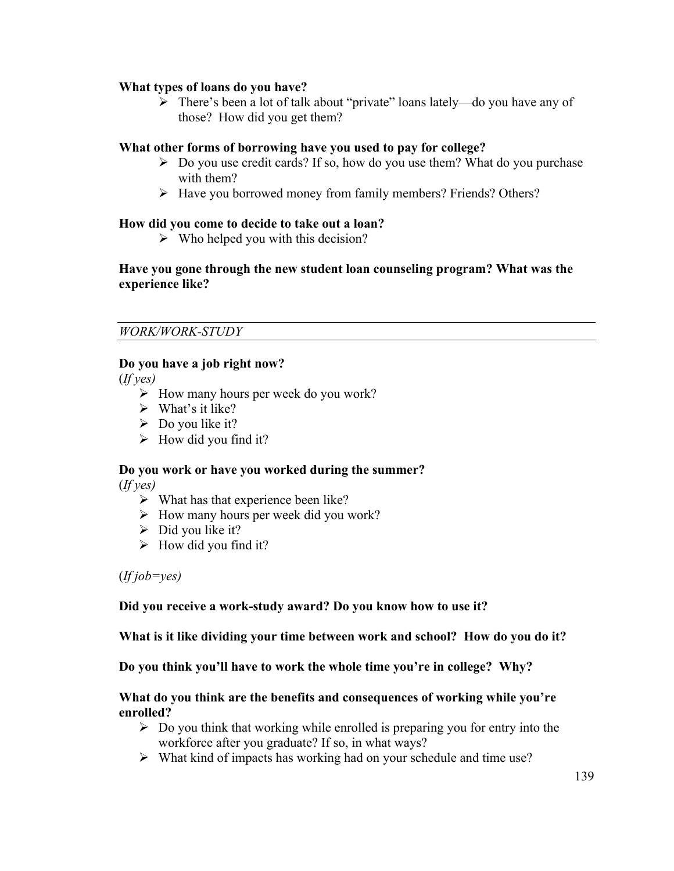### **What types of loans do you have?**

 $\triangleright$  There's been a lot of talk about "private" loans lately—do you have any of those? How did you get them?

### **What other forms of borrowing have you used to pay for college?**

- $\triangleright$  Do you use credit cards? If so, how do you use them? What do you purchase with them?
- ! Have you borrowed money from family members? Friends? Others?

### **How did you come to decide to take out a loan?**

 $\triangleright$  Who helped you with this decision?

### **Have you gone through the new student loan counseling program? What was the experience like?**

#### *WORK/WORK-STUDY*

### **Do you have a job right now?**

(*If yes)*

- $\triangleright$  How many hours per week do you work?
- $\triangleright$  What's it like?
- $\triangleright$  Do you like it?
- $\triangleright$  How did you find it?

# **Do you work or have you worked during the summer?**

(*If yes)*

- $\triangleright$  What has that experience been like?
- $\triangleright$  How many hours per week did you work?
- $\triangleright$  Did you like it?
- $\triangleright$  How did you find it?

(*If job=yes)*

### **Did you receive a work-study award? Do you know how to use it?**

**What is it like dividing your time between work and school? How do you do it?**

#### **Do you think you'll have to work the whole time you're in college? Why?**

#### **What do you think are the benefits and consequences of working while you're enrolled?**

- $\triangleright$  Do you think that working while enrolled is preparing you for entry into the workforce after you graduate? If so, in what ways?
- $\triangleright$  What kind of impacts has working had on your schedule and time use?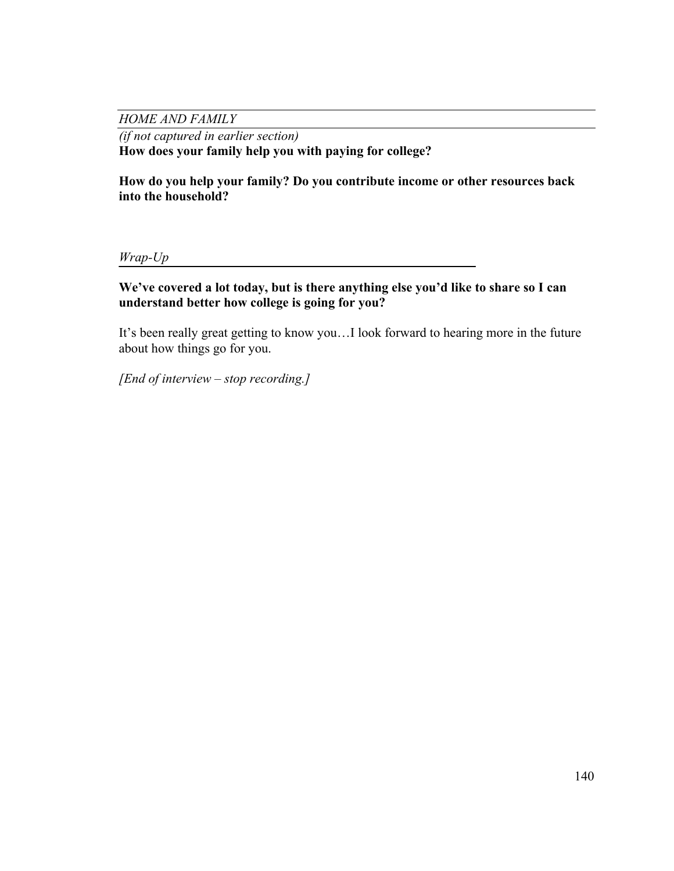*HOME AND FAMILY*

*(if not captured in earlier section)* **How does your family help you with paying for college?** 

**How do you help your family? Do you contribute income or other resources back into the household?**

*Wrap-Up* 

**We've covered a lot today, but is there anything else you'd like to share so I can understand better how college is going for you?** 

It's been really great getting to know you…I look forward to hearing more in the future about how things go for you.

*[End of interview – stop recording.]*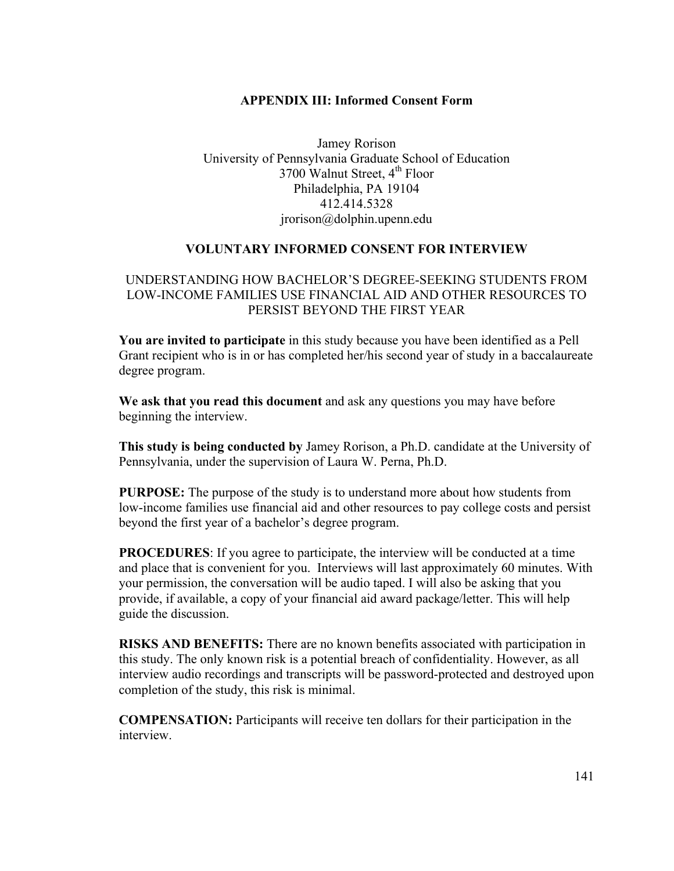### **APPENDIX III: Informed Consent Form**

Jamey Rorison University of Pennsylvania Graduate School of Education 3700 Walnut Street, 4<sup>th</sup> Floor Philadelphia, PA 19104 412.414.5328 jrorison@dolphin.upenn.edu

### **VOLUNTARY INFORMED CONSENT FOR INTERVIEW**

### UNDERSTANDING HOW BACHELOR'S DEGREE-SEEKING STUDENTS FROM LOW-INCOME FAMILIES USE FINANCIAL AID AND OTHER RESOURCES TO PERSIST BEYOND THE FIRST YEAR

**You are invited to participate** in this study because you have been identified as a Pell Grant recipient who is in or has completed her/his second year of study in a baccalaureate degree program.

**We ask that you read this document** and ask any questions you may have before beginning the interview.

**This study is being conducted by** Jamey Rorison, a Ph.D. candidate at the University of Pennsylvania, under the supervision of Laura W. Perna, Ph.D.

**PURPOSE:** The purpose of the study is to understand more about how students from low-income families use financial aid and other resources to pay college costs and persist beyond the first year of a bachelor's degree program.

**PROCEDURES**: If you agree to participate, the interview will be conducted at a time and place that is convenient for you. Interviews will last approximately 60 minutes. With your permission, the conversation will be audio taped. I will also be asking that you provide, if available, a copy of your financial aid award package/letter. This will help guide the discussion.

**RISKS AND BENEFITS:** There are no known benefits associated with participation in this study. The only known risk is a potential breach of confidentiality. However, as all interview audio recordings and transcripts will be password-protected and destroyed upon completion of the study, this risk is minimal.

**COMPENSATION:** Participants will receive ten dollars for their participation in the interview.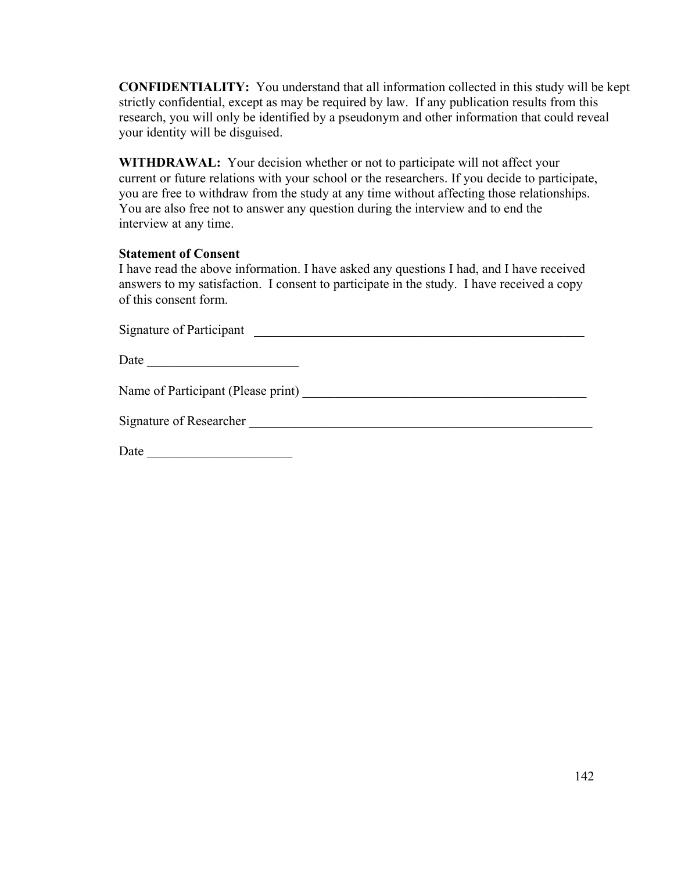**CONFIDENTIALITY:** You understand that all information collected in this study will be kept strictly confidential, except as may be required by law. If any publication results from this research, you will only be identified by a pseudonym and other information that could reveal your identity will be disguised.

**WITHDRAWAL:** Your decision whether or not to participate will not affect your current or future relations with your school or the researchers. If you decide to participate, you are free to withdraw from the study at any time without affecting those relationships. You are also free not to answer any question during the interview and to end the interview at any time.

### **Statement of Consent**

I have read the above information. I have asked any questions I had, and I have received answers to my satisfaction. I consent to participate in the study. I have received a copy of this consent form.

| Signature of Participant                                                                                                     |
|------------------------------------------------------------------------------------------------------------------------------|
| Date<br><u> Alexandria de la contrada de la contrada de la contrada de la contrada de la contrada de la contrada de la c</u> |
|                                                                                                                              |
| Signature of Researcher                                                                                                      |
| Date<br><u> 1980 - Andrea Andrew Maria (h. 1980).</u>                                                                        |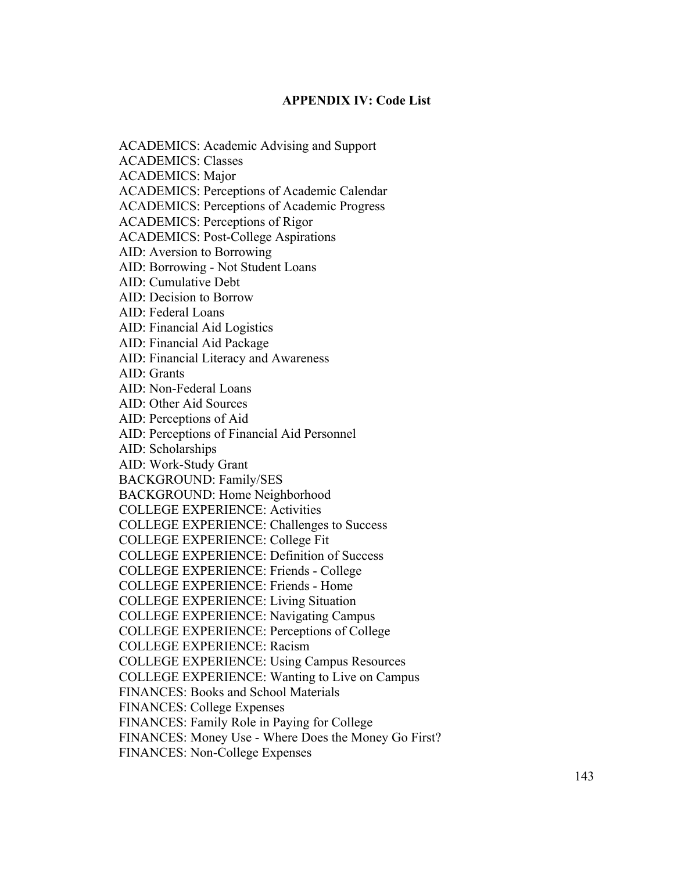### **APPENDIX IV: Code List**

ACADEMICS: Academic Advising and Support ACADEMICS: Classes ACADEMICS: Major ACADEMICS: Perceptions of Academic Calendar ACADEMICS: Perceptions of Academic Progress ACADEMICS: Perceptions of Rigor ACADEMICS: Post-College Aspirations AID: Aversion to Borrowing AID: Borrowing - Not Student Loans AID: Cumulative Debt AID: Decision to Borrow AID: Federal Loans AID: Financial Aid Logistics AID: Financial Aid Package AID: Financial Literacy and Awareness AID: Grants AID: Non-Federal Loans AID: Other Aid Sources AID: Perceptions of Aid AID: Perceptions of Financial Aid Personnel AID: Scholarships AID: Work-Study Grant BACKGROUND: Family/SES BACKGROUND: Home Neighborhood COLLEGE EXPERIENCE: Activities COLLEGE EXPERIENCE: Challenges to Success COLLEGE EXPERIENCE: College Fit COLLEGE EXPERIENCE: Definition of Success COLLEGE EXPERIENCE: Friends - College COLLEGE EXPERIENCE: Friends - Home COLLEGE EXPERIENCE: Living Situation COLLEGE EXPERIENCE: Navigating Campus COLLEGE EXPERIENCE: Perceptions of College COLLEGE EXPERIENCE: Racism COLLEGE EXPERIENCE: Using Campus Resources COLLEGE EXPERIENCE: Wanting to Live on Campus FINANCES: Books and School Materials FINANCES: College Expenses FINANCES: Family Role in Paying for College FINANCES: Money Use - Where Does the Money Go First?

FINANCES: Non-College Expenses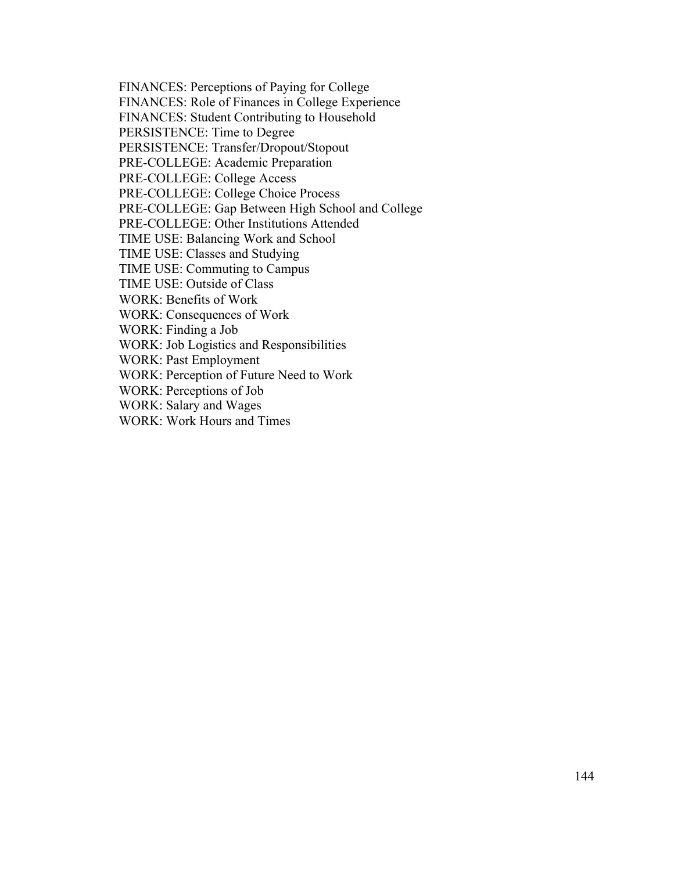FINANCES: Perceptions of Paying for College

FINANCES: Role of Finances in College Experience

FINANCES: Student Contributing to Household

PERSISTENCE: Time to Degree

PERSISTENCE: Transfer/Dropout/Stopout

PRE-COLLEGE: Academic Preparation

PRE-COLLEGE: College Access

PRE-COLLEGE: College Choice Process

PRE-COLLEGE: Gap Between High School and College

PRE-COLLEGE: Other Institutions Attended

TIME USE: Balancing Work and School

TIME USE: Classes and Studying

TIME USE: Commuting to Campus

TIME USE: Outside of Class

WORK: Benefits of Work

WORK: Consequences of Work

WORK: Finding a Job

WORK: Job Logistics and Responsibilities

WORK: Past Employment

WORK: Perception of Future Need to Work

WORK: Perceptions of Job

WORK: Salary and Wages

WORK: Work Hours and Times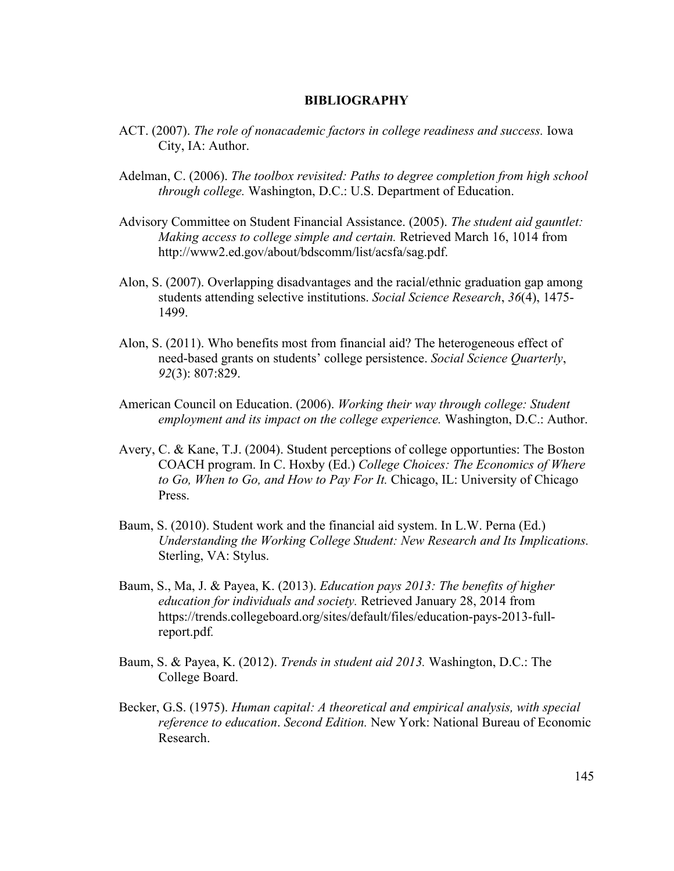#### **BIBLIOGRAPHY**

- ACT. (2007). *The role of nonacademic factors in college readiness and success.* Iowa City, IA: Author.
- Adelman, C. (2006). *The toolbox revisited: Paths to degree completion from high school through college.* Washington, D.C.: U.S. Department of Education.
- Advisory Committee on Student Financial Assistance. (2005). *The student aid gauntlet: Making access to college simple and certain.* Retrieved March 16, 1014 from http://www2.ed.gov/about/bdscomm/list/acsfa/sag.pdf.
- Alon, S. (2007). Overlapping disadvantages and the racial/ethnic graduation gap among students attending selective institutions. *Social Science Research*, *36*(4), 1475- 1499.
- Alon, S. (2011). Who benefits most from financial aid? The heterogeneous effect of need-based grants on students' college persistence. *Social Science Quarterly*, *92*(3): 807:829.
- American Council on Education. (2006). *Working their way through college: Student employment and its impact on the college experience.* Washington, D.C.: Author.
- Avery, C. & Kane, T.J. (2004). Student perceptions of college opportunties: The Boston COACH program. In C. Hoxby (Ed.) *College Choices: The Economics of Where to Go, When to Go, and How to Pay For It.* Chicago, IL: University of Chicago Press.
- Baum, S. (2010). Student work and the financial aid system. In L.W. Perna (Ed.) *Understanding the Working College Student: New Research and Its Implications.*  Sterling, VA: Stylus.
- Baum, S., Ma, J. & Payea, K. (2013). *Education pays 2013: The benefits of higher education for individuals and society.* Retrieved January 28, 2014 from https://trends.collegeboard.org/sites/default/files/education-pays-2013-fullreport.pdf*.*
- Baum, S. & Payea, K. (2012). *Trends in student aid 2013.* Washington, D.C.: The College Board.
- Becker, G.S. (1975). *Human capital: A theoretical and empirical analysis, with special reference to education*. *Second Edition.* New York: National Bureau of Economic Research.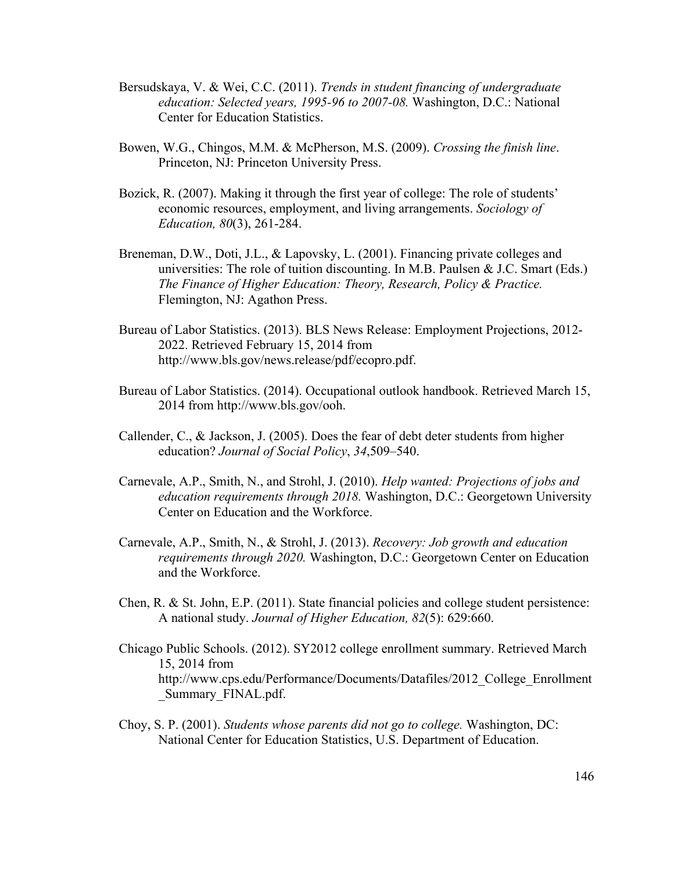- Bersudskaya, V. & Wei, C.C. (2011). *Trends in student financing of undergraduate education: Selected years, 1995-96 to 2007-08.* Washington, D.C.: National Center for Education Statistics.
- Bowen, W.G., Chingos, M.M. & McPherson, M.S. (2009). *Crossing the finish line*. Princeton, NJ: Princeton University Press.
- Bozick, R. (2007). Making it through the first year of college: The role of students' economic resources, employment, and living arrangements. *Sociology of Education, 80*(3), 261-284.
- Breneman, D.W., Doti, J.L., & Lapovsky, L. (2001). Financing private colleges and universities: The role of tuition discounting. In M.B. Paulsen  $& J.C.$  Smart (Eds.) *The Finance of Higher Education: Theory, Research, Policy & Practice.* Flemington, NJ: Agathon Press.
- Bureau of Labor Statistics. (2013). BLS News Release: Employment Projections, 2012- 2022. Retrieved February 15, 2014 from http://www.bls.gov/news.release/pdf/ecopro.pdf.
- Bureau of Labor Statistics. (2014). Occupational outlook handbook. Retrieved March 15, 2014 from http://www.bls.gov/ooh.
- Callender, C., & Jackson, J. (2005). Does the fear of debt deter students from higher education? *Journal of Social Policy*, *34*,509–540.
- Carnevale, A.P., Smith, N., and Strohl, J. (2010). *Help wanted: Projections of jobs and education requirements through 2018.* Washington, D.C.: Georgetown University Center on Education and the Workforce.
- Carnevale, A.P., Smith, N., & Strohl, J. (2013). *Recovery: Job growth and education requirements through 2020.* Washington, D.C.: Georgetown Center on Education and the Workforce.
- Chen, R. & St. John, E.P. (2011). State financial policies and college student persistence: A national study. *Journal of Higher Education, 82*(5): 629:660.
- Chicago Public Schools. (2012). SY2012 college enrollment summary. Retrieved March 15, 2014 from http://www.cps.edu/Performance/Documents/Datafiles/2012\_College\_Enrollment Summary FINAL.pdf.
- Choy, S. P. (2001). *Students whose parents did not go to college.* Washington, DC: National Center for Education Statistics, U.S. Department of Education.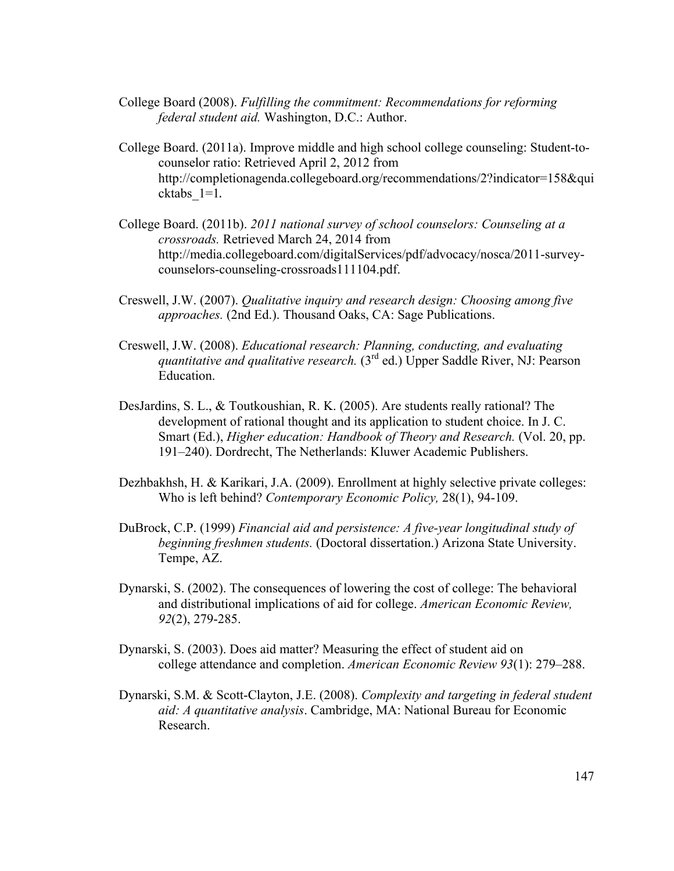- College Board (2008). *Fulfilling the commitment: Recommendations for reforming federal student aid.* Washington, D.C.: Author.
- College Board. (2011a). Improve middle and high school college counseling: Student-tocounselor ratio: Retrieved April 2, 2012 from http://completionagenda.collegeboard.org/recommendations/2?indicator=158&qui cktabs\_1=1.
- College Board. (2011b). *2011 national survey of school counselors: Counseling at a crossroads.* Retrieved March 24, 2014 from http://media.collegeboard.com/digitalServices/pdf/advocacy/nosca/2011-surveycounselors-counseling-crossroads111104.pdf.
- Creswell, J.W. (2007). *Qualitative inquiry and research design: Choosing among five approaches.* (2nd Ed.). Thousand Oaks, CA: Sage Publications.
- Creswell, J.W. (2008). *Educational research: Planning, conducting, and evaluating quantitative and qualitative research.* (3rd ed.) Upper Saddle River, NJ: Pearson Education.
- DesJardins, S. L., & Toutkoushian, R. K. (2005). Are students really rational? The development of rational thought and its application to student choice. In J. C. Smart (Ed.), *Higher education: Handbook of Theory and Research.* (Vol. 20, pp. 191–240). Dordrecht, The Netherlands: Kluwer Academic Publishers.
- Dezhbakhsh, H. & Karikari, J.A. (2009). Enrollment at highly selective private colleges: Who is left behind? *Contemporary Economic Policy,* 28(1), 94-109.
- DuBrock, C.P. (1999) *Financial aid and persistence: A five-year longitudinal study of beginning freshmen students.* (Doctoral dissertation.) Arizona State University. Tempe, AZ.
- Dynarski, S. (2002). The consequences of lowering the cost of college: The behavioral and distributional implications of aid for college. *American Economic Review, 92*(2), 279-285.
- Dynarski, S. (2003). Does aid matter? Measuring the effect of student aid on college attendance and completion. *American Economic Review 93*(1): 279–288.
- Dynarski, S.M. & Scott-Clayton, J.E. (2008). *Complexity and targeting in federal student aid: A quantitative analysis*. Cambridge, MA: National Bureau for Economic Research.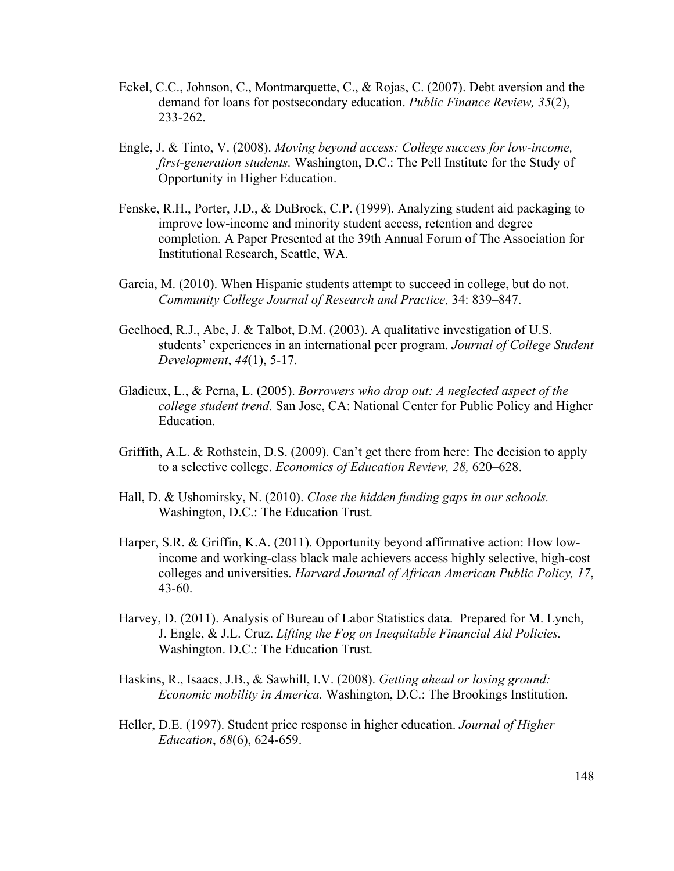- Eckel, C.C., Johnson, C., Montmarquette, C., & Rojas, C. (2007). Debt aversion and the demand for loans for postsecondary education. *Public Finance Review, 35*(2), 233-262.
- Engle, J. & Tinto, V. (2008). *Moving beyond access: College success for low-income, first-generation students.* Washington, D.C.: The Pell Institute for the Study of Opportunity in Higher Education.
- Fenske, R.H., Porter, J.D., & DuBrock, C.P. (1999). Analyzing student aid packaging to improve low-income and minority student access, retention and degree completion. A Paper Presented at the 39th Annual Forum of The Association for Institutional Research, Seattle, WA.
- Garcia, M. (2010). When Hispanic students attempt to succeed in college, but do not. *Community College Journal of Research and Practice,* 34: 839–847.
- Geelhoed, R.J., Abe, J. & Talbot, D.M. (2003). A qualitative investigation of U.S. students' experiences in an international peer program. *Journal of College Student Development*, *44*(1), 5-17.
- Gladieux, L., & Perna, L. (2005). *Borrowers who drop out: A neglected aspect of the college student trend.* San Jose, CA: National Center for Public Policy and Higher Education.
- Griffith, A.L. & Rothstein, D.S. (2009). Can't get there from here: The decision to apply to a selective college. *Economics of Education Review, 28,* 620–628.
- Hall, D. & Ushomirsky, N. (2010). *Close the hidden funding gaps in our schools.*  Washington, D.C.: The Education Trust.
- Harper, S.R. & Griffin, K.A. (2011). Opportunity beyond affirmative action: How lowincome and working-class black male achievers access highly selective, high-cost colleges and universities. *Harvard Journal of African American Public Policy, 17*, 43-60.
- Harvey, D. (2011). Analysis of Bureau of Labor Statistics data. Prepared for M. Lynch, J. Engle, & J.L. Cruz. *Lifting the Fog on Inequitable Financial Aid Policies.* Washington. D.C.: The Education Trust.
- Haskins, R., Isaacs, J.B., & Sawhill, I.V. (2008). *Getting ahead or losing ground: Economic mobility in America.* Washington, D.C.: The Brookings Institution.
- Heller, D.E. (1997). Student price response in higher education. *Journal of Higher Education*, *68*(6), 624-659.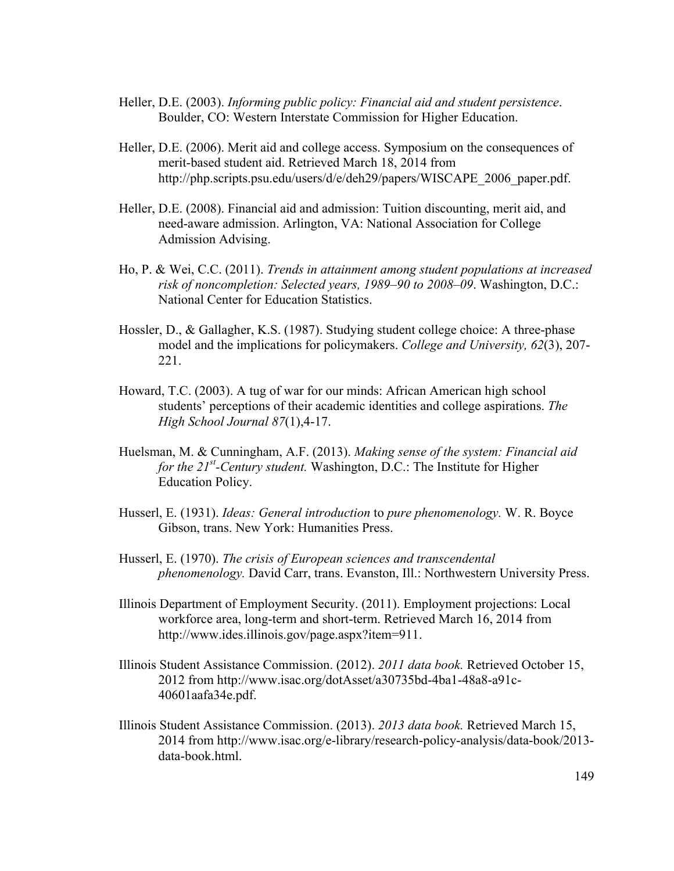- Heller, D.E. (2003). *Informing public policy: Financial aid and student persistence*. Boulder, CO: Western Interstate Commission for Higher Education.
- Heller, D.E. (2006). Merit aid and college access. Symposium on the consequences of merit-based student aid. Retrieved March 18, 2014 from http://php.scripts.psu.edu/users/d/e/deh29/papers/WISCAPE\_2006\_paper.pdf.
- Heller, D.E. (2008). Financial aid and admission: Tuition discounting, merit aid, and need-aware admission. Arlington, VA: National Association for College Admission Advising.
- Ho, P. & Wei, C.C. (2011). *Trends in attainment among student populations at increased risk of noncompletion: Selected years, 1989–90 to 2008–09*. Washington, D.C.: National Center for Education Statistics.
- Hossler, D., & Gallagher, K.S. (1987). Studying student college choice: A three-phase model and the implications for policymakers. *College and University, 62*(3), 207- 221.
- Howard, T.C. (2003). A tug of war for our minds: African American high school students' perceptions of their academic identities and college aspirations. *The High School Journal 87*(1),4-17.
- Huelsman, M. & Cunningham, A.F. (2013). *Making sense of the system: Financial aid for the 21st -Century student.* Washington, D.C.: The Institute for Higher Education Policy.
- Husserl, E. (1931). *Ideas: General introduction* to *pure phenomenology.* W. R. Boyce Gibson, trans. New York: Humanities Press.
- Husserl, E. (1970). *The crisis of European sciences and transcendental phenomenology.* David Carr, trans. Evanston, Ill.: Northwestern University Press.
- Illinois Department of Employment Security. (2011). Employment projections: Local workforce area, long-term and short-term. Retrieved March 16, 2014 from http://www.ides.illinois.gov/page.aspx?item=911.
- Illinois Student Assistance Commission. (2012). *2011 data book.* Retrieved October 15, 2012 from http://www.isac.org/dotAsset/a30735bd-4ba1-48a8-a91c-40601aafa34e.pdf.
- Illinois Student Assistance Commission. (2013). *2013 data book.* Retrieved March 15, 2014 from http://www.isac.org/e-library/research-policy-analysis/data-book/2013 data-book.html.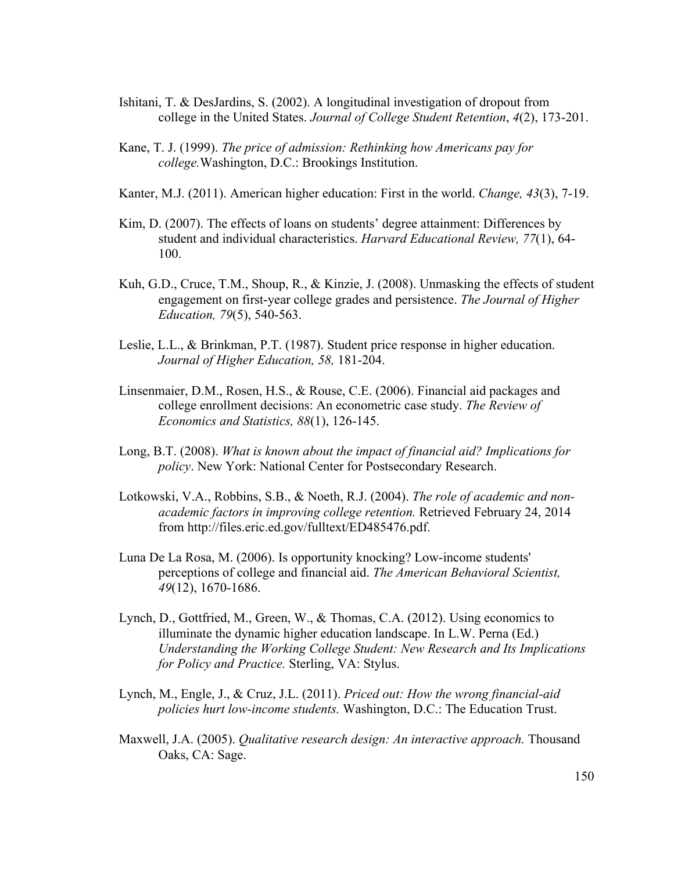- Ishitani, T. & DesJardins, S. (2002). A longitudinal investigation of dropout from college in the United States. *Journal of College Student Retention*, *4*(2), 173-201.
- Kane, T. J. (1999). *The price of admission: Rethinking how Americans pay for college.*Washington, D.C.: Brookings Institution.
- Kanter, M.J. (2011). American higher education: First in the world. *Change, 43*(3), 7-19.
- Kim, D. (2007). The effects of loans on students' degree attainment: Differences by student and individual characteristics. *Harvard Educational Review, 77*(1), 64- 100.
- Kuh, G.D., Cruce, T.M., Shoup, R., & Kinzie, J. (2008). Unmasking the effects of student engagement on first-year college grades and persistence. *The Journal of Higher Education, 79*(5), 540-563.
- Leslie, L.L., & Brinkman, P.T. (1987). Student price response in higher education. *Journal of Higher Education, 58,* 181-204.
- Linsenmaier, D.M., Rosen, H.S., & Rouse, C.E. (2006). Financial aid packages and college enrollment decisions: An econometric case study. *The Review of Economics and Statistics, 88*(1), 126-145.
- Long, B.T. (2008). *What is known about the impact of financial aid? Implications for policy*. New York: National Center for Postsecondary Research.
- Lotkowski, V.A., Robbins, S.B., & Noeth, R.J. (2004). *The role of academic and nonacademic factors in improving college retention.* Retrieved February 24, 2014 from http://files.eric.ed.gov/fulltext/ED485476.pdf.
- Luna De La Rosa, M. (2006). Is opportunity knocking? Low-income students' perceptions of college and financial aid. *The American Behavioral Scientist, 49*(12), 1670-1686.
- Lynch, D., Gottfried, M., Green, W., & Thomas, C.A. (2012). Using economics to illuminate the dynamic higher education landscape. In L.W. Perna (Ed.) *Understanding the Working College Student: New Research and Its Implications for Policy and Practice.* Sterling, VA: Stylus.
- Lynch, M., Engle, J., & Cruz, J.L. (2011). *Priced out: How the wrong financial-aid policies hurt low-income students.* Washington, D.C.: The Education Trust.
- Maxwell, J.A. (2005). *Qualitative research design: An interactive approach.* Thousand Oaks, CA: Sage.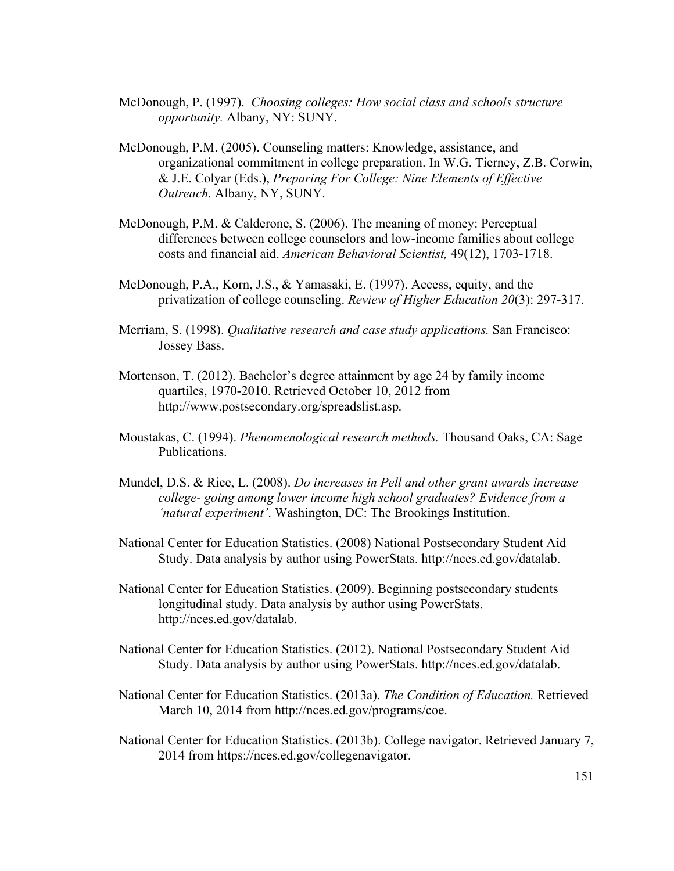- McDonough, P. (1997). *Choosing colleges: How social class and schools structure opportunity.* Albany, NY: SUNY.
- McDonough, P.M. (2005). Counseling matters: Knowledge, assistance, and organizational commitment in college preparation. In W.G. Tierney, Z.B. Corwin, & J.E. Colyar (Eds.), *Preparing For College: Nine Elements of Effective Outreach.* Albany, NY, SUNY.
- McDonough, P.M. & Calderone, S. (2006). The meaning of money: Perceptual differences between college counselors and low-income families about college costs and financial aid. *American Behavioral Scientist,* 49(12), 1703-1718.
- McDonough, P.A., Korn, J.S., & Yamasaki, E. (1997). Access, equity, and the privatization of college counseling. *Review of Higher Education 20*(3): 297-317.
- Merriam, S. (1998). *Qualitative research and case study applications.* San Francisco: Jossey Bass.
- Mortenson, T. (2012). Bachelor's degree attainment by age 24 by family income quartiles, 1970-2010. Retrieved October 10, 2012 from http://www.postsecondary.org/spreadslist.asp.
- Moustakas, C. (1994). *Phenomenological research methods.* Thousand Oaks, CA: Sage Publications.
- Mundel, D.S. & Rice, L. (2008). *Do increases in Pell and other grant awards increase college- going among lower income high school graduates? Evidence from a 'natural experiment'*. Washington, DC: The Brookings Institution.
- National Center for Education Statistics. (2008) National Postsecondary Student Aid Study. Data analysis by author using PowerStats. http://nces.ed.gov/datalab.
- National Center for Education Statistics. (2009). Beginning postsecondary students longitudinal study. Data analysis by author using PowerStats. http://nces.ed.gov/datalab.
- National Center for Education Statistics. (2012). National Postsecondary Student Aid Study. Data analysis by author using PowerStats. http://nces.ed.gov/datalab.
- National Center for Education Statistics. (2013a). *The Condition of Education.* Retrieved March 10, 2014 from http://nces.ed.gov/programs/coe.
- National Center for Education Statistics. (2013b). College navigator. Retrieved January 7, 2014 from https://nces.ed.gov/collegenavigator.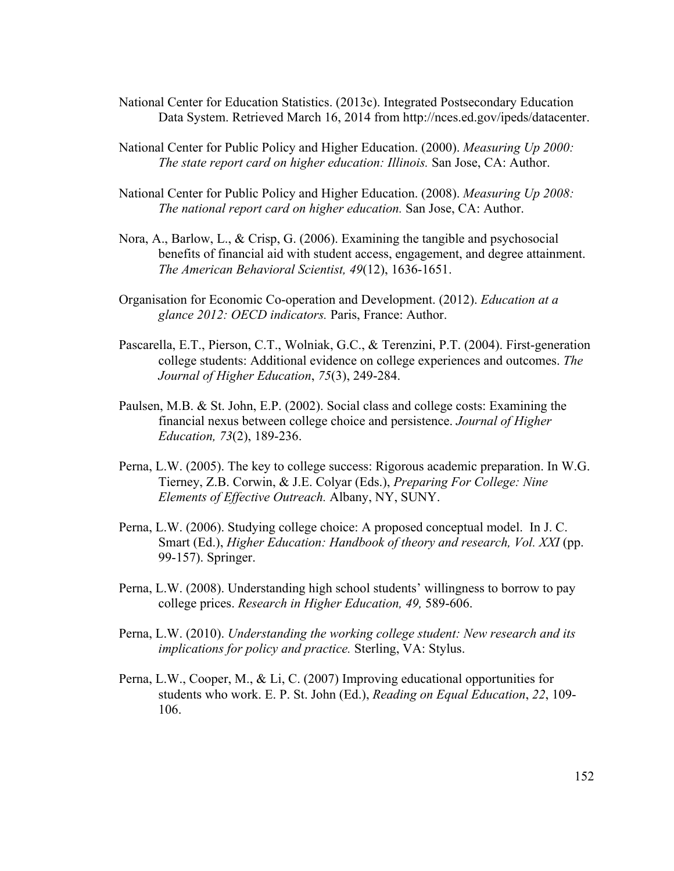- National Center for Education Statistics. (2013c). Integrated Postsecondary Education Data System. Retrieved March 16, 2014 from http://nces.ed.gov/ipeds/datacenter.
- National Center for Public Policy and Higher Education. (2000). *Measuring Up 2000: The state report card on higher education: Illinois.* San Jose, CA: Author.
- National Center for Public Policy and Higher Education. (2008). *Measuring Up 2008: The national report card on higher education.* San Jose, CA: Author.
- Nora, A., Barlow, L., & Crisp, G. (2006). Examining the tangible and psychosocial benefits of financial aid with student access, engagement, and degree attainment. *The American Behavioral Scientist, 49*(12), 1636-1651.
- Organisation for Economic Co-operation and Development. (2012). *Education at a glance 2012: OECD indicators.* Paris, France: Author.
- Pascarella, E.T., Pierson, C.T., Wolniak, G.C., & Terenzini, P.T. (2004). First-generation college students: Additional evidence on college experiences and outcomes. *The Journal of Higher Education*, *75*(3), 249-284.
- Paulsen, M.B. & St. John, E.P. (2002). Social class and college costs: Examining the financial nexus between college choice and persistence. *Journal of Higher Education, 73*(2), 189-236.
- Perna, L.W. (2005). The key to college success: Rigorous academic preparation. In W.G. Tierney, Z.B. Corwin, & J.E. Colyar (Eds.), *Preparing For College: Nine Elements of Effective Outreach.* Albany, NY, SUNY.
- Perna, L.W. (2006). Studying college choice: A proposed conceptual model. In J. C. Smart (Ed.), *Higher Education: Handbook of theory and research, Vol. XXI* (pp. 99-157). Springer.
- Perna, L.W. (2008). Understanding high school students' willingness to borrow to pay college prices. *Research in Higher Education, 49,* 589-606.
- Perna, L.W. (2010). *Understanding the working college student: New research and its implications for policy and practice.* Sterling, VA: Stylus.
- Perna, L.W., Cooper, M., & Li, C. (2007) Improving educational opportunities for students who work. E. P. St. John (Ed.), *Reading on Equal Education*, *22*, 109- 106.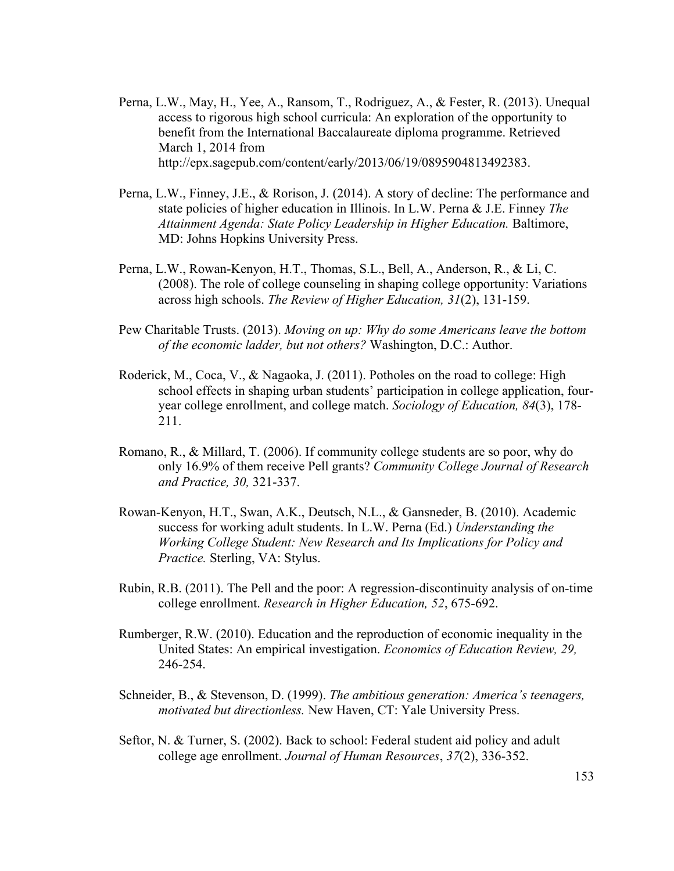- Perna, L.W., May, H., Yee, A., Ransom, T., Rodriguez, A., & Fester, R. (2013). Unequal access to rigorous high school curricula: An exploration of the opportunity to benefit from the International Baccalaureate diploma programme. Retrieved March 1, 2014 from http://epx.sagepub.com/content/early/2013/06/19/0895904813492383.
- Perna, L.W., Finney, J.E., & Rorison, J. (2014). A story of decline: The performance and state policies of higher education in Illinois. In L.W. Perna & J.E. Finney *The Attainment Agenda: State Policy Leadership in Higher Education.* Baltimore, MD: Johns Hopkins University Press.
- Perna, L.W., Rowan-Kenyon, H.T., Thomas, S.L., Bell, A., Anderson, R., & Li, C. (2008). The role of college counseling in shaping college opportunity: Variations across high schools. *The Review of Higher Education, 31*(2), 131-159.
- Pew Charitable Trusts. (2013). *Moving on up: Why do some Americans leave the bottom of the economic ladder, but not others?* Washington, D.C.: Author.
- Roderick, M., Coca, V., & Nagaoka, J. (2011). Potholes on the road to college: High school effects in shaping urban students' participation in college application, fouryear college enrollment, and college match. *Sociology of Education, 84*(3), 178- 211.
- Romano, R., & Millard, T. (2006). If community college students are so poor, why do only 16.9% of them receive Pell grants? *Community College Journal of Research and Practice, 30,* 321-337.
- Rowan-Kenyon, H.T., Swan, A.K., Deutsch, N.L., & Gansneder, B. (2010). Academic success for working adult students. In L.W. Perna (Ed.) *Understanding the Working College Student: New Research and Its Implications for Policy and Practice.* Sterling, VA: Stylus.
- Rubin, R.B. (2011). The Pell and the poor: A regression-discontinuity analysis of on-time college enrollment. *Research in Higher Education, 52*, 675-692.
- Rumberger, R.W. (2010). Education and the reproduction of economic inequality in the United States: An empirical investigation. *Economics of Education Review, 29,* 246-254.
- Schneider, B., & Stevenson, D. (1999). *The ambitious generation: America's teenagers, motivated but directionless.* New Haven, CT: Yale University Press.
- Seftor, N. & Turner, S. (2002). Back to school: Federal student aid policy and adult college age enrollment. *Journal of Human Resources*, *37*(2), 336-352.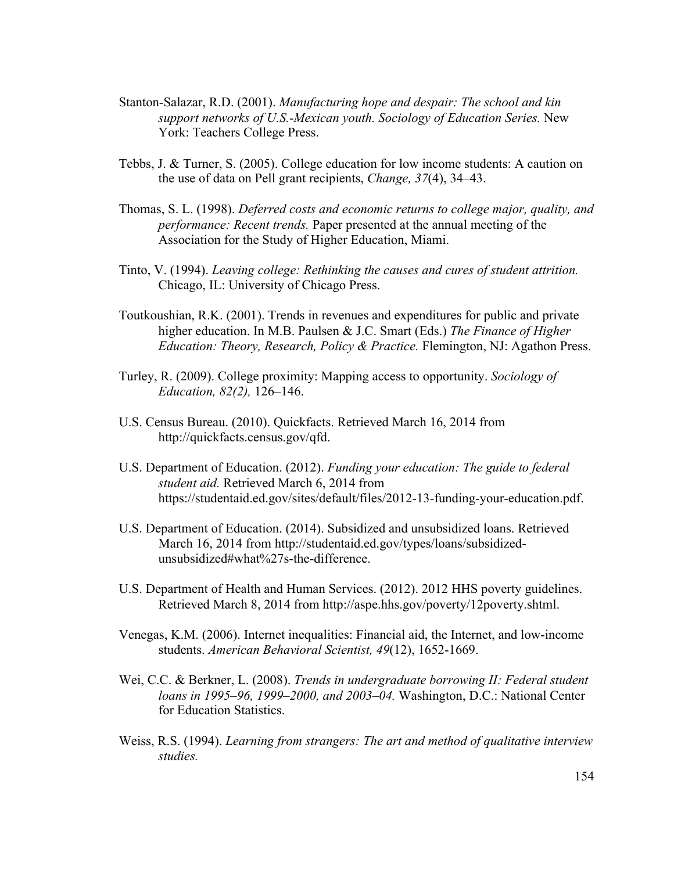- Stanton-Salazar, R.D. (2001). *Manufacturing hope and despair: The school and kin support networks of U.S.-Mexican youth. Sociology of Education Series.* New York: Teachers College Press.
- Tebbs, J. & Turner, S. (2005). College education for low income students: A caution on the use of data on Pell grant recipients, *Change, 37*(4), 34–43.
- Thomas, S. L. (1998). *Deferred costs and economic returns to college major, quality, and performance: Recent trends.* Paper presented at the annual meeting of the Association for the Study of Higher Education, Miami.
- Tinto, V. (1994). *Leaving college: Rethinking the causes and cures of student attrition.*  Chicago, IL: University of Chicago Press.
- Toutkoushian, R.K. (2001). Trends in revenues and expenditures for public and private higher education. In M.B. Paulsen & J.C. Smart (Eds.) *The Finance of Higher Education: Theory, Research, Policy & Practice.* Flemington, NJ: Agathon Press.
- Turley, R. (2009). College proximity: Mapping access to opportunity. *Sociology of Education, 82(2),* 126–146.
- U.S. Census Bureau. (2010). Quickfacts. Retrieved March 16, 2014 from http://quickfacts.census.gov/qfd.
- U.S. Department of Education. (2012). *Funding your education: The guide to federal student aid.* Retrieved March 6, 2014 from https://studentaid.ed.gov/sites/default/files/2012-13-funding-your-education.pdf.
- U.S. Department of Education. (2014). Subsidized and unsubsidized loans. Retrieved March 16, 2014 from http://studentaid.ed.gov/types/loans/subsidizedunsubsidized#what%27s-the-difference.
- U.S. Department of Health and Human Services. (2012). 2012 HHS poverty guidelines. Retrieved March 8, 2014 from http://aspe.hhs.gov/poverty/12poverty.shtml.
- Venegas, K.M. (2006). Internet inequalities: Financial aid, the Internet, and low-income students. *American Behavioral Scientist, 49*(12), 1652-1669.
- Wei, C.C. & Berkner, L. (2008). *Trends in undergraduate borrowing II: Federal student loans in 1995–96, 1999–2000, and 2003–04.* Washington, D.C.: National Center for Education Statistics.
- Weiss, R.S. (1994). *Learning from strangers: The art and method of qualitative interview studies.*